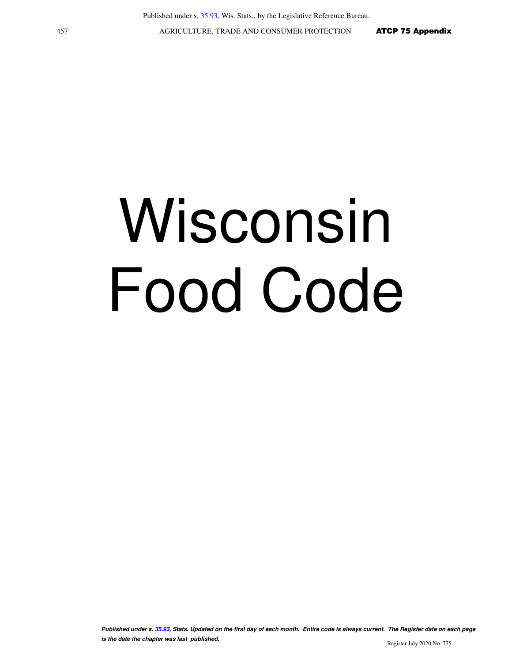# Wisconsin Food Code

**Published under s. [35.93,](https://docs.legis.wisconsin.gov/document/statutes/35.93) Stats. Updated on the first day of each month. Entire code is always current. The Register date on each page is the date the chapter was last published.** Register July 2020 No. 775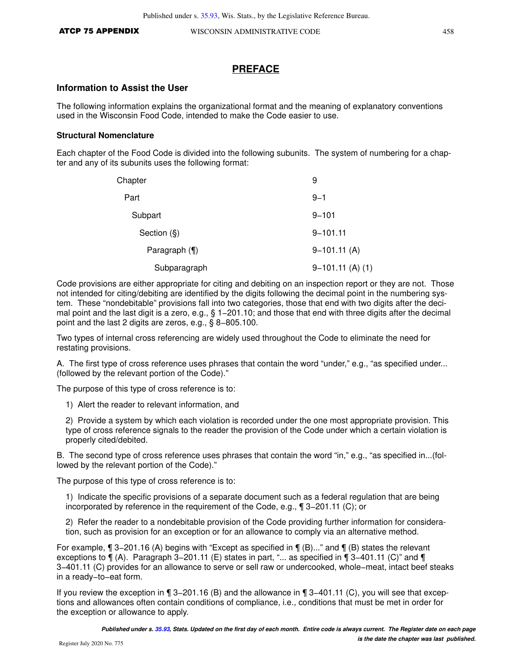## **PREFACE**

#### **Information to Assist the User**

The following information explains the organizational format and the meaning of explanatory conventions used in the Wisconsin Food Code, intended to make the Code easier to use.

#### **Structural Nomenclature**

Each chapter of the Food Code is divided into the following subunits. The system of numbering for a chapter and any of its subunits uses the following format:

| Chapter          | 9                  |
|------------------|--------------------|
| Part             | $9 - 1$            |
| Subpart          | $9 - 101$          |
| Section (§)      | $9 - 101.11$       |
| Paragraph $(\P)$ | $9-101.11(A)$      |
| Subparagraph     | $9-101.11$ (A) (1) |

Code provisions are either appropriate for citing and debiting on an inspection report or they are not. Those not intended for citing/debiting are identified by the digits following the decimal point in the numbering system. These "nondebitable" provisions fall into two categories, those that end with two digits after the decimal point and the last digit is a zero, e.g., § 1–201.10; and those that end with three digits after the decimal point and the last 2 digits are zeros, e.g., § 8−805.100.

Two types of internal cross referencing are widely used throughout the Code to eliminate the need for restating provisions.

A. The first type of cross reference uses phrases that contain the word "under," e.g., "as specified under... (followed by the relevant portion of the Code)."

The purpose of this type of cross reference is to:

1) Alert the reader to relevant information, and

2) Provide a system by which each violation is recorded under the one most appropriate provision. This type of cross reference signals to the reader the provision of the Code under which a certain violation is properly cited/debited.

B. The second type of cross reference uses phrases that contain the word "in," e.g., "as specified in...(followed by the relevant portion of the Code)."

The purpose of this type of cross reference is to:

1) Indicate the specific provisions of a separate document such as a federal regulation that are being incorporated by reference in the requirement of the Code, e.g., ¶ 3−201.11 (C); or

2) Refer the reader to a nondebitable provision of the Code providing further information for consideration, such as provision for an exception or for an allowance to comply via an alternative method.

For example, ¶ 3−201.16 (A) begins with "Except as specified in ¶ (B)..." and ¶ (B) states the relevant exceptions to ¶ (A). Paragraph 3−201.11 (E) states in part, "... as specified in ¶ 3−401.11 (C)" and ¶ 3−401.11 (C) provides for an allowance to serve or sell raw or undercooked, whole−meat, intact beef steaks in a ready−to−eat form.

If you review the exception in ¶ 3−201.16 (B) and the allowance in ¶ 3−401.11 (C), you will see that exceptions and allowances often contain conditions of compliance, i.e., conditions that must be met in order for the exception or allowance to apply.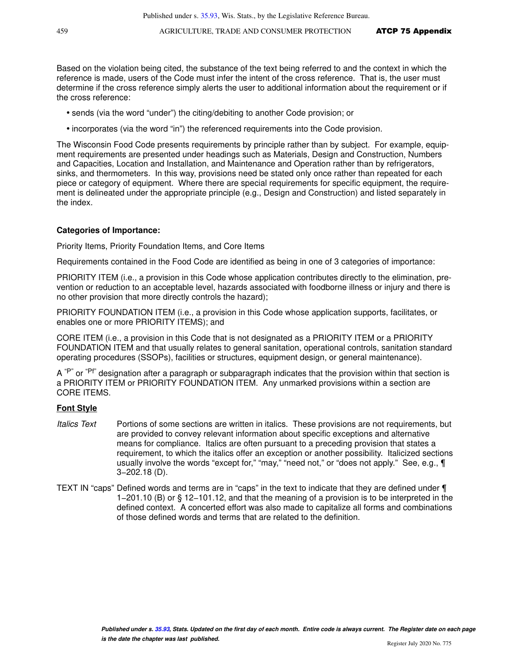Based on the violation being cited, the substance of the text being referred to and the context in which the reference is made, users of the Code must infer the intent of the cross reference. That is, the user must determine if the cross reference simply alerts the user to additional information about the requirement or if the cross reference:

- sends (via the word "under") the citing/debiting to another Code provision; or
- incorporates (via the word "in") the referenced requirements into the Code provision.

The Wisconsin Food Code presents requirements by principle rather than by subject. For example, equipment requirements are presented under headings such as Materials, Design and Construction, Numbers and Capacities, Location and Installation, and Maintenance and Operation rather than by refrigerators, sinks, and thermometers. In this way, provisions need be stated only once rather than repeated for each piece or category of equipment. Where there are special requirements for specific equipment, the requirement is delineated under the appropriate principle (e.g., Design and Construction) and listed separately in the index.

#### **Categories of Importance:**

Priority Items, Priority Foundation Items, and Core Items

Requirements contained in the Food Code are identified as being in one of 3 categories of importance:

PRIORITY ITEM (i.e., a provision in this Code whose application contributes directly to the elimination, prevention or reduction to an acceptable level, hazards associated with foodborne illness or injury and there is no other provision that more directly controls the hazard);

PRIORITY FOUNDATION ITEM (i.e., a provision in this Code whose application supports, facilitates, or enables one or more PRIORITY ITEMS); and

CORE ITEM (i.e., a provision in this Code that is not designated as a PRIORITY ITEM or a PRIORITY FOUNDATION ITEM and that usually relates to general sanitation, operational controls, sanitation standard operating procedures (SSOPs), facilities or structures, equipment design, or general maintenance).

A  $P^{\prime\prime}$  or  $P^{\prime\prime}$  designation after a paragraph or subparagraph indicates that the provision within that section is a PRIORITY ITEM or PRIORITY FOUNDATION ITEM. Any unmarked provisions within a section are CORE ITEMS.

#### **Font Style**

- Italics Text Portions of some sections are written in italics. These provisions are not requirements, but are provided to convey relevant information about specific exceptions and alternative means for compliance. Italics are often pursuant to a preceding provision that states a requirement, to which the italics offer an exception or another possibility. Italicized sections usually involve the words "except for," "may," "need not," or "does not apply." See, e.g.,  $\P$ 3−202.18 (D).
- TEXT IN "caps" Defined words and terms are in "caps" in the text to indicate that they are defined under ¶ 1−201.10 (B) or § 12−101.12, and that the meaning of a provision is to be interpreted in the defined context. A concerted effort was also made to capitalize all forms and combinations of those defined words and terms that are related to the definition.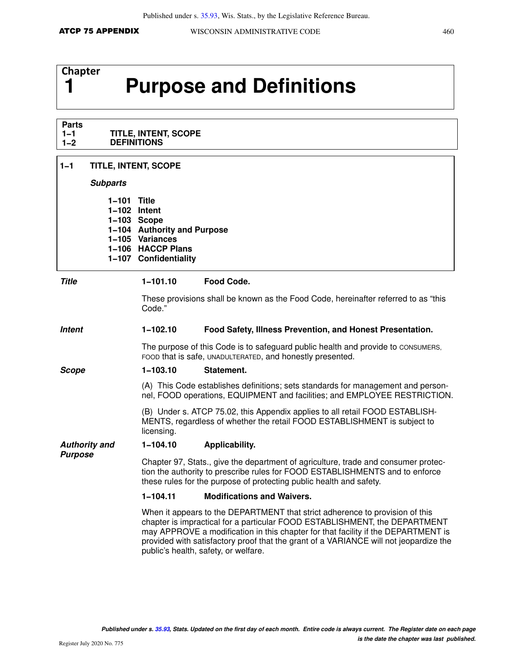# **Chapter**

# **1 Purpose and Definitions**

#### **Parts 1−1 1−2 TITLE, INTENT, SCOPE DEFINITIONS**

# **1−1 TITLE, INTENT, SCOPE**

#### **Subparts**

| 1-101 Title  |                             |
|--------------|-----------------------------|
| 1-102 Intent |                             |
|              | $1-103$ Scope               |
|              | 1-104 Authority and Purpose |
|              | 1-105 Variances             |
|              | 1-106 HACCP Plans           |
|              | 1-107 Confidentiality       |
|              |                             |

## **Title 1−101.10 Food Code.**

These provisions shall be known as the Food Code, hereinafter referred to as "this Code."

### **Intent 1−102.10 Food Safety, Illness Prevention, and Honest Presentation.**

The purpose of this Code is to safeguard public health and provide to CONSUMERS, FOOD that is safe, UNADULTERATED, and honestly presented.

#### **Scope 1−103.10 Statement.**

(A) This Code establishes definitions; sets standards for management and personnel, FOOD operations, EQUIPMENT and facilities; and EMPLOYEE RESTRICTION.

(B) Under s. ATCP 75.02, this Appendix applies to all retail FOOD ESTABLISH-MENTS, regardless of whether the retail FOOD ESTABLISHMENT is subject to licensing.

#### **Authority and 1−104.10 Applicability.**

Chapter 97, Stats., give the department of agriculture, trade and consumer protection the authority to prescribe rules for FOOD ESTABLISHMENTS and to enforce these rules for the purpose of protecting public health and safety.

#### **1−104.11 Modifications and Waivers.**

When it appears to the DEPARTMENT that strict adherence to provision of this chapter is impractical for a particular FOOD ESTABLISHMENT, the DEPARTMENT may APPROVE a modification in this chapter for that facility if the DEPARTMENT is provided with satisfactory proof that the grant of a VARIANCE will not jeopardize the public's health, safety, or welfare.

**Purpose**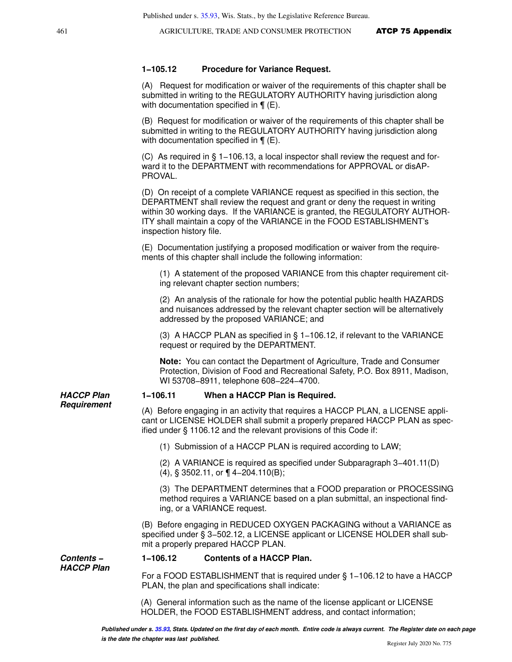#### **1−105.12 Procedure for Variance Request.**

(A) Request for modification or waiver of the requirements of this chapter shall be submitted in writing to the REGULATORY AUTHORITY having jurisdiction along with documentation specified in  $\P$  (E).

(B) Request for modification or waiver of the requirements of this chapter shall be submitted in writing to the REGULATORY AUTHORITY having jurisdiction along with documentation specified in  $\P$  (E).

(C) As required in § 1−106.13, a local inspector shall review the request and forward it to the DEPARTMENT with recommendations for APPROVAL or disAP-PROVAL.

(D) On receipt of a complete VARIANCE request as specified in this section, the DEPARTMENT shall review the request and grant or deny the request in writing within 30 working days. If the VARIANCE is granted, the REGULATORY AUTHOR-ITY shall maintain a copy of the VARIANCE in the FOOD ESTABLISHMENT's inspection history file.

(E) Documentation justifying a proposed modification or waiver from the requirements of this chapter shall include the following information:

(1) A statement of the proposed VARIANCE from this chapter requirement citing relevant chapter section numbers;

(2) An analysis of the rationale for how the potential public health HAZARDS and nuisances addressed by the relevant chapter section will be alternatively addressed by the proposed VARIANCE; and

(3) A HACCP PLAN as specified in § 1−106.12, if relevant to the VARIANCE request or required by the DEPARTMENT.

**Note:** You can contact the Department of Agriculture, Trade and Consumer Protection, Division of Food and Recreational Safety, P.O. Box 8911, Madison, WI 53708−8911, telephone 608−224−4700.

#### **1−106.11 When a HACCP Plan is Required.**

(A) Before engaging in an activity that requires a HACCP PLAN, a LICENSE applicant or LICENSE HOLDER shall submit a properly prepared HACCP PLAN as specified under § 1106.12 and the relevant provisions of this Code if:

(1) Submission of a HACCP PLAN is required according to LAW;

(2) A VARIANCE is required as specified under Subparagraph 3−401.11(D)

(4), § 3502.11, or ¶ 4−204.110(B);

(3) The DEPARTMENT determines that a FOOD preparation or PROCESSING method requires a VARIANCE based on a plan submittal, an inspectional finding, or a VARIANCE request.

(B) Before engaging in REDUCED OXYGEN PACKAGING without a VARIANCE as specified under § 3–502.12, a LICENSE applicant or LICENSE HOLDER shall submit a properly prepared HACCP PLAN.

#### **Contents − 1−106.12 Contents of a HACCP Plan.**

For a FOOD ESTABLISHMENT that is required under § 1−106.12 to have a HACCP PLAN, the plan and specifications shall indicate:

(A) General information such as the name of the license applicant or LICENSE HOLDER, the FOOD ESTABLISHMENT address, and contact information;

**HACCP Plan Requirement**

**HACCP Plan**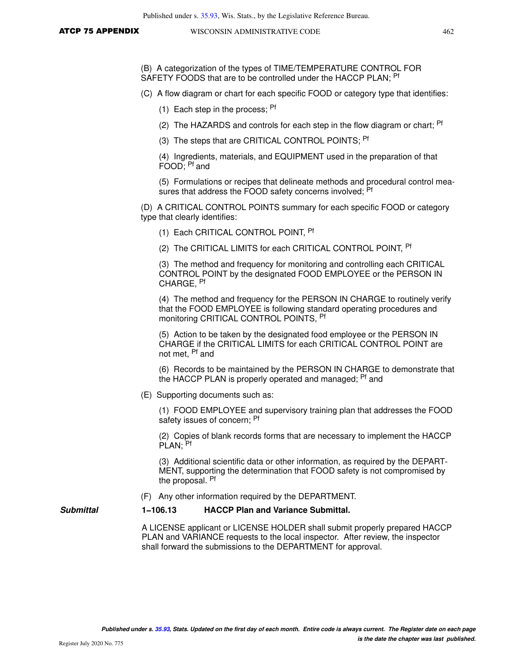(B) A categorization of the types of TIME/TEMPERATURE CONTROL FOR SAFETY FOODS that are to be controlled under the HACCP PLAN; Pf

(C) A flow diagram or chart for each specific FOOD or category type that identifies:

(1) Each step in the process;  $Pf$ 

- (2) The HAZARDS and controls for each step in the flow diagram or chart;  $P<sup>f</sup>$
- (3) The steps that are CRITICAL CONTROL POINTS; <sup>Pf</sup>

(4) Ingredients, materials, and EQUIPMENT used in the preparation of that FOOD; Pf and

(5) Formulations or recipes that delineate methods and procedural control measures that address the FOOD safety concerns involved; <sup>Pf</sup>

(D) A CRITICAL CONTROL POINTS summary for each specific FOOD or category type that clearly identifies:

(1) Each CRITICAL CONTROL POINT, <sup>Pf</sup>

(2) The CRITICAL LIMITS for each CRITICAL CONTROL POINT, <sup>Pf</sup>

(3) The method and frequency for monitoring and controlling each CRITICAL CONTROL POINT by the designated FOOD EMPLOYEE or the PERSON IN CHARGE, Pf

(4) The method and frequency for the PERSON IN CHARGE to routinely verify that the FOOD EMPLOYEE is following standard operating procedures and monitoring CRITICAL CONTROL POINTS, Pf

(5) Action to be taken by the designated food employee or the PERSON IN CHARGE if the CRITICAL LIMITS for each CRITICAL CONTROL POINT are not met, Pf and

(6) Records to be maintained by the PERSON IN CHARGE to demonstrate that the HACCP PLAN is properly operated and managed; <sup>Pf</sup> and

(E) Supporting documents such as:

(1) FOOD EMPLOYEE and supervisory training plan that addresses the FOOD safety issues of concern; Pf

(2) Copies of blank records forms that are necessary to implement the HACCP PLAN; Pf

(3) Additional scientific data or other information, as required by the DEPART-MENT, supporting the determination that FOOD safety is not compromised by the proposal. Pf

(F) Any other information required by the DEPARTMENT.

#### **Submittal 1−106.13 HACCP Plan and Variance Submittal.**

A LICENSE applicant or LICENSE HOLDER shall submit properly prepared HACCP PLAN and VARIANCE requests to the local inspector. After review, the inspector shall forward the submissions to the DEPARTMENT for approval.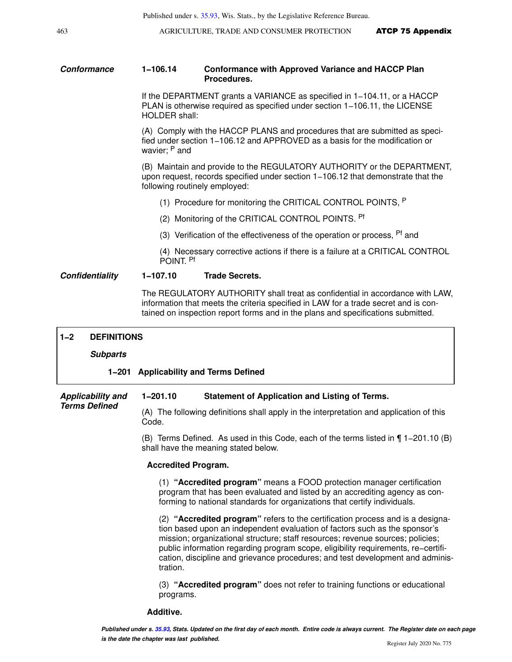#### **Conformance 1−106.14 Conformance with Approved Variance and HACCP Plan Procedures.**

If the DEPARTMENT grants a VARIANCE as specified in 1−104.11, or a HACCP PLAN is otherwise required as specified under section 1−106.11, the LICENSE HOLDER shall:

(A) Comply with the HACCP PLANS and procedures that are submitted as specified under section 1−106.12 and APPROVED as a basis for the modification or wavier; P and

(B) Maintain and provide to the REGULATORY AUTHORITY or the DEPARTMENT, upon request, records specified under section 1−106.12 that demonstrate that the following routinely employed:

- (1) Procedure for monitoring the CRITICAL CONTROL POINTS, <sup>P</sup>
- (2) Monitoring of the CRITICAL CONTROL POINTS. Pf
- (3) Verification of the effectiveness of the operation or process,  $P<sup>f</sup>$  and

(4) Necessary corrective actions if there is a failure at a CRITICAL CONTROL POINT. Pf

#### **Confidentiality 1−107.10 Trade Secrets.**

The REGULATORY AUTHORITY shall treat as confidential in accordance with LAW, information that meets the criteria specified in LAW for a trade secret and is contained on inspection report forms and in the plans and specifications submitted.

| $1 - 2$                                          | <b>DEFINITIONS</b>                                                                               |                                                                                                                                                                                                                                                                                                                                                                                                                                   |
|--------------------------------------------------|--------------------------------------------------------------------------------------------------|-----------------------------------------------------------------------------------------------------------------------------------------------------------------------------------------------------------------------------------------------------------------------------------------------------------------------------------------------------------------------------------------------------------------------------------|
|                                                  | <b>Subparts</b>                                                                                  |                                                                                                                                                                                                                                                                                                                                                                                                                                   |
|                                                  |                                                                                                  | 1-201 Applicability and Terms Defined                                                                                                                                                                                                                                                                                                                                                                                             |
| <b>Applicability and</b><br><b>Terms Defined</b> | $1 - 201.10$<br><b>Statement of Application and Listing of Terms.</b>                            |                                                                                                                                                                                                                                                                                                                                                                                                                                   |
|                                                  | (A) The following definitions shall apply in the interpretation and application of this<br>Code. |                                                                                                                                                                                                                                                                                                                                                                                                                                   |
|                                                  |                                                                                                  | (B) Terms Defined. As used in this Code, each of the terms listed in 1-201.10 (B)<br>shall have the meaning stated below.                                                                                                                                                                                                                                                                                                         |
|                                                  |                                                                                                  | <b>Accredited Program.</b>                                                                                                                                                                                                                                                                                                                                                                                                        |
|                                                  |                                                                                                  | (1) "Accredited program" means a FOOD protection manager certification<br>program that has been evaluated and listed by an accrediting agency as con-<br>forming to national standards for organizations that certify individuals.                                                                                                                                                                                                |
|                                                  |                                                                                                  | (2) "Accredited program" refers to the certification process and is a designa-<br>tion based upon an independent evaluation of factors such as the sponsor's<br>mission; organizational structure; staff resources; revenue sources; policies;<br>public information regarding program scope, eligibility requirements, re-certifi-<br>cation, discipline and grievance procedures; and test development and adminis-<br>tration. |
|                                                  |                                                                                                  | (3) "Accredited program" does not refer to training functions or educational<br>programs.                                                                                                                                                                                                                                                                                                                                         |

**Additive.**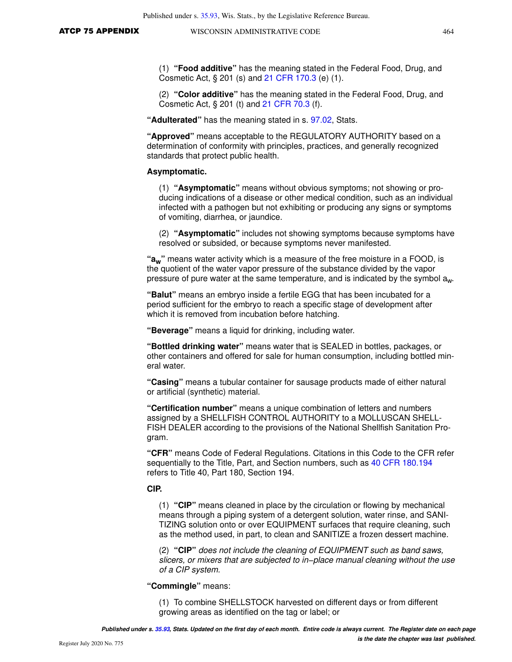(1) **"Food additive"** has the meaning stated in the Federal Food, Drug, and Cosmetic Act, § 201 (s) and [21 CFR 170.3](https://docs.legis.wisconsin.gov/document/cfr/21%20CFR%20170.3) (e) (1).

(2) **"Color additive"** has the meaning stated in the Federal Food, Drug, and Cosmetic Act, § 201 (t) and [21 CFR 70.3](https://docs.legis.wisconsin.gov/document/cfr/21%20CFR%2070.3) (f).

**"Adulterated"** has the meaning stated in s. [97.02,](https://docs.legis.wisconsin.gov/document/statutes/97.02) Stats.

**"Approved"** means acceptable to the REGULATORY AUTHORITY based on a determination of conformity with principles, practices, and generally recognized standards that protect public health.

#### **Asymptomatic.**

(1) **"Asymptomatic"** means without obvious symptoms; not showing or producing indications of a disease or other medical condition, such as an individual infected with a pathogen but not exhibiting or producing any signs or symptoms of vomiting, diarrhea, or jaundice.

(2) **"Asymptomatic"** includes not showing symptoms because symptoms have resolved or subsided, or because symptoms never manifested.

**"aw"** means water activity which is a measure of the free moisture in a FOOD, is the quotient of the water vapor pressure of the substance divided by the vapor pressure of pure water at the same temperature, and is indicated by the symbol aw.

**"Balut"** means an embryo inside a fertile EGG that has been incubated for a period sufficient for the embryo to reach a specific stage of development after which it is removed from incubation before hatching.

**"Beverage"** means a liquid for drinking, including water.

**"Bottled drinking water"** means water that is SEALED in bottles, packages, or other containers and offered for sale for human consumption, including bottled mineral water.

**"Casing"** means a tubular container for sausage products made of either natural or artificial (synthetic) material.

**"Certification number"** means a unique combination of letters and numbers assigned by a SHELLFISH CONTROL AUTHORITY to a MOLLUSCAN SHELL-FISH DEALER according to the provisions of the National Shellfish Sanitation Program.

**"CFR"** means Code of Federal Regulations. Citations in this Code to the CFR refer sequentially to the Title, Part, and Section numbers, such as [40 CFR 180.194](https://docs.legis.wisconsin.gov/document/cfr/40%20CFR%20180.194) refers to Title 40, Part 180, Section 194.

#### **CIP.**

(1) **"CIP"** means cleaned in place by the circulation or flowing by mechanical means through a piping system of a detergent solution, water rinse, and SANI-TIZING solution onto or over EQUIPMENT surfaces that require cleaning, such as the method used, in part, to clean and SANITIZE a frozen dessert machine.

(2) **"CIP"** does not include the cleaning of EQUIPMENT such as band saws, slicers, or mixers that are subjected to in−place manual cleaning without the use of a CIP system.

**"Commingle"** means:

(1) To combine SHELLSTOCK harvested on different days or from different growing areas as identified on the tag or label; or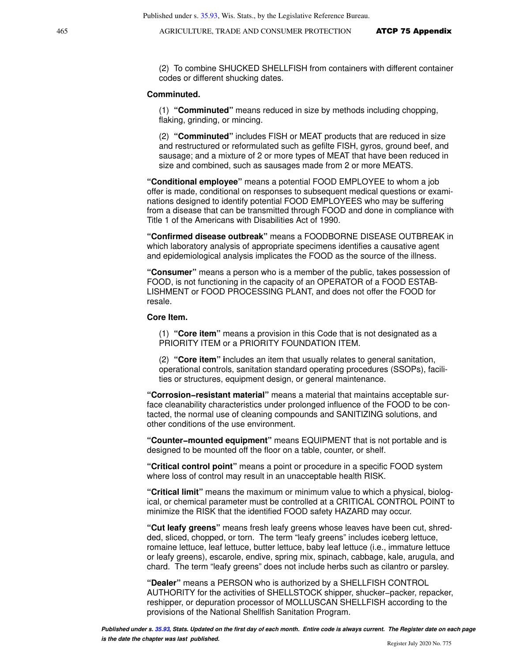(2) To combine SHUCKED SHELLFISH from containers with different container codes or different shucking dates.

#### **Comminuted.**

(1) **"Comminuted"** means reduced in size by methods including chopping, flaking, grinding, or mincing.

(2) **"Comminuted"** includes FISH or MEAT products that are reduced in size and restructured or reformulated such as gefilte FISH, gyros, ground beef, and sausage; and a mixture of 2 or more types of MEAT that have been reduced in size and combined, such as sausages made from 2 or more MEATS.

**"Conditional employee"** means a potential FOOD EMPLOYEE to whom a job offer is made, conditional on responses to subsequent medical questions or examinations designed to identify potential FOOD EMPLOYEES who may be suffering from a disease that can be transmitted through FOOD and done in compliance with Title 1 of the Americans with Disabilities Act of 1990.

**"Confirmed disease outbreak"** means a FOODBORNE DISEASE OUTBREAK in which laboratory analysis of appropriate specimens identifies a causative agent and epidemiological analysis implicates the FOOD as the source of the illness.

**"Consumer"** means a person who is a member of the public, takes possession of FOOD, is not functioning in the capacity of an OPERATOR of a FOOD ESTAB-LISHMENT or FOOD PROCESSING PLANT, and does not offer the FOOD for resale.

#### **Core Item.**

(1) **"Core item"** means a provision in this Code that is not designated as a PRIORITY ITEM or a PRIORITY FOUNDATION ITEM.

(2) **"Core item" i**ncludes an item that usually relates to general sanitation, operational controls, sanitation standard operating procedures (SSOPs), facilities or structures, equipment design, or general maintenance.

**"Corrosion−resistant material"** means a material that maintains acceptable surface cleanability characteristics under prolonged influence of the FOOD to be contacted, the normal use of cleaning compounds and SANITIZING solutions, and other conditions of the use environment.

**"Counter−mounted equipment"** means EQUIPMENT that is not portable and is designed to be mounted off the floor on a table, counter, or shelf.

**"Critical control point"** means a point or procedure in a specific FOOD system where loss of control may result in an unacceptable health RISK.

**"Critical limit"** means the maximum or minimum value to which a physical, biological, or chemical parameter must be controlled at a CRITICAL CONTROL POINT to minimize the RISK that the identified FOOD safety HAZARD may occur.

**"Cut leafy greens"** means fresh leafy greens whose leaves have been cut, shredded, sliced, chopped, or torn. The term "leafy greens" includes iceberg lettuce, romaine lettuce, leaf lettuce, butter lettuce, baby leaf lettuce (i.e., immature lettuce or leafy greens), escarole, endive, spring mix, spinach, cabbage, kale, arugula, and chard. The term "leafy greens" does not include herbs such as cilantro or parsley.

**"Dealer"** means a PERSON who is authorized by a SHELLFISH CONTROL AUTHORITY for the activities of SHELLSTOCK shipper, shucker−packer, repacker, reshipper, or depuration processor of MOLLUSCAN SHELLFISH according to the provisions of the National Shellfish Sanitation Program.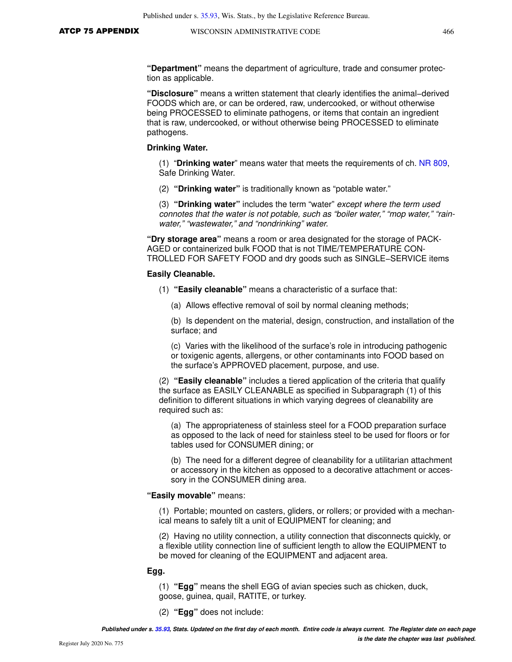**"Department"** means the department of agriculture, trade and consumer protection as applicable.

**"Disclosure"** means a written statement that clearly identifies the animal−derived FOODS which are, or can be ordered, raw, undercooked, or without otherwise being PROCESSED to eliminate pathogens, or items that contain an ingredient that is raw, undercooked, or without otherwise being PROCESSED to eliminate pathogens.

#### **Drinking Water.**

(1) "**Drinking water**" means water that meets the requirements of ch. [NR 809](https://docs.legis.wisconsin.gov/document/administrativecode/ch.%20NR%20809), Safe Drinking Water.

(2) **"Drinking water"** is traditionally known as "potable water."

(3) **"Drinking water"** includes the term "water" except where the term used connotes that the water is not potable, such as "boiler water," "mop water," "rainwater," "wastewater," and "nondrinking" water.

**"Dry storage area"** means a room or area designated for the storage of PACK-AGED or containerized bulk FOOD that is not TIME/TEMPERATURE CON-TROLLED FOR SAFETY FOOD and dry goods such as SINGLE−SERVICE items

#### **Easily Cleanable.**

- (1) **"Easily cleanable"** means a characteristic of a surface that:
	- (a) Allows effective removal of soil by normal cleaning methods;

(b) Is dependent on the material, design, construction, and installation of the surface; and

(c) Varies with the likelihood of the surface's role in introducing pathogenic or toxigenic agents, allergens, or other contaminants into FOOD based on the surface's APPROVED placement, purpose, and use.

(2) **"Easily cleanable"** includes a tiered application of the criteria that qualify the surface as EASILY CLEANABLE as specified in Subparagraph (1) of this definition to different situations in which varying degrees of cleanability are required such as:

(a) The appropriateness of stainless steel for a FOOD preparation surface as opposed to the lack of need for stainless steel to be used for floors or for tables used for CONSUMER dining; or

(b) The need for a different degree of cleanability for a utilitarian attachment or accessory in the kitchen as opposed to a decorative attachment or accessory in the CONSUMER dining area.

#### **"Easily movable"** means:

(1) Portable; mounted on casters, gliders, or rollers; or provided with a mechanical means to safely tilt a unit of EQUIPMENT for cleaning; and

(2) Having no utility connection, a utility connection that disconnects quickly, or a flexible utility connection line of sufficient length to allow the EQUIPMENT to be moved for cleaning of the EQUIPMENT and adjacent area.

#### **Egg.**

(1) **"Egg"** means the shell EGG of avian species such as chicken, duck, goose, guinea, quail, RATITE, or turkey.

(2) **"Egg"** does not include: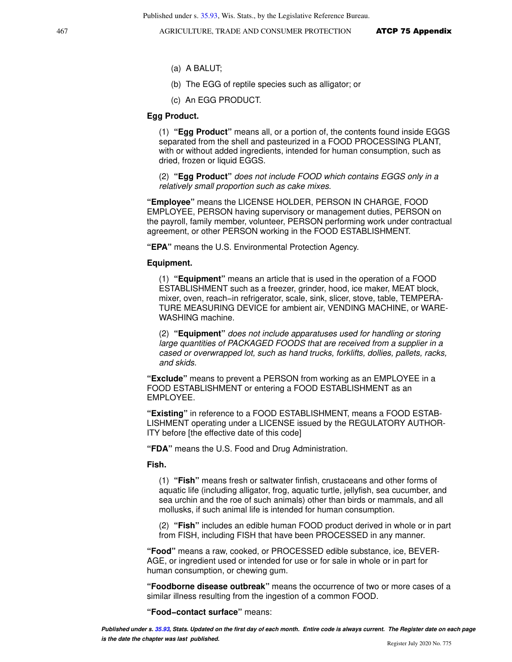- (a) A BALUT;
- (b) The EGG of reptile species such as alligator; or
- (c) An EGG PRODUCT.

#### **Egg Product.**

(1) **"Egg Product"** means all, or a portion of, the contents found inside EGGS separated from the shell and pasteurized in a FOOD PROCESSING PLANT, with or without added ingredients, intended for human consumption, such as dried, frozen or liquid EGGS.

(2) **"Egg Product"** does not include FOOD which contains EGGS only in a relatively small proportion such as cake mixes.

**"Employee"** means the LICENSE HOLDER, PERSON IN CHARGE, FOOD EMPLOYEE, PERSON having supervisory or management duties, PERSON on the payroll, family member, volunteer, PERSON performing work under contractual agreement, or other PERSON working in the FOOD ESTABLISHMENT.

**"EPA"** means the U.S. Environmental Protection Agency.

#### **Equipment.**

(1) **"Equipment"** means an article that is used in the operation of a FOOD ESTABLISHMENT such as a freezer, grinder, hood, ice maker, MEAT block, mixer, oven, reach−in refrigerator, scale, sink, slicer, stove, table, TEMPERA-TURE MEASURING DEVICE for ambient air, VENDING MACHINE, or WARE-WASHING machine.

(2) **"Equipment"** does not include apparatuses used for handling or storing large quantities of PACKAGED FOODS that are received from a supplier in a cased or overwrapped lot, such as hand trucks, forklifts, dollies, pallets, racks, and skids.

**"Exclude"** means to prevent a PERSON from working as an EMPLOYEE in a FOOD ESTABLISHMENT or entering a FOOD ESTABLISHMENT as an EMPLOYEE.

**"Existing"** in reference to a FOOD ESTABLISHMENT, means a FOOD ESTAB-LISHMENT operating under a LICENSE issued by the REGULATORY AUTHOR-ITY before [the effective date of this code]

**"FDA"** means the U.S. Food and Drug Administration.

**Fish.** 

(1) **"Fish"** means fresh or saltwater finfish, crustaceans and other forms of aquatic life (including alligator, frog, aquatic turtle, jellyfish, sea cucumber, and sea urchin and the roe of such animals) other than birds or mammals, and all mollusks, if such animal life is intended for human consumption.

(2) **"Fish"** includes an edible human FOOD product derived in whole or in part from FISH, including FISH that have been PROCESSED in any manner.

**"Food"** means a raw, cooked, or PROCESSED edible substance, ice, BEVER-AGE, or ingredient used or intended for use or for sale in whole or in part for human consumption, or chewing gum.

**"Foodborne disease outbreak"** means the occurrence of two or more cases of a similar illness resulting from the ingestion of a common FOOD.

**"Food−contact surface"** means: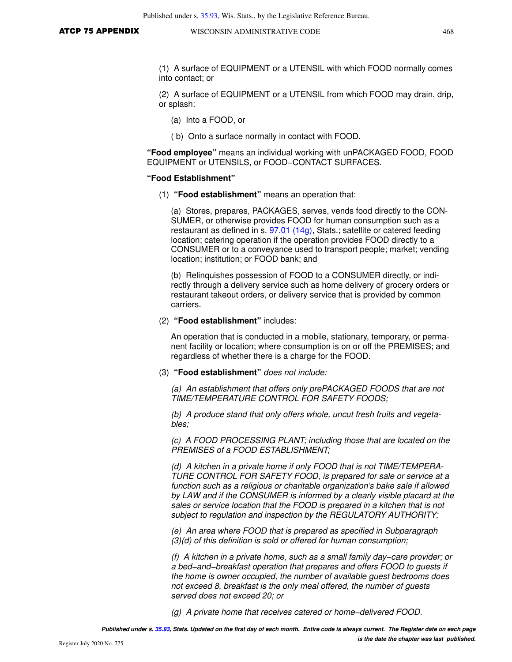(1) A surface of EQUIPMENT or a UTENSIL with which FOOD normally comes into contact; or

(2) A surface of EQUIPMENT or a UTENSIL from which FOOD may drain, drip, or splash:

- (a) Into a FOOD, or
- ( b) Onto a surface normally in contact with FOOD.

**"Food employee"** means an individual working with unPACKAGED FOOD, FOOD EQUIPMENT or UTENSILS, or FOOD−CONTACT SURFACES.

#### **"Food Establishment"**

(1) **"Food establishment"** means an operation that:

(a) Stores, prepares, PACKAGES, serves, vends food directly to the CON-SUMER, or otherwise provides FOOD for human consumption such as a restaurant as defined in s. [97.01 \(14g\)](https://docs.legis.wisconsin.gov/document/statutes/97.01(14g)), Stats.; satellite or catered feeding location; catering operation if the operation provides FOOD directly to a CONSUMER or to a conveyance used to transport people; market; vending location; institution; or FOOD bank; and

(b) Relinquishes possession of FOOD to a CONSUMER directly, or indirectly through a delivery service such as home delivery of grocery orders or restaurant takeout orders, or delivery service that is provided by common carriers.

(2) **"Food establishment"** includes:

An operation that is conducted in a mobile, stationary, temporary, or permanent facility or location; where consumption is on or off the PREMISES; and regardless of whether there is a charge for the FOOD.

(3) **"Food establishment"** does not include:

(a) An establishment that offers only prePACKAGED FOODS that are not TIME/TEMPERATURE CONTROL FOR SAFETY FOODS;

(b) A produce stand that only offers whole, uncut fresh fruits and vegetables;

(c) A FOOD PROCESSING PLANT; including those that are located on the PREMISES of a FOOD ESTABLISHMENT;

(d) A kitchen in a private home if only FOOD that is not TIME/TEMPERA-TURE CONTROL FOR SAFETY FOOD, is prepared for sale or service at a function such as a religious or charitable organization's bake sale if allowed by LAW and if the CONSUMER is informed by a clearly visible placard at the sales or service location that the FOOD is prepared in a kitchen that is not subject to regulation and inspection by the REGULATORY AUTHORITY;

(e) An area where FOOD that is prepared as specified in Subparagraph (3)(d) of this definition is sold or offered for human consumption;

(f) A kitchen in a private home, such as a small family day−care provider; or a bed−and−breakfast operation that prepares and offers FOOD to guests if the home is owner occupied, the number of available guest bedrooms does not exceed 8, breakfast is the only meal offered, the number of guests served does not exceed 20; or

(g) A private home that receives catered or home−delivered FOOD.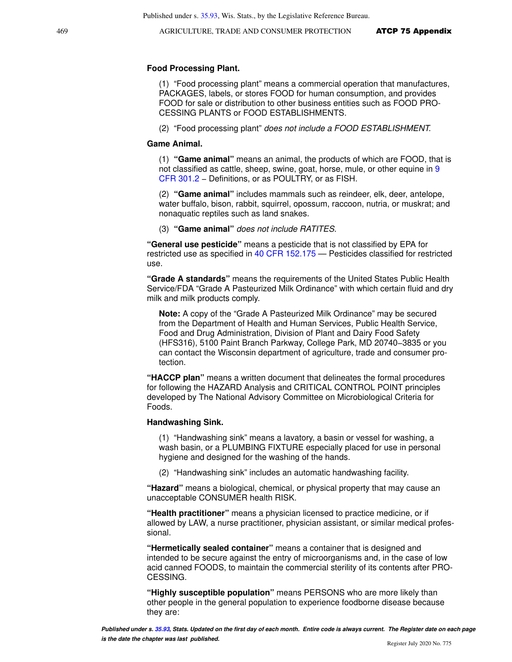#### **Food Processing Plant.**

(1) "Food processing plant" means a commercial operation that manufactures, PACKAGES, labels, or stores FOOD for human consumption, and provides FOOD for sale or distribution to other business entities such as FOOD PRO-CESSING PLANTS or FOOD ESTABLISHMENTS.

(2) "Food processing plant" does not include a FOOD ESTABLISHMENT.

#### **Game Animal.**

(1) **"Game animal"** means an animal, the products of which are FOOD, that is not classified as cattle, sheep, swine, goat, horse, mule, or other equine in [9](https://docs.legis.wisconsin.gov/document/cfr/9%20CFR%20301.2) [CFR 301.2](https://docs.legis.wisconsin.gov/document/cfr/9%20CFR%20301.2) − Definitions, or as POULTRY, or as FISH.

(2) **"Game animal"** includes mammals such as reindeer, elk, deer, antelope, water buffalo, bison, rabbit, squirrel, opossum, raccoon, nutria, or muskrat; and nonaquatic reptiles such as land snakes.

(3) **"Game animal"** does not include RATITES.

**"General use pesticide"** means a pesticide that is not classified by EPA for restricted use as specified in [40 CFR 152.175](https://docs.legis.wisconsin.gov/document/cfr/40%20CFR%20152.175) — Pesticides classified for restricted use.

**"Grade A standards"** means the requirements of the United States Public Health Service/FDA "Grade A Pasteurized Milk Ordinance" with which certain fluid and dry milk and milk products comply.

**Note:** A copy of the "Grade A Pasteurized Milk Ordinance" may be secured from the Department of Health and Human Services, Public Health Service, Food and Drug Administration, Division of Plant and Dairy Food Safety (HFS316), 5100 Paint Branch Parkway, College Park, MD 20740−3835 or you can contact the Wisconsin department of agriculture, trade and consumer protection.

**"HACCP plan"** means a written document that delineates the formal procedures for following the HAZARD Analysis and CRITICAL CONTROL POINT principles developed by The National Advisory Committee on Microbiological Criteria for Foods.

#### **Handwashing Sink.**

(1) "Handwashing sink" means a lavatory, a basin or vessel for washing, a wash basin, or a PLUMBING FIXTURE especially placed for use in personal hygiene and designed for the washing of the hands.

(2) "Handwashing sink" includes an automatic handwashing facility.

**"Hazard"** means a biological, chemical, or physical property that may cause an unacceptable CONSUMER health RISK.

**"Health practitioner"** means a physician licensed to practice medicine, or if allowed by LAW, a nurse practitioner, physician assistant, or similar medical professional.

**"Hermetically sealed container"** means a container that is designed and intended to be secure against the entry of microorganisms and, in the case of low acid canned FOODS, to maintain the commercial sterility of its contents after PRO-CESSING.

**"Highly susceptible population"** means PERSONS who are more likely than other people in the general population to experience foodborne disease because they are: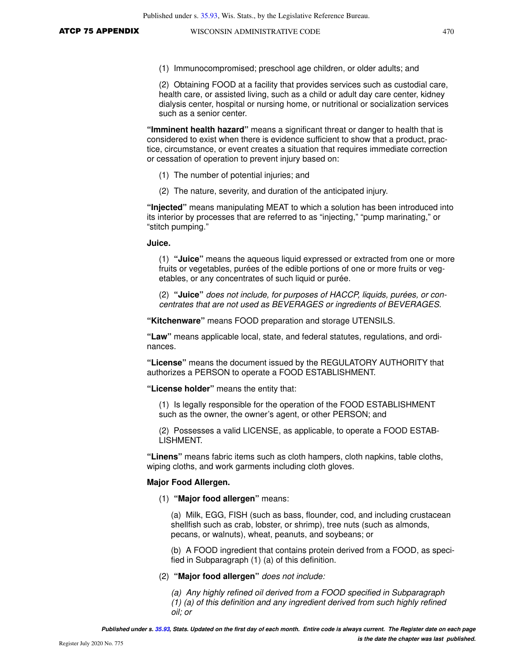(1) Immunocompromised; preschool age children, or older adults; and

(2) Obtaining FOOD at a facility that provides services such as custodial care, health care, or assisted living, such as a child or adult day care center, kidney dialysis center, hospital or nursing home, or nutritional or socialization services such as a senior center.

**"Imminent health hazard"** means a significant threat or danger to health that is considered to exist when there is evidence sufficient to show that a product, practice, circumstance, or event creates a situation that requires immediate correction or cessation of operation to prevent injury based on:

- (1) The number of potential injuries; and
- (2) The nature, severity, and duration of the anticipated injury.

**"Injected"** means manipulating MEAT to which a solution has been introduced into its interior by processes that are referred to as "injecting," "pump marinating," or "stitch pumping."

#### **Juice.**

(1) **"Juice"** means the aqueous liquid expressed or extracted from one or more fruits or vegetables, purées of the edible portions of one or more fruits or vegetables, or any concentrates of such liquid or purée.

(2) **"Juice"** does not include, for purposes of HACCP, liquids, purées, or concentrates that are not used as BEVERAGES or ingredients of BEVERAGES.

**"Kitchenware"** means FOOD preparation and storage UTENSILS.

**"Law"** means applicable local, state, and federal statutes, regulations, and ordinances.

**"License"** means the document issued by the REGULATORY AUTHORITY that authorizes a PERSON to operate a FOOD ESTABLISHMENT.

**"License holder"** means the entity that:

(1) Is legally responsible for the operation of the FOOD ESTABLISHMENT such as the owner, the owner's agent, or other PERSON; and

(2) Possesses a valid LICENSE, as applicable, to operate a FOOD ESTAB-LISHMENT.

**"Linens"** means fabric items such as cloth hampers, cloth napkins, table cloths, wiping cloths, and work garments including cloth gloves.

#### **Major Food Allergen.**

(1) **"Major food allergen"** means:

(a) Milk, EGG, FISH (such as bass, flounder, cod, and including crustacean shellfish such as crab, lobster, or shrimp), tree nuts (such as almonds, pecans, or walnuts), wheat, peanuts, and soybeans; or

(b) A FOOD ingredient that contains protein derived from a FOOD, as specified in Subparagraph (1) (a) of this definition.

#### (2) **"Major food allergen"** does not include:

(a) Any highly refined oil derived from a FOOD specified in Subparagraph

(1) (a) of this definition and any ingredient derived from such highly refined oil; or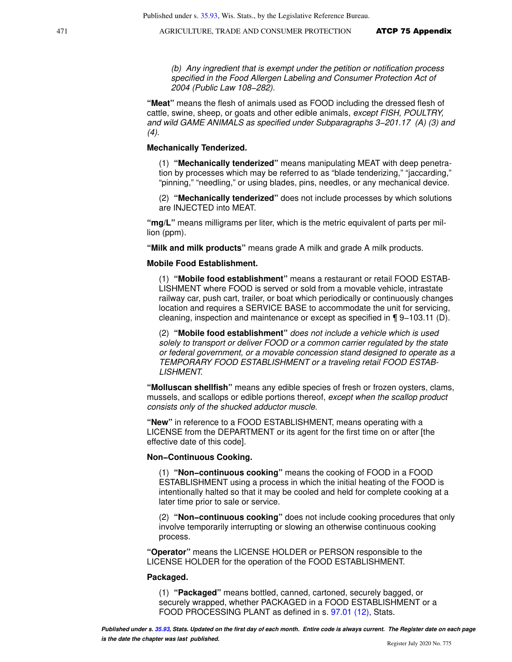(b) Any ingredient that is exempt under the petition or notification process specified in the Food Allergen Labeling and Consumer Protection Act of 2004 (Public Law 108−282).

**"Meat"** means the flesh of animals used as FOOD including the dressed flesh of cattle, swine, sheep, or goats and other edible animals, except FISH, POULTRY, and wild GAME ANIMALS as specified under Subparagraphs 3−201.17 (A) (3) and  $(4).$ 

#### **Mechanically Tenderized.**

(1) **"Mechanically tenderized"** means manipulating MEAT with deep penetration by processes which may be referred to as "blade tenderizing," "jaccarding," "pinning," "needling," or using blades, pins, needles, or any mechanical device.

(2) **"Mechanically tenderized"** does not include processes by which solutions are INJECTED into MEAT.

**"mg/L"** means milligrams per liter, which is the metric equivalent of parts per million (ppm).

**"Milk and milk products"** means grade A milk and grade A milk products.

#### **Mobile Food Establishment.**

(1) **"Mobile food establishment"** means a restaurant or retail FOOD ESTAB-LISHMENT where FOOD is served or sold from a movable vehicle, intrastate railway car, push cart, trailer, or boat which periodically or continuously changes location and requires a SERVICE BASE to accommodate the unit for servicing, cleaning, inspection and maintenance or except as specified in ¶ 9−103.11 (D).

(2) **"Mobile food establishment"** does not include a vehicle which is used solely to transport or deliver FOOD or a common carrier regulated by the state or federal government, or a movable concession stand designed to operate as a TEMPORARY FOOD ESTABLISHMENT or a traveling retail FOOD ESTAB-LISHMENT.

**"Molluscan shellfish"** means any edible species of fresh or frozen oysters, clams, mussels, and scallops or edible portions thereof, except when the scallop product consists only of the shucked adductor muscle.

**"New"** in reference to a FOOD ESTABLISHMENT, means operating with a LICENSE from the DEPARTMENT or its agent for the first time on or after [the effective date of this code].

#### **Non−Continuous Cooking.**

(1) **"Non−continuous cooking"** means the cooking of FOOD in a FOOD ESTABLISHMENT using a process in which the initial heating of the FOOD is intentionally halted so that it may be cooled and held for complete cooking at a later time prior to sale or service.

(2) **"Non−continuous cooking"** does not include cooking procedures that only involve temporarily interrupting or slowing an otherwise continuous cooking process.

**"Operator"** means the LICENSE HOLDER or PERSON responsible to the LICENSE HOLDER for the operation of the FOOD ESTABLISHMENT.

#### **Packaged.**

(1) **"Packaged"** means bottled, canned, cartoned, securely bagged, or securely wrapped, whether PACKAGED in a FOOD ESTABLISHMENT or a FOOD PROCESSING PLANT as defined in s. [97.01 \(12\)](https://docs.legis.wisconsin.gov/document/statutes/97.01(12)), Stats.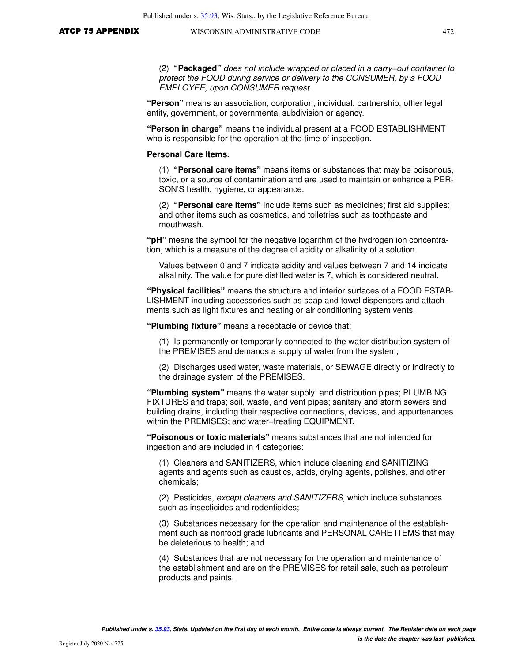(2) **"Packaged"** does not include wrapped or placed in a carry−out container to protect the FOOD during service or delivery to the CONSUMER, by a FOOD EMPLOYEE, upon CONSUMER request.

**"Person"** means an association, corporation, individual, partnership, other legal entity, government, or governmental subdivision or agency.

**"Person in charge"** means the individual present at a FOOD ESTABLISHMENT who is responsible for the operation at the time of inspection.

#### **Personal Care Items.**

(1) **"Personal care items"** means items or substances that may be poisonous, toxic, or a source of contamination and are used to maintain or enhance a PER-SON'S health, hygiene, or appearance.

(2) **"Personal care items"** include items such as medicines; first aid supplies; and other items such as cosmetics, and toiletries such as toothpaste and mouthwash.

**"pH"** means the symbol for the negative logarithm of the hydrogen ion concentration, which is a measure of the degree of acidity or alkalinity of a solution.

Values between 0 and 7 indicate acidity and values between 7 and 14 indicate alkalinity. The value for pure distilled water is 7, which is considered neutral.

**"Physical facilities"** means the structure and interior surfaces of a FOOD ESTAB-LISHMENT including accessories such as soap and towel dispensers and attachments such as light fixtures and heating or air conditioning system vents.

**"Plumbing fixture"** means a receptacle or device that:

(1) Is permanently or temporarily connected to the water distribution system of the PREMISES and demands a supply of water from the system;

(2) Discharges used water, waste materials, or SEWAGE directly or indirectly to the drainage system of the PREMISES.

**"Plumbing system"** means the water supply and distribution pipes; PLUMBING FIXTURES and traps; soil, waste, and vent pipes; sanitary and storm sewers and building drains, including their respective connections, devices, and appurtenances within the PREMISES; and water−treating EQUIPMENT.

**"Poisonous or toxic materials"** means substances that are not intended for ingestion and are included in 4 categories:

(1) Cleaners and SANITIZERS, which include cleaning and SANITIZING agents and agents such as caustics, acids, drying agents, polishes, and other chemicals;

(2) Pesticides, except cleaners and SANITIZERS, which include substances such as insecticides and rodenticides;

(3) Substances necessary for the operation and maintenance of the establishment such as nonfood grade lubricants and PERSONAL CARE ITEMS that may be deleterious to health; and

(4) Substances that are not necessary for the operation and maintenance of the establishment and are on the PREMISES for retail sale, such as petroleum products and paints.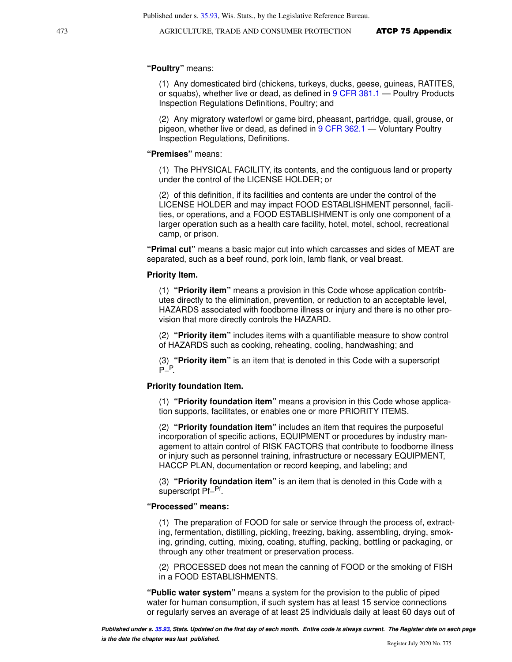#### **"Poultry"** means:

(1) Any domesticated bird (chickens, turkeys, ducks, geese, guineas, RATITES, or squabs), whether live or dead, as defined in [9 CFR 381.1](https://docs.legis.wisconsin.gov/document/cfr/9%20CFR%20381.1) — Poultry Products Inspection Regulations Definitions, Poultry; and

(2) Any migratory waterfowl or game bird, pheasant, partridge, quail, grouse, or pigeon, whether live or dead, as defined in [9 CFR 362.1](https://docs.legis.wisconsin.gov/document/cfr/9%20CFR%20362.1) — Voluntary Poultry Inspection Regulations, Definitions.

#### **"Premises"** means:

(1) The PHYSICAL FACILITY, its contents, and the contiguous land or property under the control of the LICENSE HOLDER; or

(2) of this definition, if its facilities and contents are under the control of the LICENSE HOLDER and may impact FOOD ESTABLISHMENT personnel, facilities, or operations, and a FOOD ESTABLISHMENT is only one component of a larger operation such as a health care facility, hotel, motel, school, recreational camp, or prison.

**"Primal cut"** means a basic major cut into which carcasses and sides of MEAT are separated, such as a beef round, pork loin, lamb flank, or veal breast.

#### **Priority Item.**

(1) **"Priority item"** means a provision in this Code whose application contributes directly to the elimination, prevention, or reduction to an acceptable level, HAZARDS associated with foodborne illness or injury and there is no other provision that more directly controls the HAZARD.

(2) **"Priority item"** includes items with a quantifiable measure to show control of HAZARDS such as cooking, reheating, cooling, handwashing; and

(3) **"Priority item"** is an item that is denoted in this Code with a superscript P<sup>\_/</sup>P

#### **Priority foundation Item.**

(1) **"Priority foundation item"** means a provision in this Code whose application supports, facilitates, or enables one or more PRIORITY ITEMS.

(2) **"Priority foundation item"** includes an item that requires the purposeful incorporation of specific actions, EQUIPMENT or procedures by industry management to attain control of RISK FACTORS that contribute to foodborne illness or injury such as personnel training, infrastructure or necessary EQUIPMENT, HACCP PLAN, documentation or record keeping, and labeling; and

(3) **"Priority foundation item"** is an item that is denoted in this Code with a superscript Pf<sup>−Pf</sup>.

#### **"Processed" means:**

(1) The preparation of FOOD for sale or service through the process of, extract-

ing, fermentation, distilling, pickling, freezing, baking, assembling, drying, smoking, grinding, cutting, mixing, coating, stuffing, packing, bottling or packaging, or through any other treatment or preservation process.

(2) PROCESSED does not mean the canning of FOOD or the smoking of FISH in a FOOD ESTABLISHMENTS.

**"Public water system"** means a system for the provision to the public of piped water for human consumption, if such system has at least 15 service connections or regularly serves an average of at least 25 individuals daily at least 60 days out of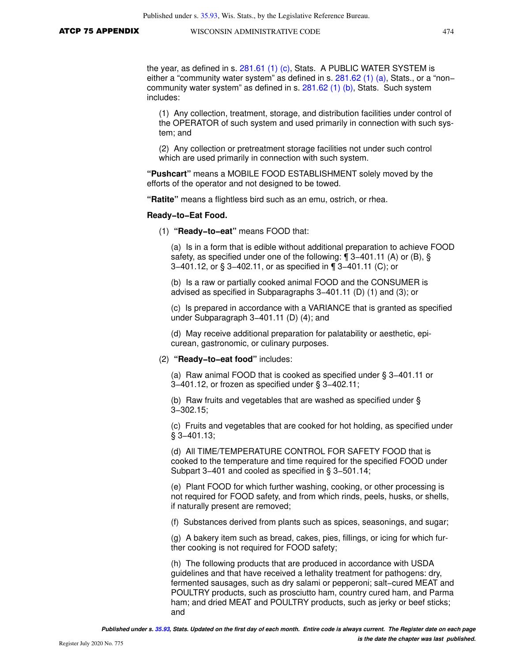the year, as defined in s. [281.61 \(1\) \(c\),](https://docs.legis.wisconsin.gov/document/statutes/281.61(1)(c)) Stats. A PUBLIC WATER SYSTEM is either a "community water system" as defined in s. [281.62 \(1\) \(a\),](https://docs.legis.wisconsin.gov/document/statutes/281.62(1)(a)) Stats., or a "non– community water system" as defined in s. [281.62 \(1\) \(b\)](https://docs.legis.wisconsin.gov/document/statutes/281.62(1)(b)), Stats. Such system includes:

(1) Any collection, treatment, storage, and distribution facilities under control of the OPERATOR of such system and used primarily in connection with such system; and

(2) Any collection or pretreatment storage facilities not under such control which are used primarily in connection with such system.

**"Pushcart"** means a MOBILE FOOD ESTABLISHMENT solely moved by the efforts of the operator and not designed to be towed.

**"Ratite"** means a flightless bird such as an emu, ostrich, or rhea.

#### **Ready−to−Eat Food.**

(1) **"Ready−to−eat"** means FOOD that:

(a) Is in a form that is edible without additional preparation to achieve FOOD safety, as specified under one of the following: ¶ 3–401.11 (A) or (B), § 3−401.12, or § 3−402.11, or as specified in ¶ 3−401.11 (C); or

(b) Is a raw or partially cooked animal FOOD and the CONSUMER is advised as specified in Subparagraphs 3−401.11 (D) (1) and (3); or

(c) Is prepared in accordance with a VARIANCE that is granted as specified under Subparagraph 3−401.11 (D) (4); and

(d) May receive additional preparation for palatability or aesthetic, epicurean, gastronomic, or culinary purposes.

#### (2) **"Ready−to−eat food"** includes:

(a) Raw animal FOOD that is cooked as specified under § 3−401.11 or 3−401.12, or frozen as specified under § 3−402.11;

(b) Raw fruits and vegetables that are washed as specified under § 3−302.15;

(c) Fruits and vegetables that are cooked for hot holding, as specified under § 3−401.13;

(d) All TIME/TEMPERATURE CONTROL FOR SAFETY FOOD that is cooked to the temperature and time required for the specified FOOD under Subpart 3−401 and cooled as specified in § 3−501.14;

(e) Plant FOOD for which further washing, cooking, or other processing is not required for FOOD safety, and from which rinds, peels, husks, or shells, if naturally present are removed;

(f) Substances derived from plants such as spices, seasonings, and sugar;

(g) A bakery item such as bread, cakes, pies, fillings, or icing for which further cooking is not required for FOOD safety;

(h) The following products that are produced in accordance with USDA guidelines and that have received a lethality treatment for pathogens: dry, fermented sausages, such as dry salami or pepperoni; salt−cured MEAT and POULTRY products, such as prosciutto ham, country cured ham, and Parma ham; and dried MEAT and POULTRY products, such as jerky or beef sticks; and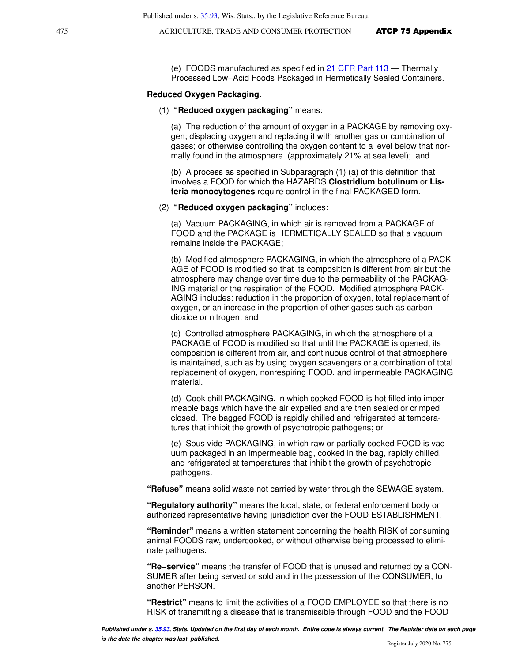(e) FOODS manufactured as specified in [21 CFR Part 113](https://docs.legis.wisconsin.gov/document/cfr/21%20CFR%20113) — Thermally Processed Low−Acid Foods Packaged in Hermetically Sealed Containers.

#### **Reduced Oxygen Packaging.**

#### (1) **"Reduced oxygen packaging"** means:

(a) The reduction of the amount of oxygen in a PACKAGE by removing oxygen; displacing oxygen and replacing it with another gas or combination of gases; or otherwise controlling the oxygen content to a level below that normally found in the atmosphere (approximately 21% at sea level); and

(b) A process as specified in Subparagraph (1) (a) of this definition that involves a FOOD for which the HAZARDS **Clostridium botulinum** or **Listeria monocytogenes** require control in the final PACKAGED form.

#### (2) **"Reduced oxygen packaging"** includes:

(a) Vacuum PACKAGING, in which air is removed from a PACKAGE of FOOD and the PACKAGE is HERMETICALLY SEALED so that a vacuum remains inside the PACKAGE;

(b) Modified atmosphere PACKAGING, in which the atmosphere of a PACK-AGE of FOOD is modified so that its composition is different from air but the atmosphere may change over time due to the permeability of the PACKAG-ING material or the respiration of the FOOD. Modified atmosphere PACK-AGING includes: reduction in the proportion of oxygen, total replacement of oxygen, or an increase in the proportion of other gases such as carbon dioxide or nitrogen; and

(c) Controlled atmosphere PACKAGING, in which the atmosphere of a PACKAGE of FOOD is modified so that until the PACKAGE is opened, its composition is different from air, and continuous control of that atmosphere is maintained, such as by using oxygen scavengers or a combination of total replacement of oxygen, nonrespiring FOOD, and impermeable PACKAGING material.

(d) Cook chill PACKAGING, in which cooked FOOD is hot filled into impermeable bags which have the air expelled and are then sealed or crimped closed. The bagged FOOD is rapidly chilled and refrigerated at temperatures that inhibit the growth of psychotropic pathogens; or

(e) Sous vide PACKAGING, in which raw or partially cooked FOOD is vacuum packaged in an impermeable bag, cooked in the bag, rapidly chilled, and refrigerated at temperatures that inhibit the growth of psychotropic pathogens.

**"Refuse"** means solid waste not carried by water through the SEWAGE system.

**"Regulatory authority"** means the local, state, or federal enforcement body or authorized representative having jurisdiction over the FOOD ESTABLISHMENT.

**"Reminder"** means a written statement concerning the health RISK of consuming animal FOODS raw, undercooked, or without otherwise being processed to eliminate pathogens.

**"Re−service"** means the transfer of FOOD that is unused and returned by a CON-SUMER after being served or sold and in the possession of the CONSUMER, to another PERSON.

**"Restrict"** means to limit the activities of a FOOD EMPLOYEE so that there is no RISK of transmitting a disease that is transmissible through FOOD and the FOOD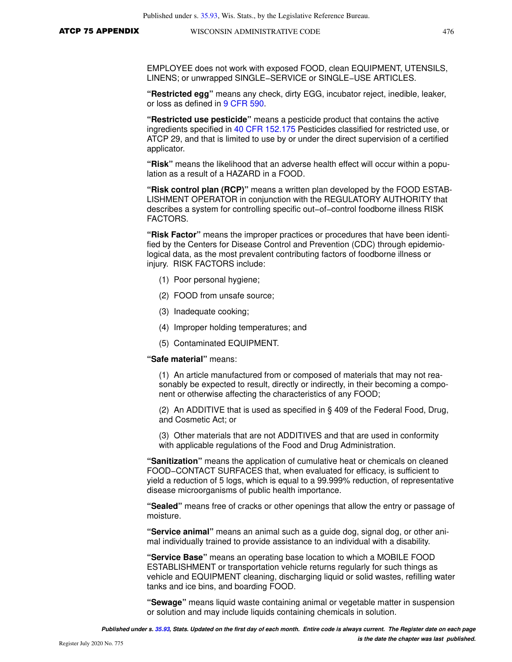EMPLOYEE does not work with exposed FOOD, clean EQUIPMENT, UTENSILS, LINENS; or unwrapped SINGLE−SERVICE or SINGLE−USE ARTICLES.

**"Restricted egg"** means any check, dirty EGG, incubator reject, inedible, leaker, or loss as defined in [9 CFR 590.](https://docs.legis.wisconsin.gov/document/cfr/9%20CFR%20590)

**"Restricted use pesticide"** means a pesticide product that contains the active ingredients specified in [40 CFR 152.175](https://docs.legis.wisconsin.gov/document/cfr/40%20CFR%20152.175) Pesticides classified for restricted use, or ATCP 29, and that is limited to use by or under the direct supervision of a certified applicator.

**"Risk"** means the likelihood that an adverse health effect will occur within a population as a result of a HAZARD in a FOOD.

**"Risk control plan (RCP)"** means a written plan developed by the FOOD ESTAB-LISHMENT OPERATOR in conjunction with the REGULATORY AUTHORITY that describes a system for controlling specific out−of−control foodborne illness RISK FACTORS.

**"Risk Factor"** means the improper practices or procedures that have been identified by the Centers for Disease Control and Prevention (CDC) through epidemiological data, as the most prevalent contributing factors of foodborne illness or injury. RISK FACTORS include:

- (1) Poor personal hygiene;
- (2) FOOD from unsafe source;
- (3) Inadequate cooking;
- (4) Improper holding temperatures; and
- (5) Contaminated EQUIPMENT.
- **"Safe material"** means:

(1) An article manufactured from or composed of materials that may not reasonably be expected to result, directly or indirectly, in their becoming a component or otherwise affecting the characteristics of any FOOD;

(2) An ADDITIVE that is used as specified in § 409 of the Federal Food, Drug, and Cosmetic Act; or

(3) Other materials that are not ADDITIVES and that are used in conformity with applicable regulations of the Food and Drug Administration.

**"Sanitization"** means the application of cumulative heat or chemicals on cleaned FOOD−CONTACT SURFACES that, when evaluated for efficacy, is sufficient to yield a reduction of 5 logs, which is equal to a 99.999% reduction, of representative disease microorganisms of public health importance.

**"Sealed"** means free of cracks or other openings that allow the entry or passage of moisture.

**"Service animal"** means an animal such as a guide dog, signal dog, or other animal individually trained to provide assistance to an individual with a disability.

**"Service Base"** means an operating base location to which a MOBILE FOOD ESTABLISHMENT or transportation vehicle returns regularly for such things as vehicle and EQUIPMENT cleaning, discharging liquid or solid wastes, refilling water tanks and ice bins, and boarding FOOD.

**"Sewage"** means liquid waste containing animal or vegetable matter in suspension or solution and may include liquids containing chemicals in solution.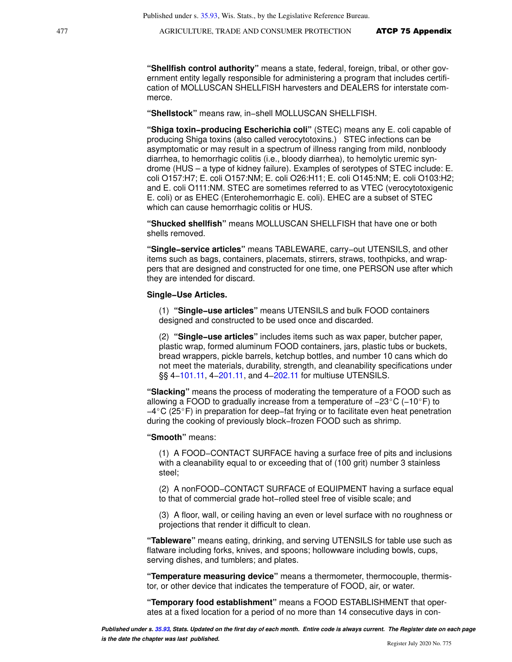**"Shellfish control authority"** means a state, federal, foreign, tribal, or other government entity legally responsible for administering a program that includes certification of MOLLUSCAN SHELLFISH harvesters and DEALERS for interstate commerce.

**"Shellstock"** means raw, in−shell MOLLUSCAN SHELLFISH.

**"Shiga toxin−producing Escherichia coli"** (STEC) means any E. coli capable of producing Shiga toxins (also called verocytotoxins.) STEC infections can be asymptomatic or may result in a spectrum of illness ranging from mild, nonbloody diarrhea, to hemorrhagic colitis (i.e., bloody diarrhea), to hemolytic uremic syndrome (HUS – a type of kidney failure). Examples of serotypes of STEC include: E. coli O157:H7; E. coli O157:NM; E. coli O26:H11; E. coli O145:NM; E. coli O103:H2; and E. coli O111:NM. STEC are sometimes referred to as VTEC (verocytotoxigenic E. coli) or as EHEC (Enterohemorrhagic E. coli). EHEC are a subset of STEC which can cause hemorrhagic colitis or HUS.

**"Shucked shellfish"** means MOLLUSCAN SHELLFISH that have one or both shells removed.

**"Single−service articles"** means TABLEWARE, carry−out UTENSILS, and other items such as bags, containers, placemats, stirrers, straws, toothpicks, and wrappers that are designed and constructed for one time, one PERSON use after which they are intended for discard.

#### **Single−Use Articles.**

(1) **"Single−use articles"** means UTENSILS and bulk FOOD containers designed and constructed to be used once and discarded.

(2) **"Single−use articles"** includes items such as wax paper, butcher paper, plastic wrap, formed aluminum FOOD containers, jars, plastic tubs or buckets, bread wrappers, pickle barrels, ketchup bottles, and number 10 cans which do not meet the materials, durability, strength, and cleanability specifications under §§ 4–101.11, 4–[201.11](https://docs.legis.wisconsin.gov/document/statutes/201.11), and 4–[202.11](https://docs.legis.wisconsin.gov/document/statutes/202.11) for multiuse UTENSILS.

**"Slacking"** means the process of moderating the temperature of a FOOD such as allowing a FOOD to gradually increase from a temperature of  $-23^{\circ}$ C (-10°F) to −4C (25F) in preparation for deep−fat frying or to facilitate even heat penetration during the cooking of previously block−frozen FOOD such as shrimp.

**"Smooth"** means:

(1) A FOOD−CONTACT SURFACE having a surface free of pits and inclusions with a cleanability equal to or exceeding that of (100 grit) number 3 stainless steel;

(2) A nonFOOD−CONTACT SURFACE of EQUIPMENT having a surface equal to that of commercial grade hot−rolled steel free of visible scale; and

(3) A floor, wall, or ceiling having an even or level surface with no roughness or projections that render it difficult to clean.

**"Tableware"** means eating, drinking, and serving UTENSILS for table use such as flatware including forks, knives, and spoons; hollowware including bowls, cups, serving dishes, and tumblers; and plates.

**"Temperature measuring device"** means a thermometer, thermocouple, thermistor, or other device that indicates the temperature of FOOD, air, or water.

**"Temporary food establishment"** means a FOOD ESTABLISHMENT that operates at a fixed location for a period of no more than 14 consecutive days in con-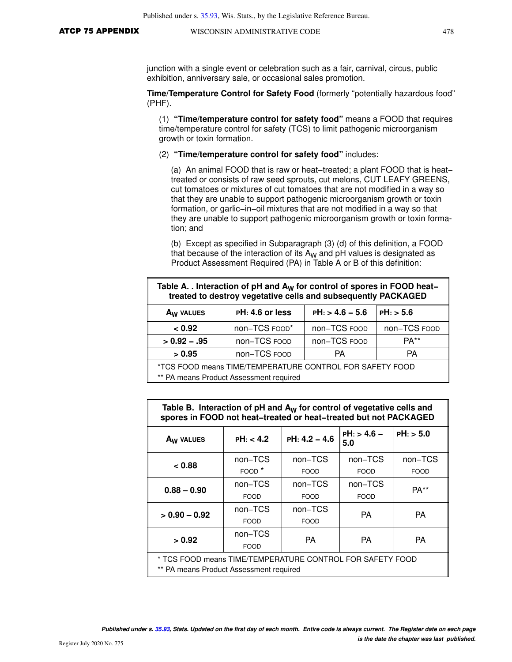junction with a single event or celebration such as a fair, carnival, circus, public exhibition, anniversary sale, or occasional sales promotion.

**Time/Temperature Control for Safety Food** (formerly "potentially hazardous food" (PHF).

(1) **"Time/temperature control for safety food"** means a FOOD that requires time/temperature control for safety (TCS) to limit pathogenic microorganism growth or toxin formation.

#### (2) **"Time/temperature control for safety food"** includes:

(a) An animal FOOD that is raw or heat−treated; a plant FOOD that is heat− treated or consists of raw seed sprouts, cut melons, CUT LEAFY GREENS, cut tomatoes or mixtures of cut tomatoes that are not modified in a way so that they are unable to support pathogenic microorganism growth or toxin formation, or garlic−in−oil mixtures that are not modified in a way so that they are unable to support pathogenic microorganism growth or toxin formation; and

(b) Except as specified in Subparagraph (3) (d) of this definition, a FOOD that because of the interaction of its  $A_W$  and pH values is designated as Product Assessment Required (PA) in Table A or B of this definition:

| Table A. . Interaction of pH and $A_W$ for control of spores in FOOD heat-<br>treated to destroy vegetative cells and subsequently PACKAGED |                   |                   |              |
|---------------------------------------------------------------------------------------------------------------------------------------------|-------------------|-------------------|--------------|
| A <sub>W</sub> VALUES                                                                                                                       | $PH: 4.6$ or less | $PH: > 4.6 - 5.6$ | PH: > 5.6    |
| < 0.92                                                                                                                                      | non-TCS FOOD*     | non-TCS FOOD      | non-TCS FOOD |
| non-TCS FOOD<br>non-TCS FOOD<br>$> 0.92 - .95$                                                                                              |                   | $PA**$            |              |
| > 0.95                                                                                                                                      | non-TCS FOOD      | PA                | PA           |
| *TCS FOOD means TIME/TEMPERATURE CONTROL FOR SAFETY FOOD<br>** PA means Product Assessment required                                         |                   |                   |              |

| Table B. Interaction of $pH$ and $A_W$ for control of vegetative cells and<br>spores in FOOD not heat-treated or heat-treated but not PACKAGED |                   |                 |                      |             |
|------------------------------------------------------------------------------------------------------------------------------------------------|-------------------|-----------------|----------------------|-------------|
| A <sub>W</sub> VALUES                                                                                                                          | PH: < 4.2         | $PH: 4.2 - 4.6$ | $PH:$ > 4.6 -<br>5.0 | $PH:$ > 5.0 |
| < 0.88                                                                                                                                         | non-TCS           | non-TCS         | non-TCS              | non-TCS     |
|                                                                                                                                                | FOOD <sup>*</sup> | <b>FOOD</b>     | <b>FOOD</b>          | <b>FOOD</b> |
| $0.88 - 0.90$                                                                                                                                  | non-TCS           | non-TCS         | non-TCS              | $PA**$      |
|                                                                                                                                                | <b>FOOD</b>       | <b>FOOD</b>     | <b>FOOD</b>          |             |
| $> 0.90 - 0.92$                                                                                                                                | non-TCS           | non-TCS         | <b>PA</b>            | <b>PA</b>   |
|                                                                                                                                                | <b>FOOD</b>       | <b>FOOD</b>     |                      |             |
| > 0.92                                                                                                                                         | non-TCS           | PA              | <b>PA</b>            | PA.         |
|                                                                                                                                                | <b>FOOD</b>       |                 |                      |             |
| * TCS FOOD means TIME/TEMPERATURE CONTROL FOR SAFETY FOOD<br>** PA means Product Assessment required                                           |                   |                 |                      |             |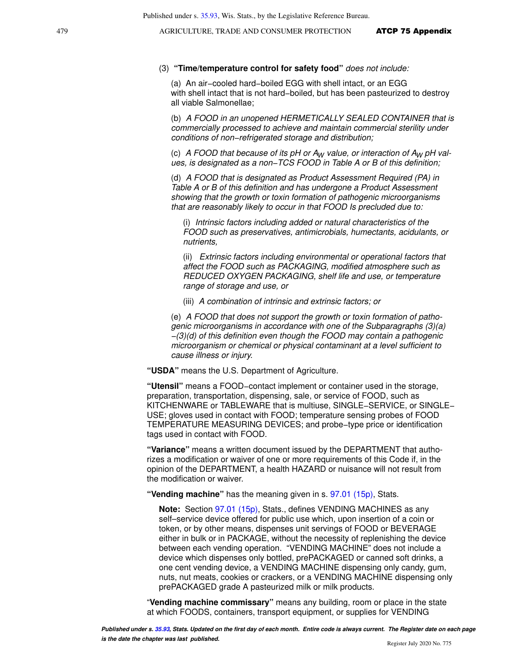#### (3) **"Time/temperature control for safety food"** does not include:

(a) An air−cooled hard−boiled EGG with shell intact, or an EGG with shell intact that is not hard−boiled, but has been pasteurized to destroy all viable Salmonellae;

(b) A FOOD in an unopened HERMETICALLY SEALED CONTAINER that is commercially processed to achieve and maintain commercial sterility under conditions of non−refrigerated storage and distribution;

(c) A FOOD that because of its pH or  $A_W$  value, or interaction of  $A_W$  pH values, is designated as a non−TCS FOOD in Table A or B of this definition;

(d) A FOOD that is designated as Product Assessment Required (PA) in Table A or B of this definition and has undergone a Product Assessment showing that the growth or toxin formation of pathogenic microorganisms that are reasonably likely to occur in that FOOD Is precluded due to:

(i) Intrinsic factors including added or natural characteristics of the FOOD such as preservatives, antimicrobials, humectants, acidulants, or nutrients,

(ii) Extrinsic factors including environmental or operational factors that affect the FOOD such as PACKAGING, modified atmosphere such as REDUCED OXYGEN PACKAGING, shelf life and use, or temperature range of storage and use, or

(iii) A combination of intrinsic and extrinsic factors; or

(e) A FOOD that does not support the growth or toxin formation of pathogenic microorganisms in accordance with one of the Subparagraphs (3)(a) −(3)(d) of this definition even though the FOOD may contain a pathogenic microorganism or chemical or physical contaminant at a level sufficient to cause illness or injury.

**"USDA"** means the U.S. Department of Agriculture.

**"Utensil"** means a FOOD−contact implement or container used in the storage, preparation, transportation, dispensing, sale, or service of FOOD, such as KITCHENWARE or TABLEWARE that is multiuse, SINGLE−SERVICE, or SINGLE− USE; gloves used in contact with FOOD; temperature sensing probes of FOOD TEMPERATURE MEASURING DEVICES; and probe−type price or identification tags used in contact with FOOD.

**"Variance"** means a written document issued by the DEPARTMENT that authorizes a modification or waiver of one or more requirements of this Code if, in the opinion of the DEPARTMENT, a health HAZARD or nuisance will not result from the modification or waiver.

**"Vending machine"** has the meaning given in s. [97.01 \(15p\)](https://docs.legis.wisconsin.gov/document/statutes/97.01(15p)), Stats.

**Note:** Section [97.01 \(15p\)](https://docs.legis.wisconsin.gov/document/statutes/97.01(15p)), Stats., defines VENDING MACHINES as any self–service device offered for public use which, upon insertion of a coin or token, or by other means, dispenses unit servings of FOOD or BEVERAGE either in bulk or in PACKAGE, without the necessity of replenishing the device between each vending operation. "VENDING MACHINE" does not include a device which dispenses only bottled, prePACKAGED or canned soft drinks, a one cent vending device, a VENDING MACHINE dispensing only candy, gum, nuts, nut meats, cookies or crackers, or a VENDING MACHINE dispensing only prePACKAGED grade A pasteurized milk or milk products.

"**Vending machine commissary"** means any building, room or place in the state at which FOODS, containers, transport equipment, or supplies for VENDING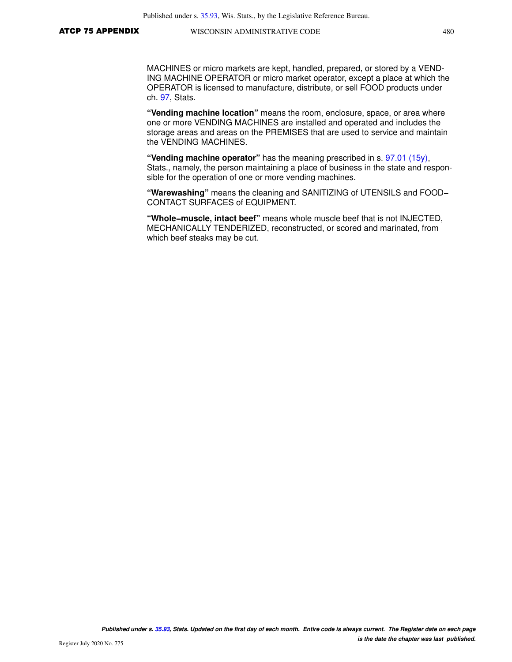MACHINES or micro markets are kept, handled, prepared, or stored by a VEND-ING MACHINE OPERATOR or micro market operator, except a place at which the OPERATOR is licensed to manufacture, distribute, or sell FOOD products under ch. [97,](https://docs.legis.wisconsin.gov/document/statutes/ch.%2097) Stats.

**"Vending machine location"** means the room, enclosure, space, or area where one or more VENDING MACHINES are installed and operated and includes the storage areas and areas on the PREMISES that are used to service and maintain the VENDING MACHINES.

**"Vending machine operator"** has the meaning prescribed in s. [97.01 \(15y\),](https://docs.legis.wisconsin.gov/document/statutes/97.01(15y)) Stats., namely, the person maintaining a place of business in the state and responsible for the operation of one or more vending machines.

**"Warewashing"** means the cleaning and SANITIZING of UTENSILS and FOOD− CONTACT SURFACES of EQUIPMENT.

**"Whole−muscle, intact beef"** means whole muscle beef that is not INJECTED, MECHANICALLY TENDERIZED, reconstructed, or scored and marinated, from which beef steaks may be cut.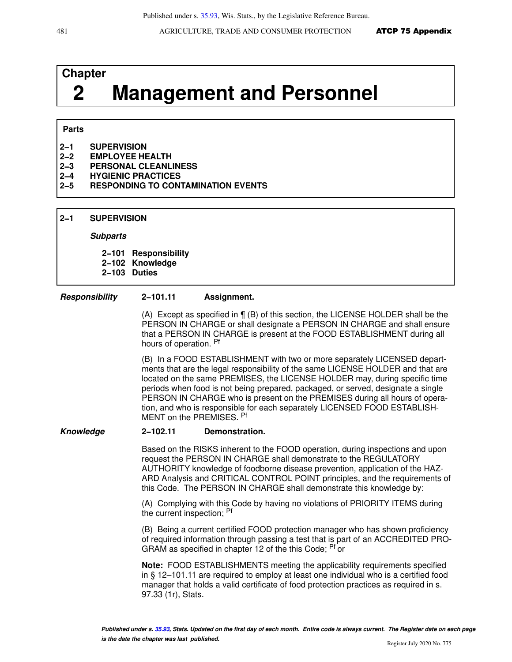# **Chapter 2 Management and Personnel**

## **Parts**

- **2−1 SUPERVISION**
- **2−2 EMPLOYEE HEALTH**
- **2−3 PERSONAL CLEANLINESS**
- **2−4 HYGIENIC PRACTICES**
- **2−5 RESPONDING TO CONTAMINATION EVENTS**
- **2−1 SUPERVISION**

#### **Subparts**

**2−101 Responsibility**

**2−102 Knowledge**

**2−103 Duties**

#### **Responsibility 2−101.11 Assignment.**

(A) Except as specified in ¶ (B) of this section, the LICENSE HOLDER shall be the PERSON IN CHARGE or shall designate a PERSON IN CHARGE and shall ensure that a PERSON IN CHARGE is present at the FOOD ESTABLISHMENT during all hours of operation. Pf

(B) In a FOOD ESTABLISHMENT with two or more separately LICENSED departments that are the legal responsibility of the same LICENSE HOLDER and that are located on the same PREMISES, the LICENSE HOLDER may, during specific time periods when food is not being prepared, packaged, or served, designate a single PERSON IN CHARGE who is present on the PREMISES during all hours of operation, and who is responsible for each separately LICENSED FOOD ESTABLISH-MENT on the PREMISES. Pf

#### **Knowledge 2−102.11 Demonstration.**

Based on the RISKS inherent to the FOOD operation, during inspections and upon request the PERSON IN CHARGE shall demonstrate to the REGULATORY AUTHORITY knowledge of foodborne disease prevention, application of the HAZ-ARD Analysis and CRITICAL CONTROL POINT principles, and the requirements of this Code. The PERSON IN CHARGE shall demonstrate this knowledge by:

(A) Complying with this Code by having no violations of PRIORITY ITEMS during the current inspection; <sup>Pf</sup>

(B) Being a current certified FOOD protection manager who has shown proficiency of required information through passing a test that is part of an ACCREDITED PRO-GRAM as specified in chapter 12 of the this Code; <sup>Pf</sup> or

**Note:** FOOD ESTABLISHMENTS meeting the applicability requirements specified in § 12–101.11 are required to employ at least one individual who is a certified food manager that holds a valid certificate of food protection practices as required in s. 97.33 (1r), Stats.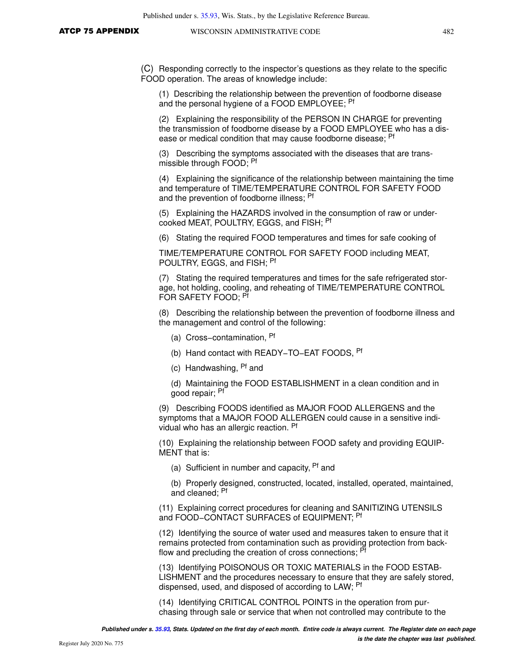(C) Responding correctly to the inspector's questions as they relate to the specific FOOD operation. The areas of knowledge include:

(1) Describing the relationship between the prevention of foodborne disease and the personal hygiene of a FOOD EMPLOYEE; <sup>Pf</sup>

(2) Explaining the responsibility of the PERSON IN CHARGE for preventing the transmission of foodborne disease by a FOOD EMPLOYEE who has a disease or medical condition that may cause foodborne disease; <sup>Pf</sup>

(3) Describing the symptoms associated with the diseases that are transmissible through FOOD; <sup>Pf</sup>

(4) Explaining the significance of the relationship between maintaining the time and temperature of TIME/TEMPERATURE CONTROL FOR SAFETY FOOD and the prevention of foodborne illness; Pf

(5) Explaining the HAZARDS involved in the consumption of raw or undercooked MEAT, POULTRY, EGGS, and FISH; Pf

(6) Stating the required FOOD temperatures and times for safe cooking of

TIME/TEMPERATURE CONTROL FOR SAFETY FOOD including MEAT, POULTRY, EGGS, and FISH; Pf

(7) Stating the required temperatures and times for the safe refrigerated storage, hot holding, cooling, and reheating of TIME/TEMPERATURE CONTROL FOR SAFETY FOOD: PT

(8) Describing the relationship between the prevention of foodborne illness and the management and control of the following:

- (a) Cross−contamination, Pf
- (b) Hand contact with READY−TO−EAT FOODS, Pf
- (c) Handwashing, Pf and
- (d) Maintaining the FOOD ESTABLISHMENT in a clean condition and in good repair; Pf

(9) Describing FOODS identified as MAJOR FOOD ALLERGENS and the symptoms that a MAJOR FOOD ALLERGEN could cause in a sensitive individual who has an allergic reaction. Pf

(10) Explaining the relationship between FOOD safety and providing EQUIP-MENT that is:

(a) Sufficient in number and capacity, <sup>Pf</sup> and

(b) Properly designed, constructed, located, installed, operated, maintained, and cleaned; Pf

(11) Explaining correct procedures for cleaning and SANITIZING UTENSILS and FOOD−CONTACT SURFACES of EQUIPMENT; Pf

(12) Identifying the source of water used and measures taken to ensure that it remains protected from contamination such as providing protection from backflow and precluding the creation of cross connections; <sup>Pf</sup>

(13) Identifying POISONOUS OR TOXIC MATERIALS in the FOOD ESTAB-LISHMENT and the procedures necessary to ensure that they are safely stored, dispensed, used, and disposed of according to LAW; <sup>Pf</sup>

(14) Identifying CRITICAL CONTROL POINTS in the operation from purchasing through sale or service that when not controlled may contribute to the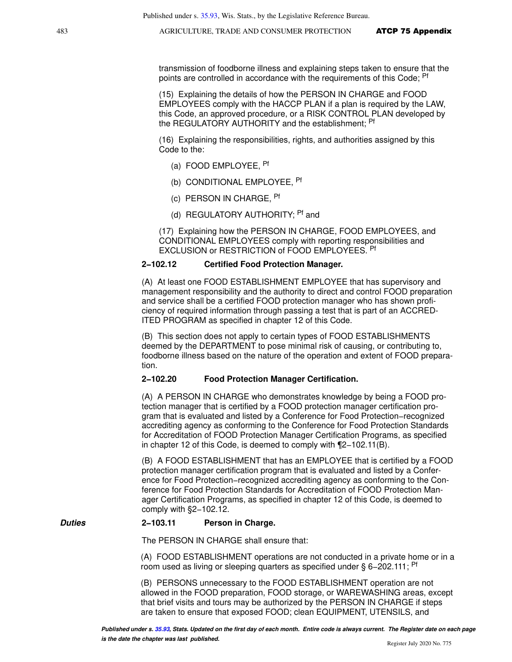transmission of foodborne illness and explaining steps taken to ensure that the points are controlled in accordance with the requirements of this Code; <sup>Pf</sup>

(15) Explaining the details of how the PERSON IN CHARGE and FOOD EMPLOYEES comply with the HACCP PLAN if a plan is required by the LAW, this Code, an approved procedure, or a RISK CONTROL PLAN developed by the REGULATORY AUTHORITY and the establishment; Pf

(16) Explaining the responsibilities, rights, and authorities assigned by this Code to the:

- (a) FOOD EMPLOYEE, Pf
- (b) CONDITIONAL EMPLOYEE, Pf
- (c) PERSON IN CHARGE, Pf
- (d) REGULATORY AUTHORITY: <sup>Pf</sup> and

(17) Explaining how the PERSON IN CHARGE, FOOD EMPLOYEES, and CONDITIONAL EMPLOYEES comply with reporting responsibilities and EXCLUSION or RESTRICTION of FOOD EMPLOYEES. Pf

#### **2−102.12 Certified Food Protection Manager.**

(A) At least one FOOD ESTABLISHMENT EMPLOYEE that has supervisory and management responsibility and the authority to direct and control FOOD preparation and service shall be a certified FOOD protection manager who has shown proficiency of required information through passing a test that is part of an ACCRED-ITED PROGRAM as specified in chapter 12 of this Code.

(B) This section does not apply to certain types of FOOD ESTABLISHMENTS deemed by the DEPARTMENT to pose minimal risk of causing, or contributing to, foodborne illness based on the nature of the operation and extent of FOOD preparation.

#### **2−102.20 Food Protection Manager Certification.**

(A) A PERSON IN CHARGE who demonstrates knowledge by being a FOOD protection manager that is certified by a FOOD protection manager certification program that is evaluated and listed by a Conference for Food Protection−recognized accrediting agency as conforming to the Conference for Food Protection Standards for Accreditation of FOOD Protection Manager Certification Programs, as specified in chapter 12 of this Code, is deemed to comply with ¶2−102.11(B).

(B) A FOOD ESTABLISHMENT that has an EMPLOYEE that is certified by a FOOD protection manager certification program that is evaluated and listed by a Conference for Food Protection−recognized accrediting agency as conforming to the Conference for Food Protection Standards for Accreditation of FOOD Protection Manager Certification Programs, as specified in chapter 12 of this Code, is deemed to comply with §2−102.12.

#### **Duties 2−103.11 Person in Charge.**

The PERSON IN CHARGE shall ensure that:

(A) FOOD ESTABLISHMENT operations are not conducted in a private home or in a room used as living or sleeping quarters as specified under § 6–202.111; <sup>Pf</sup>

(B) PERSONS unnecessary to the FOOD ESTABLISHMENT operation are not allowed in the FOOD preparation, FOOD storage, or WAREWASHING areas, except that brief visits and tours may be authorized by the PERSON IN CHARGE if steps are taken to ensure that exposed FOOD; clean EQUIPMENT, UTENSILS, and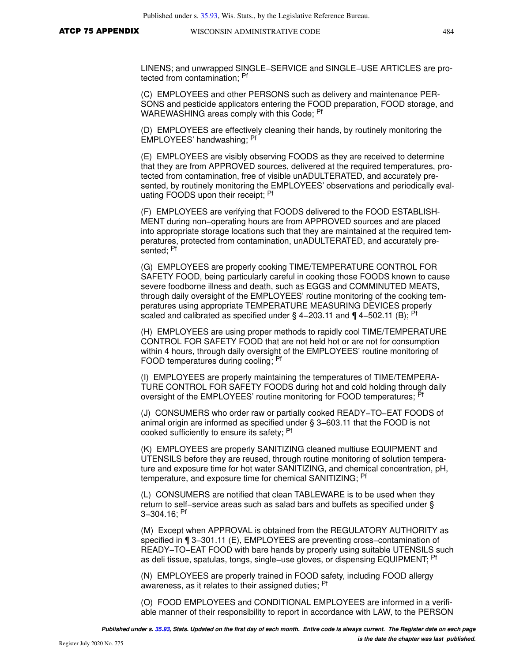LINENS; and unwrapped SINGLE−SERVICE and SINGLE−USE ARTICLES are protected from contamination; Pf

(C) EMPLOYEES and other PERSONS such as delivery and maintenance PER-SONS and pesticide applicators entering the FOOD preparation, FOOD storage, and WAREWASHING areas comply with this Code; <sup>Pf</sup>

(D) EMPLOYEES are effectively cleaning their hands, by routinely monitoring the EMPLOYEES' handwashing; Pf

(E) EMPLOYEES are visibly observing FOODS as they are received to determine that they are from APPROVED sources, delivered at the required temperatures, protected from contamination, free of visible unADULTERATED, and accurately presented, by routinely monitoring the EMPLOYEES' observations and periodically evaluating FOODS upon their receipt; <sup>Pf</sup>

(F) EMPLOYEES are verifying that FOODS delivered to the FOOD ESTABLISH-MENT during non−operating hours are from APPROVED sources and are placed into appropriate storage locations such that they are maintained at the required temperatures, protected from contamination, unADULTERATED, and accurately presented; Pf

(G) EMPLOYEES are properly cooking TIME/TEMPERATURE CONTROL FOR SAFETY FOOD, being particularly careful in cooking those FOODS known to cause severe foodborne illness and death, such as EGGS and COMMINUTED MEATS, through daily oversight of the EMPLOYEES' routine monitoring of the cooking temperatures using appropriate TEMPERATURE MEASURING DEVICES properly scaled and calibrated as specified under § 4–203.11 and ¶ 4–502.11 (B); <sup>Pf</sup>

(H) EMPLOYEES are using proper methods to rapidly cool TIME/TEMPERATURE CONTROL FOR SAFETY FOOD that are not held hot or are not for consumption within 4 hours, through daily oversight of the EMPLOYEES' routine monitoring of FOOD temperatures during cooling; Pf

(I) EMPLOYEES are properly maintaining the temperatures of TIME/TEMPERA-TURE CONTROL FOR SAFETY FOODS during hot and cold holding through daily oversight of the EMPLOYEES' routine monitoring for FOOD temperatures; Pf

(J) CONSUMERS who order raw or partially cooked READY−TO−EAT FOODS of animal origin are informed as specified under § 3−603.11 that the FOOD is not cooked sufficiently to ensure its safety; <sup>Pf</sup>

(K) EMPLOYEES are properly SANITIZING cleaned multiuse EQUIPMENT and UTENSILS before they are reused, through routine monitoring of solution temperature and exposure time for hot water SANITIZING, and chemical concentration, pH, temperature, and exposure time for chemical SANITIZING; <sup>Pf</sup>

(L) CONSUMERS are notified that clean TABLEWARE is to be used when they return to self−service areas such as salad bars and buffets as specified under § 3−304.16; Pf

(M) Except when APPROVAL is obtained from the REGULATORY AUTHORITY as specified in ¶ 3–301.11 (E), EMPLOYEES are preventing cross–contamination of READY−TO−EAT FOOD with bare hands by properly using suitable UTENSILS such as deli tissue, spatulas, tongs, single−use gloves, or dispensing EQUIPMENT; <sup>Pf</sup>

(N) EMPLOYEES are properly trained in FOOD safety, including FOOD allergy awareness, as it relates to their assigned duties; <sup>Pf</sup>

(O) FOOD EMPLOYEES and CONDITIONAL EMPLOYEES are informed in a verifiable manner of their responsibility to report in accordance with LAW, to the PERSON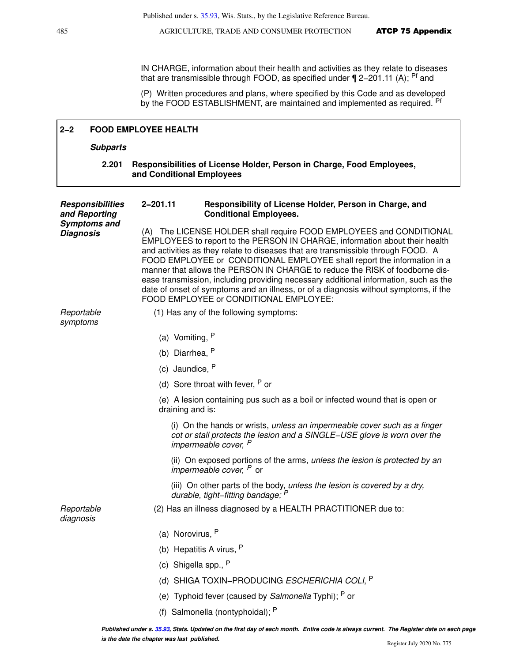IN CHARGE, information about their health and activities as they relate to diseases that are transmissible through FOOD, as specified under ¶ 2−201.11 (A); Pf and

(P) Written procedures and plans, where specified by this Code and as developed by the FOOD ESTABLISHMENT, are maintained and implemented as required. Pf

| $2 - 2$                                  | <b>FOOD EMPLOYEE HEALTH</b>                                                                                                                                                                                                                                                                                                                                                                                                                                                                                                                                                                                                 |
|------------------------------------------|-----------------------------------------------------------------------------------------------------------------------------------------------------------------------------------------------------------------------------------------------------------------------------------------------------------------------------------------------------------------------------------------------------------------------------------------------------------------------------------------------------------------------------------------------------------------------------------------------------------------------------|
| <b>Subparts</b>                          |                                                                                                                                                                                                                                                                                                                                                                                                                                                                                                                                                                                                                             |
| 2.201                                    | Responsibilities of License Holder, Person in Charge, Food Employees,<br>and Conditional Employees                                                                                                                                                                                                                                                                                                                                                                                                                                                                                                                          |
| <b>Responsibilities</b><br>and Reporting | 2-201.11<br>Responsibility of License Holder, Person in Charge, and<br><b>Conditional Employees.</b>                                                                                                                                                                                                                                                                                                                                                                                                                                                                                                                        |
| <b>Symptoms and</b><br><b>Diagnosis</b>  | (A) The LICENSE HOLDER shall require FOOD EMPLOYEES and CONDITIONAL<br>EMPLOYEES to report to the PERSON IN CHARGE, information about their health<br>and activities as they relate to diseases that are transmissible through FOOD. A<br>FOOD EMPLOYEE or CONDITIONAL EMPLOYEE shall report the information in a<br>manner that allows the PERSON IN CHARGE to reduce the RISK of foodborne dis-<br>ease transmission, including providing necessary additional information, such as the<br>date of onset of symptoms and an illness, or of a diagnosis without symptoms, if the<br>FOOD EMPLOYEE or CONDITIONAL EMPLOYEE: |
| Reportable<br>symptoms                   | (1) Has any of the following symptoms:                                                                                                                                                                                                                                                                                                                                                                                                                                                                                                                                                                                      |
|                                          | (a) Vomiting, $P$                                                                                                                                                                                                                                                                                                                                                                                                                                                                                                                                                                                                           |
|                                          | (b) Diarrhea, P                                                                                                                                                                                                                                                                                                                                                                                                                                                                                                                                                                                                             |
|                                          | (c) Jaundice, P                                                                                                                                                                                                                                                                                                                                                                                                                                                                                                                                                                                                             |
|                                          | (d) Sore throat with fever, $P$ or                                                                                                                                                                                                                                                                                                                                                                                                                                                                                                                                                                                          |
|                                          | (e) A lesion containing pus such as a boil or infected wound that is open or<br>draining and is:                                                                                                                                                                                                                                                                                                                                                                                                                                                                                                                            |
|                                          | (i) On the hands or wrists, unless an impermeable cover such as a finger<br>cot or stall protects the lesion and a SINGLE-USE glove is worn over the<br>impermeable cover, <sup>P</sup>                                                                                                                                                                                                                                                                                                                                                                                                                                     |
|                                          | (ii) On exposed portions of the arms, unless the lesion is protected by an<br><i>impermeable cover</i> , <sup><i>P</i></sup> or                                                                                                                                                                                                                                                                                                                                                                                                                                                                                             |
|                                          | (iii) On other parts of the body, unless the lesion is covered by a dry,<br>durable, tight-fitting bandage; P                                                                                                                                                                                                                                                                                                                                                                                                                                                                                                               |
| Reportable<br>diagnosis                  | (2) Has an illness diagnosed by a HEALTH PRACTITIONER due to:                                                                                                                                                                                                                                                                                                                                                                                                                                                                                                                                                               |
|                                          | (a) Norovirus, $P$                                                                                                                                                                                                                                                                                                                                                                                                                                                                                                                                                                                                          |
|                                          | (b) Hepatitis A virus, P                                                                                                                                                                                                                                                                                                                                                                                                                                                                                                                                                                                                    |
|                                          | Shigella spp., P<br>(c)                                                                                                                                                                                                                                                                                                                                                                                                                                                                                                                                                                                                     |
|                                          | (d) SHIGA TOXIN-PRODUCING ESCHERICHIA COLI, P                                                                                                                                                                                                                                                                                                                                                                                                                                                                                                                                                                               |
|                                          | (e) Typhoid fever (caused by Salmonella Typhi); P or                                                                                                                                                                                                                                                                                                                                                                                                                                                                                                                                                                        |
|                                          | (f) Salmonella (nontyphoidal); P                                                                                                                                                                                                                                                                                                                                                                                                                                                                                                                                                                                            |
|                                          | Published under s. 35.93, Stats. Updated on the first day of each month. Entire code is always current. The Register date on each page                                                                                                                                                                                                                                                                                                                                                                                                                                                                                      |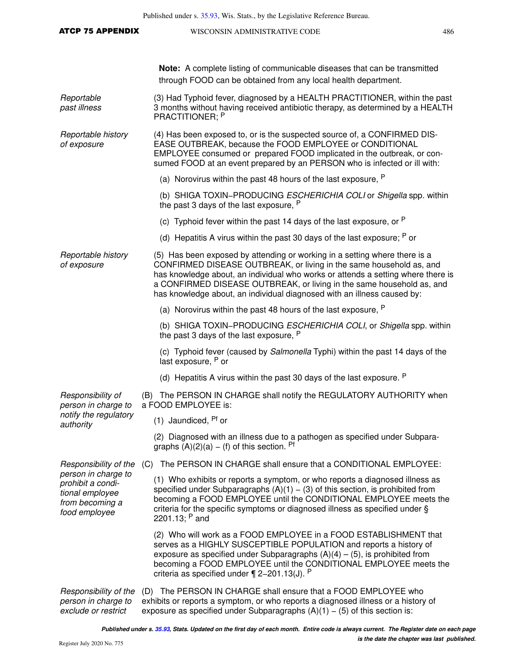| <b>ATCP 75 APPENDIX</b>                                                                         | WISCONSIN ADMINISTRATIVE CODE                                                                                                                                                                                                                                                                                                                                                             | 486 |  |
|-------------------------------------------------------------------------------------------------|-------------------------------------------------------------------------------------------------------------------------------------------------------------------------------------------------------------------------------------------------------------------------------------------------------------------------------------------------------------------------------------------|-----|--|
|                                                                                                 | Note: A complete listing of communicable diseases that can be transmitted<br>through FOOD can be obtained from any local health department.                                                                                                                                                                                                                                               |     |  |
| Reportable<br>past illness                                                                      | (3) Had Typhoid fever, diagnosed by a HEALTH PRACTITIONER, within the past<br>3 months without having received antibiotic therapy, as determined by a HEALTH<br>PRACTITIONER: P                                                                                                                                                                                                           |     |  |
| Reportable history<br>of exposure                                                               | (4) Has been exposed to, or is the suspected source of, a CONFIRMED DIS-<br>EASE OUTBREAK, because the FOOD EMPLOYEE or CONDITIONAL<br>EMPLOYEE consumed or prepared FOOD implicated in the outbreak, or con-<br>sumed FOOD at an event prepared by an PERSON who is infected or ill with:                                                                                                |     |  |
|                                                                                                 | (a) Norovirus within the past 48 hours of the last exposure, P                                                                                                                                                                                                                                                                                                                            |     |  |
|                                                                                                 | (b) SHIGA TOXIN-PRODUCING ESCHERICHIA COLI or Shigella spp. within<br>the past 3 days of the last exposure, P                                                                                                                                                                                                                                                                             |     |  |
|                                                                                                 | (c) Typhoid fever within the past 14 days of the last exposure, or <sup>P</sup>                                                                                                                                                                                                                                                                                                           |     |  |
|                                                                                                 | (d) Hepatitis A virus within the past 30 days of the last exposure; $P$ or                                                                                                                                                                                                                                                                                                                |     |  |
| Reportable history<br>of exposure                                                               | (5) Has been exposed by attending or working in a setting where there is a<br>CONFIRMED DISEASE OUTBREAK, or living in the same household as, and<br>has knowledge about, an individual who works or attends a setting where there is<br>a CONFIRMED DISEASE OUTBREAK, or living in the same household as, and<br>has knowledge about, an individual diagnosed with an illness caused by: |     |  |
|                                                                                                 | (a) Norovirus within the past 48 hours of the last exposure, $P$                                                                                                                                                                                                                                                                                                                          |     |  |
|                                                                                                 | (b) SHIGA TOXIN-PRODUCING ESCHERICHIA COLI, or Shigella spp. within<br>the past 3 days of the last exposure, P                                                                                                                                                                                                                                                                            |     |  |
|                                                                                                 | (c) Typhoid fever (caused by Salmonella Typhi) within the past 14 days of the<br>last exposure, P or                                                                                                                                                                                                                                                                                      |     |  |
|                                                                                                 | (d) Hepatitis A virus within the past 30 days of the last exposure. $P$                                                                                                                                                                                                                                                                                                                   |     |  |
| Responsibility of<br>person in charge to                                                        | (B) The PERSON IN CHARGE shall notify the REGULATORY AUTHORITY when<br>a FOOD EMPLOYEE is:                                                                                                                                                                                                                                                                                                |     |  |
| notify the regulatory<br>authority                                                              | $(1)$ Jaundiced, $Pf$ or                                                                                                                                                                                                                                                                                                                                                                  |     |  |
|                                                                                                 | (2) Diagnosed with an illness due to a pathogen as specified under Subpara-<br>graphs $(A)(2)(a) - (f)$ of this section. Pf                                                                                                                                                                                                                                                               |     |  |
| Responsibility of the                                                                           | (C) The PERSON IN CHARGE shall ensure that a CONDITIONAL EMPLOYEE:                                                                                                                                                                                                                                                                                                                        |     |  |
| person in charge to<br>prohibit a condi-<br>tional employee<br>from becoming a<br>food employee | (1) Who exhibits or reports a symptom, or who reports a diagnosed illness as<br>specified under Subparagraphs $(A)(1) - (3)$ of this section, is prohibited from<br>becoming a FOOD EMPLOYEE until the CONDITIONAL EMPLOYEE meets the<br>criteria for the specific symptoms or diagnosed illness as specified under §<br>2201.13; $P$ and                                                 |     |  |
|                                                                                                 | (2) Who will work as a FOOD EMPLOYEE in a FOOD ESTABLISHMENT that<br>serves as a HIGHLY SUSCEPTIBLE POPULATION and reports a history of<br>exposure as specified under Subparagraphs $(A)(4) - (5)$ , is prohibited from<br>becoming a FOOD EMPLOYEE until the CONDITIONAL EMPLOYEE meets the<br>criteria as specified under $\P$ 2-201.13(J). P                                          |     |  |
| Responsibility of the<br>person in charge to                                                    | (D) The PERSON IN CHARGE shall ensure that a FOOD EMPLOYEE who<br>exhibits or reports a symptom, or who reports a diagnosed illness or a history of                                                                                                                                                                                                                                       |     |  |

exposure as specified under Subparagraphs  $(A)(1) - (5)$  of this section is:

exclude or restrict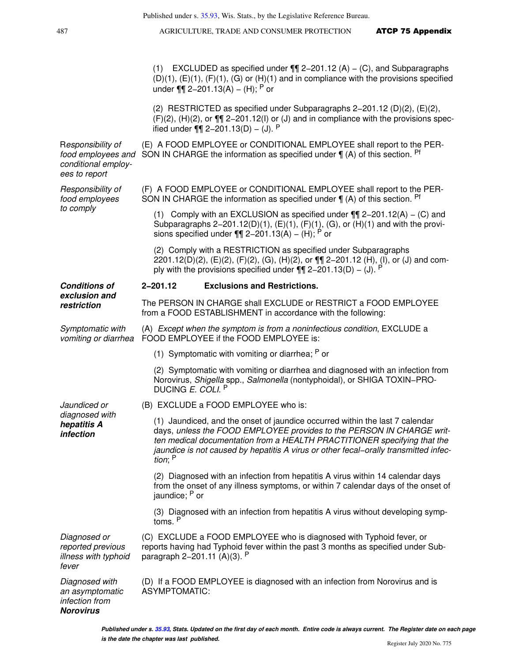(1) EXCLUDED as specified under ¶¶ 2−201.12 (A) − (C), and Subparagraphs  $(D)(1)$ ,  $(E)(1)$ ,  $(F)(1)$ ,  $(G)$  or  $(H)(1)$  and in compliance with the provisions specified under ¶¶ 2−201.13(A) − (H); P or

(2) RESTRICTED as specified under Subparagraphs 2−201.12 (D)(2), (E)(2), (F)(2), (H)(2), or ¶¶ 2−201.12(I) or (J) and in compliance with the provisions specified under  $\P\P$  2–201.13(D) – (J). <sup>P</sup>

Responsibility of food employees and SON IN CHARGE the information as specified under  $\P$  (A) of this section. Pf conditional employees to report (E) A FOOD EMPLOYEE or CONDITIONAL EMPLOYEE shall report to the PER-

> (F) A FOOD EMPLOYEE or CONDITIONAL EMPLOYEE shall report to the PER-SON IN CHARGE the information as specified under  $\P$  (A) of this section. Pf

(1) Comply with an EXCLUSION as specified under ¶¶ 2−201.12(A) − (C) and Subparagraphs 2−201.12(D)(1), (E)(1), (F)(1), (G), or (H)(1) and with the provisions specified under ¶¶ 2–201.13(A) – (H); P or

(2) Comply with a RESTRICTION as specified under Subparagraphs 2201.12(D)(2), (E)(2), (F)(2), (G), (H)(2), or ¶¶ 2−201.12 (H), (I), or (J) and comply with the provisions specified under  $\P\P$  2–201.13(D) – (J). <sup>P</sup>

#### **Conditions of 2−201.12 Exclusions and Restrictions.**

The PERSON IN CHARGE shall EXCLUDE or RESTRICT a FOOD EMPLOYEE from a FOOD ESTABLISHMENT in accordance with the following:

Symptomatic with vomiting or diarrhea FOOD EMPLOYEE if the FOOD EMPLOYEE is: (A) Except when the symptom is from a noninfectious condition, EXCLUDE a

(1) Symptomatic with vomiting or diarrhea;  $P$  or

(2) Symptomatic with vomiting or diarrhea and diagnosed with an infection from Norovirus, Shigella spp., Salmonella (nontyphoidal), or SHIGA TOXIN−PRO-DUCING E. COLI. P

(B) EXCLUDE a FOOD EMPLOYEE who is:

(1) Jaundiced, and the onset of jaundice occurred within the last 7 calendar days, unless the FOOD EMPLOYEE provides to the PERSON IN CHARGE written medical documentation from a HEALTH PRACTITIONER specifying that the jaundice is not caused by hepatitis A virus or other fecal−orally transmitted infection; <sup>P</sup>

(2) Diagnosed with an infection from hepatitis A virus within 14 calendar days from the onset of any illness symptoms, or within 7 calendar days of the onset of jaundice; P or

(3) Diagnosed with an infection from hepatitis A virus without developing symptoms. <sup>P</sup>

Diagnosed or reported previous illness with typhoid fever (C) EXCLUDE a FOOD EMPLOYEE who is diagnosed with Typhoid fever, or reports having had Typhoid fever within the past 3 months as specified under Subparagraph 2−201.11 (A)(3). <sup>P</sup>

Diagnosed with an asymptomatic (D) If a FOOD EMPLOYEE is diagnosed with an infection from Norovirus and is ASYMPTOMATIC:

Responsibility of food employees to comply

**exclusion and restriction**

Jaundiced or diagnosed with **hepatitis A infection**

infection from **Norovirus**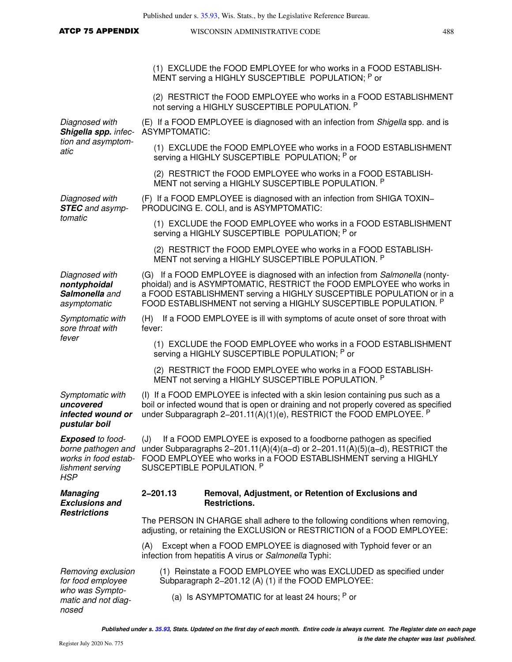| <b>ATCP 75 APPENDIX</b>                                                                                 |                      | WISCONSIN ADMINISTRATIVE CODE                                                                                                                                                                                                                                                                       | 488 |
|---------------------------------------------------------------------------------------------------------|----------------------|-----------------------------------------------------------------------------------------------------------------------------------------------------------------------------------------------------------------------------------------------------------------------------------------------------|-----|
|                                                                                                         |                      |                                                                                                                                                                                                                                                                                                     |     |
|                                                                                                         |                      | (1) EXCLUDE the FOOD EMPLOYEE for who works in a FOOD ESTABLISH-<br>MENT serving a HIGHLY SUSCEPTIBLE POPULATION; P or                                                                                                                                                                              |     |
|                                                                                                         |                      | (2) RESTRICT the FOOD EMPLOYEE who works in a FOOD ESTABLISHMENT<br>not serving a HIGHLY SUSCEPTIBLE POPULATION. P                                                                                                                                                                                  |     |
| Diagnosed with<br>Shigella spp. infec-                                                                  | <b>ASYMPTOMATIC:</b> | (E) If a FOOD EMPLOYEE is diagnosed with an infection from Shigella spp. and is                                                                                                                                                                                                                     |     |
| tion and asymptom-<br>atic                                                                              |                      | (1) EXCLUDE the FOOD EMPLOYEE who works in a FOOD ESTABLISHMENT<br>serving a HIGHLY SUSCEPTIBLE POPULATION; P or                                                                                                                                                                                    |     |
|                                                                                                         |                      | (2) RESTRICT the FOOD EMPLOYEE who works in a FOOD ESTABLISH-<br>MENT not serving a HIGHLY SUSCEPTIBLE POPULATION. P                                                                                                                                                                                |     |
| Diagnosed with<br><b>STEC</b> and asymp-                                                                |                      | (F) If a FOOD EMPLOYEE is diagnosed with an infection from SHIGA TOXIN-<br>PRODUCING E. COLI, and is ASYMPTOMATIC:                                                                                                                                                                                  |     |
| tomatic                                                                                                 |                      | (1) EXCLUDE the FOOD EMPLOYEE who works in a FOOD ESTABLISHMENT<br>serving a HIGHLY SUSCEPTIBLE POPULATION: P or                                                                                                                                                                                    |     |
|                                                                                                         |                      | (2) RESTRICT the FOOD EMPLOYEE who works in a FOOD ESTABLISH-<br>MENT not serving a HIGHLY SUSCEPTIBLE POPULATION. P                                                                                                                                                                                |     |
| Diagnosed with<br>nontyphoidal<br>Salmonella and<br>asymptomatic                                        |                      | (G) If a FOOD EMPLOYEE is diagnosed with an infection from Salmonella (nonty-<br>phoidal) and is ASYMPTOMATIC, RESTRICT the FOOD EMPLOYEE who works in<br>a FOOD ESTABLISHMENT serving a HIGHLY SUSCEPTIBLE POPULATION or in a<br>FOOD ESTABLISHMENT not serving a HIGHLY SUSCEPTIBLE POPULATION. P |     |
| Symptomatic with<br>sore throat with                                                                    | fever:               | (H) If a FOOD EMPLOYEE is ill with symptoms of acute onset of sore throat with                                                                                                                                                                                                                      |     |
| fever                                                                                                   |                      | (1) EXCLUDE the FOOD EMPLOYEE who works in a FOOD ESTABLISHMENT<br>serving a HIGHLY SUSCEPTIBLE POPULATION; P or                                                                                                                                                                                    |     |
|                                                                                                         |                      | (2) RESTRICT the FOOD EMPLOYEE who works in a FOOD ESTABLISH-<br>MENT not serving a HIGHLY SUSCEPTIBLE POPULATION. P                                                                                                                                                                                |     |
| Symptomatic with<br>uncovered<br>infected wound or<br>pustular boil                                     |                      | (I) If a FOOD EMPLOYEE is infected with a skin lesion containing pus such as a<br>boil or infected wound that is open or draining and not properly covered as specified<br>under Subparagraph 2-201.11(A)(1)(e), RESTRICT the FOOD EMPLOYEE. $P$                                                    |     |
| <b>Exposed</b> to food-<br>borne pathogen and<br>works in food estab-<br>lishment serving<br><b>HSP</b> | (J)                  | If a FOOD EMPLOYEE is exposed to a foodborne pathogen as specified<br>under Subparagraphs $2-201.11(A)(4)(a-d)$ or $2-201.11(A)(5)(a-d)$ , RESTRICT the<br>FOOD EMPLOYEE who works in a FOOD ESTABLISHMENT serving a HIGHLY<br>SUSCEPTIBLE POPULATION. P                                            |     |
| <b>Managing</b><br><b>Exclusions and</b>                                                                | 2-201.13             | Removal, Adjustment, or Retention of Exclusions and<br><b>Restrictions.</b>                                                                                                                                                                                                                         |     |
| <b>Restrictions</b>                                                                                     |                      | The PERSON IN CHARGE shall adhere to the following conditions when removing,<br>adjusting, or retaining the EXCLUSION or RESTRICTION of a FOOD EMPLOYEE:                                                                                                                                            |     |
|                                                                                                         | (A)                  | Except when a FOOD EMPLOYEE is diagnosed with Typhoid fever or an<br>infection from hepatitis A virus or Salmonella Typhi:                                                                                                                                                                          |     |
| Removing exclusion<br>for food employee                                                                 |                      | (1) Reinstate a FOOD EMPLOYEE who was EXCLUDED as specified under<br>Subparagraph 2-201.12 (A) (1) if the FOOD EMPLOYEE:                                                                                                                                                                            |     |
| who was Sympto-<br>matic and not diag-<br>nosed                                                         |                      | (a) Is ASYMPTOMATIC for at least 24 hours; $P$ or                                                                                                                                                                                                                                                   |     |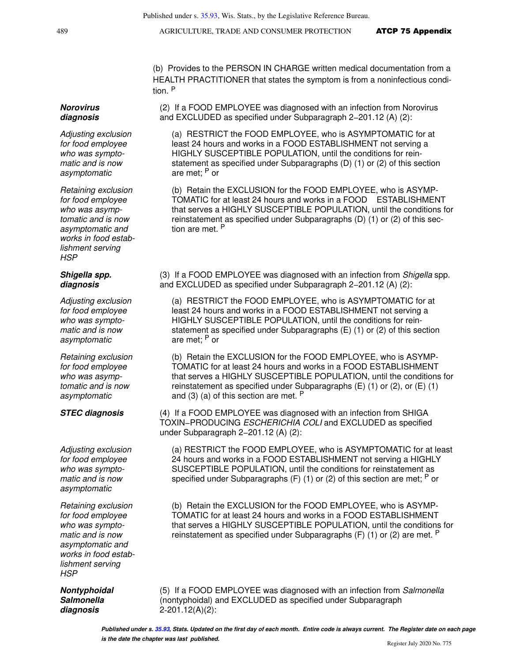(b) Provides to the PERSON IN CHARGE written medical documentation from a HEALTH PRACTITIONER that states the symptom is from a noninfectious condition. <sup>P</sup>

(2) If a FOOD EMPLOYEE was diagnosed with an infection from Norovirus and EXCLUDED as specified under Subparagraph 2−201.12 (A) (2):

(a) RESTRICT the FOOD EMPLOYEE, who is ASYMPTOMATIC for at least 24 hours and works in a FOOD ESTABLISHMENT not serving a HIGHLY SUSCEPTIBLE POPULATION, until the conditions for reinstatement as specified under Subparagraphs (D) (1) or (2) of this section are met; P or

(b) Retain the EXCLUSION for the FOOD EMPLOYEE, who is ASYMP-TOMATIC for at least 24 hours and works in a FOOD ESTABLISHMENT that serves a HIGHLY SUSCEPTIBLE POPULATION, until the conditions for reinstatement as specified under Subparagraphs (D) (1) or (2) of this section are met. <sup>P</sup>

(3) If a FOOD EMPLOYEE was diagnosed with an infection from Shigella spp. and EXCLUDED as specified under Subparagraph 2−201.12 (A) (2):

(a) RESTRICT the FOOD EMPLOYEE, who is ASYMPTOMATIC for at least 24 hours and works in a FOOD ESTABLISHMENT not serving a HIGHLY SUSCEPTIBLE POPULATION, until the conditions for reinstatement as specified under Subparagraphs (E) (1) or (2) of this section are met; P or

(b) Retain the EXCLUSION for the FOOD EMPLOYEE, who is ASYMP-TOMATIC for at least 24 hours and works in a FOOD ESTABLISHMENT that serves a HIGHLY SUSCEPTIBLE POPULATION, until the conditions for reinstatement as specified under Subparagraphs (E) (1) or (2), or (E) (1) and (3) (a) of this section are met. <sup>P</sup>

**STEC diagnosis** (4) If a FOOD EMPLOYEE was diagnosed with an infection from SHIGA TOXIN−PRODUCING ESCHERICHIA COLI and EXCLUDED as specified under Subparagraph 2−201.12 (A) (2):

> (a) RESTRICT the FOOD EMPLOYEE, who is ASYMPTOMATIC for at least 24 hours and works in a FOOD ESTABLISHMENT not serving a HIGHLY SUSCEPTIBLE POPULATION, until the conditions for reinstatement as specified under Subparagraphs  $(F)$  (1) or (2) of this section are met; <sup>P</sup> or

> (b) Retain the EXCLUSION for the FOOD EMPLOYEE, who is ASYMP-TOMATIC for at least 24 hours and works in a FOOD ESTABLISHMENT that serves a HIGHLY SUSCEPTIBLE POPULATION, until the conditions for reinstatement as specified under Subparagraphs  $(F)$  (1) or (2) are met.  $P$

(5) If a FOOD EMPLOYEE was diagnosed with an infection from Salmonella (nontyphoidal) and EXCLUDED as specified under Subparagraph 2-201.12(A)(2):

#### **Norovirus diagnosis**

Adjusting exclusion for food employee who was symptomatic and is now asymptomatic

Retaining exclusion for food employee who was asymptomatic and is now asymptomatic and works in food establishment serving HSP

#### **Shigella spp. diagnosis**

Adjusting exclusion for food employee who was symptomatic and is now asymptomatic

Retaining exclusion for food employee who was asymptomatic and is now asymptomatic

Adjusting exclusion for food employee who was symptomatic and is now asymptomatic

Retaining exclusion for food employee who was symptomatic and is now asymptomatic and works in food establishment serving **HSP** 

**Nontyphoidal Salmonella diagnosis**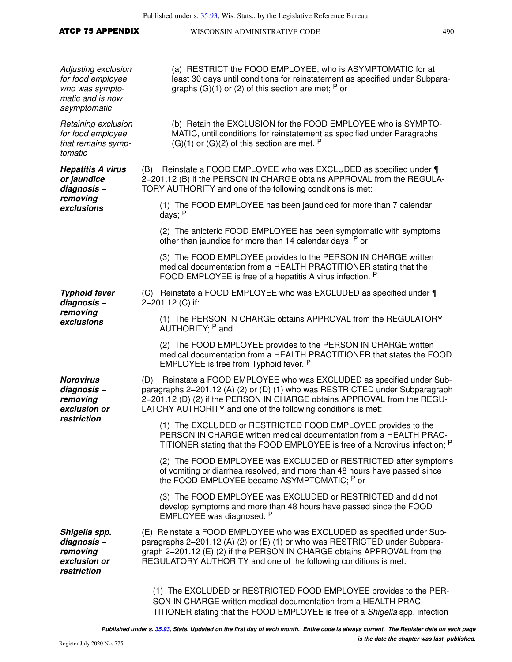| <b>ATCP 75 APPENDIX</b>                                                                         | WISCONSIN ADMINISTRATIVE CODE                                                                                                                                                                                                                                                                         |  |  |
|-------------------------------------------------------------------------------------------------|-------------------------------------------------------------------------------------------------------------------------------------------------------------------------------------------------------------------------------------------------------------------------------------------------------|--|--|
| Adjusting exclusion<br>for food employee<br>who was sympto-<br>matic and is now<br>asymptomatic | (a) RESTRICT the FOOD EMPLOYEE, who is ASYMPTOMATIC for at<br>least 30 days until conditions for reinstatement as specified under Subpara-<br>graphs $(G)(1)$ or (2) of this section are met; <sup>P</sup> or                                                                                         |  |  |
| Retaining exclusion<br>for food employee<br>that remains symp-<br>tomatic                       | (b) Retain the EXCLUSION for the FOOD EMPLOYEE who is SYMPTO-<br>MATIC, until conditions for reinstatement as specified under Paragraphs<br>$(G)(1)$ or $(G)(2)$ of this section are met. <sup>P</sup>                                                                                                |  |  |
| <b>Hepatitis A virus</b><br>or jaundice<br>diagnosis-                                           | Reinstate a FOOD EMPLOYEE who was EXCLUDED as specified under ¶<br>(B)<br>2-201.12 (B) if the PERSON IN CHARGE obtains APPROVAL from the REGULA-<br>TORY AUTHORITY and one of the following conditions is met:                                                                                        |  |  |
| removing<br>exclusions                                                                          | (1) The FOOD EMPLOYEE has been jaundiced for more than 7 calendar<br>days; P                                                                                                                                                                                                                          |  |  |
|                                                                                                 | (2) The anicteric FOOD EMPLOYEE has been symptomatic with symptoms<br>other than jaundice for more than 14 calendar days; P or                                                                                                                                                                        |  |  |
|                                                                                                 | (3) The FOOD EMPLOYEE provides to the PERSON IN CHARGE written<br>medical documentation from a HEALTH PRACTITIONER stating that the<br>FOOD EMPLOYEE is free of a hepatitis A virus infection. P                                                                                                      |  |  |
| <b>Typhoid fever</b><br>diagnosis-                                                              | (C) Reinstate a FOOD EMPLOYEE who was EXCLUDED as specified under ¶<br>2-201.12 (C) if:                                                                                                                                                                                                               |  |  |
| removing<br>exclusions                                                                          | (1) The PERSON IN CHARGE obtains APPROVAL from the REGULATORY<br>AUTHORITY; P and                                                                                                                                                                                                                     |  |  |
|                                                                                                 | (2) The FOOD EMPLOYEE provides to the PERSON IN CHARGE written<br>medical documentation from a HEALTH PRACTITIONER that states the FOOD<br>EMPLOYEE is free from Typhoid fever. P                                                                                                                     |  |  |
| <b>Norovirus</b><br>diagnosis-<br>removing<br>exclusion or<br>restriction                       | Reinstate a FOOD EMPLOYEE who was EXCLUDED as specified under Sub-<br>(D)<br>paragraphs 2–201.12 (A) (2) or (D) (1) who was RESTRICTED under Subparagraph<br>2-201.12 (D) (2) if the PERSON IN CHARGE obtains APPROVAL from the REGU-<br>LATORY AUTHORITY and one of the following conditions is met: |  |  |
|                                                                                                 | (1) The EXCLUDED or RESTRICTED FOOD EMPLOYEE provides to the<br>PERSON IN CHARGE written medical documentation from a HEALTH PRAC-<br>TITIONER stating that the FOOD EMPLOYEE is free of a Norovirus infection; <sup>P</sup>                                                                          |  |  |
|                                                                                                 | (2) The FOOD EMPLOYEE was EXCLUDED or RESTRICTED after symptoms<br>of vomiting or diarrhea resolved, and more than 48 hours have passed since<br>the FOOD EMPLOYEE became ASYMPTOMATIC; P or                                                                                                          |  |  |
|                                                                                                 | (3) The FOOD EMPLOYEE was EXCLUDED or RESTRICTED and did not<br>develop symptoms and more than 48 hours have passed since the FOOD<br>EMPLOYEE was diagnosed. P                                                                                                                                       |  |  |
| Shigella spp.<br>diagnosis-<br>removing<br>exclusion or<br>restriction                          | (E) Reinstate a FOOD EMPLOYEE who was EXCLUDED as specified under Sub-<br>paragraphs 2-201.12 (A) (2) or (E) (1) or who was RESTRICTED under Subpara-<br>graph 2-201.12 (E) (2) if the PERSON IN CHARGE obtains APPROVAL from the<br>REGULATORY AUTHORITY and one of the following conditions is met: |  |  |
|                                                                                                 | (1) The EXCLUDED or RESTRICTED FOOD EMPLOYEE provides to the PER-<br>SON IN CHARGE written medical documentation from a HEALTH PRAC-                                                                                                                                                                  |  |  |

TITIONER stating that the FOOD EMPLOYEE is free of a Shigella spp. infection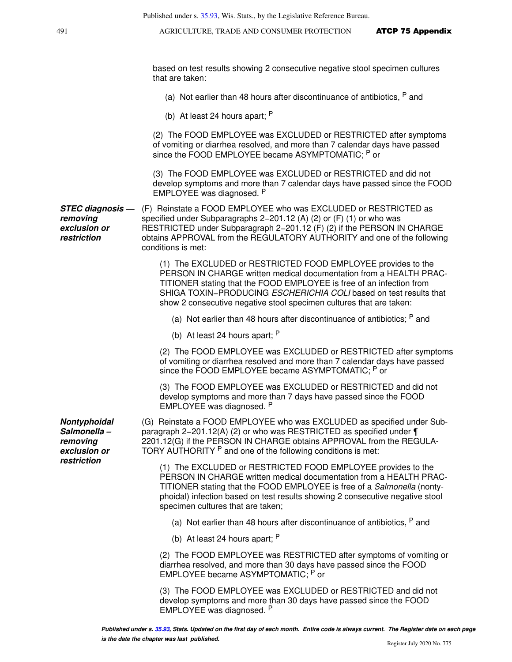based on test results showing 2 consecutive negative stool specimen cultures that are taken:

- (a) Not earlier than 48 hours after discontinuance of antibiotics, P and
- (b) At least 24 hours apart; <sup>P</sup>

(2) The FOOD EMPLOYEE was EXCLUDED or RESTRICTED after symptoms of vomiting or diarrhea resolved, and more than 7 calendar days have passed since the FOOD EMPLOYEE became ASYMPTOMATIC; P or

(3) The FOOD EMPLOYEE was EXCLUDED or RESTRICTED and did not develop symptoms and more than 7 calendar days have passed since the FOOD EMPLOYEE was diagnosed. <sup>P</sup>

**STEC diagnosis removing exclusion or restriction** (F) Reinstate a FOOD EMPLOYEE who was EXCLUDED or RESTRICTED as specified under Subparagraphs 2−201.12 (A) (2) or (F) (1) or who was RESTRICTED under Subparagraph 2−201.12 (F) (2) if the PERSON IN CHARGE obtains APPROVAL from the REGULATORY AUTHORITY and one of the following conditions is met:

> (1) The EXCLUDED or RESTRICTED FOOD EMPLOYEE provides to the PERSON IN CHARGE written medical documentation from a HEALTH PRAC-TITIONER stating that the FOOD EMPLOYEE is free of an infection from SHIGA TOXIN–PRODUCING ESCHERICHIA COLI based on test results that show 2 consecutive negative stool specimen cultures that are taken:

(a) Not earlier than 48 hours after discontinuance of antibiotics:  $P$  and

(b) At least 24 hours apart; <sup>P</sup>

(2) The FOOD EMPLOYEE was EXCLUDED or RESTRICTED after symptoms of vomiting or diarrhea resolved and more than 7 calendar days have passed since the FOOD EMPLOYEE became ASYMPTOMATIC; P or

(3) The FOOD EMPLOYEE was EXCLUDED or RESTRICTED and did not develop symptoms and more than 7 days have passed since the FOOD EMPLOYEE was diagnosed. <sup>P</sup>

**Nontyphoidal Salmonella – removing exclusion or restriction**

(G) Reinstate a FOOD EMPLOYEE who was EXCLUDED as specified under Subparagraph 2−201.12(A) (2) or who was RESTRICTED as specified under ¶ 2201.12(G) if the PERSON IN CHARGE obtains APPROVAL from the REGULA-TORY AUTHORITY <sup>P</sup> and one of the following conditions is met:

(1) The EXCLUDED or RESTRICTED FOOD EMPLOYEE provides to the PERSON IN CHARGE written medical documentation from a HEALTH PRAC-TITIONER stating that the FOOD EMPLOYEE is free of a Salmonella (nontyphoidal) infection based on test results showing 2 consecutive negative stool specimen cultures that are taken;

(a) Not earlier than 48 hours after discontinuance of antibiotics,  $P$  and

(b) At least 24 hours apart; <sup>P</sup>

(2) The FOOD EMPLOYEE was RESTRICTED after symptoms of vomiting or diarrhea resolved, and more than 30 days have passed since the FOOD EMPLOYEE became ASYMPTOMATIC; P or

(3) The FOOD EMPLOYEE was EXCLUDED or RESTRICTED and did not develop symptoms and more than 30 days have passed since the FOOD EMPLOYEE was diagnosed. <sup>P</sup>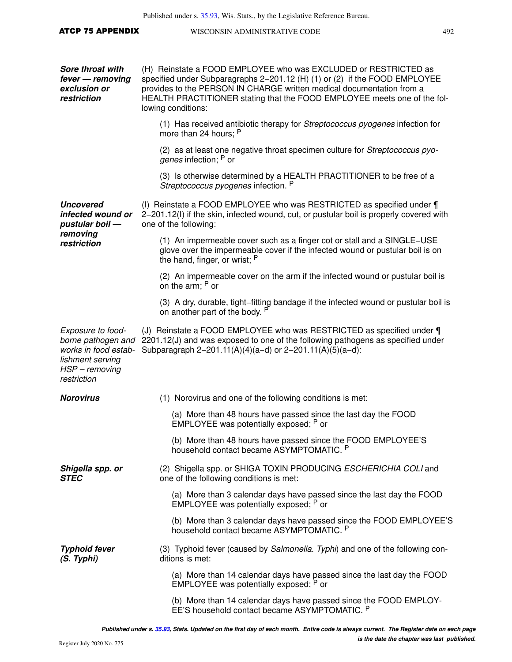| <b>ATCP 75 APPENDIX</b>                                                                                              | 492<br>WISCONSIN ADMINISTRATIVE CODE                                                                                                                                                                                                                                                                                     |  |  |
|----------------------------------------------------------------------------------------------------------------------|--------------------------------------------------------------------------------------------------------------------------------------------------------------------------------------------------------------------------------------------------------------------------------------------------------------------------|--|--|
| <b>Sore throat with</b><br>fever - removing<br>exclusion or<br>restriction                                           | (H) Reinstate a FOOD EMPLOYEE who was EXCLUDED or RESTRICTED as<br>specified under Subparagraphs 2-201.12 (H) (1) or (2) if the FOOD EMPLOYEE<br>provides to the PERSON IN CHARGE written medical documentation from a<br>HEALTH PRACTITIONER stating that the FOOD EMPLOYEE meets one of the fol-<br>lowing conditions: |  |  |
|                                                                                                                      | (1) Has received antibiotic therapy for Streptococcus pyogenes infection for<br>more than 24 hours; P                                                                                                                                                                                                                    |  |  |
|                                                                                                                      | (2) as at least one negative throat specimen culture for Streptococcus pyo-<br>genes infection; P or                                                                                                                                                                                                                     |  |  |
|                                                                                                                      | (3) Is otherwise determined by a HEALTH PRACTITIONER to be free of a<br>Streptococcus pyogenes infection. P                                                                                                                                                                                                              |  |  |
| <b>Uncovered</b><br>infected wound or<br>pustular boil -                                                             | (I) Reinstate a FOOD EMPLOYEE who was RESTRICTED as specified under ¶<br>2-201.12(I) if the skin, infected wound, cut, or pustular boil is properly covered with<br>one of the following:                                                                                                                                |  |  |
| removing<br>restriction                                                                                              | (1) An impermeable cover such as a finger cot or stall and a SINGLE-USE<br>glove over the impermeable cover if the infected wound or pustular boil is on<br>the hand, finger, or wrist; P                                                                                                                                |  |  |
|                                                                                                                      | (2) An impermeable cover on the arm if the infected wound or pustular boil is<br>on the arm; P or                                                                                                                                                                                                                        |  |  |
|                                                                                                                      | (3) A dry, durable, tight-fitting bandage if the infected wound or pustular boil is<br>on another part of the body. P                                                                                                                                                                                                    |  |  |
| Exposure to food-<br>borne pathogen and<br>works in food estab-<br>lishment serving<br>HSP - removing<br>restriction | (J) Reinstate a FOOD EMPLOYEE who was RESTRICTED as specified under ¶<br>2201.12(J) and was exposed to one of the following pathogens as specified under<br>Subparagraph 2-201.11(A)(4)(a-d) or 2-201.11(A)(5)(a-d):                                                                                                     |  |  |
| <b>Norovirus</b>                                                                                                     | (1) Norovirus and one of the following conditions is met:                                                                                                                                                                                                                                                                |  |  |
|                                                                                                                      | (a) More than 48 hours have passed since the last day the FOOD<br>EMPLOYEE was potentially exposed; P or                                                                                                                                                                                                                 |  |  |
|                                                                                                                      | (b) More than 48 hours have passed since the FOOD EMPLOYEE'S<br>household contact became ASYMPTOMATIC. P                                                                                                                                                                                                                 |  |  |
| Shigella spp. or<br><b>STEC</b>                                                                                      | (2) Shigella spp. or SHIGA TOXIN PRODUCING ESCHERICHIA COLI and<br>one of the following conditions is met:                                                                                                                                                                                                               |  |  |
|                                                                                                                      | (a) More than 3 calendar days have passed since the last day the FOOD<br>EMPLOYEE was potentially exposed; P or                                                                                                                                                                                                          |  |  |
|                                                                                                                      | (b) More than 3 calendar days have passed since the FOOD EMPLOYEE'S<br>household contact became ASYMPTOMATIC. P                                                                                                                                                                                                          |  |  |
| <b>Typhoid fever</b><br>(S. Typhi)                                                                                   | (3) Typhoid fever (caused by Salmonella. Typhi) and one of the following con-<br>ditions is met:                                                                                                                                                                                                                         |  |  |
|                                                                                                                      | (a) More than 14 calendar days have passed since the last day the FOOD<br>EMPLOYEE was potentially exposed; P or                                                                                                                                                                                                         |  |  |
|                                                                                                                      | (b) More than 14 calendar days have passed since the FOOD EMPLOY-                                                                                                                                                                                                                                                        |  |  |

EE'S household contact became ASYMPTOMATIC. P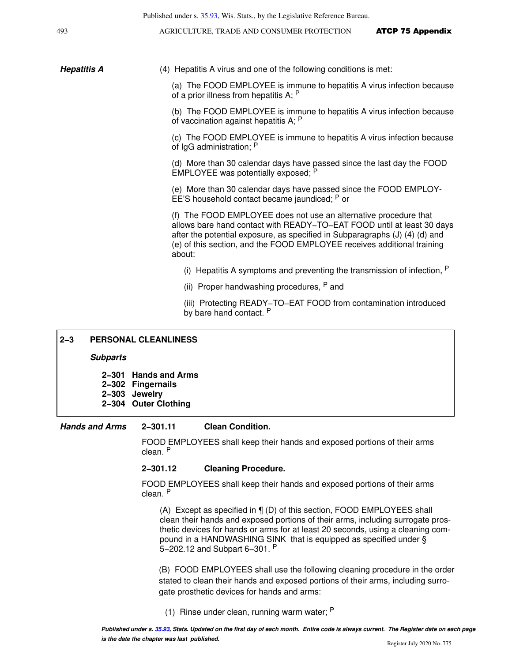|                       | Published under s. 35.93, Wis. Stats., by the Legislative Reference Bureau.                                                                                                                                                                                                                                                                           |
|-----------------------|-------------------------------------------------------------------------------------------------------------------------------------------------------------------------------------------------------------------------------------------------------------------------------------------------------------------------------------------------------|
| 493                   | AGRICULTURE, TRADE AND CONSUMER PROTECTION<br><b>ATCP 75 Appendix</b>                                                                                                                                                                                                                                                                                 |
|                       |                                                                                                                                                                                                                                                                                                                                                       |
| <b>Hepatitis A</b>    | (4) Hepatitis A virus and one of the following conditions is met:                                                                                                                                                                                                                                                                                     |
|                       | (a) The FOOD EMPLOYEE is immune to hepatitis A virus infection because<br>of a prior illness from hepatitis $A$ ; $P$                                                                                                                                                                                                                                 |
|                       | (b) The FOOD EMPLOYEE is immune to hepatitis A virus infection because<br>of vaccination against hepatitis A; P                                                                                                                                                                                                                                       |
|                       | (c) The FOOD EMPLOYEE is immune to hepatitis A virus infection because<br>of IgG administration; P                                                                                                                                                                                                                                                    |
|                       | (d) More than 30 calendar days have passed since the last day the FOOD<br>EMPLOYEE was potentially exposed; P                                                                                                                                                                                                                                         |
|                       | (e) More than 30 calendar days have passed since the FOOD EMPLOY-<br>EE'S household contact became jaundiced; P or                                                                                                                                                                                                                                    |
|                       | (f) The FOOD EMPLOYEE does not use an alternative procedure that<br>allows bare hand contact with READY-TO-EAT FOOD until at least 30 days<br>after the potential exposure, as specified in Subparagraphs (J) (4) (d) and<br>(e) of this section, and the FOOD EMPLOYEE receives additional training<br>about:                                        |
|                       | (i) Hepatitis A symptoms and preventing the transmission of infection, $P$                                                                                                                                                                                                                                                                            |
|                       | (ii) Proper handwashing procedures, P and                                                                                                                                                                                                                                                                                                             |
|                       | (iii) Protecting READY-TO-EAT FOOD from contamination introduced<br>by bare hand contact. P                                                                                                                                                                                                                                                           |
| $2 - 3$               | <b>PERSONAL CLEANLINESS</b>                                                                                                                                                                                                                                                                                                                           |
| <b>Subparts</b>       |                                                                                                                                                                                                                                                                                                                                                       |
|                       |                                                                                                                                                                                                                                                                                                                                                       |
|                       | 2-301 Hands and Arms<br>2-302 Fingernails<br>2-303 Jewelry<br>2-304 Outer Clothing                                                                                                                                                                                                                                                                    |
| <b>Hands and Arms</b> | 2-301.11<br><b>Clean Condition.</b>                                                                                                                                                                                                                                                                                                                   |
|                       | FOOD EMPLOYEES shall keep their hands and exposed portions of their arms<br>clean. P                                                                                                                                                                                                                                                                  |
|                       | 2-301.12<br><b>Cleaning Procedure.</b>                                                                                                                                                                                                                                                                                                                |
|                       | FOOD EMPLOYEES shall keep their hands and exposed portions of their arms<br>clean. P                                                                                                                                                                                                                                                                  |
|                       | (A) Except as specified in $\P$ (D) of this section, FOOD EMPLOYEES shall<br>clean their hands and exposed portions of their arms, including surrogate pros-<br>thetic devices for hands or arms for at least 20 seconds, using a cleaning com-<br>pound in a HANDWASHING SINK that is equipped as specified under §<br>5-202.12 and Subpart 6-301. P |
|                       | (B) FOOD EMPLOYEES shall use the following cleaning procedure in the order<br>stated to clean their hands and exposed portions of their arms, including surro-<br>gate prosthetic devices for hands and arms:                                                                                                                                         |

(1) Rinse under clean, running warm water; <sup>P</sup>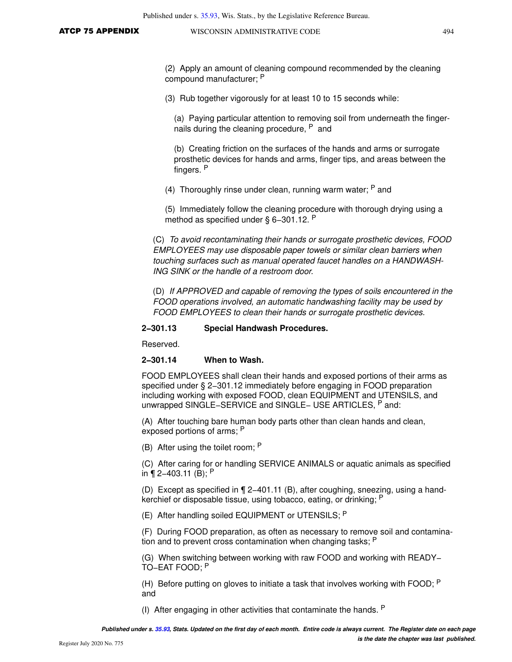(2) Apply an amount of cleaning compound recommended by the cleaning compound manufacturer; <sup>P</sup>

(3) Rub together vigorously for at least 10 to 15 seconds while:

(a) Paying particular attention to removing soil from underneath the fingernails during the cleaning procedure, <sup>P</sup> and

(b) Creating friction on the surfaces of the hands and arms or surrogate prosthetic devices for hands and arms, finger tips, and areas between the fingers. <sup>P</sup>

(4) Thoroughly rinse under clean, running warm water:  $P$  and

(5) Immediately follow the cleaning procedure with thorough drying using a method as specified under § 6–301.12. P

(C) To avoid recontaminating their hands or surrogate prosthetic devices, FOOD EMPLOYEES may use disposable paper towels or similar clean barriers when touching surfaces such as manual operated faucet handles on a HANDWASH-ING SINK or the handle of a restroom door.

(D) If APPROVED and capable of removing the types of soils encountered in the FOOD operations involved, an automatic handwashing facility may be used by FOOD EMPLOYEES to clean their hands or surrogate prosthetic devices.

#### **2−301.13 Special Handwash Procedures.**

Reserved.

#### **2−301.14 When to Wash.**

FOOD EMPLOYEES shall clean their hands and exposed portions of their arms as specified under § 2−301.12 immediately before engaging in FOOD preparation including working with exposed FOOD, clean EQUIPMENT and UTENSILS, and unwrapped SINGLE−SERVICE and SINGLE− USE ARTICLES, P and:

(A) After touching bare human body parts other than clean hands and clean, exposed portions of arms; P

(B) After using the toilet room; <sup>P</sup>

(C) After caring for or handling SERVICE ANIMALS or aquatic animals as specified in ¶ 2−403.11 (B); <sup>P</sup>

(D) Except as specified in ¶ 2−401.11 (B), after coughing, sneezing, using a handkerchief or disposable tissue, using tobacco, eating, or drinking; <sup>P</sup>

(E) After handling soiled EQUIPMENT or UTENSILS; <sup>P</sup>

(F) During FOOD preparation, as often as necessary to remove soil and contamination and to prevent cross contamination when changing tasks; P

(G) When switching between working with raw FOOD and working with READY− TO−EAT FOOD; <sup>P</sup>

(H) Before putting on gloves to initiate a task that involves working with FOOD;  $P$ and

(I) After engaging in other activities that contaminate the hands. <sup>P</sup>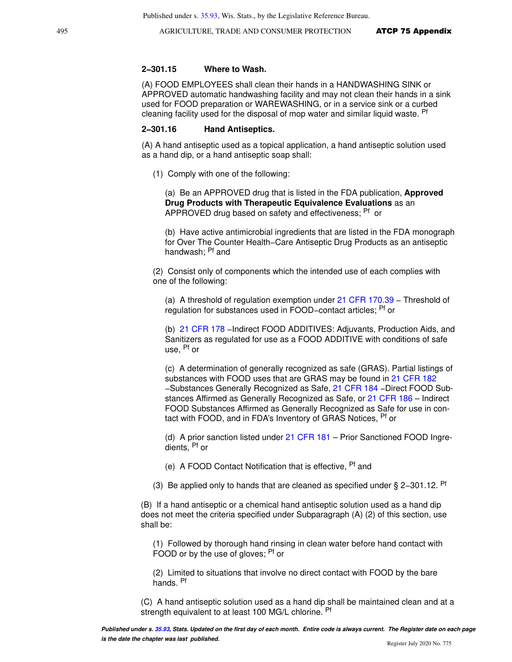#### **2−301.15 Where to Wash.**

(A) FOOD EMPLOYEES shall clean their hands in a HANDWASHING SINK or APPROVED automatic handwashing facility and may not clean their hands in a sink used for FOOD preparation or WAREWASHING, or in a service sink or a curbed cleaning facility used for the disposal of mop water and similar liquid waste. <sup>Pf</sup>

#### **2−301.16 Hand Antiseptics.**

(A) A hand antiseptic used as a topical application, a hand antiseptic solution used as a hand dip, or a hand antiseptic soap shall:

(1) Comply with one of the following:

(a) Be an APPROVED drug that is listed in the FDA publication, **Approved Drug Products with Therapeutic Equivalence Evaluations** as an APPROVED drug based on safety and effectiveness; <sup>Pf</sup> or

(b) Have active antimicrobial ingredients that are listed in the FDA monograph for Over The Counter Health−Care Antiseptic Drug Products as an antiseptic handwash: <sup>Pf</sup> and

(2) Consist only of components which the intended use of each complies with one of the following:

(a) A threshold of regulation exemption under [21 CFR 170.39](https://docs.legis.wisconsin.gov/document/cfr/21%20CFR%20170.39) – Threshold of regulation for substances used in FOOD−contact articles; Pf or

(b) [21 CFR 178](https://docs.legis.wisconsin.gov/document/cfr/21%20CFR%20178) −Indirect FOOD ADDITIVES: Adjuvants, Production Aids, and Sanitizers as regulated for use as a FOOD ADDITIVE with conditions of safe use, Pf or

(c) A determination of generally recognized as safe (GRAS). Partial listings of substances with FOOD uses that are GRAS may be found in [21 CFR 182](https://docs.legis.wisconsin.gov/document/cfr/21%20CFR%20182) −Substances Generally Recognized as Safe, [21 CFR 184](https://docs.legis.wisconsin.gov/document/cfr/21%20CFR%20184) −Direct FOOD Substances Affirmed as Generally Recognized as Safe, or [21 CFR 186](https://docs.legis.wisconsin.gov/document/cfr/21%20CFR%20186) – Indirect FOOD Substances Affirmed as Generally Recognized as Safe for use in contact with FOOD, and in FDA's Inventory of GRAS Notices, <sup>Pf</sup> or

(d) A prior sanction listed under [21 CFR 181](https://docs.legis.wisconsin.gov/document/cfr/21%20CFR%20181) – Prior Sanctioned FOOD Ingredients, Pf or

(e) A FOOD Contact Notification that is effective, <sup>Pf</sup> and

(3) Be applied only to hands that are cleaned as specified under § 2−301.12. Pf

(B) If a hand antiseptic or a chemical hand antiseptic solution used as a hand dip does not meet the criteria specified under Subparagraph (A) (2) of this section, use shall be:

(1) Followed by thorough hand rinsing in clean water before hand contact with FOOD or by the use of gloves; <sup>Pf</sup> or

(2) Limited to situations that involve no direct contact with FOOD by the bare hands. Pf

(C) A hand antiseptic solution used as a hand dip shall be maintained clean and at a strength equivalent to at least 100 MG/L chlorine. Pf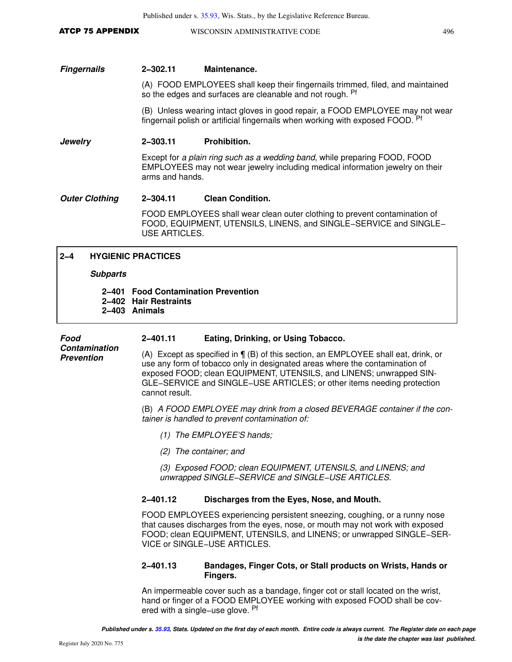ATCP 75 APPENDIX WISCONSIN ADMINISTRATIVE CODE 496

#### **Fingernails 2−302.11 Maintenance.**

(A) FOOD EMPLOYEES shall keep their fingernails trimmed, filed, and maintained so the edges and surfaces are cleanable and not rough. Pf

(B) Unless wearing intact gloves in good repair, a FOOD EMPLOYEE may not wear fingernail polish or artificial fingernails when working with exposed FOOD. Pf

#### **Jewelry 2−303.11 Prohibition.**

Except for a plain ring such as a wedding band, while preparing FOOD, FOOD EMPLOYEES may not wear jewelry including medical information jewelry on their arms and hands.

#### **Outer Clothing 2−304.11 Clean Condition.**

FOOD EMPLOYEES shall wear clean outer clothing to prevent contamination of FOOD, EQUIPMENT, UTENSILS, LINENS, and SINGLE−SERVICE and SINGLE− USE ARTICLES.

## **2−4 HYGIENIC PRACTICES**

#### **Subparts**

## **2−401 Food Contamination Prevention 2−402 Hair Restraints**

**2−403 Animals**

| Food<br><b>Contamination</b><br><b>Prevention</b> | 2-401.11                                                                                                                                                                                                                                                                                                                                | Eating, Drinking, or Using Tobacco.                                                                                                                                                                                                                                          |  |
|---------------------------------------------------|-----------------------------------------------------------------------------------------------------------------------------------------------------------------------------------------------------------------------------------------------------------------------------------------------------------------------------------------|------------------------------------------------------------------------------------------------------------------------------------------------------------------------------------------------------------------------------------------------------------------------------|--|
|                                                   | (A) Except as specified in $\P$ (B) of this section, an EMPLOYEE shall eat, drink, or<br>use any form of tobacco only in designated areas where the contamination of<br>exposed FOOD; clean EQUIPMENT, UTENSILS, and LINENS; unwrapped SIN-<br>GLE-SERVICE and SINGLE-USE ARTICLES; or other items needing protection<br>cannot result. |                                                                                                                                                                                                                                                                              |  |
|                                                   | (B) A FOOD EMPLOYEE may drink from a closed BEVERAGE container if the con-<br>tainer is handled to prevent contamination of:                                                                                                                                                                                                            |                                                                                                                                                                                                                                                                              |  |
|                                                   |                                                                                                                                                                                                                                                                                                                                         | $(1)$ The EMPLOYEE'S hands;                                                                                                                                                                                                                                                  |  |
|                                                   |                                                                                                                                                                                                                                                                                                                                         | (2) The container; and                                                                                                                                                                                                                                                       |  |
|                                                   |                                                                                                                                                                                                                                                                                                                                         | (3) Exposed FOOD; clean EQUIPMENT, UTENSILS, and LINENS; and<br>unwrapped SINGLE-SERVICE and SINGLE-USE ARTICLES.                                                                                                                                                            |  |
|                                                   | 2-401.12                                                                                                                                                                                                                                                                                                                                | Discharges from the Eyes, Nose, and Mouth.                                                                                                                                                                                                                                   |  |
|                                                   |                                                                                                                                                                                                                                                                                                                                         | FOOD EMPLOYEES experiencing persistent sneezing, coughing, or a runny nose<br>that causes discharges from the eyes, nose, or mouth may not work with exposed<br>FOOD; clean EQUIPMENT, UTENSILS, and LINENS; or unwrapped SINGLE-SER-<br><b>VICE or SINGLE-USE ARTICLES.</b> |  |
|                                                   | 2-401.13                                                                                                                                                                                                                                                                                                                                | Bandages, Finger Cots, or Stall products on Wrists, Hands or<br>Fingers.                                                                                                                                                                                                     |  |

An impermeable cover such as a bandage, finger cot or stall located on the wrist, hand or finger of a FOOD EMPLOYEE working with exposed FOOD shall be covered with a single−use glove. Pf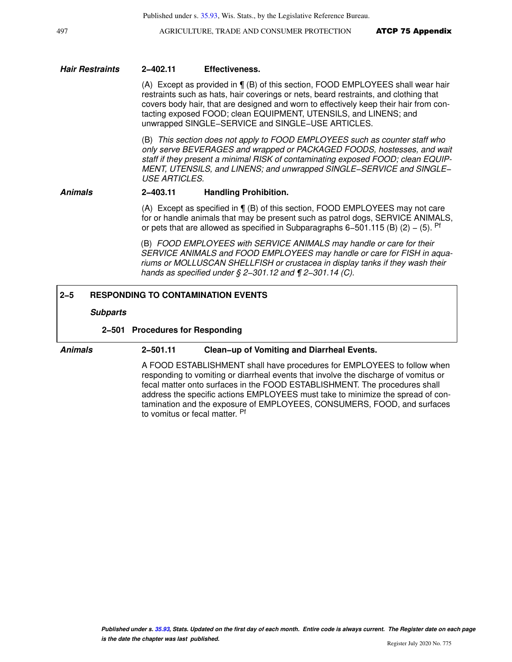#### **Hair Restraints 2−402.11 Effectiveness.**

(A) Except as provided in ¶ (B) of this section, FOOD EMPLOYEES shall wear hair restraints such as hats, hair coverings or nets, beard restraints, and clothing that covers body hair, that are designed and worn to effectively keep their hair from contacting exposed FOOD; clean EQUIPMENT, UTENSILS, and LINENS; and unwrapped SINGLE−SERVICE and SINGLE−USE ARTICLES.

(B) This section does not apply to FOOD EMPLOYEES such as counter staff who only serve BEVERAGES and wrapped or PACKAGED FOODS, hostesses, and wait staff if they present a minimal RISK of contaminating exposed FOOD; clean EQUIP-MENT, UTENSILS, and LINENS; and unwrapped SINGLE−SERVICE and SINGLE− USE ARTICLES.

#### **Animals 2−403.11 Handling Prohibition.**

(A) Except as specified in ¶ (B) of this section, FOOD EMPLOYEES may not care for or handle animals that may be present such as patrol dogs, SERVICE ANIMALS, or pets that are allowed as specified in Subparagraphs 6–501.115 (B) (2) – (5). Pf

(B) FOOD EMPLOYEES with SERVICE ANIMALS may handle or care for their SERVICE ANIMALS and FOOD EMPLOYEES may handle or care for FISH in aquariums or MOLLUSCAN SHELLFISH or crustacea in display tanks if they wash their hands as specified under § 2–301.12 and ¶ 2–301.14 (C).

### **2−5 RESPONDING TO CONTAMINATION EVENTS**

#### **Subparts**

#### **2−501 Procedures for Responding**

#### **Animals 2−501.11 Clean−up of Vomiting and Diarrheal Events.**

A FOOD ESTABLISHMENT shall have procedures for EMPLOYEES to follow when responding to vomiting or diarrheal events that involve the discharge of vomitus or fecal matter onto surfaces in the FOOD ESTABLISHMENT. The procedures shall address the specific actions EMPLOYEES must take to minimize the spread of contamination and the exposure of EMPLOYEES, CONSUMERS, FOOD, and surfaces to vomitus or fecal matter. <sup>Pf</sup>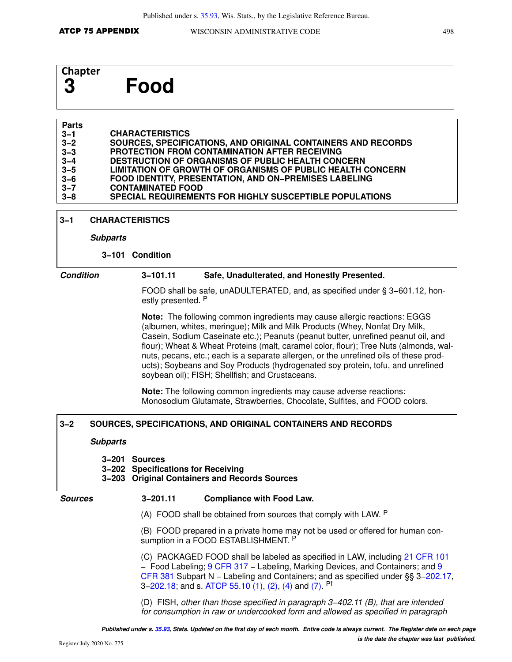# **Chapter 3 Food**

#### **Parts 3−1 3−2 3−3 3−4 3−5 3−6 3−7 3−8 CHARACTERISTICS SOURCES, SPECIFICATIONS, AND ORIGINAL CONTAINERS AND RECORDS PROTECTION FROM CONTAMINATION AFTER RECEIVING DESTRUCTION OF ORGANISMS OF PUBLIC HEALTH CONCERN LIMITATION OF GROWTH OF ORGANISMS OF PUBLIC HEALTH CONCERN FOOD IDENTITY, PRESENTATION, AND ON−PREMISES LABELING CONTAMINATED FOOD SPECIAL REQUIREMENTS FOR HIGHLY SUSCEPTIBLE POPULATIONS**

#### **3−1 CHARACTERISTICS**

#### **Subparts**

#### **3−101 Condition**

#### **Condition 3−101.11 Safe, Unadulterated, and Honestly Presented.**

FOOD shall be safe, unADULTERATED, and, as specified under § 3−601.12, honestly presented. P

**Note:** The following common ingredients may cause allergic reactions: EGGS (albumen, whites, meringue); Milk and Milk Products (Whey, Nonfat Dry Milk, Casein, Sodium Caseinate etc.); Peanuts (peanut butter, unrefined peanut oil, and flour); Wheat & Wheat Proteins (malt, caramel color, flour); Tree Nuts (almonds, walnuts, pecans, etc.; each is a separate allergen, or the unrefined oils of these products); Soybeans and Soy Products (hydrogenated soy protein, tofu, and unrefined soybean oil); FISH; Shellfish; and Crustaceans.

**Note:** The following common ingredients may cause adverse reactions: Monosodium Glutamate, Strawberries, Chocolate, Sulfites, and FOOD colors.

#### **3−2 SOURCES, SPECIFICATIONS, AND ORIGINAL CONTAINERS AND RECORDS**

#### **Subparts**

## **3−201 Sources**

**3−202 Specifications for Receiving** 

## **3−203 Original Containers and Records Sources**

#### **Sources 3−201.11 Compliance with Food Law.**

(A) FOOD shall be obtained from sources that comply with LAW. P

(B) FOOD prepared in a private home may not be used or offered for human consumption in a FOOD ESTABLISHMENT. P

(C) PACKAGED FOOD shall be labeled as specified in LAW, including [21 CFR 101](https://docs.legis.wisconsin.gov/document/cfr/21%20CFR%20101) − Food Labeling; [9 CFR 317](https://docs.legis.wisconsin.gov/document/cfr/9%20CFR%20317) − Labeling, Marking Devices, and Containers; and [9](https://docs.legis.wisconsin.gov/document/cfr/9%20CFR%20381) [CFR 381](https://docs.legis.wisconsin.gov/document/cfr/9%20CFR%20381) Subpart N − Labeling and Containers; and as specified under §§ 3[−202.17](https://docs.legis.wisconsin.gov/document/statutes/202.17), 3–[202.18](https://docs.legis.wisconsin.gov/document/statutes/202.18); and s. [ATCP 55.10 \(1\)](https://docs.legis.wisconsin.gov/document/administrativecode/ATCP%2055.10(1)), [\(2\)](https://docs.legis.wisconsin.gov/document/administrativecode/ATCP%2055.10(2)), [\(4\)](https://docs.legis.wisconsin.gov/document/administrativecode/ATCP%2055.10(4)) and [\(7\)](https://docs.legis.wisconsin.gov/document/administrativecode/ATCP%2055.10(7)). <sup>Pf</sup>

(D) FISH, other than those specified in paragraph 3−402.11 (B), that are intended for consumption in raw or undercooked form and allowed as specified in paragraph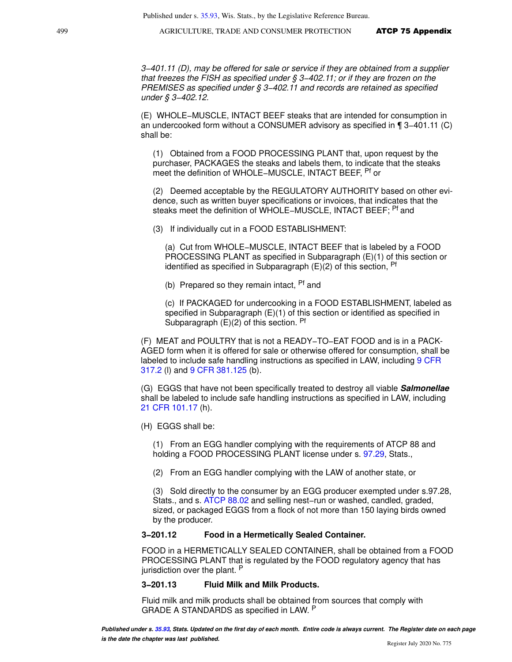Published under s. [35.93](https://docs.legis.wisconsin.gov/document/statutes/35.93), Wis. Stats., by the Legislative Reference Bureau.

499 **AGRICULTURE, TRADE AND CONSUMER PROTECTION ATCP 75 Appendix** 

3−401.11 (D), may be offered for sale or service if they are obtained from a supplier that freezes the FISH as specified under § 3−402.11; or if they are frozen on the PREMISES as specified under § 3–402.11 and records are retained as specified under § 3−402.12.

(E) WHOLE−MUSCLE, INTACT BEEF steaks that are intended for consumption in an undercooked form without a CONSUMER advisory as specified in ¶ 3−401.11 (C) shall be:

(1) Obtained from a FOOD PROCESSING PLANT that, upon request by the purchaser, PACKAGES the steaks and labels them, to indicate that the steaks meet the definition of WHOLE−MUSCLE, INTACT BEEF, Pf or

(2) Deemed acceptable by the REGULATORY AUTHORITY based on other evidence, such as written buyer specifications or invoices, that indicates that the steaks meet the definition of WHOLE−MUSCLE, INTACT BEEF; Pf and

(3) If individually cut in a FOOD ESTABLISHMENT:

(a) Cut from WHOLE−MUSCLE, INTACT BEEF that is labeled by a FOOD PROCESSING PLANT as specified in Subparagraph (E)(1) of this section or identified as specified in Subparagraph  $(E)(2)$  of this section,  $Pf$ 

(b) Prepared so they remain intact, <sup>Pf</sup> and

(c) If PACKAGED for undercooking in a FOOD ESTABLISHMENT, labeled as specified in Subparagraph (E)(1) of this section or identified as specified in Subparagraph  $(E)(2)$  of this section. Pf

(F) MEAT and POULTRY that is not a READY−TO−EAT FOOD and is in a PACK-AGED form when it is offered for sale or otherwise offered for consumption, shall be labeled to include safe handling instructions as specified in LAW, including [9 CFR](https://docs.legis.wisconsin.gov/document/cfr/9%20CFR%20317.2) [317.2](https://docs.legis.wisconsin.gov/document/cfr/9%20CFR%20317.2) (l) and [9 CFR 381.125](https://docs.legis.wisconsin.gov/document/cfr/9%20CFR%20381.125) (b).

(G) EGGS that have not been specifically treated to destroy all viable **Salmonellae** shall be labeled to include safe handling instructions as specified in LAW, including [21 CFR 101.17](https://docs.legis.wisconsin.gov/document/cfr/21%20CFR%20101.17) (h).

(H) EGGS shall be:

(1) From an EGG handler complying with the requirements of ATCP 88 and holding a FOOD PROCESSING PLANT license under s. [97.29,](https://docs.legis.wisconsin.gov/document/statutes/97.29) Stats.,

(2) From an EGG handler complying with the LAW of another state, or

(3) Sold directly to the consumer by an EGG producer exempted under s.97.28, Stats., and s. [ATCP 88.02](https://docs.legis.wisconsin.gov/document/administrativecode/ATCP%2088.02) and selling nest−run or washed, candled, graded, sized, or packaged EGGS from a flock of not more than 150 laying birds owned by the producer.

### **3−201.12 Food in a Hermetically Sealed Container.**

FOOD in a HERMETICALLY SEALED CONTAINER, shall be obtained from a FOOD PROCESSING PLANT that is regulated by the FOOD regulatory agency that has jurisdiction over the plant. <sup>P</sup>

#### **3−201.13 Fluid Milk and Milk Products.**

Fluid milk and milk products shall be obtained from sources that comply with GRADE A STANDARDS as specified in LAW. P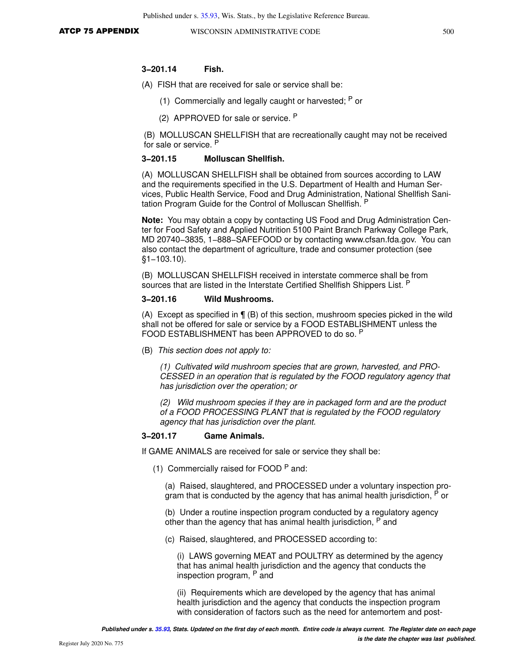#### **3−201.14 Fish.**

- (A) FISH that are received for sale or service shall be:
	- (1) Commercially and legally caught or harvested;  $P$  or
	- (2) APPROVED for sale or service. <sup>P</sup>

(B) MOLLUSCAN SHELLFISH that are recreationally caught may not be received for sale or service. <sup>P</sup>

#### **3−201.15 Molluscan Shellfish.**

(A) MOLLUSCAN SHELLFISH shall be obtained from sources according to LAW and the requirements specified in the U.S. Department of Health and Human Services, Public Health Service, Food and Drug Administration, National Shellfish Sanitation Program Guide for the Control of Molluscan Shellfish. P

**Note:** You may obtain a copy by contacting US Food and Drug Administration Center for Food Safety and Applied Nutrition 5100 Paint Branch Parkway College Park, MD 20740−3835, 1−888−SAFEFOOD or by contacting www.cfsan.fda.gov. You can also contact the department of agriculture, trade and consumer protection (see §1−103.10).

(B) MOLLUSCAN SHELLFISH received in interstate commerce shall be from sources that are listed in the Interstate Certified Shellfish Shippers List. P

#### **3−201.16 Wild Mushrooms.**

(A) Except as specified in ¶ (B) of this section, mushroom species picked in the wild shall not be offered for sale or service by a FOOD ESTABLISHMENT unless the FOOD ESTABLISHMENT has been APPROVED to do so. <sup>P</sup>

(B) This section does not apply to:

(1) Cultivated wild mushroom species that are grown, harvested, and PRO-CESSED in an operation that is regulated by the FOOD regulatory agency that has jurisdiction over the operation; or

(2) Wild mushroom species if they are in packaged form and are the product of a FOOD PROCESSING PLANT that is regulated by the FOOD regulatory agency that has jurisdiction over the plant.

#### **3−201.17 Game Animals.**

If GAME ANIMALS are received for sale or service they shall be:

(1) Commercially raised for FOOD  $P$  and:

(a) Raised, slaughtered, and PROCESSED under a voluntary inspection program that is conducted by the agency that has animal health jurisdiction, <sup>P</sup> or

(b) Under a routine inspection program conducted by a regulatory agency other than the agency that has animal health jurisdiction, <sup>P</sup> and

(c) Raised, slaughtered, and PROCESSED according to:

(i) LAWS governing MEAT and POULTRY as determined by the agency that has animal health jurisdiction and the agency that conducts the inspection program, P and

(ii) Requirements which are developed by the agency that has animal health jurisdiction and the agency that conducts the inspection program with consideration of factors such as the need for antemortem and post-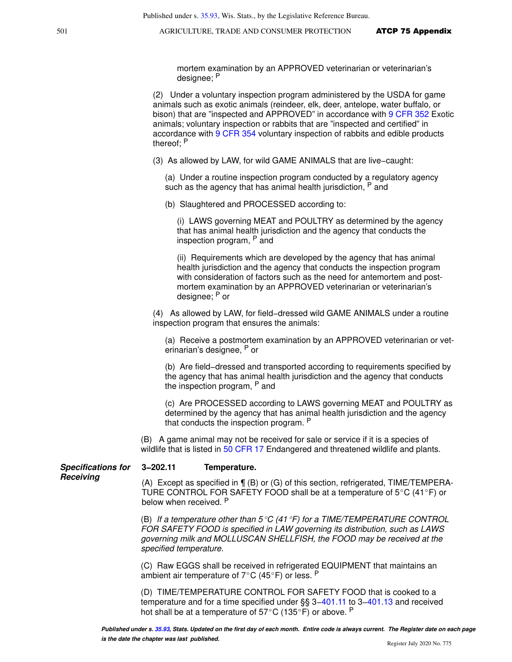mortem examination by an APPROVED veterinarian or veterinarian's designee; <sup>P</sup>

(2) Under a voluntary inspection program administered by the USDA for game animals such as exotic animals (reindeer, elk, deer, antelope, water buffalo, or bison) that are "inspected and APPROVED" in accordance with [9 CFR 352](https://docs.legis.wisconsin.gov/document/cfr/9%20CFR%20352) Exotic animals; voluntary inspection or rabbits that are "inspected and certified" in accordance with [9 CFR 354](https://docs.legis.wisconsin.gov/document/cfr/9%20CFR%20354) voluntary inspection of rabbits and edible products thereof; <sup>P</sup>

(3) As allowed by LAW, for wild GAME ANIMALS that are live−caught:

(a) Under a routine inspection program conducted by a regulatory agency such as the agency that has animal health jurisdiction, P and

(b) Slaughtered and PROCESSED according to:

(i) LAWS governing MEAT and POULTRY as determined by the agency that has animal health jurisdiction and the agency that conducts the inspection program, P and

(ii) Requirements which are developed by the agency that has animal health jurisdiction and the agency that conducts the inspection program with consideration of factors such as the need for antemortem and postmortem examination by an APPROVED veterinarian or veterinarian's designee; P or

(4) As allowed by LAW, for field−dressed wild GAME ANIMALS under a routine inspection program that ensures the animals:

(a) Receive a postmortem examination by an APPROVED veterinarian or veterinarian's designee, P or

(b) Are field−dressed and transported according to requirements specified by the agency that has animal health jurisdiction and the agency that conducts the inspection program, <sup>P</sup> and

(c) Are PROCESSED according to LAWS governing MEAT and POULTRY as determined by the agency that has animal health jurisdiction and the agency that conducts the inspection program. <sup>P</sup>

(B) A game animal may not be received for sale or service if it is a species of wildlife that is listed in [50 CFR 17](https://docs.legis.wisconsin.gov/document/cfr/50%20CFR%2017) Endangered and threatened wildlife and plants.

#### **Specifications for 3−202.11 Temperature.**

**Receiving**

(A) Except as specified in ¶ (B) or (G) of this section, refrigerated, TIME/TEMPERA-TURE CONTROL FOR SAFETY FOOD shall be at a temperature of  $5^{\circ}$ C (41 $^{\circ}$ F) or below when received. P

(B) If a temperature other than  $5^{\circ}C$  (41  $^{\circ}F$ ) for a TIME/TEMPERATURE CONTROL FOR SAFETY FOOD is specified in LAW governing its distribution, such as LAWS governing milk and MOLLUSCAN SHELLFISH, the FOOD may be received at the specified temperature.

(C) Raw EGGS shall be received in refrigerated EQUIPMENT that maintains an ambient air temperature of  $7^{\circ}$ C (45 $^{\circ}$ F) or less. P

(D) TIME/TEMPERATURE CONTROL FOR SAFETY FOOD that is cooked to a temperature and for a time specified under §§ 3−[401.11](https://docs.legis.wisconsin.gov/document/statutes/401.11) to 3[−401.13](https://docs.legis.wisconsin.gov/document/statutes/401.13) and received hot shall be at a temperature of  $57^{\circ}$ C (135 $^{\circ}$ F) or above. P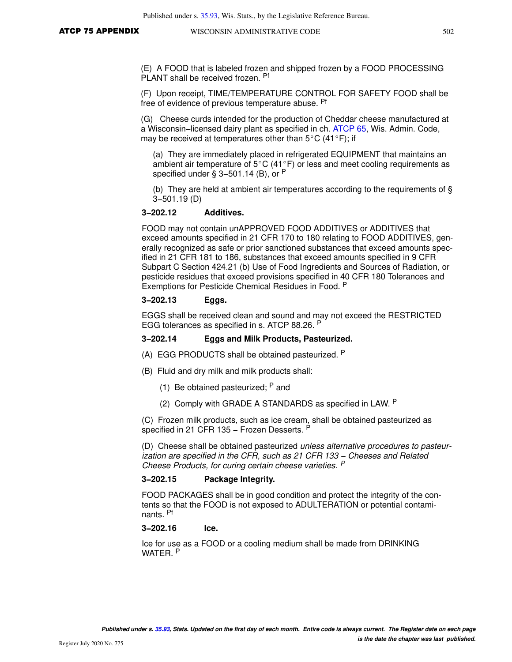(E) A FOOD that is labeled frozen and shipped frozen by a FOOD PROCESSING PLANT shall be received frozen. Pf

(F) Upon receipt, TIME/TEMPERATURE CONTROL FOR SAFETY FOOD shall be free of evidence of previous temperature abuse. Pf

(G) Cheese curds intended for the production of Cheddar cheese manufactured at a Wisconsin−licensed dairy plant as specified in ch. [ATCP 65](https://docs.legis.wisconsin.gov/document/administrativecode/ch.%20ATCP%2065), Wis. Admin. Code, may be received at temperatures other than  $5^{\circ}$ C (41 $^{\circ}$ F); if

(a) They are immediately placed in refrigerated EQUIPMENT that maintains an ambient air temperature of  $5^{\circ}$ C (41 $^{\circ}$ F) or less and meet cooling requirements as specified under § 3–501.14 (B), or <sup>P</sup>

(b) They are held at ambient air temperatures according to the requirements of § 3−501.19 (D)

#### **3−202.12 Additives.**

FOOD may not contain unAPPROVED FOOD ADDITIVES or ADDITIVES that exceed amounts specified in 21 CFR 170 to 180 relating to FOOD ADDITIVES, generally recognized as safe or prior sanctioned substances that exceed amounts specified in 21 CFR 181 to 186, substances that exceed amounts specified in 9 CFR Subpart C Section 424.21 (b) Use of Food Ingredients and Sources of Radiation, or pesticide residues that exceed provisions specified in 40 CFR 180 Tolerances and Exemptions for Pesticide Chemical Residues in Food. <sup>P</sup>

### **3−202.13 Eggs.**

EGGS shall be received clean and sound and may not exceed the RESTRICTED EGG tolerances as specified in s. ATCP 88.26. <sup>P</sup>

#### **3−202.14 Eggs and Milk Products, Pasteurized.**

- (A) EGG PRODUCTS shall be obtained pasteurized. <sup>P</sup>
- (B) Fluid and dry milk and milk products shall:
	- (1) Be obtained pasteurized;  $P$  and
	- (2) Comply with GRADE A STANDARDS as specified in LAW. P

(C) Frozen milk products, such as ice cream, shall be obtained pasteurized as specified in 21 CFR 135 - Frozen Desserts. P

(D) Cheese shall be obtained pasteurized unless alternative procedures to pasteurization are specified in the CFR, such as 21 CFR 133 – Cheeses and Related Cheese Products, for curing certain cheese varieties. <sup>P</sup>

#### **3−202.15 Package Integrity.**

FOOD PACKAGES shall be in good condition and protect the integrity of the contents so that the FOOD is not exposed to ADULTERATION or potential contaminants. Pf

#### **3−202.16 Ice.**

Ice for use as a FOOD or a cooling medium shall be made from DRINKING WATER. <sup>P</sup>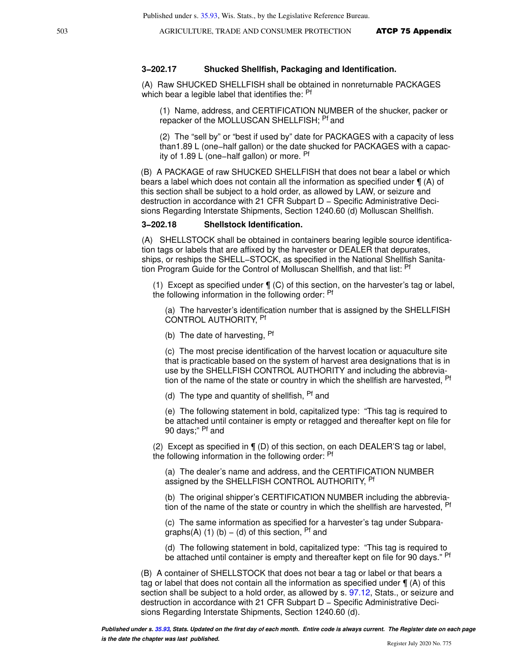#### **3−202.17 Shucked Shellfish, Packaging and Identification.**

(A) Raw SHUCKED SHELLFISH shall be obtained in nonreturnable PACKAGES which bear a legible label that identifies the: <sup>Pf</sup>

(1) Name, address, and CERTIFICATION NUMBER of the shucker, packer or repacker of the MOLLUSCAN SHELLFISH; <sup>Pf</sup> and

(2) The "sell by" or "best if used by" date for PACKAGES with a capacity of less than1.89 L (one−half gallon) or the date shucked for PACKAGES with a capacity of 1.89 L (one−half gallon) or more. Pf

(B) A PACKAGE of raw SHUCKED SHELLFISH that does not bear a label or which bears a label which does not contain all the information as specified under ¶ (A) of this section shall be subject to a hold order, as allowed by LAW, or seizure and destruction in accordance with 21 CFR Subpart D - Specific Administrative Decisions Regarding Interstate Shipments, Section 1240.60 (d) Molluscan Shellfish.

#### **3−202.18 Shellstock Identification.**

(A) SHELLSTOCK shall be obtained in containers bearing legible source identification tags or labels that are affixed by the harvester or DEALER that depurates, ships, or reships the SHELL−STOCK, as specified in the National Shellfish Sanitation Program Guide for the Control of Molluscan Shellfish, and that list: <sup>Pf</sup>

(1) Except as specified under ¶ (C) of this section, on the harvester's tag or label, the following information in the following order: Pf

(a) The harvester's identification number that is assigned by the SHELLFISH CONTROL AUTHORITY, Pf

(b) The date of harvesting, <sup>Pf</sup>

(c) The most precise identification of the harvest location or aquaculture site that is practicable based on the system of harvest area designations that is in use by the SHELLFISH CONTROL AUTHORITY and including the abbreviation of the name of the state or country in which the shellfish are harvested, Pf

(d) The type and quantity of shellfish,  $Pf$  and

(e) The following statement in bold, capitalized type: "This tag is required to be attached until container is empty or retagged and thereafter kept on file for 90 days;" Pf and

(2) Except as specified in ¶ (D) of this section, on each DEALER'S tag or label, the following information in the following order: <sup>Pf</sup>

(a) The dealer's name and address, and the CERTIFICATION NUMBER assigned by the SHELLFISH CONTROL AUTHORITY, <sup>Pf</sup>

(b) The original shipper's CERTIFICATION NUMBER including the abbreviation of the name of the state or country in which the shellfish are harvested, Pf

(c) The same information as specified for a harvester's tag under Subparagraphs(A) (1) (b) – (d) of this section,  $Pf$  and

(d) The following statement in bold, capitalized type: "This tag is required to be attached until container is empty and thereafter kept on file for 90 days." Pf

(B) A container of SHELLSTOCK that does not bear a tag or label or that bears a tag or label that does not contain all the information as specified under  $\P(A)$  of this section shall be subject to a hold order, as allowed by s. [97.12,](https://docs.legis.wisconsin.gov/document/statutes/97.12) Stats., or seizure and destruction in accordance with 21 CFR Subpart D − Specific Administrative Decisions Regarding Interstate Shipments, Section 1240.60 (d).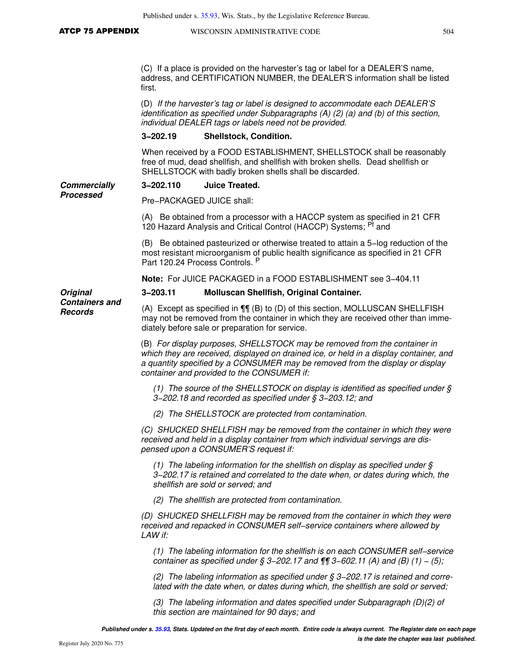(C) If a place is provided on the harvester's tag or label for a DEALER'S name, address, and CERTIFICATION NUMBER, the DEALER'S information shall be listed first.

(D) If the harvester's tag or label is designed to accommodate each DEALER'S identification as specified under Subparagraphs (A) (2) (a) and (b) of this section, individual DEALER tags or labels need not be provided.

#### **3−202.19 Shellstock, Condition.**

When received by a FOOD ESTABLISHMENT, SHELLSTOCK shall be reasonably free of mud, dead shellfish, and shellfish with broken shells. Dead shellfish or SHELLSTOCK with badly broken shells shall be discarded.

#### **Commercially 3−202.110 Juice Treated.**

**Processed**

Pre−PACKAGED JUICE shall:

(A) Be obtained from a processor with a HACCP system as specified in 21 CFR 120 Hazard Analysis and Critical Control (HACCP) Systems; <sup>Pf</sup> and

(B) Be obtained pasteurized or otherwise treated to attain a 5−log reduction of the most resistant microorganism of public health significance as specified in 21 CFR Part 120.24 Process Controls. P

**Note:** For JUICE PACKAGED in a FOOD ESTABLISHMENT see 3−404.11

#### **3−203.11 Molluscan Shellfish, Original Container.**

**Containers and Records**

**Original** 

(A) Except as specified in ¶¶ (B) to (D) of this section, MOLLUSCAN SHELLFISH may not be removed from the container in which they are received other than immediately before sale or preparation for service.

(B) For display purposes, SHELLSTOCK may be removed from the container in which they are received, displayed on drained ice, or held in a display container, and a quantity specified by a CONSUMER may be removed from the display or display container and provided to the CONSUMER if:

(1) The source of the SHELLSTOCK on display is identified as specified under § 3−202.18 and recorded as specified under § 3−203.12; and

(2) The SHELLSTOCK are protected from contamination.

(C) SHUCKED SHELLFISH may be removed from the container in which they were received and held in a display container from which individual servings are dispensed upon a CONSUMER'S request if:

(1) The labeling information for the shellfish on display as specified under  $\S$ 3−202.17 is retained and correlated to the date when, or dates during which, the shellfish are sold or served; and

(2) The shellfish are protected from contamination.

(D) SHUCKED SHELLFISH may be removed from the container in which they were received and repacked in CONSUMER self−service containers where allowed by LAW if:

(1) The labeling information for the shellfish is on each CONSUMER self−service container as specified under § 3–202.17 and  $\P\P$  3–602.11 (A) and (B) (1) – (5);

(2) The labeling information as specified under § 3−202.17 is retained and correlated with the date when, or dates during which, the shellfish are sold or served;

(3) The labeling information and dates specified under Subparagraph (D)(2) of this section are maintained for 90 days; and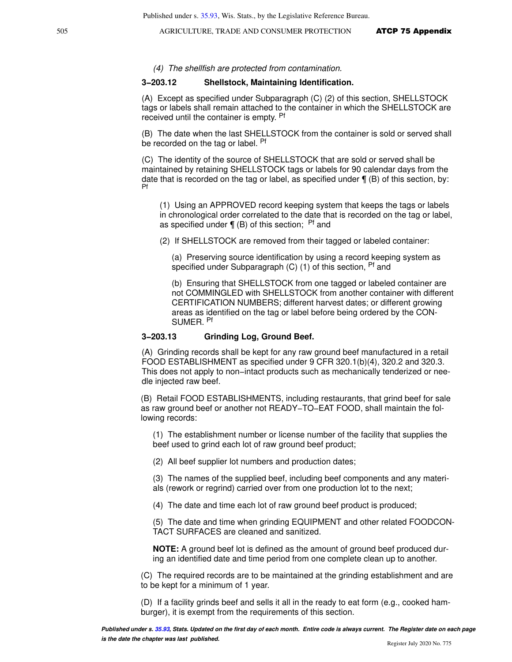(4) The shellfish are protected from contamination.

#### **3−203.12 Shellstock, Maintaining Identification.**

(A) Except as specified under Subparagraph (C) (2) of this section, SHELLSTOCK tags or labels shall remain attached to the container in which the SHELLSTOCK are received until the container is empty. <sup>Pf</sup>

(B) The date when the last SHELLSTOCK from the container is sold or served shall be recorded on the tag or label. Pf

(C) The identity of the source of SHELLSTOCK that are sold or served shall be maintained by retaining SHELLSTOCK tags or labels for 90 calendar days from the date that is recorded on the tag or label, as specified under  $\P$  (B) of this section, by: Pf

(1) Using an APPROVED record keeping system that keeps the tags or labels in chronological order correlated to the date that is recorded on the tag or label, as specified under  $\P$  (B) of this section; Pf and

(2) If SHELLSTOCK are removed from their tagged or labeled container:

(a) Preserving source identification by using a record keeping system as specified under Subparagraph  $(C)$  (1) of this section,  $Pf$  and

(b) Ensuring that SHELLSTOCK from one tagged or labeled container are not COMMINGLED with SHELLSTOCK from another container with different CERTIFICATION NUMBERS; different harvest dates; or different growing areas as identified on the tag or label before being ordered by the CON-SUMER. Pf

#### **3−203.13 Grinding Log, Ground Beef.**

(A) Grinding records shall be kept for any raw ground beef manufactured in a retail FOOD ESTABLISHMENT as specified under 9 CFR 320.1(b)(4), 320.2 and 320.3. This does not apply to non−intact products such as mechanically tenderized or needle injected raw beef.

(B) Retail FOOD ESTABLISHMENTS, including restaurants, that grind beef for sale as raw ground beef or another not READY−TO−EAT FOOD, shall maintain the following records:

(1) The establishment number or license number of the facility that supplies the beef used to grind each lot of raw ground beef product;

(2) All beef supplier lot numbers and production dates;

(3) The names of the supplied beef, including beef components and any materials (rework or regrind) carried over from one production lot to the next;

(4) The date and time each lot of raw ground beef product is produced;

(5) The date and time when grinding EQUIPMENT and other related FOODCON-TACT SURFACES are cleaned and sanitized.

**NOTE:** A ground beef lot is defined as the amount of ground beef produced during an identified date and time period from one complete clean up to another.

(C) The required records are to be maintained at the grinding establishment and are to be kept for a minimum of 1 year.

(D) If a facility grinds beef and sells it all in the ready to eat form (e.g., cooked hamburger), it is exempt from the requirements of this section.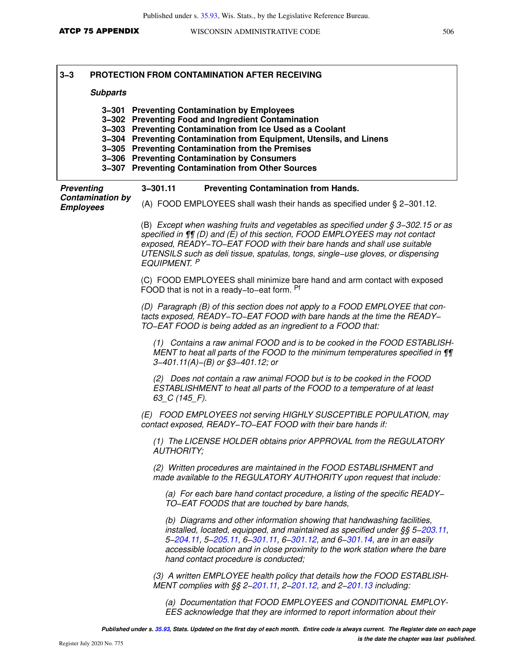| $3 - 3$<br><b>Subparts</b>                  | <b>PROTECTION FROM CONTAMINATION AFTER RECEIVING</b>                                                                                                                                                                                                                                                                                                                                           |
|---------------------------------------------|------------------------------------------------------------------------------------------------------------------------------------------------------------------------------------------------------------------------------------------------------------------------------------------------------------------------------------------------------------------------------------------------|
| $3 - 307$                                   | 3-301 Preventing Contamination by Employees<br>3-302 Preventing Food and Ingredient Contamination<br>3-303 Preventing Contamination from Ice Used as a Coolant<br>3-304 Preventing Contamination from Equipment, Utensils, and Linens<br>3-305 Preventing Contamination from the Premises<br>3-306 Preventing Contamination by Consumers<br><b>Preventing Contamination from Other Sources</b> |
| <b>Preventing</b>                           | $3 - 301.11$<br><b>Preventing Contamination from Hands.</b>                                                                                                                                                                                                                                                                                                                                    |
| <b>Contamination by</b><br><b>Employees</b> | (A) FOOD EMPLOYEES shall wash their hands as specified under $\S$ 2-301.12.                                                                                                                                                                                                                                                                                                                    |
|                                             | (B) Except when washing fruits and vegetables as specified under $\S 3-302.15$ or as<br>specified in $\P$ [(D) and (E) of this section, FOOD EMPLOYEES may not contact<br>exposed, READY-TO-EAT FOOD with their bare hands and shall use suitable<br>UTENSILS such as deli tissue, spatulas, tongs, single-use gloves, or dispensing<br>EQUIPMENT. P                                           |
|                                             | (C) FOOD EMPLOYEES shall minimize bare hand and arm contact with exposed<br>FOOD that is not in a ready-to-eat form. Pf                                                                                                                                                                                                                                                                        |
|                                             | (D) Paragraph (B) of this section does not apply to a FOOD EMPLOYEE that con-<br>tacts exposed, READY-TO-EAT FOOD with bare hands at the time the READY-<br>TO-EAT FOOD is being added as an ingredient to a FOOD that:                                                                                                                                                                        |
|                                             | (1) Contains a raw animal FOOD and is to be cooked in the FOOD ESTABLISH-<br>MENT to heat all parts of the FOOD to the minimum temperatures specified in ¶¶<br>$3-401.11(A) - (B)$ or $$3-401.12$ ; or                                                                                                                                                                                         |
|                                             | (2) Does not contain a raw animal FOOD but is to be cooked in the FOOD<br>ESTABLISHMENT to heat all parts of the FOOD to a temperature of at least<br>$63$ <sub>C</sub> $(145$ <sub>F</sub> $)$ .                                                                                                                                                                                              |
|                                             | (E) FOOD EMPLOYEES not serving HIGHLY SUSCEPTIBLE POPULATION, may<br>contact exposed, READY-TO-EAT FOOD with their bare hands if:                                                                                                                                                                                                                                                              |
|                                             | (1) The LICENSE HOLDER obtains prior APPROVAL from the REGULATORY<br><b>AUTHORITY:</b>                                                                                                                                                                                                                                                                                                         |
|                                             | (2) Written procedures are maintained in the FOOD ESTABLISHMENT and<br>made available to the REGULATORY AUTHORITY upon request that include:                                                                                                                                                                                                                                                   |
|                                             | (a) For each bare hand contact procedure, a listing of the specific READY-<br>TO-EAT FOODS that are touched by bare hands,                                                                                                                                                                                                                                                                     |
|                                             | (b) Diagrams and other information showing that handwashing facilities,<br>installed, located, equipped, and maintained as specified under §§ 5-203.11,<br>5-204.11, 5-205.11, 6-301.11, 6-301.12, and 6-301.14, are in an easily<br>accessible location and in close proximity to the work station where the bare<br>hand contact procedure is conducted;                                     |
|                                             | (3) A written EMPLOYEE health policy that details how the FOOD ESTABLISH-<br>MENT complies with §§ 2-201.11, 2-201.12, and 2-201.13 including:                                                                                                                                                                                                                                                 |

(a) Documentation that FOOD EMPLOYEES and CONDITIONAL EMPLOY-EES acknowledge that they are informed to report information about their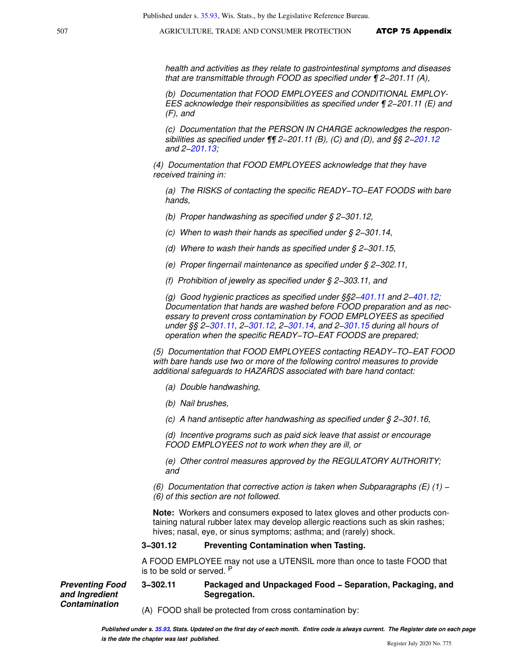health and activities as they relate to gastrointestinal symptoms and diseases that are transmittable through FOOD as specified under ¶ 2−201.11 (A),

(b) Documentation that FOOD EMPLOYEES and CONDITIONAL EMPLOY-EES acknowledge their responsibilities as specified under ¶ 2−201.11 (E) and (F), and

(c) Documentation that the PERSON IN CHARGE acknowledges the responsibilities as specified under ¶¶ 2−201.11 (B), (C) and (D), and §§ 2[−201.12](https://docs.legis.wisconsin.gov/document/statutes/201.12) and 2−[201.13](https://docs.legis.wisconsin.gov/document/statutes/201.13);

(4) Documentation that FOOD EMPLOYEES acknowledge that they have received training in:

(a) The RISKS of contacting the specific READY−TO−EAT FOODS with bare hands,

(b) Proper handwashing as specified under § 2−301.12,

(c) When to wash their hands as specified under § 2−301.14,

(d) Where to wash their hands as specified under § 2−301.15,

(e) Proper fingernail maintenance as specified under § 2−302.11,

(f) Prohibition of jewelry as specified under § 2−303.11, and

(g) Good hygienic practices as specified under §§2−[401.11](https://docs.legis.wisconsin.gov/document/statutes/401.11) and 2−[401.12](https://docs.legis.wisconsin.gov/document/statutes/401.12); Documentation that hands are washed before FOOD preparation and as necessary to prevent cross contamination by FOOD EMPLOYEES as specified under §§ 2−[301.11,](https://docs.legis.wisconsin.gov/document/statutes/301.11) 2[−301.12,](https://docs.legis.wisconsin.gov/document/statutes/301.12) 2[−301.14,](https://docs.legis.wisconsin.gov/document/statutes/301.14) and 2[−301.15](https://docs.legis.wisconsin.gov/document/statutes/301.15) during all hours of operation when the specific READY−TO−EAT FOODS are prepared;

(5) Documentation that FOOD EMPLOYEES contacting READY−TO−EAT FOOD with bare hands use two or more of the following control measures to provide additional safeguards to HAZARDS associated with bare hand contact:

- (a) Double handwashing,
- (b) Nail brushes,

**Preventing Food and Ingredient Contamination**

(c) A hand antiseptic after handwashing as specified under § 2−301.16,

(d) Incentive programs such as paid sick leave that assist or encourage FOOD EMPLOYEES not to work when they are ill, or

(e) Other control measures approved by the REGULATORY AUTHORITY; and

(6) Documentation that corrective action is taken when Subparagraphs (E) (1) − (6) of this section are not followed.

**Note:** Workers and consumers exposed to latex gloves and other products containing natural rubber latex may develop allergic reactions such as skin rashes; hives; nasal, eye, or sinus symptoms; asthma; and (rarely) shock.

#### **3−301.12 Preventing Contamination when Tasting.**

A FOOD EMPLOYEE may not use a UTENSIL more than once to taste FOOD that is to be sold or served. P

**3−302.11 Packaged and Unpackaged Food − Separation, Packaging, and Segregation.** 

(A) FOOD shall be protected from cross contamination by: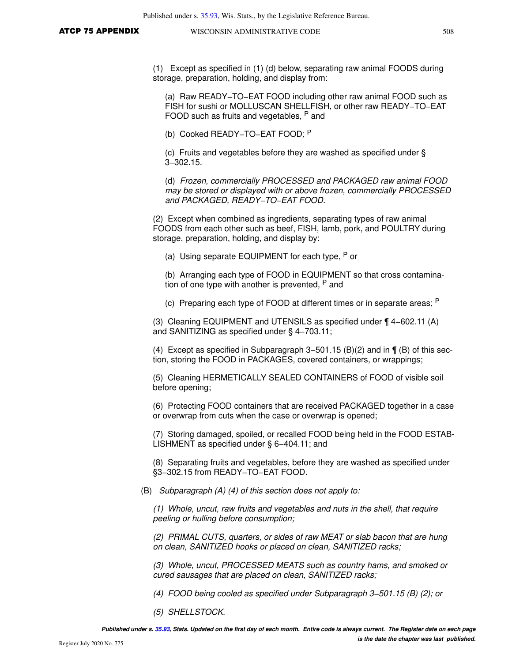(1) Except as specified in (1) (d) below, separating raw animal FOODS during storage, preparation, holding, and display from:

(a) Raw READY−TO−EAT FOOD including other raw animal FOOD such as FISH for sushi or MOLLUSCAN SHELLFISH, or other raw READY−TO−EAT FOOD such as fruits and vegetables, P and

(b) Cooked READY−TO−EAT FOOD; <sup>P</sup>

(c) Fruits and vegetables before they are washed as specified under § 3−302.15.

(d) Frozen, commercially PROCESSED and PACKAGED raw animal FOOD may be stored or displayed with or above frozen, commercially PROCESSED and PACKAGED, READY−TO−EAT FOOD.

(2) Except when combined as ingredients, separating types of raw animal FOODS from each other such as beef, FISH, lamb, pork, and POULTRY during storage, preparation, holding, and display by:

(a) Using separate EQUIPMENT for each type,  $P$  or

(b) Arranging each type of FOOD in EQUIPMENT so that cross contamination of one type with another is prevented, <sup>P</sup> and

(c) Preparing each type of FOOD at different times or in separate areas; P

(3) Cleaning EQUIPMENT and UTENSILS as specified under ¶ 4−602.11 (A) and SANITIZING as specified under § 4−703.11;

(4) Except as specified in Subparagraph 3−501.15 (B)(2) and in ¶ (B) of this section, storing the FOOD in PACKAGES, covered containers, or wrappings;

(5) Cleaning HERMETICALLY SEALED CONTAINERS of FOOD of visible soil before opening;

(6) Protecting FOOD containers that are received PACKAGED together in a case or overwrap from cuts when the case or overwrap is opened;

(7) Storing damaged, spoiled, or recalled FOOD being held in the FOOD ESTAB-LISHMENT as specified under § 6−404.11; and

(8) Separating fruits and vegetables, before they are washed as specified under §3–302.15 from READY–TO–EAT FOOD.

(B) Subparagraph (A) (4) of this section does not apply to:

(1) Whole, uncut, raw fruits and vegetables and nuts in the shell, that require peeling or hulling before consumption;

(2) PRIMAL CUTS, quarters, or sides of raw MEAT or slab bacon that are hung on clean, SANITIZED hooks or placed on clean, SANITIZED racks;

(3) Whole, uncut, PROCESSED MEATS such as country hams, and smoked or cured sausages that are placed on clean, SANITIZED racks;

(4) FOOD being cooled as specified under Subparagraph 3−501.15 (B) (2); or

(5) SHELLSTOCK.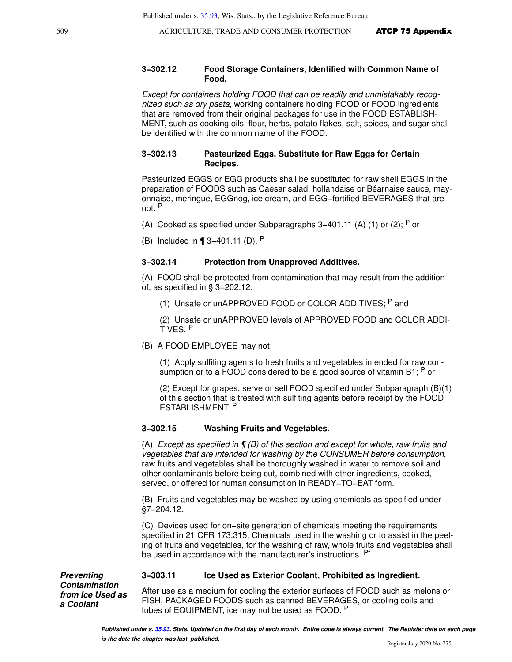#### **3−302.12 Food Storage Containers, Identified with Common Name of Food.**

Except for containers holding FOOD that can be readily and unmistakably recognized such as dry pasta, working containers holding FOOD or FOOD ingredients that are removed from their original packages for use in the FOOD ESTABLISH-MENT, such as cooking oils, flour, herbs, potato flakes, salt, spices, and sugar shall be identified with the common name of the FOOD.

### **3−302.13 Pasteurized Eggs, Substitute for Raw Eggs for Certain Recipes.**

Pasteurized EGGS or EGG products shall be substituted for raw shell EGGS in the preparation of FOODS such as Caesar salad, hollandaise or Béarnaise sauce, mayonnaise, meringue, EGGnog, ice cream, and EGG−fortified BEVERAGES that are not: <sup>P</sup>

- (A) Cooked as specified under Subparagraphs 3–401.11 (A) (1) or (2); <sup>P</sup> or
- (B) Included in ¶ 3−401.11 (D). <sup>P</sup>

#### **3−302.14 Protection from Unapproved Additives.**

(A) FOOD shall be protected from contamination that may result from the addition of, as specified in § 3−202.12:

(1) Unsafe or unAPPROVED FOOD or COLOR ADDITIVES; P and

(2) Unsafe or unAPPROVED levels of APPROVED FOOD and COLOR ADDI-TIVES. <sup>P</sup>

(B) A FOOD EMPLOYEE may not:

(1) Apply sulfiting agents to fresh fruits and vegetables intended for raw consumption or to a FOOD considered to be a good source of vitamin B1; P or

(2) Except for grapes, serve or sell FOOD specified under Subparagraph (B)(1) of this section that is treated with sulfiting agents before receipt by the FOOD ESTABLISHMENT. P

#### **3−302.15 Washing Fruits and Vegetables.**

(A) Except as specified in  $\P$  (B) of this section and except for whole, raw fruits and vegetables that are intended for washing by the CONSUMER before consumption, raw fruits and vegetables shall be thoroughly washed in water to remove soil and other contaminants before being cut, combined with other ingredients, cooked, served, or offered for human consumption in READY−TO−EAT form.

(B) Fruits and vegetables may be washed by using chemicals as specified under §7−204.12.

(C) Devices used for on−site generation of chemicals meeting the requirements specified in 21 CFR 173.315, Chemicals used in the washing or to assist in the peeling of fruits and vegetables, for the washing of raw, whole fruits and vegetables shall be used in accordance with the manufacturer's instructions. <sup>Pf</sup>

#### **Preventing Contamination from Ice Used as a Coolant**

#### **3−303.11 Ice Used as Exterior Coolant, Prohibited as Ingredient.**

After use as a medium for cooling the exterior surfaces of FOOD such as melons or FISH, PACKAGED FOODS such as canned BEVERAGES, or cooling coils and tubes of EQUIPMENT, ice may not be used as FOOD. <sup>P</sup>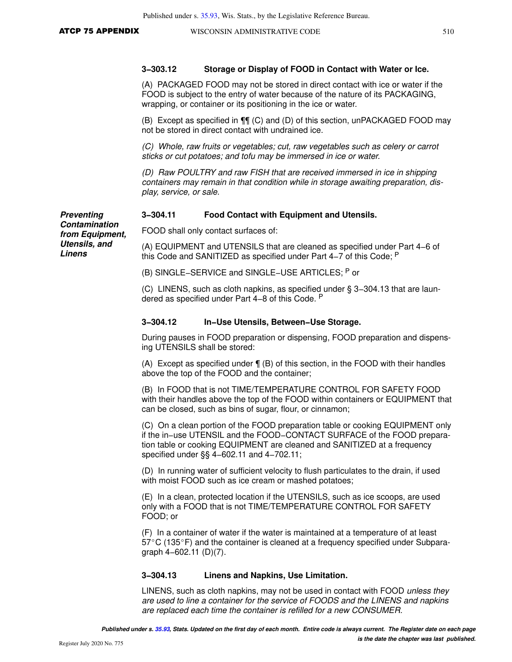#### **3−303.12 Storage or Display of FOOD in Contact with Water or Ice.**

(A) PACKAGED FOOD may not be stored in direct contact with ice or water if the FOOD is subject to the entry of water because of the nature of its PACKAGING, wrapping, or container or its positioning in the ice or water.

(B) Except as specified in ¶¶ (C) and (D) of this section, unPACKAGED FOOD may not be stored in direct contact with undrained ice.

(C) Whole, raw fruits or vegetables; cut, raw vegetables such as celery or carrot sticks or cut potatoes; and tofu may be immersed in ice or water.

(D) Raw POULTRY and raw FISH that are received immersed in ice in shipping containers may remain in that condition while in storage awaiting preparation, display, service, or sale.

#### **3−304.11 Food Contact with Equipment and Utensils.**

FOOD shall only contact surfaces of:

(A) EQUIPMENT and UTENSILS that are cleaned as specified under Part 4−6 of this Code and SANITIZED as specified under Part 4−7 of this Code; <sup>P</sup>

(B) SINGLE−SERVICE and SINGLE−USE ARTICLES; P or

(C) LINENS, such as cloth napkins, as specified under § 3−304.13 that are laundered as specified under Part 4−8 of this Code. <sup>P</sup>

#### **3−304.12 In−Use Utensils, Between−Use Storage.**

During pauses in FOOD preparation or dispensing, FOOD preparation and dispensing UTENSILS shall be stored:

(A) Except as specified under ¶ (B) of this section, in the FOOD with their handles above the top of the FOOD and the container;

(B) In FOOD that is not TIME/TEMPERATURE CONTROL FOR SAFETY FOOD with their handles above the top of the FOOD within containers or EQUIPMENT that can be closed, such as bins of sugar, flour, or cinnamon;

(C) On a clean portion of the FOOD preparation table or cooking EQUIPMENT only if the in−use UTENSIL and the FOOD−CONTACT SURFACE of the FOOD preparation table or cooking EQUIPMENT are cleaned and SANITIZED at a frequency specified under §§ 4−602.11 and 4−702.11;

(D) In running water of sufficient velocity to flush particulates to the drain, if used with moist FOOD such as ice cream or mashed potatoes;

(E) In a clean, protected location if the UTENSILS, such as ice scoops, are used only with a FOOD that is not TIME/TEMPERATURE CONTROL FOR SAFETY FOOD; or

(F) In a container of water if the water is maintained at a temperature of at least  $57^{\circ}$ C (135 $^{\circ}$ F) and the container is cleaned at a frequency specified under Subparagraph 4−602.11 (D)(7).

#### **3−304.13 Linens and Napkins, Use Limitation.**

LINENS, such as cloth napkins, may not be used in contact with FOOD *unless they* are used to line a container for the service of FOODS and the LINENS and napkins are replaced each time the container is refilled for a new CONSUMER.

**Preventing Contamination from Equipment, Utensils, and Linens**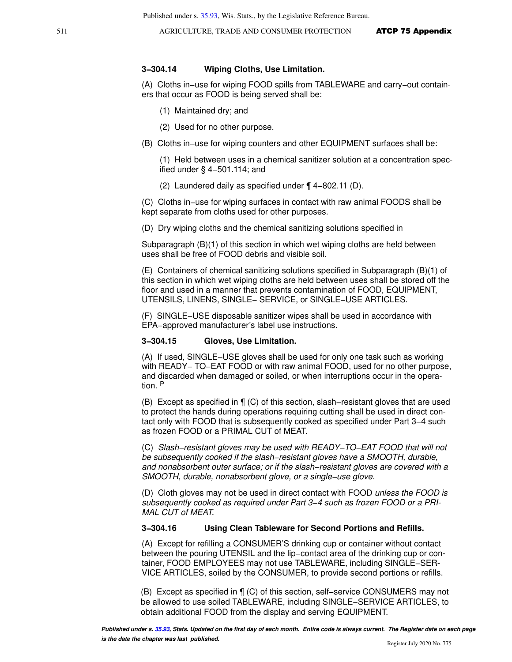#### **3−304.14 Wiping Cloths, Use Limitation.**

(A) Cloths in−use for wiping FOOD spills from TABLEWARE and carry−out containers that occur as FOOD is being served shall be:

- (1) Maintained dry; and
- (2) Used for no other purpose.
- (B) Cloths in−use for wiping counters and other EQUIPMENT surfaces shall be:

(1) Held between uses in a chemical sanitizer solution at a concentration specified under § 4−501.114; and

(2) Laundered daily as specified under ¶ 4−802.11 (D).

(C) Cloths in−use for wiping surfaces in contact with raw animal FOODS shall be kept separate from cloths used for other purposes.

(D) Dry wiping cloths and the chemical sanitizing solutions specified in

Subparagraph (B)(1) of this section in which wet wiping cloths are held between uses shall be free of FOOD debris and visible soil.

(E) Containers of chemical sanitizing solutions specified in Subparagraph (B)(1) of this section in which wet wiping cloths are held between uses shall be stored off the floor and used in a manner that prevents contamination of FOOD, EQUIPMENT, UTENSILS, LINENS, SINGLE− SERVICE, or SINGLE−USE ARTICLES.

(F) SINGLE−USE disposable sanitizer wipes shall be used in accordance with EPA−approved manufacturer's label use instructions.

#### **3−304.15 Gloves, Use Limitation.**

(A) If used, SINGLE−USE gloves shall be used for only one task such as working with READY− TO−EAT FOOD or with raw animal FOOD, used for no other purpose, and discarded when damaged or soiled, or when interruptions occur in the operation. <sup>P</sup>

(B) Except as specified in ¶ (C) of this section, slash−resistant gloves that are used to protect the hands during operations requiring cutting shall be used in direct contact only with FOOD that is subsequently cooked as specified under Part 3−4 such as frozen FOOD or a PRIMAL CUT of MEAT.

(C) Slash−resistant gloves may be used with READY−TO−EAT FOOD that will not be subsequently cooked if the slash−resistant gloves have a SMOOTH, durable, and nonabsorbent outer surface; or if the slash−resistant gloves are covered with a SMOOTH, durable, nonabsorbent glove, or a single−use glove.

(D) Cloth gloves may not be used in direct contact with FOOD unless the FOOD is subsequently cooked as required under Part 3−4 such as frozen FOOD or a PRI-MAL CUT of MEAT.

#### **3−304.16 Using Clean Tableware for Second Portions and Refills.**

(A) Except for refilling a CONSUMER'S drinking cup or container without contact between the pouring UTENSIL and the lip−contact area of the drinking cup or container, FOOD EMPLOYEES may not use TABLEWARE, including SINGLE−SER-VICE ARTICLES, soiled by the CONSUMER, to provide second portions or refills.

(B) Except as specified in ¶ (C) of this section, self−service CONSUMERS may not be allowed to use soiled TABLEWARE, including SINGLE−SERVICE ARTICLES, to obtain additional FOOD from the display and serving EQUIPMENT.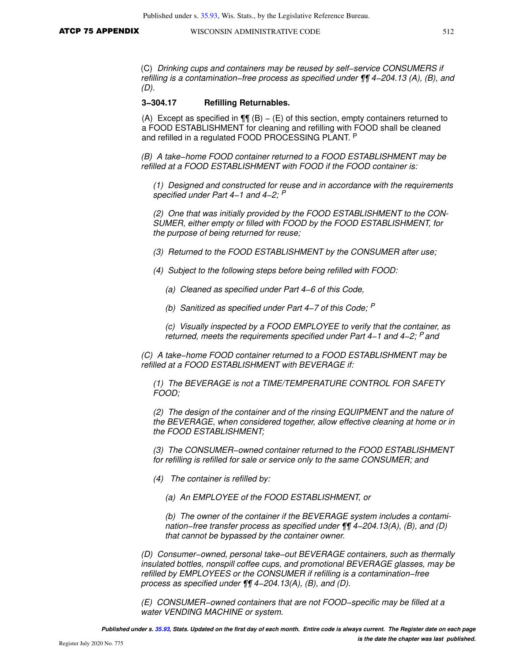(C) Drinking cups and containers may be reused by self−service CONSUMERS if refilling is a contamination−free process as specified under ¶¶ 4−204.13 (A), (B), and (D).

#### **3−304.17 Refilling Returnables.**

(A) Except as specified in  $\P\P$  (B) – (E) of this section, empty containers returned to a FOOD ESTABLISHMENT for cleaning and refilling with FOOD shall be cleaned and refilled in a regulated FOOD PROCESSING PLANT. <sup>P</sup>

(B) A take−home FOOD container returned to a FOOD ESTABLISHMENT may be refilled at a FOOD ESTABLISHMENT with FOOD if the FOOD container is:

(1) Designed and constructed for reuse and in accordance with the requirements specified under Part 4–1 and 4–2; <sup>P</sup>

(2) One that was initially provided by the FOOD ESTABLISHMENT to the CON-SUMER, either empty or filled with FOOD by the FOOD ESTABLISHMENT, for the purpose of being returned for reuse;

(3) Returned to the FOOD ESTABLISHMENT by the CONSUMER after use;

- (4) Subject to the following steps before being refilled with FOOD:
	- (a) Cleaned as specified under Part 4−6 of this Code,
	- (b) Sanitized as specified under Part 4−7 of this Code; <sup>P</sup>

(c) Visually inspected by a FOOD EMPLOYEE to verify that the container, as returned, meets the requirements specified under Part 4–1 and 4–2; <sup>P</sup> and

(C) A take−home FOOD container returned to a FOOD ESTABLISHMENT may be refilled at a FOOD ESTABLISHMENT with BEVERAGE if:

(1) The BEVERAGE is not a TIME/TEMPERATURE CONTROL FOR SAFETY FOOD;

(2) The design of the container and of the rinsing EQUIPMENT and the nature of the BEVERAGE, when considered together, allow effective cleaning at home or in the FOOD ESTABLISHMENT;

(3) The CONSUMER−owned container returned to the FOOD ESTABLISHMENT for refilling is refilled for sale or service only to the same CONSUMER; and

(4) The container is refilled by:

(a) An EMPLOYEE of the FOOD ESTABLISHMENT, or

(b) The owner of the container if the BEVERAGE system includes a contamination–free transfer process as specified under ¶¶ 4–204.13(A), (B), and (D) that cannot be bypassed by the container owner.

(D) Consumer−owned, personal take−out BEVERAGE containers, such as thermally insulated bottles, nonspill coffee cups, and promotional BEVERAGE glasses, may be refilled by EMPLOYEES or the CONSUMER if refilling is a contamination−free process as specified under ¶¶ 4−204.13(A), (B), and (D).

(E) CONSUMER−owned containers that are not FOOD−specific may be filled at a water VENDING MACHINE or system.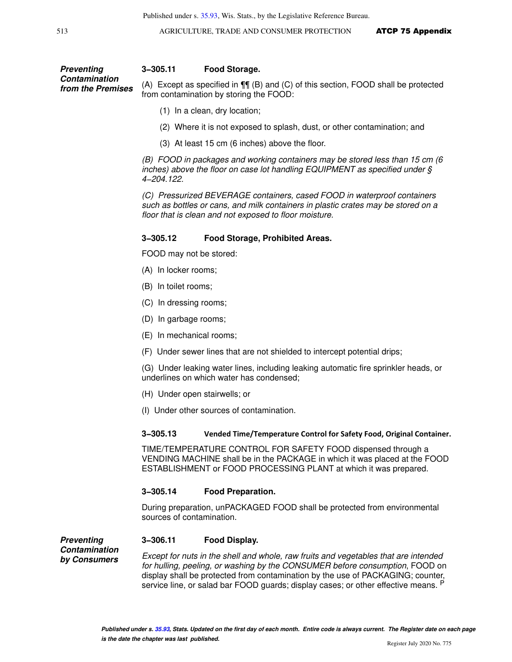#### **Preventing Contamination from the Premises 3−305.11 Food Storage.** (A) Except as specified in ¶¶ (B) and (C) of this section, FOOD shall be protected from contamination by storing the FOOD:

- (1) In a clean, dry location;
- (2) Where it is not exposed to splash, dust, or other contamination; and
- (3) At least 15 cm (6 inches) above the floor.

(B) FOOD in packages and working containers may be stored less than 15 cm (6 inches) above the floor on case lot handling EQUIPMENT as specified under § 4−204.122.

(C) Pressurized BEVERAGE containers, cased FOOD in waterproof containers such as bottles or cans, and milk containers in plastic crates may be stored on a floor that is clean and not exposed to floor moisture.

#### **3−305.12 Food Storage, Prohibited Areas.**

FOOD may not be stored:

- (A) In locker rooms;
- (B) In toilet rooms;
- (C) In dressing rooms;
- (D) In garbage rooms;
- (E) In mechanical rooms;
- (F) Under sewer lines that are not shielded to intercept potential drips;

(G) Under leaking water lines, including leaking automatic fire sprinkler heads, or underlines on which water has condensed;

- (H) Under open stairwells; or
- (I) Under other sources of contamination.

#### **3−305.13 Vended Time/Temperature Control for Safety Food, Original Container.**

TIME/TEMPERATURE CONTROL FOR SAFETY FOOD dispensed through a VENDING MACHINE shall be in the PACKAGE in which it was placed at the FOOD ESTABLISHMENT or FOOD PROCESSING PLANT at which it was prepared.

#### **3−305.14 Food Preparation.**

**3−306.11 Food Display.**

During preparation, unPACKAGED FOOD shall be protected from environmental sources of contamination.

**Preventing Contamination by Consumers**

#### Except for nuts in the shell and whole, raw fruits and vegetables that are intended for hulling, peeling, or washing by the CONSUMER before consumption, FOOD on display shall be protected from contamination by the use of PACKAGING; counter, service line, or salad bar FOOD guards; display cases; or other effective means. <sup>P</sup>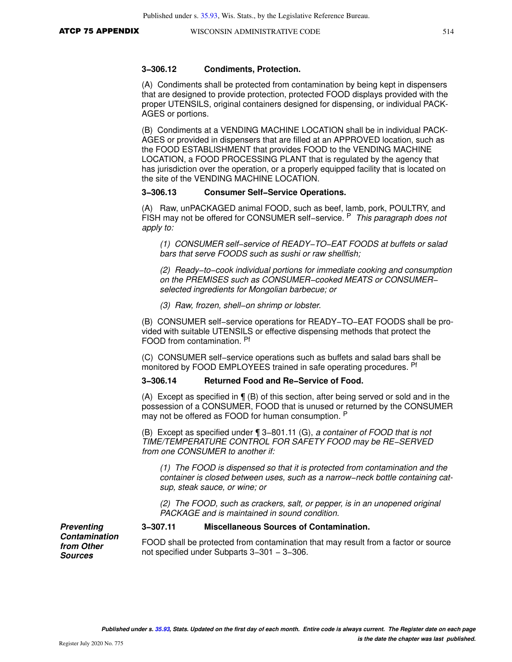### **3−306.12 Condiments, Protection.**

(A) Condiments shall be protected from contamination by being kept in dispensers that are designed to provide protection, protected FOOD displays provided with the proper UTENSILS, original containers designed for dispensing, or individual PACK-AGES or portions.

(B) Condiments at a VENDING MACHINE LOCATION shall be in individual PACK-AGES or provided in dispensers that are filled at an APPROVED location, such as the FOOD ESTABLISHMENT that provides FOOD to the VENDING MACHINE LOCATION, a FOOD PROCESSING PLANT that is regulated by the agency that has jurisdiction over the operation, or a properly equipped facility that is located on the site of the VENDING MACHINE LOCATION.

#### **3−306.13 Consumer Self−Service Operations.**

(A) Raw, unPACKAGED animal FOOD, such as beef, lamb, pork, POULTRY, and FISH may not be offered for CONSUMER self–service. <sup>P</sup> This paragraph does not apply to:

(1) CONSUMER self−service of READY−TO−EAT FOODS at buffets or salad bars that serve FOODS such as sushi or raw shellfish;

(2) Ready−to−cook individual portions for immediate cooking and consumption on the PREMISES such as CONSUMER−cooked MEATS or CONSUMER− selected ingredients for Mongolian barbecue; or

(3) Raw, frozen, shell−on shrimp or lobster.

(B) CONSUMER self−service operations for READY−TO−EAT FOODS shall be provided with suitable UTENSILS or effective dispensing methods that protect the FOOD from contamination. Pf

(C) CONSUMER self−service operations such as buffets and salad bars shall be monitored by FOOD EMPLOYEES trained in safe operating procedures. Pf

#### **3−306.14 Returned Food and Re−Service of Food.**

(A) Except as specified in ¶ (B) of this section, after being served or sold and in the possession of a CONSUMER, FOOD that is unused or returned by the CONSUMER may not be offered as FOOD for human consumption. P

(B) Except as specified under ¶ 3−801.11 (G), a container of FOOD that is not TIME/TEMPERATURE CONTROL FOR SAFETY FOOD may be RE−SERVED from one CONSUMER to another if:

(1) The FOOD is dispensed so that it is protected from contamination and the container is closed between uses, such as a narrow−neck bottle containing catsup, steak sauce, or wine; or

(2) The FOOD, such as crackers, salt, or pepper, is in an unopened original PACKAGE and is maintained in sound condition.

**Preventing Contamination from Other Sources**

**3−307.11 Miscellaneous Sources of Contamination.**

FOOD shall be protected from contamination that may result from a factor or source not specified under Subparts 3−301 − 3−306.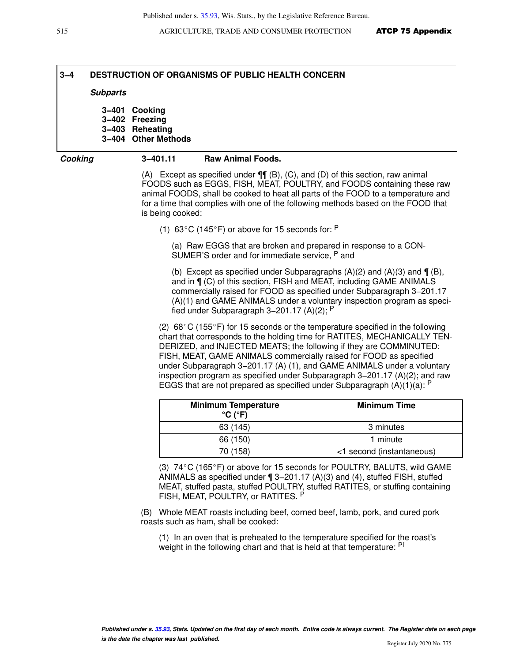## **3−4 DESTRUCTION OF ORGANISMS OF PUBLIC HEALTH CONCERN**

#### **Subparts**

**3−401 Cooking 3−402 Freezing 3−403 Reheating 3−404 Other Methods**

#### **Cooking 3−401.11 Raw Animal Foods.**

(A) Except as specified under  $\P\P$  (B), (C), and (D) of this section, raw animal FOODS such as EGGS, FISH, MEAT, POULTRY, and FOODS containing these raw animal FOODS, shall be cooked to heat all parts of the FOOD to a temperature and for a time that complies with one of the following methods based on the FOOD that is being cooked:

(1) 63 $\degree$ C (145 $\degree$ F) or above for 15 seconds for: P

(a) Raw EGGS that are broken and prepared in response to a CON-SUMER'S order and for immediate service, <sup>P</sup> and

(b) Except as specified under Subparagraphs  $(A)(2)$  and  $(A)(3)$  and  $\P(B)$ , and in ¶ (C) of this section, FISH and MEAT, including GAME ANIMALS commercially raised for FOOD as specified under Subparagraph 3−201.17 (A)(1) and GAME ANIMALS under a voluntary inspection program as specified under Subparagraph 3−201.17 (A)(2); <sup>P</sup>

(2)  $68^{\circ}$ C (155 $^{\circ}$ F) for 15 seconds or the temperature specified in the following chart that corresponds to the holding time for RATITES, MECHANICALLY TEN-DERIZED, and INJECTED MEATS; the following if they are COMMINUTED: FISH, MEAT, GAME ANIMALS commercially raised for FOOD as specified under Subparagraph 3−201.17 (A) (1), and GAME ANIMALS under a voluntary inspection program as specified under Subparagraph 3−201.17 (A)(2); and raw EGGS that are not prepared as specified under Subparagraph  $(A)(1)(a)$ : P

| <b>Minimum Temperature</b><br>$^{\circ}$ C ( $^{\circ}$ F) | <b>Minimum Time</b>       |
|------------------------------------------------------------|---------------------------|
| 63 (145)                                                   | 3 minutes                 |
| 66 (150)                                                   | 1 minute                  |
| 70 (158)                                                   | <1 second (instantaneous) |

(3)  $74^{\circ}$ C (165 $^{\circ}$ F) or above for 15 seconds for POULTRY, BALUTS, wild GAME ANIMALS as specified under ¶ 3−201.17 (A)(3) and (4), stuffed FISH, stuffed MEAT, stuffed pasta, stuffed POULTRY, stuffed RATITES, or stuffing containing FISH, MEAT, POULTRY, or RATITES. <sup>P</sup>

(B) Whole MEAT roasts including beef, corned beef, lamb, pork, and cured pork roasts such as ham, shall be cooked:

(1) In an oven that is preheated to the temperature specified for the roast's weight in the following chart and that is held at that temperature: <sup>Pf</sup>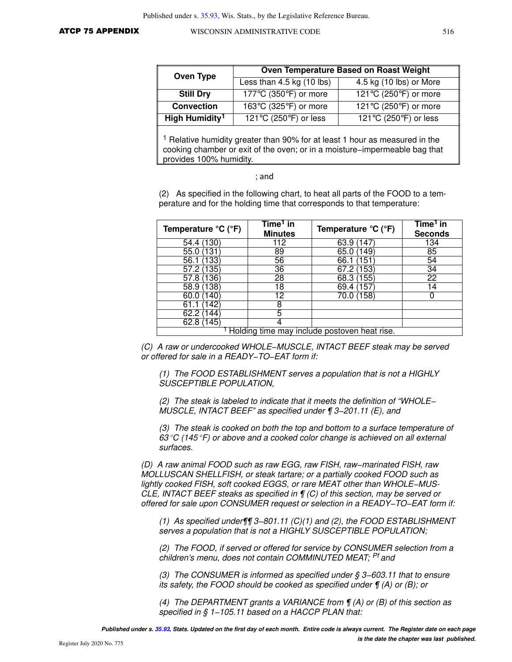| Oven Type                  | Oven Temperature Based on Roast Weight                       |                                                              |  |
|----------------------------|--------------------------------------------------------------|--------------------------------------------------------------|--|
|                            | Less than $4.5$ kg $(10$ lbs)                                | $\overline{4.5 \text{ kg}}$ (10 lbs) or More                 |  |
| <b>Still Dry</b>           | 177 $\mathrm{^{\circ}C}$ (350 $\mathrm{^{\circ}F}$ ) or more | 121 $\mathrm{^{\circ}C}$ (250 $\mathrm{^{\circ}F}$ ) or more |  |
| <b>Convection</b>          | 163°C (325°F) or more                                        | 121 $\mathrm{^{\circ}C}$ (250 $\mathrm{^{\circ}F}$ ) or more |  |
| High Humidity <sup>1</sup> | $\overline{121^{\circ}C}$ (250 $^{\circ}F$ ) or less         | 121 $\textdegree$ C (250 $\textdegree$ F) or less            |  |

<sup>1</sup> Relative humidity greater than 90% for at least 1 hour as measured in the cooking chamber or exit of the oven; or in a moisture−impermeable bag that provides 100% humidity.

#### ; and

(2) As specified in the following chart, to heat all parts of the FOOD to a temperature and for the holding time that corresponds to that temperature:

| Temperature ${}^{\circ}C$ ( ${}^{\circ}F$ )  | Time <sup>1</sup> in<br><b>Minutes</b> | Temperature ${}^{\circ}C$ ( ${}^{\circ}F$ ) | Time <sup>1</sup> in<br><b>Seconds</b> |
|----------------------------------------------|----------------------------------------|---------------------------------------------|----------------------------------------|
| 54.4 (130)                                   | 112                                    | 63.9 (147                                   | 134                                    |
| 55.0                                         | 89                                     | 65.0<br>49                                  | 85                                     |
| 33<br>56.1                                   | 56                                     | 66.1                                        | 54                                     |
| 135<br>57.2                                  | $\overline{36}$                        | -53<br>67.2                                 | 34                                     |
| 36<br>57.8                                   | $\overline{28}$                        | (155)<br>68.3                               | 22                                     |
| 58.9 <sub>1</sub><br>138)                    | 18                                     | 69.4 (157                                   | 4                                      |
| 40<br>60.0                                   | $1\overline{2}$                        | 70.0 (158)                                  |                                        |
| 42                                           | 8                                      |                                             |                                        |
| 62.2<br>44                                   | 5                                      |                                             |                                        |
| 62.8 (145)                                   |                                        |                                             |                                        |
| Holding time may include postoven heat rise. |                                        |                                             |                                        |

(C) A raw or undercooked WHOLE−MUSCLE, INTACT BEEF steak may be served or offered for sale in a READY−TO−EAT form if:

(1) The FOOD ESTABLISHMENT serves a population that is not a HIGHLY SUSCEPTIBLE POPULATION,

(2) The steak is labeled to indicate that it meets the definition of "WHOLE− MUSCLE, INTACT BEEF" as specified under ¶ 3−201.11 (E), and

(3) The steak is cooked on both the top and bottom to a surface temperature of 63 °C (145 °F) or above and a cooked color change is achieved on all external surfaces.

(D) A raw animal FOOD such as raw EGG, raw FISH, raw−marinated FISH, raw MOLLUSCAN SHELLFISH, or steak tartare; or a partially cooked FOOD such as lightly cooked FISH, soft cooked EGGS, or rare MEAT other than WHOLE−MUS-CLE, INTACT BEEF steaks as specified in ¶ (C) of this section, may be served or offered for sale upon CONSUMER request or selection in a READY−TO−EAT form if:

(1) As specified under¶¶ 3−801.11 (C)(1) and (2), the FOOD ESTABLISHMENT serves a population that is not a HIGHLY SUSCEPTIBLE POPULATION;

(2) The FOOD, if served or offered for service by CONSUMER selection from a children's menu, does not contain COMMINUTED MEAT; <sup>Pf</sup> and

(3) The CONSUMER is informed as specified under § 3−603.11 that to ensure its safety, the FOOD should be cooked as specified under ¶ (A) or (B); or

(4) The DEPARTMENT grants a VARIANCE from  $\P$  (A) or (B) of this section as specified in § 1–105.11 based on a HACCP PLAN that:

**Published under s. [35.93,](https://docs.legis.wisconsin.gov/document/statutes/35.93) Stats. Updated on the first day of each month. Entire code is always current. The Register date on each page**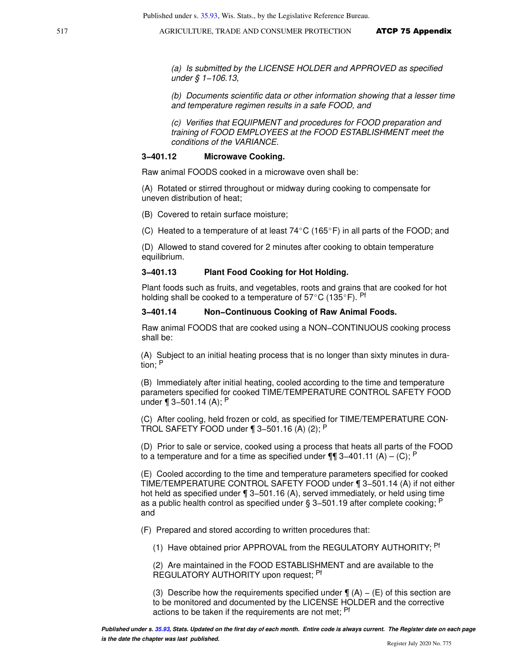(a) Is submitted by the LICENSE HOLDER and APPROVED as specified under § 1−106.13,

(b) Documents scientific data or other information showing that a lesser time and temperature regimen results in a safe FOOD, and

(c) Verifies that EQUIPMENT and procedures for FOOD preparation and training of FOOD EMPLOYEES at the FOOD ESTABLISHMENT meet the conditions of the VARIANCE.

#### **3−401.12 Microwave Cooking.**

Raw animal FOODS cooked in a microwave oven shall be:

(A) Rotated or stirred throughout or midway during cooking to compensate for uneven distribution of heat;

(B) Covered to retain surface moisture;

(C) Heated to a temperature of at least  $74^{\circ}$ C (165 $^{\circ}$ F) in all parts of the FOOD; and

(D) Allowed to stand covered for 2 minutes after cooking to obtain temperature equilibrium.

#### **3−401.13 Plant Food Cooking for Hot Holding.**

Plant foods such as fruits, and vegetables, roots and grains that are cooked for hot holding shall be cooked to a temperature of  $57^{\circ}$ C (135 $^{\circ}$ F). Pf

#### **3−401.14 Non−Continuous Cooking of Raw Animal Foods.**

Raw animal FOODS that are cooked using a NON−CONTINUOUS cooking process shall be:

(A) Subject to an initial heating process that is no longer than sixty minutes in duration; <sup>P</sup>

(B) Immediately after initial heating, cooled according to the time and temperature parameters specified for cooked TIME/TEMPERATURE CONTROL SAFETY FOOD under ¶ 3−501.14 (A); <sup>P</sup>

(C) After cooling, held frozen or cold, as specified for TIME/TEMPERATURE CON-TROL SAFETY FOOD under ¶ 3−501.16 (A) (2); <sup>P</sup>

(D) Prior to sale or service, cooked using a process that heats all parts of the FOOD to a temperature and for a time as specified under  $\P\P$  3–401.11 (A) – (C); P

(E) Cooled according to the time and temperature parameters specified for cooked TIME/TEMPERATURE CONTROL SAFETY FOOD under ¶ 3−501.14 (A) if not either hot held as specified under ¶ 3−501.16 (A), served immediately, or held using time as a public health control as specified under § 3−501.19 after complete cooking; <sup>P</sup> and

(F) Prepared and stored according to written procedures that:

(1) Have obtained prior APPROVAL from the REGULATORY AUTHORITY; <sup>Pf</sup>

(2) Are maintained in the FOOD ESTABLISHMENT and are available to the REGULATORY AUTHORITY upon request; <sup>Pf</sup>

(3) Describe how the requirements specified under  $\P(A) - (E)$  of this section are to be monitored and documented by the LICENSE HOLDER and the corrective actions to be taken if the requirements are not met; <sup>Pf</sup>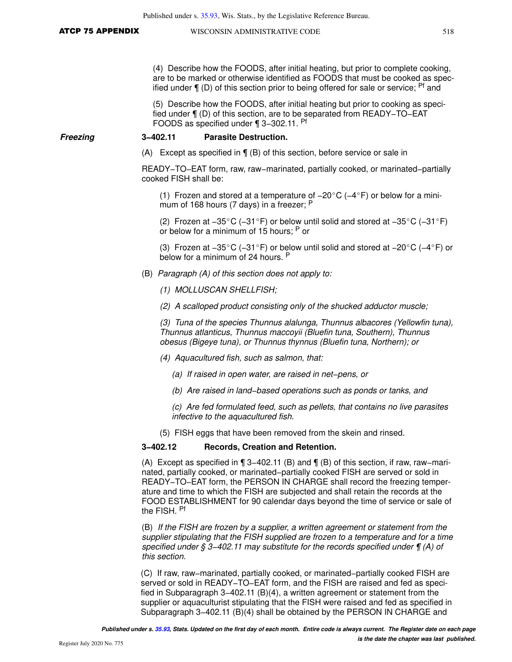(4) Describe how the FOODS, after initial heating, but prior to complete cooking, are to be marked or otherwise identified as FOODS that must be cooked as specified under  $\P$  (D) of this section prior to being offered for sale or service;  $Pf$  and

(5) Describe how the FOODS, after initial heating but prior to cooking as specified under ¶ (D) of this section, are to be separated from READY−TO−EAT FOODS as specified under ¶ 3−302.11. Pf

#### **Freezing 3−402.11 Parasite Destruction.**

(A) Except as specified in ¶ (B) of this section, before service or sale in

READY−TO−EAT form, raw, raw−marinated, partially cooked, or marinated−partially cooked FISH shall be:

(1) Frozen and stored at a temperature of  $-20^{\circ}$ C ( $-4^{\circ}$ F) or below for a minimum of 168 hours (7 days) in a freezer; P

(2) Frozen at -35°C (-31°F) or below until solid and stored at -35°C (-31°F) or below for a minimum of 15 hours; <sup>P</sup> or

(3) Frozen at -35°C (-31°F) or below until solid and stored at -20°C (-4°F) or below for a minimum of 24 hours. P

- (B) Paragraph (A) of this section does not apply to:
	- (1) MOLLUSCAN SHELLFISH;

(2) A scalloped product consisting only of the shucked adductor muscle;

(3) Tuna of the species Thunnus alalunga, Thunnus albacores (Yellowfin tuna), Thunnus atlanticus, Thunnus maccoyii (Bluefin tuna, Southern), Thunnus obesus (Bigeye tuna), or Thunnus thynnus (Bluefin tuna, Northern); or

- (4) Aquacultured fish, such as salmon, that:
	- (a) If raised in open water, are raised in net−pens, or
	- (b) Are raised in land−based operations such as ponds or tanks, and

(c) Are fed formulated feed, such as pellets, that contains no live parasites infective to the aquacultured fish.

(5) FISH eggs that have been removed from the skein and rinsed.

### **3−402.12 Records, Creation and Retention.**

(A) Except as specified in ¶ 3−402.11 (B) and ¶ (B) of this section, if raw, raw−marinated, partially cooked, or marinated−partially cooked FISH are served or sold in READY−TO−EAT form, the PERSON IN CHARGE shall record the freezing temperature and time to which the FISH are subjected and shall retain the records at the FOOD ESTABLISHMENT for 90 calendar days beyond the time of service or sale of the FISH. Pf

(B) If the FISH are frozen by a supplier, a written agreement or statement from the supplier stipulating that the FISH supplied are frozen to a temperature and for a time specified under § 3–402.11 may substitute for the records specified under ¶ (A) of this section.

(C) If raw, raw−marinated, partially cooked, or marinated−partially cooked FISH are served or sold in READY−TO−EAT form, and the FISH are raised and fed as specified in Subparagraph 3−402.11 (B)(4), a written agreement or statement from the supplier or aquaculturist stipulating that the FISH were raised and fed as specified in Subparagraph 3−402.11 (B)(4) shall be obtained by the PERSON IN CHARGE and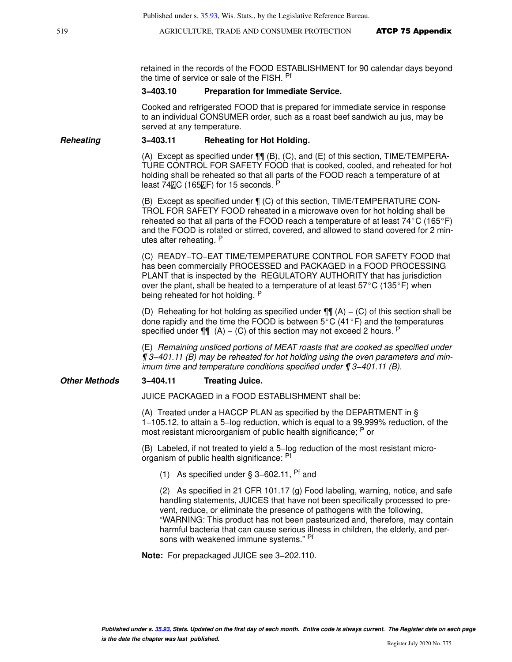retained in the records of the FOOD ESTABLISHMENT for 90 calendar days beyond the time of service or sale of the FISH. Pf

#### **3−403.10 Preparation for Immediate Service.**

Cooked and refrigerated FOOD that is prepared for immediate service in response to an individual CONSUMER order, such as a roast beef sandwich au jus, may be served at any temperature.

#### **Reheating 3−403.11 Reheating for Hot Holding.**

(A) Except as specified under ¶¶ (B), (C), and (E) of this section, TIME/TEMPERA-TURE CONTROL FOR SAFETY FOOD that is cooked, cooled, and reheated for hot holding shall be reheated so that all parts of the FOOD reach a temperature of at least  $74$  $\overline{C}$  (165 $\overline{C}$ F) for 15 seconds.  $\overline{P}$ 

(B) Except as specified under ¶ (C) of this section, TIME/TEMPERATURE CON-TROL FOR SAFETY FOOD reheated in a microwave oven for hot holding shall be reheated so that all parts of the FOOD reach a temperature of at least  $74^{\circ}$ C (165 $^{\circ}$ F) and the FOOD is rotated or stirred, covered, and allowed to stand covered for 2 minutes after reheating. P

(C) READY−TO−EAT TIME/TEMPERATURE CONTROL FOR SAFETY FOOD that has been commercially PROCESSED and PACKAGED in a FOOD PROCESSING PLANT that is inspected by the REGULATORY AUTHORITY that has jurisdiction over the plant, shall be heated to a temperature of at least  $57^{\circ}$ C (135°F) when being reheated for hot holding. P

(D) Reheating for hot holding as specified under  $\P\P$  (A) – (C) of this section shall be done rapidly and the time the FOOD is between  $5^{\circ}$ C (41 $^{\circ}$ F) and the temperatures specified under  $\P\P$  (A) – (C) of this section may not exceed 2 hours. <sup>P</sup>

(E) Remaining unsliced portions of MEAT roasts that are cooked as specified under ¶ 3−401.11 (B) may be reheated for hot holding using the oven parameters and minimum time and temperature conditions specified under ¶ 3−401.11 (B).

#### **Other Methods 3−404.11 Treating Juice.**

JUICE PACKAGED in a FOOD ESTABLISHMENT shall be:

(A) Treated under a HACCP PLAN as specified by the DEPARTMENT in § 1−105.12, to attain a 5−log reduction, which is equal to a 99.999% reduction, of the most resistant microorganism of public health significance; <sup>P</sup> or

(B) Labeled, if not treated to yield a 5−log reduction of the most resistant microorganism of public health significance: <sup>Pf</sup>

(1) As specified under § 3−602.11, Pf and

(2) As specified in 21 CFR 101.17 (g) Food labeling, warning, notice, and safe handling statements, JUICES that have not been specifically processed to prevent, reduce, or eliminate the presence of pathogens with the following, "WARNING: This product has not been pasteurized and, therefore, may contain harmful bacteria that can cause serious illness in children, the elderly, and persons with weakened immune systems." Pf

**Note:** For prepackaged JUICE see 3−202.110.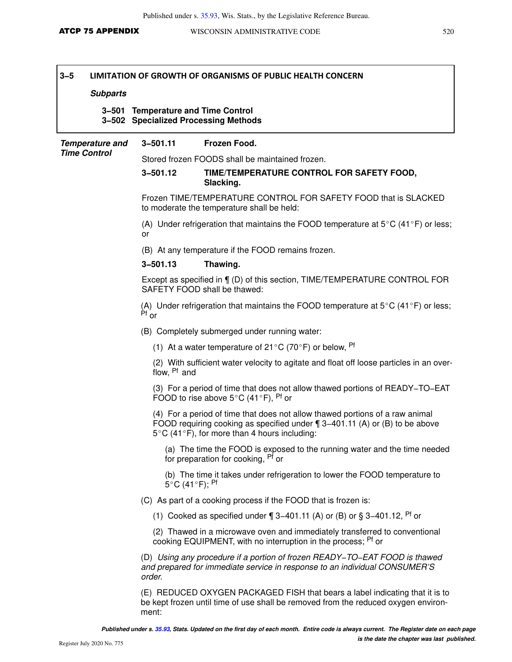### **Subparts**

#### **3−501 Temperature and Time Control 3−502 Specialized Processing Methods**

| <b>Temperature and</b><br><b>Time Control</b> | $3 - 501.11$              | Frozen Food.                                                                                                                                                                                                   |  |  |  |
|-----------------------------------------------|---------------------------|----------------------------------------------------------------------------------------------------------------------------------------------------------------------------------------------------------------|--|--|--|
|                                               |                           | Stored frozen FOODS shall be maintained frozen.                                                                                                                                                                |  |  |  |
|                                               | $3 - 501.12$              | TIME/TEMPERATURE CONTROL FOR SAFETY FOOD,<br>Slacking.                                                                                                                                                         |  |  |  |
|                                               |                           | Frozen TIME/TEMPERATURE CONTROL FOR SAFETY FOOD that is SLACKED<br>to moderate the temperature shall be held:                                                                                                  |  |  |  |
|                                               | or                        | (A) Under refrigeration that maintains the FOOD temperature at $5^{\circ}$ C (41 <sup>o</sup> F) or less;                                                                                                      |  |  |  |
|                                               |                           | (B) At any temperature if the FOOD remains frozen.                                                                                                                                                             |  |  |  |
|                                               | $3 - 501.13$              | Thawing.                                                                                                                                                                                                       |  |  |  |
|                                               |                           | Except as specified in ¶ (D) of this section, TIME/TEMPERATURE CONTROL FOR<br>SAFETY FOOD shall be thawed:                                                                                                     |  |  |  |
|                                               | $Pr_{or}$                 | (A) Under refrigeration that maintains the FOOD temperature at $5^{\circ}$ C (41 $^{\circ}$ F) or less;                                                                                                        |  |  |  |
|                                               |                           | (B) Completely submerged under running water:                                                                                                                                                                  |  |  |  |
|                                               |                           | (1) At a water temperature of 21 °C (70 °F) or below, <sup>Pf</sup>                                                                                                                                            |  |  |  |
|                                               | flow, <sup>Pf</sup> and   | (2) With sufficient water velocity to agitate and float off loose particles in an over-                                                                                                                        |  |  |  |
|                                               |                           | (3) For a period of time that does not allow thawed portions of READY-TO-EAT<br>FOOD to rise above $5^{\circ}$ C (41 $^{\circ}$ F), <sup>Pf</sup> or                                                           |  |  |  |
|                                               |                           | (4) For a period of time that does not allow thawed portions of a raw animal<br>FOOD requiring cooking as specified under $\P$ 3-401.11 (A) or (B) to be above<br>5°C (41°F), for more than 4 hours including: |  |  |  |
|                                               |                           | (a) The time the FOOD is exposed to the running water and the time needed<br>for preparation for cooking, <sup>Pf</sup> or                                                                                     |  |  |  |
|                                               | 5°C (41°F); <sup>Pf</sup> | (b) The time it takes under refrigeration to lower the FOOD temperature to                                                                                                                                     |  |  |  |
|                                               |                           | (C) As part of a cooking process if the FOOD that is frozen is:                                                                                                                                                |  |  |  |
|                                               |                           | (1) Cooked as specified under $\P$ 3-401.11 (A) or (B) or § 3-401.12, <sup>Pf</sup> or                                                                                                                         |  |  |  |
|                                               |                           | (2) Thawed in a microwave oven and immediately transferred to conventional<br>cooking EQUIPMENT, with no interruption in the process; Pf or                                                                    |  |  |  |
|                                               | order.                    | (D) Using any procedure if a portion of frozen READY-TO-EAT FOOD is thawed<br>and prepared for immediate service in response to an individual CONSUMER'S                                                       |  |  |  |
|                                               |                           | (E) REDUCED OXYGEN PACKAGED FISH that bears a label indicating that it is to<br>be kept frozen until time of use shall be removed from the reduced oxygen environ-                                             |  |  |  |

ment: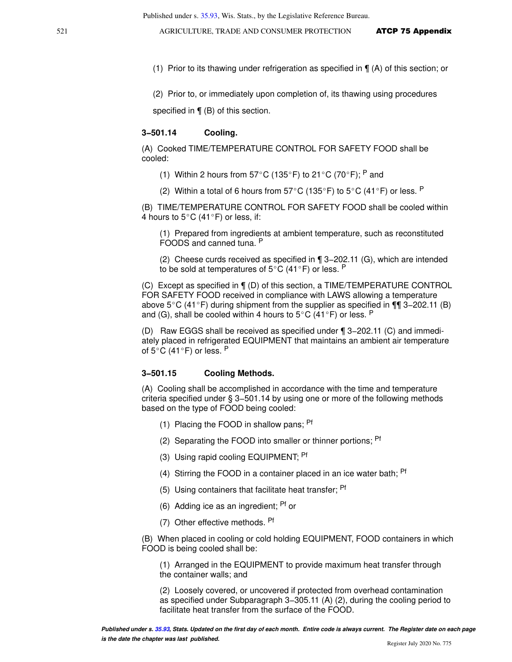- (1) Prior to its thawing under refrigeration as specified in ¶ (A) of this section; or
- (2) Prior to, or immediately upon completion of, its thawing using procedures

specified in  $\P$  (B) of this section.

#### **3−501.14 Cooling.**

(A) Cooked TIME/TEMPERATURE CONTROL FOR SAFETY FOOD shall be cooled:

- (1) Within 2 hours from 57°C (135°F) to 21°C (70°F); <sup>P</sup> and
- (2) Within a total of 6 hours from  $57^{\circ}$ C (135°F) to  $5^{\circ}$ C (41°F) or less. P

(B) TIME/TEMPERATURE CONTROL FOR SAFETY FOOD shall be cooled within 4 hours to  $5^{\circ}$ C (41 $^{\circ}$ F) or less, if:

(1) Prepared from ingredients at ambient temperature, such as reconstituted FOODS and canned tuna. <sup>P</sup>

(2) Cheese curds received as specified in ¶ 3−202.11 (G), which are intended to be sold at temperatures of  $5^{\circ}$ C (41 $^{\circ}$ F) or less. P

(C) Except as specified in ¶ (D) of this section, a TIME/TEMPERATURE CONTROL FOR SAFETY FOOD received in compliance with LAWS allowing a temperature above 5°C (41°F) during shipment from the supplier as specified in ¶¶ 3–202.11 (B) and (G), shall be cooled within 4 hours to  $5^{\circ}$ C (41 $^{\circ}$ F) or less. <sup>P</sup>

(D) Raw EGGS shall be received as specified under ¶ 3−202.11 (C) and immediately placed in refrigerated EQUIPMENT that maintains an ambient air temperature of 5 $^{\circ}$ C (41 $^{\circ}$ F) or less. <sup>P</sup>

#### **3−501.15 Cooling Methods.**

(A) Cooling shall be accomplished in accordance with the time and temperature criteria specified under § 3−501.14 by using one or more of the following methods based on the type of FOOD being cooled:

- (1) Placing the FOOD in shallow pans;  $Pf$
- (2) Separating the FOOD into smaller or thinner portions; <sup>Pf</sup>
- (3) Using rapid cooling EQUIPMENT; <sup>Pf</sup>
- (4) Stirring the FOOD in a container placed in an ice water bath;  $Pf$
- (5) Using containers that facilitate heat transfer;  $P<sup>t</sup>$
- (6) Adding ice as an ingredient; Pf or
- (7) Other effective methods. Pf

(B) When placed in cooling or cold holding EQUIPMENT, FOOD containers in which FOOD is being cooled shall be:

(1) Arranged in the EQUIPMENT to provide maximum heat transfer through the container walls; and

(2) Loosely covered, or uncovered if protected from overhead contamination as specified under Subparagraph 3−305.11 (A) (2), during the cooling period to facilitate heat transfer from the surface of the FOOD.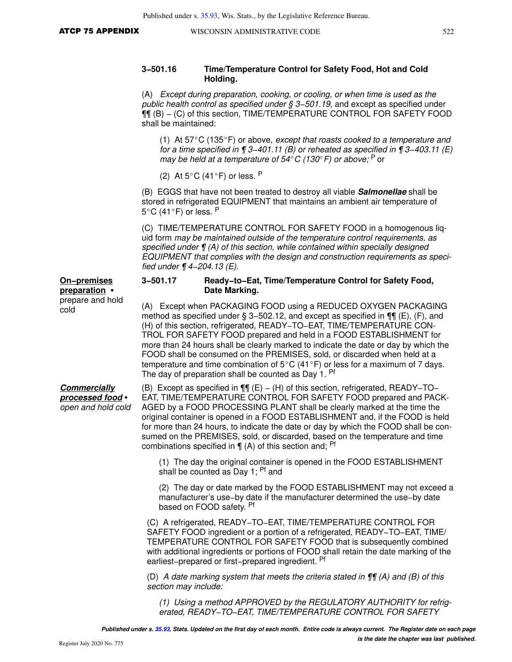### **3−501.16 Time/Temperature Control for Safety Food, Hot and Cold Holding.**

(A) Except during preparation, cooking, or cooling, or when time is used as the public health control as specified under § 3–501.19, and except as specified under ¶¶ (B) − (C) of this section, TIME/TEMPERATURE CONTROL FOR SAFETY FOOD shall be maintained:

(1) At  $57^{\circ}$ C (135 $^{\circ}$ F) or above, except that roasts cooked to a temperature and for a time specified in  $\P$  3–401.11 (B) or reheated as specified in  $\P$  3–403.11 (E) may be held at a temperature of 54 $\degree$ C (130 $\degree$ F) or above;  $\degree$  or

(2) At  $5^{\circ}$ C (41 $^{\circ}$ F) or less. P

(B) EGGS that have not been treated to destroy all viable **Salmonellae** shall be stored in refrigerated EQUIPMENT that maintains an ambient air temperature of  $5^{\circ}$ C (41 $^{\circ}$ F) or less. P

(C) TIME/TEMPERATURE CONTROL FOR SAFETY FOOD in a homogenous liquid form may be maintained outside of the temperature control requirements, as specified under  $\P$  (A) of this section, while contained within specially designed EQUIPMENT that complies with the design and construction requirements as specified under ¶ 4−204.13 (E).

#### **3−501.17 Ready−to−Eat, Time/Temperature Control for Safety Food, Date Marking.**

(A) Except when PACKAGING FOOD using a REDUCED OXYGEN PACKAGING method as specified under § 3–502.12, and except as specified in  $\P$ [ $\parallel$  (E), (F), and (H) of this section, refrigerated, READY−TO−EAT, TIME/TEMPERATURE CON-TROL FOR SAFETY FOOD prepared and held in a FOOD ESTABLISHMENT for more than 24 hours shall be clearly marked to indicate the date or day by which the FOOD shall be consumed on the PREMISES, sold, or discarded when held at a temperature and time combination of  $5^{\circ}$ C (41 $^{\circ}$ F) or less for a maximum of 7 days. The day of preparation shall be counted as Day 1. Pf

#### **Commercially processed food** open and hold cold

**On−premises preparation** prepare and hold

cold

(B) Except as specified in ¶¶ (E) − (H) of this section, refrigerated, READY−TO− EAT, TIME/TEMPERATURE CONTROL FOR SAFETY FOOD prepared and PACK-AGED by a FOOD PROCESSING PLANT shall be clearly marked at the time the original container is opened in a FOOD ESTABLISHMENT and, if the FOOD is held for more than 24 hours, to indicate the date or day by which the FOOD shall be consumed on the PREMISES, sold, or discarded, based on the temperature and time combinations specified in  $\P(A)$  of this section and; <sup>Pf</sup>

(1) The day the original container is opened in the FOOD ESTABLISHMENT shall be counted as Day 1: <sup>Pf</sup> and

(2) The day or date marked by the FOOD ESTABLISHMENT may not exceed a manufacturer's use−by date if the manufacturer determined the use−by date based on FOOD safety. <sup>Pf</sup>

(C) A refrigerated, READY−TO−EAT, TIME/TEMPERATURE CONTROL FOR SAFETY FOOD ingredient or a portion of a refrigerated, READY−TO−EAT, TIME/ TEMPERATURE CONTROL FOR SAFETY FOOD that is subsequently combined with additional ingredients or portions of FOOD shall retain the date marking of the earliest−prepared or first−prepared ingredient. Pf

(D) A date marking system that meets the criteria stated in  $\P$  $\P$  $(A)$  and  $(B)$  of this section may include:

(1) Using a method APPROVED by the REGULATORY AUTHORITY for refrigerated, READY−TO−EAT, TIME/TEMPERATURE CONTROL FOR SAFETY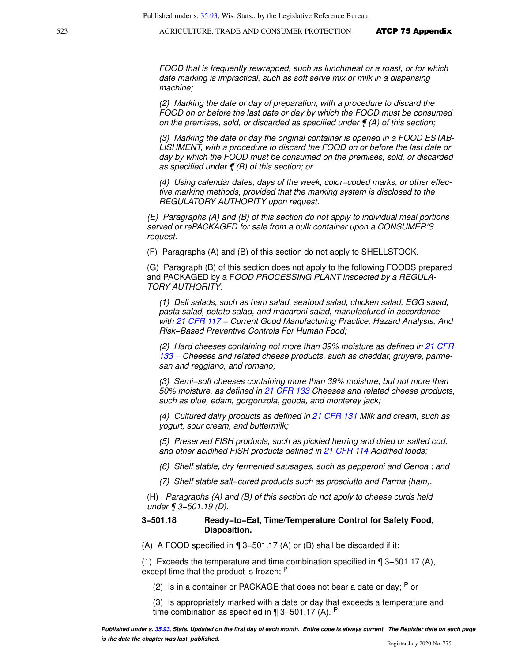FOOD that is frequently rewrapped, such as lunchmeat or a roast, or for which date marking is impractical, such as soft serve mix or milk in a dispensing machine;

(2) Marking the date or day of preparation, with a procedure to discard the FOOD on or before the last date or day by which the FOOD must be consumed on the premises, sold, or discarded as specified under ¶ (A) of this section;

(3) Marking the date or day the original container is opened in a FOOD ESTAB-LISHMENT, with a procedure to discard the FOOD on or before the last date or day by which the FOOD must be consumed on the premises, sold, or discarded as specified under ¶ (B) of this section; or

(4) Using calendar dates, days of the week, color−coded marks, or other effective marking methods, provided that the marking system is disclosed to the REGULATORY AUTHORITY upon request.

(E) Paragraphs (A) and (B) of this section do not apply to individual meal portions served or rePACKAGED for sale from a bulk container upon a CONSUMER'S request.

(F) Paragraphs (A) and (B) of this section do not apply to SHELLSTOCK.

(G) Paragraph (B) of this section does not apply to the following FOODS prepared and PACKAGED by a FOOD PROCESSING PLANT inspected by a REGULA-TORY AUTHORITY:

(1) Deli salads, such as ham salad, seafood salad, chicken salad, EGG salad, pasta salad, potato salad, and macaroni salad, manufactured in accordance with [21 CFR 117](https://docs.legis.wisconsin.gov/document/cfr/21%20CFR%20117) - Current Good Manufacturing Practice, Hazard Analysis, And Risk−Based Preventive Controls For Human Food;

(2) Hard cheeses containing not more than 39% moisture as defined in [21 CFR](https://docs.legis.wisconsin.gov/document/cfr/21%20CFR%20133) [133](https://docs.legis.wisconsin.gov/document/cfr/21%20CFR%20133) – Cheeses and related cheese products, such as cheddar, gruyere, parmesan and reggiano, and romano;

(3) Semi−soft cheeses containing more than 39% moisture, but not more than 50% moisture, as defined in [21 CFR 133](https://docs.legis.wisconsin.gov/document/cfr/21%20CFR%20133) Cheeses and related cheese products, such as blue, edam, gorgonzola, gouda, and monterey jack;

(4) Cultured dairy products as defined in [21 CFR 131](https://docs.legis.wisconsin.gov/document/cfr/21%20CFR%20131) Milk and cream, such as yogurt, sour cream, and buttermilk;

(5) Preserved FISH products, such as pickled herring and dried or salted cod, and other acidified FISH products defined in [21 CFR 114](https://docs.legis.wisconsin.gov/document/cfr/21%20CFR%20114) Acidified foods;

(6) Shelf stable, dry fermented sausages, such as pepperoni and Genoa ; and

(7) Shelf stable salt−cured products such as prosciutto and Parma (ham).

(H) Paragraphs (A) and (B) of this section do not apply to cheese curds held under ¶ 3−501.19 (D).

#### **3−501.18 Ready−to−Eat, Time/Temperature Control for Safety Food, Disposition.**

(A) A FOOD specified in ¶ 3−501.17 (A) or (B) shall be discarded if it:

(1) Exceeds the temperature and time combination specified in ¶ 3−501.17 (A), except time that the product is frozen; <sup>P</sup>

(2) Is in a container or PACKAGE that does not bear a date or day;  $P$  or

(3) Is appropriately marked with a date or day that exceeds a temperature and time combination as specified in ¶ 3−501.17 (A). <sup>P</sup>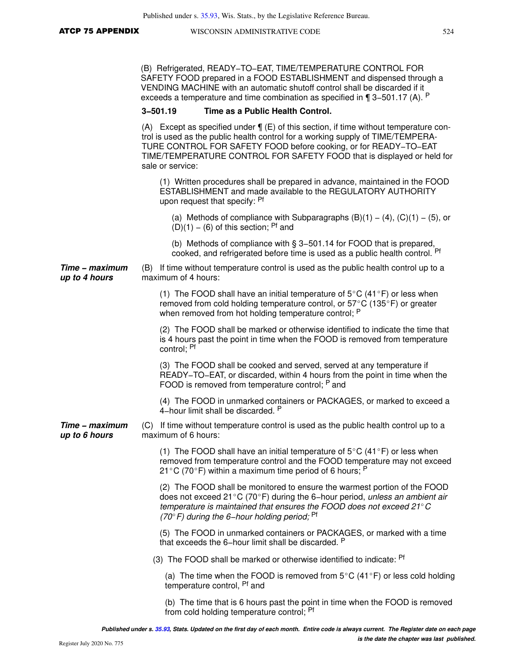| <b>ATCP 75 APPENDIX</b> |  |  |  |  |
|-------------------------|--|--|--|--|
|-------------------------|--|--|--|--|

(B) Refrigerated, READY−TO−EAT, TIME/TEMPERATURE CONTROL FOR SAFETY FOOD prepared in a FOOD ESTABLISHMENT and dispensed through a VENDING MACHINE with an automatic shutoff control shall be discarded if it exceeds a temperature and time combination as specified in ¶ 3−501.17 (A). <sup>P</sup>

#### **3−501.19 Time as a Public Health Control.**

(A) Except as specified under  $\P$  (E) of this section, if time without temperature control is used as the public health control for a working supply of TIME/TEMPERA-TURE CONTROL FOR SAFETY FOOD before cooking, or for READY−TO−EAT TIME/TEMPERATURE CONTROL FOR SAFETY FOOD that is displayed or held for sale or service:

(1) Written procedures shall be prepared in advance, maintained in the FOOD ESTABLISHMENT and made available to the REGULATORY AUTHORITY upon request that specify: Pf

(a) Methods of compliance with Subparagraphs  $(B)(1) - (4)$ ,  $(C)(1) - (5)$ , or  $(D)(1) - (6)$  of this section; <sup>Pf</sup> and

(b) Methods of compliance with § 3−501.14 for FOOD that is prepared, cooked, and refrigerated before time is used as a public health control. Pf

**Time − maximum up to 4 hours** (B) If time without temperature control is used as the public health control up to a maximum of 4 hours:

> (1) The FOOD shall have an initial temperature of  $5^{\circ}$ C (41°F) or less when removed from cold holding temperature control, or  $57^{\circ}$ C (135 $^{\circ}$ F) or greater when removed from hot holding temperature control; P

(2) The FOOD shall be marked or otherwise identified to indicate the time that is 4 hours past the point in time when the FOOD is removed from temperature control; Pf

(3) The FOOD shall be cooked and served, served at any temperature if READY−TO−EAT, or discarded, within 4 hours from the point in time when the FOOD is removed from temperature control; <sup>P</sup> and

(4) The FOOD in unmarked containers or PACKAGES, or marked to exceed a 4−hour limit shall be discarded. <sup>P</sup>

**Time − maximum up to 6 hours** (C) If time without temperature control is used as the public health control up to a maximum of 6 hours:

> (1) The FOOD shall have an initial temperature of  $5^{\circ}$ C (41 $^{\circ}$ F) or less when removed from temperature control and the FOOD temperature may not exceed 21 °C (70 °F) within a maximum time period of 6 hours;  $P$

> (2) The FOOD shall be monitored to ensure the warmest portion of the FOOD does not exceed 21°C (70°F) during the 6-hour period, unless an ambient air temperature is maintained that ensures the FOOD does not exceed  $21^{\circ}$ C (70°F) during the 6–hour holding period; <sup>Pf</sup>

> (5) The FOOD in unmarked containers or PACKAGES, or marked with a time that exceeds the 6−hour limit shall be discarded. <sup>P</sup>

(3) The FOOD shall be marked or otherwise identified to indicate: <sup>Pf</sup>

(a) The time when the FOOD is removed from  $5^{\circ}$ C (41 $^{\circ}$ F) or less cold holding temperature control, Pf and

(b) The time that is 6 hours past the point in time when the FOOD is removed from cold holding temperature control; <sup>Pf</sup>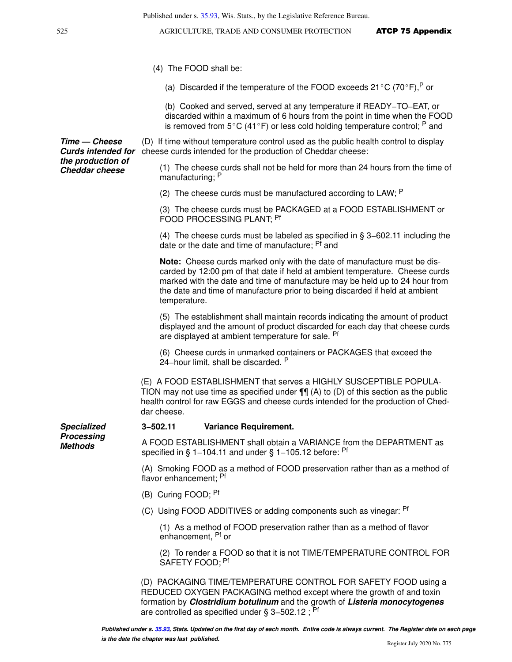- (4) The FOOD shall be:
	- (a) Discarded if the temperature of the FOOD exceeds  $21^{\circ}$ C (70°F), P or

(b) Cooked and served, served at any temperature if READY−TO−EAT, or discarded within a maximum of 6 hours from the point in time when the FOOD is removed from  $5^{\circ}$ C (41 $^{\circ}$ F) or less cold holding temperature control; <sup>P</sup> and

**Curds intended for** cheese curds intended for the production of Cheddar cheese: (D) If time without temperature control used as the public health control to display

> (1) The cheese curds shall not be held for more than 24 hours from the time of manufacturing; <sup>P</sup>

(2) The cheese curds must be manufactured according to LAW;  $P$ 

(3) The cheese curds must be PACKAGED at a FOOD ESTABLISHMENT or FOOD PROCESSING PLANT; Pf

(4) The cheese curds must be labeled as specified in § 3−602.11 including the date or the date and time of manufacture; <sup>Pf</sup> and

**Note:** Cheese curds marked only with the date of manufacture must be discarded by 12:00 pm of that date if held at ambient temperature. Cheese curds marked with the date and time of manufacture may be held up to 24 hour from the date and time of manufacture prior to being discarded if held at ambient temperature.

(5) The establishment shall maintain records indicating the amount of product displayed and the amount of product discarded for each day that cheese curds are displayed at ambient temperature for sale. Pf

(6) Cheese curds in unmarked containers or PACKAGES that exceed the 24–hour limit, shall be discarded. <sup>P</sup>

(E) A FOOD ESTABLISHMENT that serves a HIGHLY SUSCEPTIBLE POPULA-TION may not use time as specified under  $\P$  $\P$  (A) to (D) of this section as the public health control for raw EGGS and cheese curds intended for the production of Cheddar cheese.

**3−502.11 Variance Requirement.**

A FOOD ESTABLISHMENT shall obtain a VARIANCE from the DEPARTMENT as specified in § 1–104.11 and under § 1–105.12 before: <sup>Pf</sup>

(A) Smoking FOOD as a method of FOOD preservation rather than as a method of flavor enhancement; Pf

- (B) Curing FOOD; Pf
- (C) Using FOOD ADDITIVES or adding components such as vinegar: Pf

(1) As a method of FOOD preservation rather than as a method of flavor enhancement, Pf or

(2) To render a FOOD so that it is not TIME/TEMPERATURE CONTROL FOR SAFETY FOOD; Pf

(D) PACKAGING TIME/TEMPERATURE CONTROL FOR SAFETY FOOD using a REDUCED OXYGEN PACKAGING method except where the growth of and toxin formation by **Clostridium botulinum** and the growth of **Listeria monocytogenes** are controlled as specified under § 3−502.12 ; Pf

**Time — Cheese the production of Cheddar cheese**

**Specialized Processing Methods**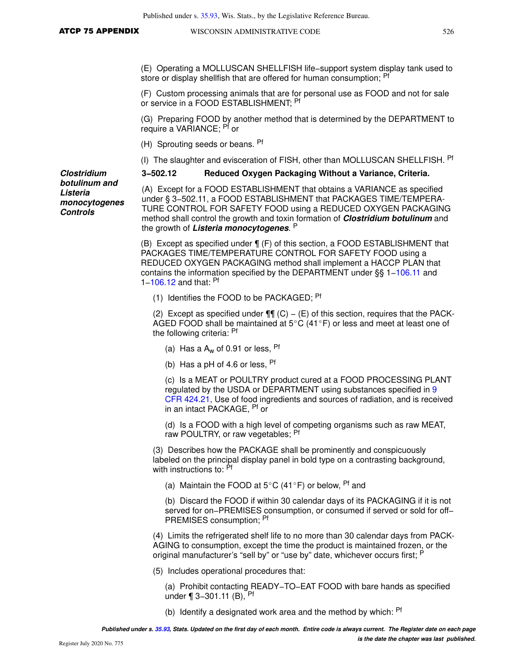(E) Operating a MOLLUSCAN SHELLFISH life−support system display tank used to store or display shellfish that are offered for human consumption; Pf

(F) Custom processing animals that are for personal use as FOOD and not for sale or service in a FOOD ESTABLISHMENT; <sup>Pf</sup>

(G) Preparing FOOD by another method that is determined by the DEPARTMENT to require a VARIANCE; Pf or

(H) Sprouting seeds or beans. Pf

(I) The slaughter and evisceration of FISH, other than MOLLUSCAN SHELLFISH. <sup>Pf</sup>

**3−502.12 Reduced Oxygen Packaging Without a Variance, Criteria.**

**Clostridium botulinum and Listeria monocytogenes Controls**

(A) Except for a FOOD ESTABLISHMENT that obtains a VARIANCE as specified under § 3−502.11, a FOOD ESTABLISHMENT that PACKAGES TIME/TEMPERA-TURE CONTROL FOR SAFETY FOOD using a REDUCED OXYGEN PACKAGING method shall control the growth and toxin formation of **Clostridium botulinum** and the growth of **Listeria monocytogenes**. P

(B) Except as specified under ¶ (F) of this section, a FOOD ESTABLISHMENT that PACKAGES TIME/TEMPERATURE CONTROL FOR SAFETY FOOD using a REDUCED OXYGEN PACKAGING method shall implement a HACCP PLAN that contains the information specified by the DEPARTMENT under §§ 1[−106.11](https://docs.legis.wisconsin.gov/document/statutes/106.11) and 1−[106.12](https://docs.legis.wisconsin.gov/document/statutes/106.12) and that: Pf

(1) Identifies the FOOD to be PACKAGED; <sup>Pf</sup>

(2) Except as specified under  $\P\P$  (C) – (E) of this section, requires that the PACK-AGED FOOD shall be maintained at  $5^{\circ}$ C (41 $^{\circ}$ F) or less and meet at least one of the following criteria: Pf

(a) Has a  $A_w$  of 0.91 or less,  $Pf$ 

(b) Has a pH of 4.6 or less,  $Pf$ 

(c) Is a MEAT or POULTRY product cured at a FOOD PROCESSING PLANT regulated by the USDA or DEPARTMENT using substances specified in [9](https://docs.legis.wisconsin.gov/document/cfr/9%20CFR%20424.21) [CFR 424.21](https://docs.legis.wisconsin.gov/document/cfr/9%20CFR%20424.21), Use of food ingredients and sources of radiation, and is received in an intact PACKAGE, Pf or

(d) Is a FOOD with a high level of competing organisms such as raw MEAT, raw POULTRY, or raw vegetables; <sup>Pf</sup>

(3) Describes how the PACKAGE shall be prominently and conspicuously labeled on the principal display panel in bold type on a contrasting background, with instructions to: Pf

(a) Maintain the FOOD at 5°C (41°F) or below, <sup>Pf</sup> and

(b) Discard the FOOD if within 30 calendar days of its PACKAGING if it is not served for on−PREMISES consumption, or consumed if served or sold for off– PREMISES consumption; Pf

(4) Limits the refrigerated shelf life to no more than 30 calendar days from PACK-AGING to consumption, except the time the product is maintained frozen, or the original manufacturer's "sell by" or "use by" date, whichever occurs first; F

(5) Includes operational procedures that:

(a) Prohibit contacting READY−TO−EAT FOOD with bare hands as specified under ¶ 3–301.11 (B), <sup>Pf</sup>

(b) Identify a designated work area and the method by which: <sup>Pf</sup>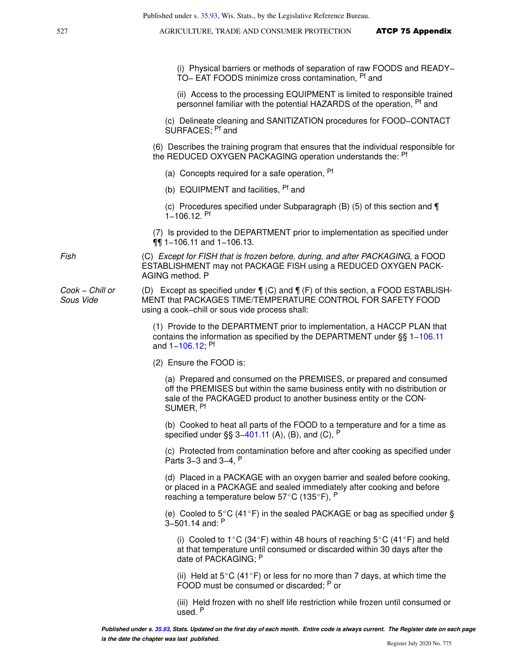(i) Physical barriers or methods of separation of raw FOODS and READY− TO− EAT FOODS minimize cross contamination, Pf and

(ii) Access to the processing EQUIPMENT is limited to responsible trained personnel familiar with the potential HAZARDS of the operation, <sup>Pf</sup> and

(c) Delineate cleaning and SANITIZATION procedures for FOOD−CONTACT SURFACES: <sup>Pf</sup> and

(6) Describes the training program that ensures that the individual responsible for the REDUCED OXYGEN PACKAGING operation understands the: <sup>Pf</sup>

- (a) Concepts required for a safe operation, <sup>Pf</sup>
- (b) EQUIPMENT and facilities, <sup>Pf</sup> and

(c) Procedures specified under Subparagraph (B) (5) of this section and ¶ 1−106.12. Pf

(7) Is provided to the DEPARTMENT prior to implementation as specified under ¶¶ 1−106.11 and 1−106.13.

Fish (C) Except for FISH that is frozen before, during, and after PACKAGING, a FOOD ESTABLISHMENT may not PACKAGE FISH using a REDUCED OXYGEN PACK-AGING method. P

Cook − Chill or (D) Except as specified under ¶ (C) and ¶ (F) of this section, a FOOD ESTABLISH-MENT that PACKAGES TIME/TEMPERATURE CONTROL FOR SAFETY FOOD using a cook−chill or sous vide process shall:

> (1) Provide to the DEPARTMENT prior to implementation, a HACCP PLAN that contains the information as specified by the DEPARTMENT under §§ 1[−106.11](https://docs.legis.wisconsin.gov/document/statutes/106.11) and 1−[106.12](https://docs.legis.wisconsin.gov/document/statutes/106.12); Pf

(2) Ensure the FOOD is:

(a) Prepared and consumed on the PREMISES, or prepared and consumed off the PREMISES but within the same business entity with no distribution or sale of the PACKAGED product to another business entity or the CON-SUMER, Pf

(b) Cooked to heat all parts of the FOOD to a temperature and for a time as specified under §§ 3–[401.11](https://docs.legis.wisconsin.gov/document/statutes/401.11) (A), (B), and (C),  $P$ 

(c) Protected from contamination before and after cooking as specified under Parts 3−3 and 3−4, <sup>P</sup>

(d) Placed in a PACKAGE with an oxygen barrier and sealed before cooking, or placed in a PACKAGE and sealed immediately after cooking and before reaching a temperature below  $57^{\circ}$ C (135°F), P

(e) Cooled to  $5^{\circ}$ C (41°F) in the sealed PACKAGE or bag as specified under § 3−501.14 and: <sup>P</sup>

(i) Cooled to 1°C (34°F) within 48 hours of reaching 5°C (41°F) and held at that temperature until consumed or discarded within 30 days after the date of PACKAGING; P

(ii) Held at  $5^{\circ}$ C (41 $^{\circ}$ F) or less for no more than 7 days, at which time the FOOD must be consumed or discarded; P or

(iii) Held frozen with no shelf life restriction while frozen until consumed or used. <sup>P</sup>

Sous Vide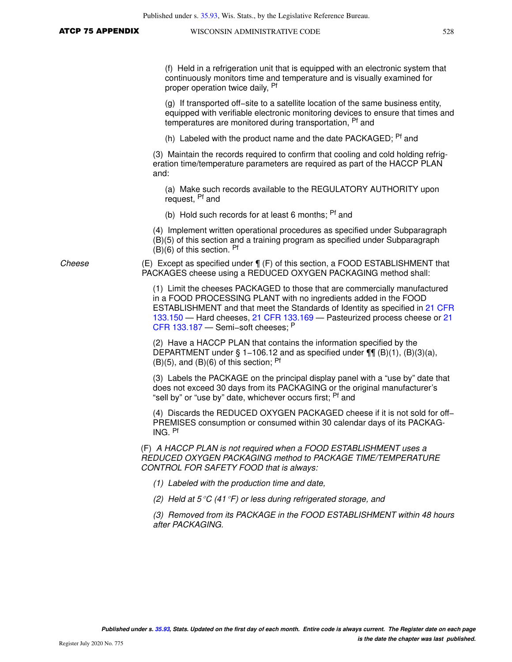| Published under s. 35.93, Wis. Stats., by the Legislative Reference Bureau.                                                                                                                                                                                                                                                                       |  |  |  |  |
|---------------------------------------------------------------------------------------------------------------------------------------------------------------------------------------------------------------------------------------------------------------------------------------------------------------------------------------------------|--|--|--|--|
| WISCONSIN ADMINISTRATIVE CODE<br>528                                                                                                                                                                                                                                                                                                              |  |  |  |  |
|                                                                                                                                                                                                                                                                                                                                                   |  |  |  |  |
| (f) Held in a refrigeration unit that is equipped with an electronic system that<br>continuously monitors time and temperature and is visually examined for<br>proper operation twice daily, <sup>Pf</sup>                                                                                                                                        |  |  |  |  |
| (g) If transported off-site to a satellite location of the same business entity,<br>equipped with verifiable electronic monitoring devices to ensure that times and<br>temperatures are monitored during transportation, <sup>Pf</sup> and                                                                                                        |  |  |  |  |
| (h) Labeled with the product name and the date PACKAGED; <sup>Pf</sup> and                                                                                                                                                                                                                                                                        |  |  |  |  |
| (3) Maintain the records required to confirm that cooling and cold holding refrig-<br>eration time/temperature parameters are required as part of the HACCP PLAN<br>and:                                                                                                                                                                          |  |  |  |  |
| (a) Make such records available to the REGULATORY AUTHORITY upon<br>request, <sup>Pf</sup> and                                                                                                                                                                                                                                                    |  |  |  |  |
| (b) Hold such records for at least 6 months; <sup>Pf</sup> and                                                                                                                                                                                                                                                                                    |  |  |  |  |
| (4) Implement written operational procedures as specified under Subparagraph<br>(B)(5) of this section and a training program as specified under Subparagraph<br>$(B)(6)$ of this section. Pf                                                                                                                                                     |  |  |  |  |
| (E) Except as specified under $\P$ (F) of this section, a FOOD ESTABLISHMENT that<br>PACKAGES cheese using a REDUCED OXYGEN PACKAGING method shall:                                                                                                                                                                                               |  |  |  |  |
| (1) Limit the cheeses PACKAGED to those that are commercially manufactured<br>in a FOOD PROCESSING PLANT with no ingredients added in the FOOD<br>ESTABLISHMENT and that meet the Standards of Identity as specified in 21 CFR<br>133.150 - Hard cheeses, 21 CFR 133.169 - Pasteurized process cheese or 21<br>CFR 133.187 - Semi-soft cheeses; P |  |  |  |  |
| (2) Have a HACCP PLAN that contains the information specified by the<br>DEPARTMENT under § 1-106.12 and as specified under $\P\P$ (B)(1), (B)(3)(a),<br>$(B)(5)$ , and $(B)(6)$ of this section; <sup>Pf</sup>                                                                                                                                    |  |  |  |  |
| (3) Labels the PACKAGE on the principal display panel with a "use by" date that<br>does not exceed 30 days from its PACKAGING or the original manufacturer's<br>"sell by" or "use by" date, whichever occurs first; <sup>Pf</sup> and                                                                                                             |  |  |  |  |
| (4) Discards the REDUCED OXYGEN PACKAGED cheese if it is not sold for off-<br>PREMISES consumption or consumed within 30 calendar days of its PACKAG-<br>ING. Pf                                                                                                                                                                                  |  |  |  |  |
| (F) A HACCP PLAN is not required when a FOOD ESTABLISHMENT uses a<br>REDUCED OXYGEN PACKAGING method to PACKAGE TIME/TEMPERATURE<br>CONTROL FOR SAFETY FOOD that is always:                                                                                                                                                                       |  |  |  |  |
| (1) Labeled with the production time and date,                                                                                                                                                                                                                                                                                                    |  |  |  |  |
| (2) Held at 5 °C (41 °F) or less during refrigerated storage, and                                                                                                                                                                                                                                                                                 |  |  |  |  |
| (3) Removed from its PACKAGE in the FOOD ESTABLISHMENT within 48 hours<br>after PACKAGING.                                                                                                                                                                                                                                                        |  |  |  |  |
|                                                                                                                                                                                                                                                                                                                                                   |  |  |  |  |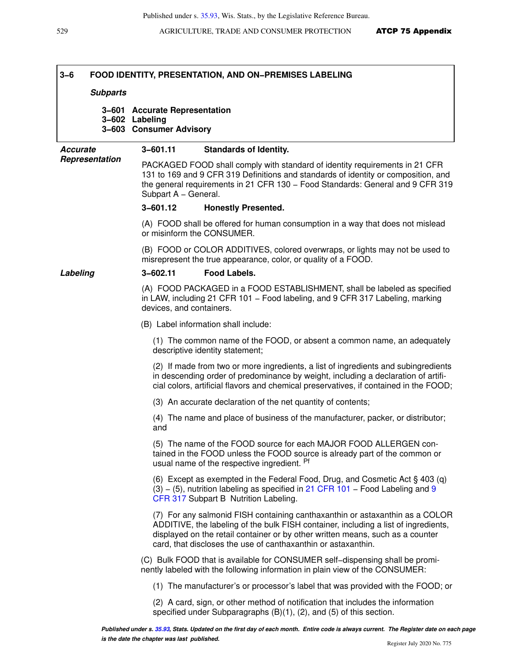# **3−6 FOOD IDENTITY, PRESENTATION, AND ON−PREMISES LABELING**

#### **Subparts**

**3−601 Accurate Representation 3−602 Labeling 3−603 Consumer Advisory**

#### **Accurate Representation 3−601.11 Standards of Identity.**

PACKAGED FOOD shall comply with standard of identity requirements in 21 CFR 131 to 169 and 9 CFR 319 Definitions and standards of identity or composition, and the general requirements in 21 CFR 130 - Food Standards: General and 9 CFR 319 Subpart A – General.

#### **3−601.12 Honestly Presented.**

(A) FOOD shall be offered for human consumption in a way that does not mislead or misinform the CONSUMER.

(B) FOOD or COLOR ADDITIVES, colored overwraps, or lights may not be used to misrepresent the true appearance, color, or quality of a FOOD.

#### **Labeling 3−602.11 Food Labels.**

(A) FOOD PACKAGED in a FOOD ESTABLISHMENT, shall be labeled as specified in LAW, including 21 CFR 101 - Food labeling, and 9 CFR 317 Labeling, marking devices, and containers.

(B) Label information shall include:

(1) The common name of the FOOD, or absent a common name, an adequately descriptive identity statement;

(2) If made from two or more ingredients, a list of ingredients and subingredients in descending order of predominance by weight, including a declaration of artificial colors, artificial flavors and chemical preservatives, if contained in the FOOD;

(3) An accurate declaration of the net quantity of contents;

(4) The name and place of business of the manufacturer, packer, or distributor; and

(5) The name of the FOOD source for each MAJOR FOOD ALLERGEN contained in the FOOD unless the FOOD source is already part of the common or usual name of the respective ingredient. Pf

(6) Except as exempted in the Federal Food, Drug, and Cosmetic Act § 403 (q) (3)  $-$  (5), nutrition labeling as specified in [21 CFR 101](https://docs.legis.wisconsin.gov/document/cfr/21%20CFR%20101)  $-$  Food Labeling and [9](https://docs.legis.wisconsin.gov/document/cfr/9%20CFR%20317) [CFR 317](https://docs.legis.wisconsin.gov/document/cfr/9%20CFR%20317) Subpart B Nutrition Labeling.

(7) For any salmonid FISH containing canthaxanthin or astaxanthin as a COLOR ADDITIVE, the labeling of the bulk FISH container, including a list of ingredients, displayed on the retail container or by other written means, such as a counter card, that discloses the use of canthaxanthin or astaxanthin.

(C) Bulk FOOD that is available for CONSUMER self−dispensing shall be prominently labeled with the following information in plain view of the CONSUMER:

(1) The manufacturer's or processor's label that was provided with the FOOD; or

(2) A card, sign, or other method of notification that includes the information specified under Subparagraphs (B)(1), (2), and (5) of this section.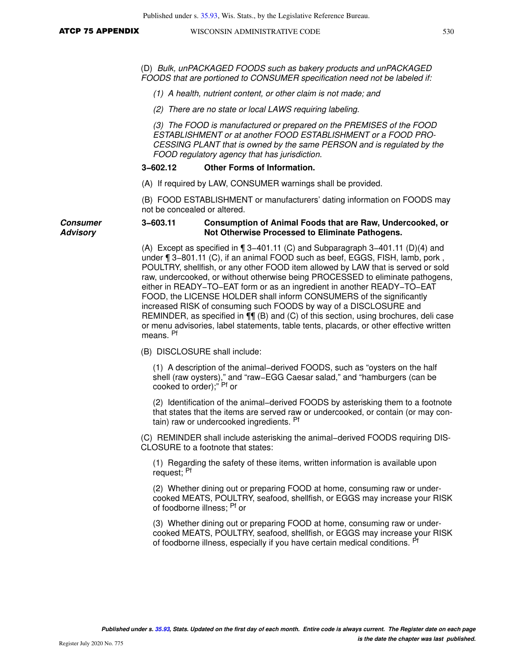**Consumer Advisory**

(D) Bulk, unPACKAGED FOODS such as bakery products and unPACKAGED FOODS that are portioned to CONSUMER specification need not be labeled if:

(1) A health, nutrient content, or other claim is not made; and

(2) There are no state or local LAWS requiring labeling.

(3) The FOOD is manufactured or prepared on the PREMISES of the FOOD ESTABLISHMENT or at another FOOD ESTABLISHMENT or a FOOD PRO-CESSING PLANT that is owned by the same PERSON and is regulated by the FOOD regulatory agency that has jurisdiction.

#### **3−602.12 Other Forms of Information.**

(A) If required by LAW, CONSUMER warnings shall be provided.

(B) FOOD ESTABLISHMENT or manufacturers' dating information on FOODS may not be concealed or altered.

#### **3−603.11 Consumption of Animal Foods that are Raw, Undercooked, or Not Otherwise Processed to Eliminate Pathogens.**

(A) Except as specified in ¶ 3−401.11 (C) and Subparagraph 3−401.11 (D)(4) and under ¶ 3−801.11 (C), if an animal FOOD such as beef, EGGS, FISH, lamb, pork , POULTRY, shellfish, or any other FOOD item allowed by LAW that is served or sold raw, undercooked, or without otherwise being PROCESSED to eliminate pathogens, either in READY−TO−EAT form or as an ingredient in another READY−TO−EAT FOOD, the LICENSE HOLDER shall inform CONSUMERS of the significantly increased RISK of consuming such FOODS by way of a DISCLOSURE and REMINDER, as specified in ¶¶ (B) and (C) of this section, using brochures, deli case or menu advisories, label statements, table tents, placards, or other effective written means. Pf

(B) DISCLOSURE shall include:

(1) A description of the animal−derived FOODS, such as "oysters on the half shell (raw oysters)," and "raw−EGG Caesar salad," and "hamburgers (can be cooked to order);" Pf or

(2) Identification of the animal−derived FOODS by asterisking them to a footnote that states that the items are served raw or undercooked, or contain (or may contain) raw or undercooked ingredients. Pf

(C) REMINDER shall include asterisking the animal−derived FOODS requiring DIS-CLOSURE to a footnote that states:

(1) Regarding the safety of these items, written information is available upon request; Pf

(2) Whether dining out or preparing FOOD at home, consuming raw or undercooked MEATS, POULTRY, seafood, shellfish, or EGGS may increase your RISK of foodborne illness; Pf or

(3) Whether dining out or preparing FOOD at home, consuming raw or undercooked MEATS, POULTRY, seafood, shellfish, or EGGS may increase your RISK of foodborne illness, especially if you have certain medical conditions.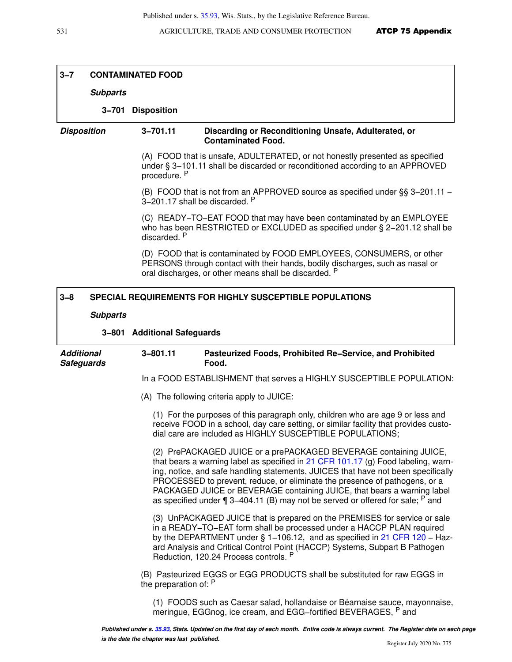|                                        | <b>CONTAMINATED FOOD</b> |                             |                                                                                                                                                                                                                                                                                                                                    |
|----------------------------------------|--------------------------|-----------------------------|------------------------------------------------------------------------------------------------------------------------------------------------------------------------------------------------------------------------------------------------------------------------------------------------------------------------------------|
|                                        | <b>Subparts</b>          |                             |                                                                                                                                                                                                                                                                                                                                    |
|                                        |                          | 3-701 Disposition           |                                                                                                                                                                                                                                                                                                                                    |
| <b>Disposition</b>                     |                          | $3 - 701.11$                | Discarding or Reconditioning Unsafe, Adulterated, or<br><b>Contaminated Food.</b>                                                                                                                                                                                                                                                  |
|                                        |                          | procedure. P                | (A) FOOD that is unsafe, ADULTERATED, or not honestly presented as specified<br>under § 3-101.11 shall be discarded or reconditioned according to an APPROVED                                                                                                                                                                      |
|                                        |                          |                             | (B) FOOD that is not from an APPROVED source as specified under §§ 3-201.11 -<br>3-201.17 shall be discarded. P                                                                                                                                                                                                                    |
|                                        |                          | discarded. P                | (C) READY-TO-EAT FOOD that may have been contaminated by an EMPLOYEE<br>who has been RESTRICTED or EXCLUDED as specified under $\S$ 2-201.12 shall be                                                                                                                                                                              |
|                                        |                          |                             | (D) FOOD that is contaminated by FOOD EMPLOYEES, CONSUMERS, or other<br>PERSONS through contact with their hands, bodily discharges, such as nasal or<br>oral discharges, or other means shall be discarded. P                                                                                                                     |
| $3 - 8$                                |                          |                             | <b>SPECIAL REQUIREMENTS FOR HIGHLY SUSCEPTIBLE POPULATIONS</b>                                                                                                                                                                                                                                                                     |
|                                        | <b>Subparts</b>          |                             |                                                                                                                                                                                                                                                                                                                                    |
|                                        |                          | 3-801 Additional Safeguards |                                                                                                                                                                                                                                                                                                                                    |
| <b>Additional</b><br><b>Safeguards</b> |                          | $3 - 801.11$                | Pasteurized Foods, Prohibited Re-Service, and Prohibited<br>Food.                                                                                                                                                                                                                                                                  |
|                                        |                          |                             |                                                                                                                                                                                                                                                                                                                                    |
|                                        |                          |                             | In a FOOD ESTABLISHMENT that serves a HIGHLY SUSCEPTIBLE POPULATION:                                                                                                                                                                                                                                                               |
|                                        |                          |                             | (A) The following criteria apply to JUICE:                                                                                                                                                                                                                                                                                         |
|                                        |                          |                             | (1) For the purposes of this paragraph only, children who are age 9 or less and<br>receive FOOD in a school, day care setting, or similar facility that provides custo-<br>dial care are included as HIGHLY SUSCEPTIBLE POPULATIONS;                                                                                               |
|                                        |                          |                             | (2) PrePACKAGED JUICE or a prePACKAGED BEVERAGE containing JUICE,<br>PROCESSED to prevent, reduce, or eliminate the presence of pathogens, or a<br>PACKAGED JUICE or BEVERAGE containing JUICE, that bears a warning label<br>as specified under $\P$ 3–404.11 (B) may not be served or offered for sale; $P$ and                  |
|                                        |                          |                             | (3) UnPACKAGED JUICE that is prepared on the PREMISES for service or sale<br>in a READY-TO-EAT form shall be processed under a HACCP PLAN required<br>ard Analysis and Critical Control Point (HACCP) Systems, Subpart B Pathogen<br>Reduction, 120.24 Process controls. P                                                         |
|                                        |                          | the preparation of: P       | that bears a warning label as specified in $21$ CFR 101.17 (g) Food labeling, warn-<br>ing, notice, and safe handling statements, JUICES that have not been specifically<br>by the DEPARTMENT under § 1-106.12, and as specified in 21 CFR 120 - Haz-<br>(B) Pasteurized EGGS or EGG PRODUCTS shall be substituted for raw EGGS in |

Γ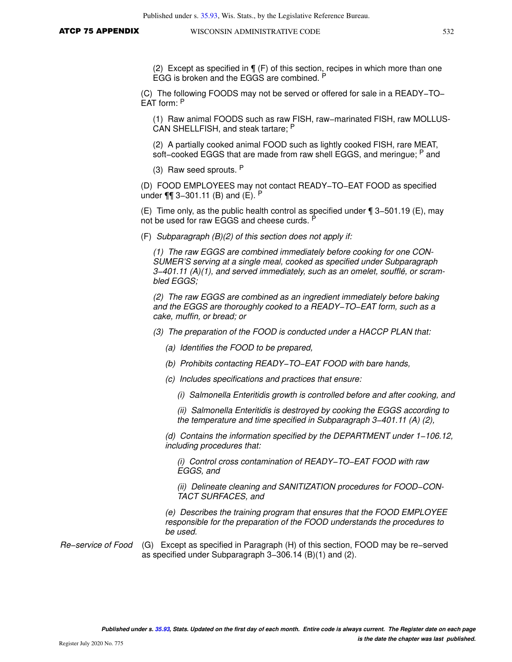(2) Except as specified in ¶ (F) of this section, recipes in which more than one EGG is broken and the EGGS are combined. <sup>P</sup>

(C) The following FOODS may not be served or offered for sale in a READY−TO− EAT form: <sup>P</sup>

(1) Raw animal FOODS such as raw FISH, raw−marinated FISH, raw MOLLUS-CAN SHELLFISH, and steak tartare; <sup>P</sup>

(2) A partially cooked animal FOOD such as lightly cooked FISH, rare MEAT, soft–cooked EGGS that are made from raw shell EGGS, and meringue; P and

(3) Raw seed sprouts. <sup>P</sup>

(D) FOOD EMPLOYEES may not contact READY−TO−EAT FOOD as specified under ¶¶ 3−301.11 (B) and (E). <sup>P</sup>

(E) Time only, as the public health control as specified under ¶ 3−501.19 (E), may not be used for raw EGGS and cheese curds. P

(F) Subparagraph (B)(2) of this section does not apply if:

(1) The raw EGGS are combined immediately before cooking for one CON-SUMER'S serving at a single meal, cooked as specified under Subparagraph 3−401.11 (A)(1), and served immediately, such as an omelet, soufflé, or scrambled EGGS;

(2) The raw EGGS are combined as an ingredient immediately before baking and the EGGS are thoroughly cooked to a READY−TO−EAT form, such as a cake, muffin, or bread; or

(3) The preparation of the FOOD is conducted under a HACCP PLAN that:

- (a) Identifies the FOOD to be prepared,
- (b) Prohibits contacting READY−TO−EAT FOOD with bare hands,
- (c) Includes specifications and practices that ensure:
	- (i) Salmonella Enteritidis growth is controlled before and after cooking, and

(ii) Salmonella Enteritidis is destroyed by cooking the EGGS according to the temperature and time specified in Subparagraph 3−401.11 (A) (2),

(d) Contains the information specified by the DEPARTMENT under 1−106.12, including procedures that:

(i) Control cross contamination of READY−TO−EAT FOOD with raw EGGS, and

(ii) Delineate cleaning and SANITIZATION procedures for FOOD−CON-TACT SURFACES, and

(e) Describes the training program that ensures that the FOOD EMPLOYEE responsible for the preparation of the FOOD understands the procedures to be used.

Re−service of Food (G) Except as specified in Paragraph (H) of this section, FOOD may be re−served as specified under Subparagraph 3−306.14 (B)(1) and (2).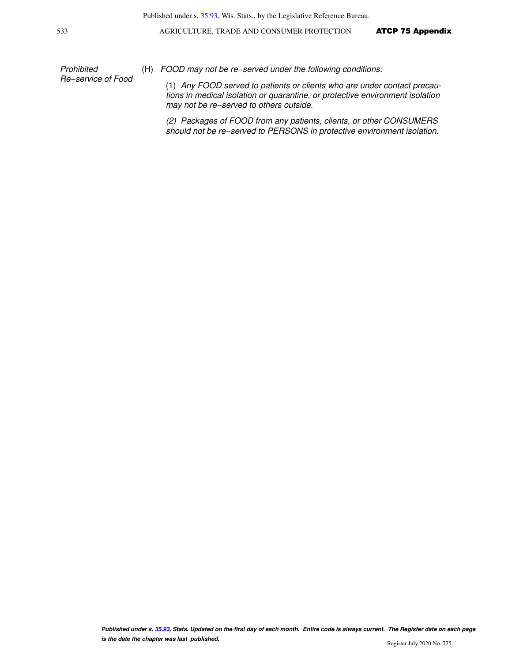Prohibited Re−service of Food

(H) FOOD may not be re−served under the following conditions:

(1) Any FOOD served to patients or clients who are under contact precautions in medical isolation or quarantine, or protective environment isolation may not be re−served to others outside.

(2) Packages of FOOD from any patients, clients, or other CONSUMERS should not be re−served to PERSONS in protective environment isolation.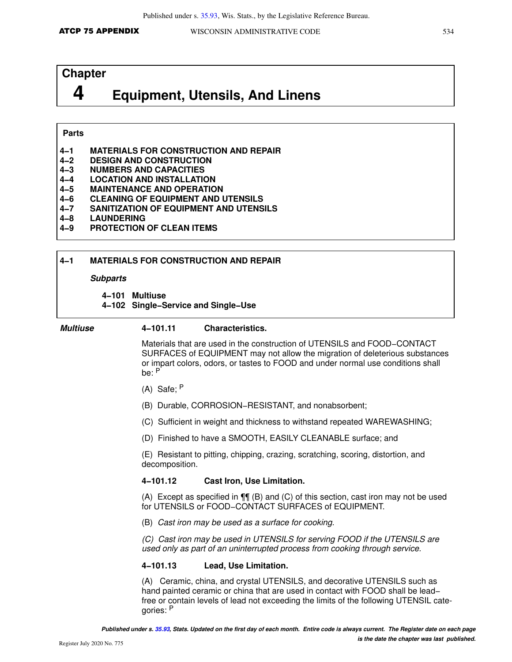# **Chapter**

# **4 Equipment, Utensils, And Linens**

#### **Parts**

- **4−1 MATERIALS FOR CONSTRUCTION AND REPAIR**
- **4−2 DESIGN AND CONSTRUCTION**
- **4−3 NUMBERS AND CAPACITIES**
- **4−4 LOCATION AND INSTALLATION**
- **4−5 MAINTENANCE AND OPERATION**
- **4−6 CLEANING OF EQUIPMENT AND UTENSILS**
- **4−7 SANITIZATION OF EQUIPMENT AND UTENSILS**
- **4−8 LAUNDERING**
- **4−9 PROTECTION OF CLEAN ITEMS**

#### **4−1 MATERIALS FOR CONSTRUCTION AND REPAIR**

#### **Subparts**

#### **4−101 Multiuse**

**4−102 Single−Service and Single−Use**

#### **Multiuse 4−101.11 Characteristics.**

Materials that are used in the construction of UTENSILS and FOOD−CONTACT SURFACES of EQUIPMENT may not allow the migration of deleterious substances or impart colors, odors, or tastes to FOOD and under normal use conditions shall be: <sup>P</sup>

- (A) Safe; <sup>P</sup>
- (B) Durable, CORROSION−RESISTANT, and nonabsorbent;
- (C) Sufficient in weight and thickness to withstand repeated WAREWASHING;
- (D) Finished to have a SMOOTH, EASILY CLEANABLE surface; and

(E) Resistant to pitting, chipping, crazing, scratching, scoring, distortion, and decomposition.

#### **4−101.12 Cast Iron, Use Limitation.**

(A) Except as specified in ¶¶ (B) and (C) of this section, cast iron may not be used for UTENSILS or FOOD−CONTACT SURFACES of EQUIPMENT.

(B) Cast iron may be used as a surface for cooking.

(C) Cast iron may be used in UTENSILS for serving FOOD if the UTENSILS are used only as part of an uninterrupted process from cooking through service.

#### **4−101.13 Lead, Use Limitation.**

(A) Ceramic, china, and crystal UTENSILS, and decorative UTENSILS such as hand painted ceramic or china that are used in contact with FOOD shall be lead− free or contain levels of lead not exceeding the limits of the following UTENSIL categories: <sup>P</sup>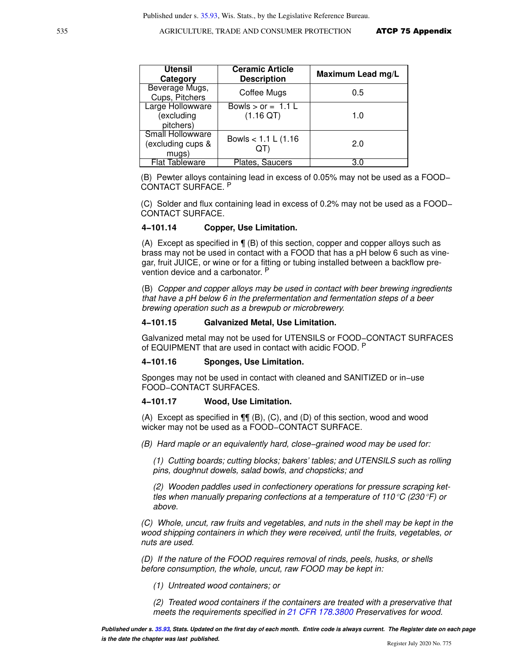| <b>Utensil</b><br>Category                     | <b>Ceramic Article</b><br><b>Description</b> | Maximum Lead mg/L |
|------------------------------------------------|----------------------------------------------|-------------------|
| Beverage Mugs,<br>Cups, Pitchers               | Coffee Mugs                                  | 0.5               |
| Large Hollowware<br>(excluding<br>pitchers)    | Bowls $>$ or = 1.1 L<br>$(1.16 \text{ QT})$  | 1.0               |
| Small Hollowware<br>(excluding cups &<br>mugs) | Bowls $< 1.1 L (1.16)$<br>QT                 | 2.0               |
| <b>Flat Tableware</b>                          | Plates, Saucers                              | 3.0               |

(B) Pewter alloys containing lead in excess of 0.05% may not be used as a FOOD− CONTACT SURFACE. <sup>P</sup>

(C) Solder and flux containing lead in excess of 0.2% may not be used as a FOOD− CONTACT SURFACE.

#### **4−101.14 Copper, Use Limitation.**

(A) Except as specified in ¶ (B) of this section, copper and copper alloys such as brass may not be used in contact with a FOOD that has a pH below 6 such as vinegar, fruit JUICE, or wine or for a fitting or tubing installed between a backflow prevention device and a carbonator. P

(B) Copper and copper alloys may be used in contact with beer brewing ingredients that have a pH below 6 in the prefermentation and fermentation steps of a beer brewing operation such as a brewpub or microbrewery.

#### **4−101.15 Galvanized Metal, Use Limitation.**

Galvanized metal may not be used for UTENSILS or FOOD−CONTACT SURFACES of EQUIPMENT that are used in contact with acidic FOOD. P

#### **4−101.16 Sponges, Use Limitation.**

Sponges may not be used in contact with cleaned and SANITIZED or in−use FOOD−CONTACT SURFACES.

#### **4−101.17 Wood, Use Limitation.**

(A) Except as specified in  $\P\P$  (B), (C), and (D) of this section, wood and wood wicker may not be used as a FOOD−CONTACT SURFACE.

(B) Hard maple or an equivalently hard, close−grained wood may be used for:

(1) Cutting boards; cutting blocks; bakers' tables; and UTENSILS such as rolling pins, doughnut dowels, salad bowls, and chopsticks; and

(2) Wooden paddles used in confectionery operations for pressure scraping kettles when manually preparing confections at a temperature of 110 °C (230 °F) or above.

(C) Whole, uncut, raw fruits and vegetables, and nuts in the shell may be kept in the wood shipping containers in which they were received, until the fruits, vegetables, or nuts are used.

(D) If the nature of the FOOD requires removal of rinds, peels, husks, or shells before consumption, the whole, uncut, raw FOOD may be kept in:

(1) Untreated wood containers; or

(2) Treated wood containers if the containers are treated with a preservative that meets the requirements specified in [21 CFR 178.3800](https://docs.legis.wisconsin.gov/document/cfr/21%20CFR%20178.3800) Preservatives for wood.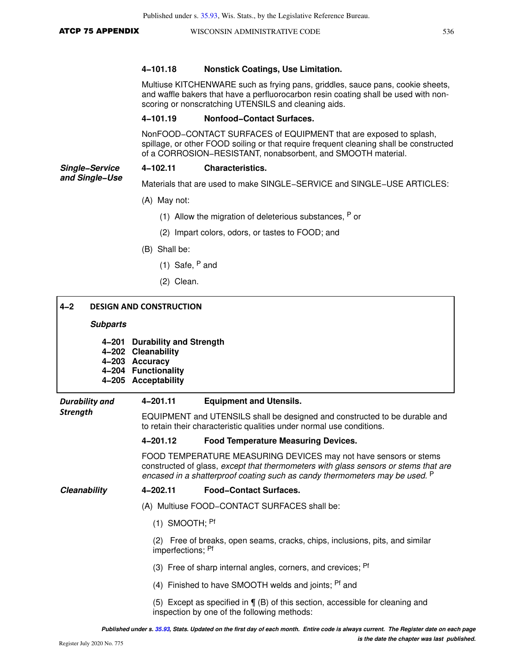**and Single−Use**

#### **4−101.18 Nonstick Coatings, Use Limitation.**

Multiuse KITCHENWARE such as frying pans, griddles, sauce pans, cookie sheets, and waffle bakers that have a perfluorocarbon resin coating shall be used with nonscoring or nonscratching UTENSILS and cleaning aids.

#### **4−101.19 Nonfood−Contact Surfaces.**

NonFOOD−CONTACT SURFACES of EQUIPMENT that are exposed to splash, spillage, or other FOOD soiling or that require frequent cleaning shall be constructed of a CORROSION−RESISTANT, nonabsorbent, and SMOOTH material.

#### **Single−Service 4−102.11 Characteristics.**

Materials that are used to make SINGLE−SERVICE and SINGLE−USE ARTICLES:

- (A) May not:
	- (1) Allow the migration of deleterious substances,  $P$  or
	- (2) Impart colors, odors, or tastes to FOOD; and
- (B) Shall be:
	- (1) Safe,  $P$  and
	- (2) Clean.

| $4 - 2$               |                 | <b>DESIGN AND CONSTRUCTION</b>                                                                                       |                                                                                                                                                                                                                                                   |
|-----------------------|-----------------|----------------------------------------------------------------------------------------------------------------------|---------------------------------------------------------------------------------------------------------------------------------------------------------------------------------------------------------------------------------------------------|
|                       | <b>Subparts</b> |                                                                                                                      |                                                                                                                                                                                                                                                   |
|                       | 4–201           | <b>Durability and Strength</b><br>4-202 Cleanability<br>4-203 Accuracy<br>4-204 Functionality<br>4-205 Acceptability |                                                                                                                                                                                                                                                   |
| <b>Durability and</b> |                 | 4-201.11                                                                                                             | <b>Equipment and Utensils.</b>                                                                                                                                                                                                                    |
| <b>Strength</b>       |                 |                                                                                                                      | EQUIPMENT and UTENSILS shall be designed and constructed to be durable and<br>to retain their characteristic qualities under normal use conditions.                                                                                               |
|                       |                 | 4-201.12                                                                                                             | <b>Food Temperature Measuring Devices.</b>                                                                                                                                                                                                        |
|                       |                 |                                                                                                                      | FOOD TEMPERATURE MEASURING DEVICES may not have sensors or stems<br>constructed of glass, except that thermometers with glass sensors or stems that are<br>encased in a shatterproof coating such as candy thermometers may be used. <sup>P</sup> |
| Cleanability          |                 | 4-202.11                                                                                                             | <b>Food-Contact Surfaces.</b>                                                                                                                                                                                                                     |
|                       |                 |                                                                                                                      | (A) Multiuse FOOD-CONTACT SURFACES shall be:                                                                                                                                                                                                      |
|                       |                 | $(1)$ SMOOTH; <sup>Pf</sup>                                                                                          |                                                                                                                                                                                                                                                   |
|                       |                 | imperfections; Pf                                                                                                    | (2) Free of breaks, open seams, cracks, chips, inclusions, pits, and similar                                                                                                                                                                      |
|                       |                 |                                                                                                                      | (3) Free of sharp internal angles, corners, and crevices; Pf                                                                                                                                                                                      |
|                       |                 |                                                                                                                      | (4) Finished to have SMOOTH welds and joints; <sup>Pf</sup> and                                                                                                                                                                                   |
|                       |                 |                                                                                                                      | (5) Except as specified in $\P$ (B) of this section, accessible for cleaning and<br>inspection by one of the following methods:                                                                                                                   |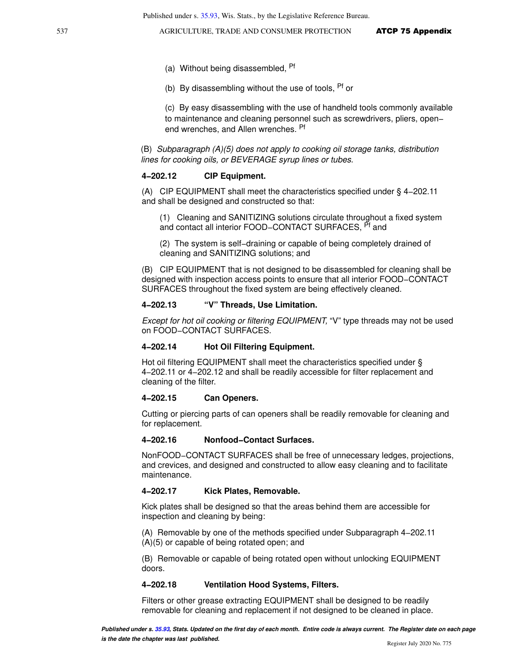- (a) Without being disassembled, <sup>Pf</sup>
- (b) By disassembling without the use of tools,  $P<sup>f</sup>$  or

(c) By easy disassembling with the use of handheld tools commonly available to maintenance and cleaning personnel such as screwdrivers, pliers, open− end wrenches, and Allen wrenches. Pf

(B) Subparagraph (A)(5) does not apply to cooking oil storage tanks, distribution lines for cooking oils, or BEVERAGE syrup lines or tubes.

#### **4−202.12 CIP Equipment.**

(A) CIP EQUIPMENT shall meet the characteristics specified under § 4−202.11 and shall be designed and constructed so that:

(1) Cleaning and SANITIZING solutions circulate throughout a fixed system and contact all interior FOOD–CONTACT SURFACES, <sup>Pt</sup> and

(2) The system is self−draining or capable of being completely drained of cleaning and SANITIZING solutions; and

(B) CIP EQUIPMENT that is not designed to be disassembled for cleaning shall be designed with inspection access points to ensure that all interior FOOD−CONTACT SURFACES throughout the fixed system are being effectively cleaned.

#### **4−202.13 "V" Threads, Use Limitation.**

Except for hot oil cooking or filtering EQUIPMENT, "V" type threads may not be used on FOOD−CONTACT SURFACES.

#### **4−202.14 Hot Oil Filtering Equipment.**

Hot oil filtering EQUIPMENT shall meet the characteristics specified under § 4−202.11 or 4−202.12 and shall be readily accessible for filter replacement and cleaning of the filter.

#### **4−202.15 Can Openers.**

Cutting or piercing parts of can openers shall be readily removable for cleaning and for replacement.

#### **4−202.16 Nonfood−Contact Surfaces.**

NonFOOD−CONTACT SURFACES shall be free of unnecessary ledges, projections, and crevices, and designed and constructed to allow easy cleaning and to facilitate maintenance.

#### **4−202.17 Kick Plates, Removable.**

Kick plates shall be designed so that the areas behind them are accessible for inspection and cleaning by being:

(A) Removable by one of the methods specified under Subparagraph 4−202.11 (A)(5) or capable of being rotated open; and

(B) Removable or capable of being rotated open without unlocking EQUIPMENT doors.

#### **4−202.18 Ventilation Hood Systems, Filters.**

Filters or other grease extracting EQUIPMENT shall be designed to be readily removable for cleaning and replacement if not designed to be cleaned in place.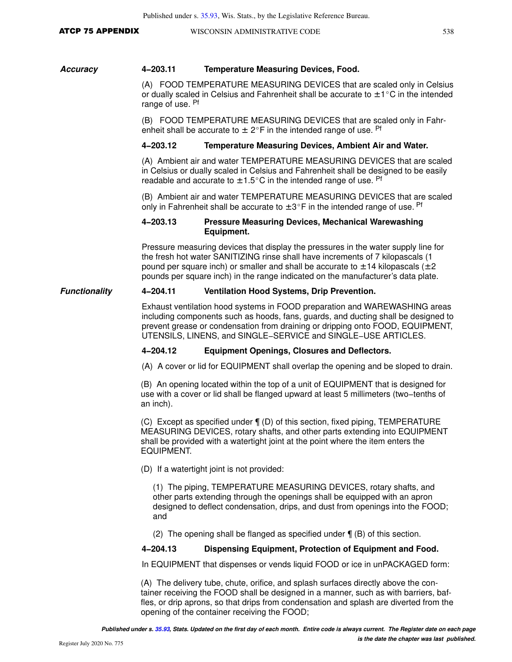#### ATCP 75 APPENDIX WISCONSIN ADMINISTRATIVE CODE 538

#### **Accuracy 4−203.11 Temperature Measuring Devices, Food.**

(A) FOOD TEMPERATURE MEASURING DEVICES that are scaled only in Celsius or dually scaled in Celsius and Fahrenheit shall be accurate to  $\pm 1^{\circ}$ C in the intended range of use. Pf

(B) FOOD TEMPERATURE MEASURING DEVICES that are scaled only in Fahrenheit shall be accurate to  $\pm 2^{\circ}$ F in the intended range of use. Pf

#### **4−203.12 Temperature Measuring Devices, Ambient Air and Water.**

(A) Ambient air and water TEMPERATURE MEASURING DEVICES that are scaled in Celsius or dually scaled in Celsius and Fahrenheit shall be designed to be easily readable and accurate to  $\pm$  1.5°C in the intended range of use. Pf

(B) Ambient air and water TEMPERATURE MEASURING DEVICES that are scaled only in Fahrenheit shall be accurate to  $\pm 3^{\circ}$ F in the intended range of use. Pf

#### **4−203.13 Pressure Measuring Devices, Mechanical Warewashing Equipment.**

Pressure measuring devices that display the pressures in the water supply line for the fresh hot water SANITIZING rinse shall have increments of 7 kilopascals (1 pound per square inch) or smaller and shall be accurate to  $\pm$  14 kilopascals ( $\pm$  2 pounds per square inch) in the range indicated on the manufacturer's data plate.

#### **Functionality 4−204.11 Ventilation Hood Systems, Drip Prevention.**

Exhaust ventilation hood systems in FOOD preparation and WAREWASHING areas including components such as hoods, fans, guards, and ducting shall be designed to prevent grease or condensation from draining or dripping onto FOOD, EQUIPMENT, UTENSILS, LINENS, and SINGLE−SERVICE and SINGLE−USE ARTICLES.

#### **4−204.12 Equipment Openings, Closures and Deflectors.**

(A) A cover or lid for EQUIPMENT shall overlap the opening and be sloped to drain.

(B) An opening located within the top of a unit of EQUIPMENT that is designed for use with a cover or lid shall be flanged upward at least 5 millimeters (two−tenths of an inch).

(C) Except as specified under ¶ (D) of this section, fixed piping, TEMPERATURE MEASURING DEVICES, rotary shafts, and other parts extending into EQUIPMENT shall be provided with a watertight joint at the point where the item enters the EQUIPMENT.

(D) If a watertight joint is not provided:

(1) The piping, TEMPERATURE MEASURING DEVICES, rotary shafts, and other parts extending through the openings shall be equipped with an apron designed to deflect condensation, drips, and dust from openings into the FOOD; and

(2) The opening shall be flanged as specified under ¶ (B) of this section.

#### **4−204.13 Dispensing Equipment, Protection of Equipment and Food.**

In EQUIPMENT that dispenses or vends liquid FOOD or ice in unPACKAGED form:

(A) The delivery tube, chute, orifice, and splash surfaces directly above the container receiving the FOOD shall be designed in a manner, such as with barriers, baffles, or drip aprons, so that drips from condensation and splash are diverted from the opening of the container receiving the FOOD;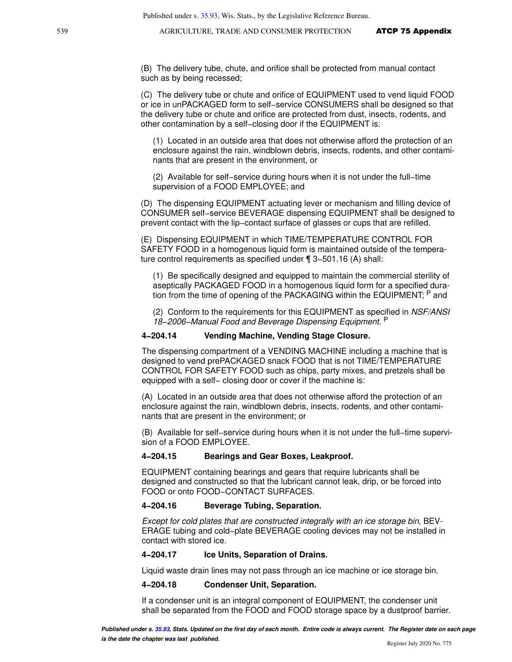(B) The delivery tube, chute, and orifice shall be protected from manual contact such as by being recessed;

(C) The delivery tube or chute and orifice of EQUIPMENT used to vend liquid FOOD or ice in unPACKAGED form to self−service CONSUMERS shall be designed so that the delivery tube or chute and orifice are protected from dust, insects, rodents, and other contamination by a self−closing door if the EQUIPMENT is:

(1) Located in an outside area that does not otherwise afford the protection of an enclosure against the rain, windblown debris, insects, rodents, and other contaminants that are present in the environment, or

(2) Available for self−service during hours when it is not under the full−time supervision of a FOOD EMPLOYEE; and

(D) The dispensing EQUIPMENT actuating lever or mechanism and filling device of CONSUMER self−service BEVERAGE dispensing EQUIPMENT shall be designed to prevent contact with the lip−contact surface of glasses or cups that are refilled.

(E) Dispensing EQUIPMENT in which TIME/TEMPERATURE CONTROL FOR SAFETY FOOD in a homogenous liquid form is maintained outside of the temperature control requirements as specified under ¶ 3−501.16 (A) shall:

(1) Be specifically designed and equipped to maintain the commercial sterility of aseptically PACKAGED FOOD in a homogenous liquid form for a specified duration from the time of opening of the PACKAGING within the EQUIPMENT; <sup>P</sup> and

(2) Conform to the requirements for this EQUIPMENT as specified in NSF/ANSI 18−2006−Manual Food and Beverage Dispensing Equipment. P

#### **4−204.14 Vending Machine, Vending Stage Closure.**

The dispensing compartment of a VENDING MACHINE including a machine that is designed to vend prePACKAGED snack FOOD that is not TIME/TEMPERATURE CONTROL FOR SAFETY FOOD such as chips, party mixes, and pretzels shall be equipped with a self– closing door or cover if the machine is:

(A) Located in an outside area that does not otherwise afford the protection of an enclosure against the rain, windblown debris, insects, rodents, and other contaminants that are present in the environment; or

(B) Available for self−service during hours when it is not under the full−time supervision of a FOOD EMPLOYEE.

#### **4−204.15 Bearings and Gear Boxes, Leakproof.**

EQUIPMENT containing bearings and gears that require lubricants shall be designed and constructed so that the lubricant cannot leak, drip, or be forced into FOOD or onto FOOD−CONTACT SURFACES.

#### **4−204.16 Beverage Tubing, Separation.**

Except for cold plates that are constructed integrally with an ice storage bin, BEV-ERAGE tubing and cold−plate BEVERAGE cooling devices may not be installed in contact with stored ice.

#### **4−204.17 Ice Units, Separation of Drains.**

Liquid waste drain lines may not pass through an ice machine or ice storage bin.

#### **4−204.18 Condenser Unit, Separation.**

If a condenser unit is an integral component of EQUIPMENT, the condenser unit shall be separated from the FOOD and FOOD storage space by a dustproof barrier.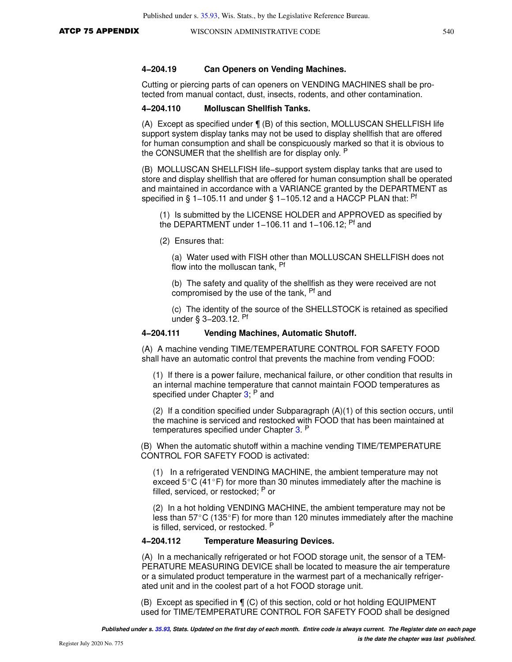Cutting or piercing parts of can openers on VENDING MACHINES shall be protected from manual contact, dust, insects, rodents, and other contamination.

#### **4−204.110 Molluscan Shellfish Tanks.**

(A) Except as specified under ¶ (B) of this section, MOLLUSCAN SHELLFISH life support system display tanks may not be used to display shellfish that are offered for human consumption and shall be conspicuously marked so that it is obvious to the CONSUMER that the shellfish are for display only. <sup>P</sup>

(B) MOLLUSCAN SHELLFISH life−support system display tanks that are used to store and display shellfish that are offered for human consumption shall be operated and maintained in accordance with a VARIANCE granted by the DEPARTMENT as specified in § 1–105.11 and under § 1–105.12 and a HACCP PLAN that: <sup>Pf</sup>

(1) Is submitted by the LICENSE HOLDER and APPROVED as specified by the DEPARTMENT under 1−106.11 and 1−106.12; Pf and

(2) Ensures that:

(a) Water used with FISH other than MOLLUSCAN SHELLFISH does not flow into the molluscan tank. Pf

(b) The safety and quality of the shellfish as they were received are not compromised by the use of the tank, Pf and

(c) The identity of the source of the SHELLSTOCK is retained as specified under § 3−203.12. Pf

#### **4−204.111 Vending Machines, Automatic Shutoff.**

(A) A machine vending TIME/TEMPERATURE CONTROL FOR SAFETY FOOD shall have an automatic control that prevents the machine from vending FOOD:

(1) If there is a power failure, mechanical failure, or other condition that results in an internal machine temperature that cannot maintain FOOD temperatures as specified under Chapter [3](https://docs.legis.wisconsin.gov/document/statutes/ch.%203); P and

(2) If a condition specified under Subparagraph (A)(1) of this section occurs, until the machine is serviced and restocked with FOOD that has been maintained at temperatures specified under Chapter [3](https://docs.legis.wisconsin.gov/document/statutes/ch.%203). P

(B) When the automatic shutoff within a machine vending TIME/TEMPERATURE CONTROL FOR SAFETY FOOD is activated:

(1) In a refrigerated VENDING MACHINE, the ambient temperature may not exceed  $5^{\circ}$ C (41 $^{\circ}$ F) for more than 30 minutes immediately after the machine is filled, serviced, or restocked; P or

(2) In a hot holding VENDING MACHINE, the ambient temperature may not be less than  $57^{\circ}$ C (135 $^{\circ}$ F) for more than 120 minutes immediately after the machine is filled, serviced, or restocked. P

#### **4−204.112 Temperature Measuring Devices.**

(A) In a mechanically refrigerated or hot FOOD storage unit, the sensor of a TEM-PERATURE MEASURING DEVICE shall be located to measure the air temperature or a simulated product temperature in the warmest part of a mechanically refrigerated unit and in the coolest part of a hot FOOD storage unit.

(B) Except as specified in ¶ (C) of this section, cold or hot holding EQUIPMENT used for TIME/TEMPERATURE CONTROL FOR SAFETY FOOD shall be designed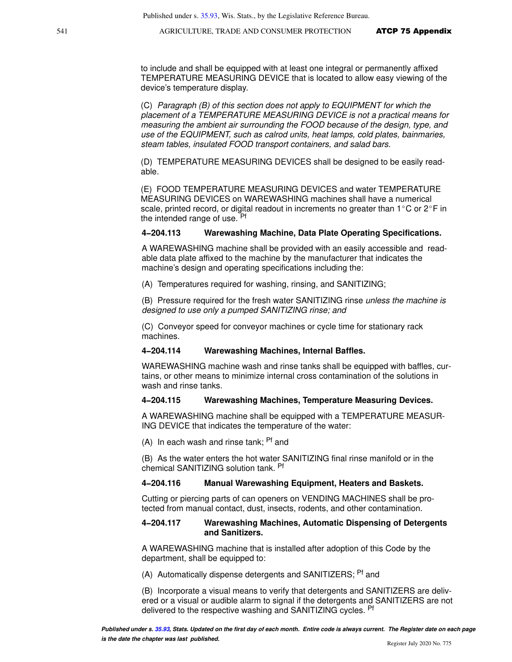to include and shall be equipped with at least one integral or permanently affixed TEMPERATURE MEASURING DEVICE that is located to allow easy viewing of the device's temperature display.

(C) Paragraph (B) of this section does not apply to EQUIPMENT for which the placement of a TEMPERATURE MEASURING DEVICE is not a practical means for measuring the ambient air surrounding the FOOD because of the design, type, and use of the EQUIPMENT, such as calrod units, heat lamps, cold plates, bainmaries, steam tables, insulated FOOD transport containers, and salad bars.

(D) TEMPERATURE MEASURING DEVICES shall be designed to be easily readable.

(E) FOOD TEMPERATURE MEASURING DEVICES and water TEMPERATURE MEASURING DEVICES on WAREWASHING machines shall have a numerical scale, printed record, or digital readout in increments no greater than  $1^{\circ}$ C or  $2^{\circ}$ F in the intended range of use. <sup>Pf</sup>

#### **4−204.113 Warewashing Machine, Data Plate Operating Specifications.**

A WAREWASHING machine shall be provided with an easily accessible and readable data plate affixed to the machine by the manufacturer that indicates the machine's design and operating specifications including the:

(A) Temperatures required for washing, rinsing, and SANITIZING;

(B) Pressure required for the fresh water SANITIZING rinse unless the machine is designed to use only a pumped SANITIZING rinse; and

(C) Conveyor speed for conveyor machines or cycle time for stationary rack machines.

#### **4−204.114 Warewashing Machines, Internal Baffles.**

WAREWASHING machine wash and rinse tanks shall be equipped with baffles, curtains, or other means to minimize internal cross contamination of the solutions in wash and rinse tanks.

#### **4−204.115 Warewashing Machines, Temperature Measuring Devices.**

A WAREWASHING machine shall be equipped with a TEMPERATURE MEASUR-ING DEVICE that indicates the temperature of the water:

(A) In each wash and rinse tank;  $Pf$  and

(B) As the water enters the hot water SANITIZING final rinse manifold or in the chemical SANITIZING solution tank. Pf

#### **4−204.116 Manual Warewashing Equipment, Heaters and Baskets.**

Cutting or piercing parts of can openers on VENDING MACHINES shall be protected from manual contact, dust, insects, rodents, and other contamination.

#### **4−204.117 Warewashing Machines, Automatic Dispensing of Detergents and Sanitizers.**

A WAREWASHING machine that is installed after adoption of this Code by the department, shall be equipped to:

(A) Automatically dispense detergents and SANITIZERS; <sup>Pf</sup> and

(B) Incorporate a visual means to verify that detergents and SANITIZERS are delivered or a visual or audible alarm to signal if the detergents and SANITIZERS are not delivered to the respective washing and SANITIZING cycles. <sup>Pf</sup>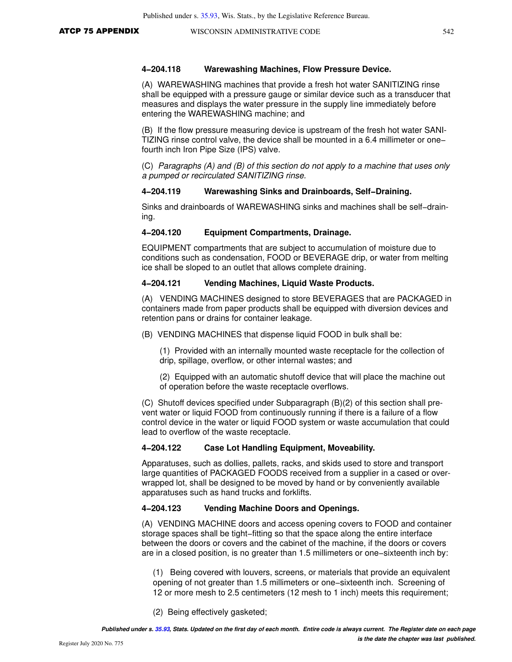#### **4−204.118 Warewashing Machines, Flow Pressure Device.**

(A) WAREWASHING machines that provide a fresh hot water SANITIZING rinse shall be equipped with a pressure gauge or similar device such as a transducer that measures and displays the water pressure in the supply line immediately before entering the WAREWASHING machine; and

(B) If the flow pressure measuring device is upstream of the fresh hot water SANI-TIZING rinse control valve, the device shall be mounted in a 6.4 millimeter or one− fourth inch Iron Pipe Size (IPS) valve.

(C) Paragraphs (A) and (B) of this section do not apply to a machine that uses only a pumped or recirculated SANITIZING rinse.

#### **4−204.119 Warewashing Sinks and Drainboards, Self−Draining.**

Sinks and drainboards of WAREWASHING sinks and machines shall be self−draining.

#### **4−204.120 Equipment Compartments, Drainage.**

EQUIPMENT compartments that are subject to accumulation of moisture due to conditions such as condensation, FOOD or BEVERAGE drip, or water from melting ice shall be sloped to an outlet that allows complete draining.

#### **4−204.121 Vending Machines, Liquid Waste Products.**

(A) VENDING MACHINES designed to store BEVERAGES that are PACKAGED in containers made from paper products shall be equipped with diversion devices and retention pans or drains for container leakage.

(B) VENDING MACHINES that dispense liquid FOOD in bulk shall be:

(1) Provided with an internally mounted waste receptacle for the collection of drip, spillage, overflow, or other internal wastes; and

(2) Equipped with an automatic shutoff device that will place the machine out of operation before the waste receptacle overflows.

(C) Shutoff devices specified under Subparagraph (B)(2) of this section shall prevent water or liquid FOOD from continuously running if there is a failure of a flow control device in the water or liquid FOOD system or waste accumulation that could lead to overflow of the waste receptacle.

#### **4−204.122 Case Lot Handling Equipment, Moveability.**

Apparatuses, such as dollies, pallets, racks, and skids used to store and transport large quantities of PACKAGED FOODS received from a supplier in a cased or overwrapped lot, shall be designed to be moved by hand or by conveniently available apparatuses such as hand trucks and forklifts.

#### **4−204.123 Vending Machine Doors and Openings.**

(A) VENDING MACHINE doors and access opening covers to FOOD and container storage spaces shall be tight−fitting so that the space along the entire interface between the doors or covers and the cabinet of the machine, if the doors or covers are in a closed position, is no greater than 1.5 millimeters or one−sixteenth inch by:

(1) Being covered with louvers, screens, or materials that provide an equivalent opening of not greater than 1.5 millimeters or one−sixteenth inch. Screening of 12 or more mesh to 2.5 centimeters (12 mesh to 1 inch) meets this requirement;

(2) Being effectively gasketed;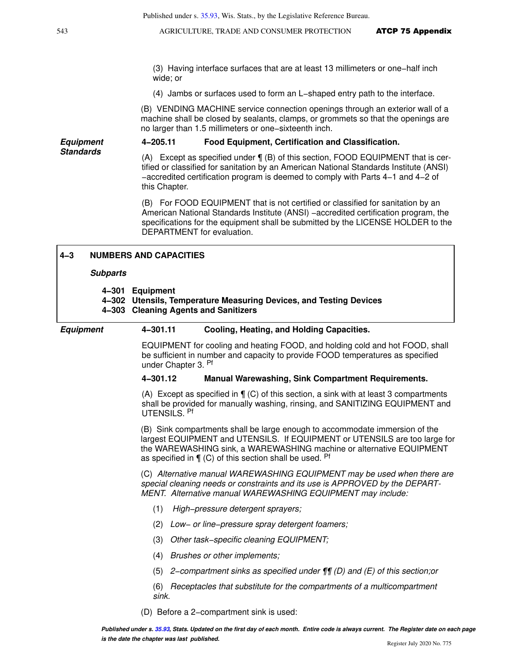(3) Having interface surfaces that are at least 13 millimeters or one−half inch wide; or

(4) Jambs or surfaces used to form an L−shaped entry path to the interface.

(B) VENDING MACHINE service connection openings through an exterior wall of a machine shall be closed by sealants, clamps, or grommets so that the openings are no larger than 1.5 millimeters or one−sixteenth inch.

**Equipment Standards 4−205.11 Food Equipment, Certification and Classification.**

(A) Except as specified under ¶ (B) of this section, FOOD EQUIPMENT that is certified or classified for sanitation by an American National Standards Institute (ANSI) −accredited certification program is deemed to comply with Parts 4−1 and 4−2 of this Chapter.

(B) For FOOD EQUIPMENT that is not certified or classified for sanitation by an American National Standards Institute (ANSI) −accredited certification program, the specifications for the equipment shall be submitted by the LICENSE HOLDER to the DEPARTMENT for evaluation.

| $4 - 3$          | <b>NUMBERS AND CAPACITIES</b>                                                                                                                                                                                                                                                                   |
|------------------|-------------------------------------------------------------------------------------------------------------------------------------------------------------------------------------------------------------------------------------------------------------------------------------------------|
| <b>Subparts</b>  |                                                                                                                                                                                                                                                                                                 |
|                  | 4-301 Equipment<br>4-302 Utensils, Temperature Measuring Devices, and Testing Devices<br>4-303 Cleaning Agents and Sanitizers                                                                                                                                                                   |
| <b>Equipment</b> | 4-301.11<br>Cooling, Heating, and Holding Capacities.                                                                                                                                                                                                                                           |
|                  | EQUIPMENT for cooling and heating FOOD, and holding cold and hot FOOD, shall<br>be sufficient in number and capacity to provide FOOD temperatures as specified<br>under Chapter 3. Pf                                                                                                           |
|                  | 4-301.12<br><b>Manual Warewashing, Sink Compartment Requirements.</b>                                                                                                                                                                                                                           |
|                  | (A) Except as specified in $\P$ (C) of this section, a sink with at least 3 compartments<br>shall be provided for manually washing, rinsing, and SANITIZING EQUIPMENT and<br>UTENSILS. Pf                                                                                                       |
|                  | (B) Sink compartments shall be large enough to accommodate immersion of the<br>largest EQUIPMENT and UTENSILS. If EQUIPMENT or UTENSILS are too large for<br>the WAREWASHING sink, a WAREWASHING machine or alternative EQUIPMENT<br>as specified in $\P$ (C) of this section shall be used. Pf |
|                  | (C) Alternative manual WAREWASHING EQUIPMENT may be used when there are<br>special cleaning needs or constraints and its use is APPROVED by the DEPART-<br>MENT. Alternative manual WAREWASHING EQUIPMENT may include:                                                                          |
|                  | (1)<br>High-pressure detergent sprayers;                                                                                                                                                                                                                                                        |
|                  | (2)<br>Low- or line-pressure spray detergent foamers;                                                                                                                                                                                                                                           |
|                  | (3)<br>Other task-specific cleaning EQUIPMENT;                                                                                                                                                                                                                                                  |
|                  | Brushes or other implements;<br>(4)                                                                                                                                                                                                                                                             |
|                  | 2–compartment sinks as specified under $\P$ [(D) and (E) of this section; or<br>(5)                                                                                                                                                                                                             |
|                  | Receptacles that substitute for the compartments of a multicompartment<br>(6)<br>sink.                                                                                                                                                                                                          |
|                  | (D) Before a 2-compartment sink is used:                                                                                                                                                                                                                                                        |
|                  | Published under s. 35.93. Stats. Updated on the first day of each month. Entire code is always current. The Register date on each page                                                                                                                                                          |

**is the date the chapter was last published.**

Ī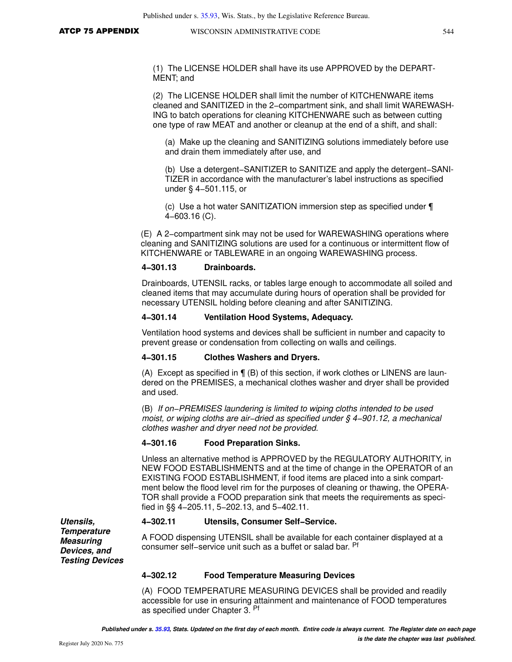(1) The LICENSE HOLDER shall have its use APPROVED by the DEPART-MENT; and

(2) The LICENSE HOLDER shall limit the number of KITCHENWARE items cleaned and SANITIZED in the 2−compartment sink, and shall limit WAREWASH-ING to batch operations for cleaning KITCHENWARE such as between cutting one type of raw MEAT and another or cleanup at the end of a shift, and shall:

(a) Make up the cleaning and SANITIZING solutions immediately before use and drain them immediately after use, and

(b) Use a detergent−SANITIZER to SANITIZE and apply the detergent−SANI-TIZER in accordance with the manufacturer's label instructions as specified under § 4−501.115, or

(c) Use a hot water SANITIZATION immersion step as specified under ¶ 4−603.16 (C).

(E) A 2−compartment sink may not be used for WAREWASHING operations where cleaning and SANITIZING solutions are used for a continuous or intermittent flow of KITCHENWARE or TABLEWARE in an ongoing WAREWASHING process.

#### **4−301.13 Drainboards.**

Drainboards, UTENSIL racks, or tables large enough to accommodate all soiled and cleaned items that may accumulate during hours of operation shall be provided for necessary UTENSIL holding before cleaning and after SANITIZING.

#### **4−301.14 Ventilation Hood Systems, Adequacy.**

Ventilation hood systems and devices shall be sufficient in number and capacity to prevent grease or condensation from collecting on walls and ceilings.

#### **4−301.15 Clothes Washers and Dryers.**

(A) Except as specified in ¶ (B) of this section, if work clothes or LINENS are laundered on the PREMISES, a mechanical clothes washer and dryer shall be provided and used.

(B) If on−PREMISES laundering is limited to wiping cloths intended to be used moist, or wiping cloths are air-dried as specified under § 4-901.12, a mechanical clothes washer and dryer need not be provided.

#### **4−301.16 Food Preparation Sinks.**

Unless an alternative method is APPROVED by the REGULATORY AUTHORITY, in NEW FOOD ESTABLISHMENTS and at the time of change in the OPERATOR of an EXISTING FOOD ESTABLISHMENT, if food items are placed into a sink compartment below the flood level rim for the purposes of cleaning or thawing, the OPERA-TOR shall provide a FOOD preparation sink that meets the requirements as specified in §§ 4−205.11, 5−202.13, and 5−402.11.

#### **4−302.11 Utensils, Consumer Self−Service.**

A FOOD dispensing UTENSIL shall be available for each container displayed at a consumer self−service unit such as a buffet or salad bar. Pf

#### **4−302.12 Food Temperature Measuring Devices**

(A) FOOD TEMPERATURE MEASURING DEVICES shall be provided and readily accessible for use in ensuring attainment and maintenance of FOOD temperatures as specified under Chapter 3. Pf

**Testing Devices**

**Utensils, Temperature Measuring Devices, and**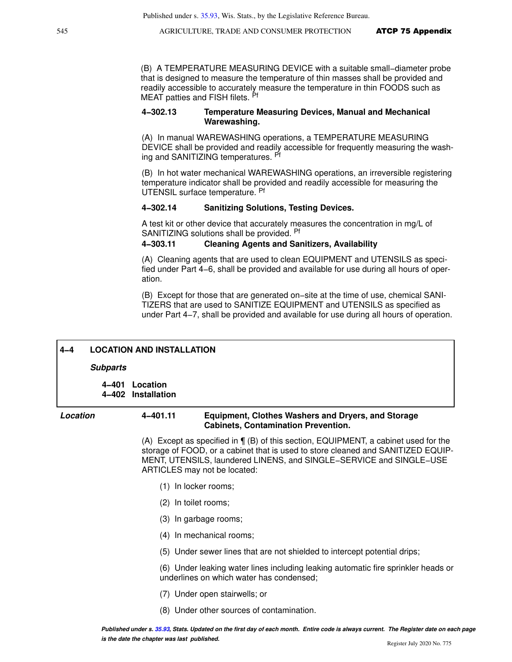(B) A TEMPERATURE MEASURING DEVICE with a suitable small−diameter probe that is designed to measure the temperature of thin masses shall be provided and readily accessible to accurately measure the temperature in thin FOODS such as MEAT patties and FISH filets. Pf

#### **4−302.13 Temperature Measuring Devices, Manual and Mechanical Warewashing.**

(A) In manual WAREWASHING operations, a TEMPERATURE MEASURING DEVICE shall be provided and readily accessible for frequently measuring the washing and SANITIZING temperatures. Pf

(B) In hot water mechanical WAREWASHING operations, an irreversible registering temperature indicator shall be provided and readily accessible for measuring the UTENSIL surface temperature. Pf

#### **4−302.14 Sanitizing Solutions, Testing Devices.**

A test kit or other device that accurately measures the concentration in mg/L of SANITIZING solutions shall be provided. Pf

#### **4−303.11 Cleaning Agents and Sanitizers, Availability**

(A) Cleaning agents that are used to clean EQUIPMENT and UTENSILS as specified under Part 4−6, shall be provided and available for use during all hours of operation.

(B) Except for those that are generated on−site at the time of use, chemical SANI-TIZERS that are used to SANITIZE EQUIPMENT and UTENSILS as specified as under Part 4−7, shall be provided and available for use during all hours of operation.

| $4 - 4$  | <b>LOCATION AND INSTALLATION</b> |                                 |                                                           |  |  |  |
|----------|----------------------------------|---------------------------------|-----------------------------------------------------------|--|--|--|
|          | <b>Subparts</b>                  |                                 |                                                           |  |  |  |
|          | 4–401<br>4–402                   | Location<br><b>Installation</b> |                                                           |  |  |  |
| Location |                                  | 4-401.11                        | <b>Equipment, Clothes Washers and Dryers, and Storage</b> |  |  |  |

(A) Except as specified in ¶ (B) of this section, EQUIPMENT, a cabinet used for the storage of FOOD, or a cabinet that is used to store cleaned and SANITIZED EQUIP-MENT, UTENSILS, laundered LINENS, and SINGLE−SERVICE and SINGLE−USE

**Cabinets, Contamination Prevention.** 

- ARTICLES may not be located: (1) In locker rooms;
	- (2) In toilet rooms;
	- (3) In garbage rooms;
	- (4) In mechanical rooms;
	- (5) Under sewer lines that are not shielded to intercept potential drips;

(6) Under leaking water lines including leaking automatic fire sprinkler heads or underlines on which water has condensed;

- (7) Under open stairwells; or
- (8) Under other sources of contamination.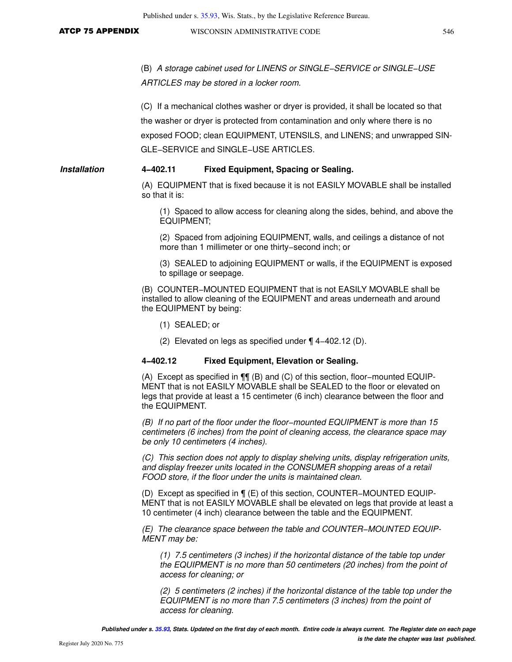(B) A storage cabinet used for LINENS or SINGLE−SERVICE or SINGLE−USE ARTICLES may be stored in a locker room.

(C) If a mechanical clothes washer or dryer is provided, it shall be located so that the washer or dryer is protected from contamination and only where there is no exposed FOOD; clean EQUIPMENT, UTENSILS, and LINENS; and unwrapped SIN-GLE−SERVICE and SINGLE−USE ARTICLES.

#### **Installation 4−402.11 Fixed Equipment, Spacing or Sealing.**

(A) EQUIPMENT that is fixed because it is not EASILY MOVABLE shall be installed so that it is:

(1) Spaced to allow access for cleaning along the sides, behind, and above the EQUIPMENT;

(2) Spaced from adjoining EQUIPMENT, walls, and ceilings a distance of not more than 1 millimeter or one thirty−second inch; or

(3) SEALED to adjoining EQUIPMENT or walls, if the EQUIPMENT is exposed to spillage or seepage.

(B) COUNTER−MOUNTED EQUIPMENT that is not EASILY MOVABLE shall be installed to allow cleaning of the EQUIPMENT and areas underneath and around the EQUIPMENT by being:

- (1) SEALED; or
- (2) Elevated on legs as specified under ¶ 4−402.12 (D).

## **4−402.12 Fixed Equipment, Elevation or Sealing.**

(A) Except as specified in ¶¶ (B) and (C) of this section, floor−mounted EQUIP-MENT that is not EASILY MOVABLE shall be SEALED to the floor or elevated on legs that provide at least a 15 centimeter (6 inch) clearance between the floor and the EQUIPMENT.

(B) If no part of the floor under the floor−mounted EQUIPMENT is more than 15 centimeters (6 inches) from the point of cleaning access, the clearance space may be only 10 centimeters (4 inches).

(C) This section does not apply to display shelving units, display refrigeration units, and display freezer units located in the CONSUMER shopping areas of a retail FOOD store, if the floor under the units is maintained clean.

(D) Except as specified in ¶ (E) of this section, COUNTER−MOUNTED EQUIP-MENT that is not EASILY MOVABLE shall be elevated on legs that provide at least a 10 centimeter (4 inch) clearance between the table and the EQUIPMENT.

(E) The clearance space between the table and COUNTER−MOUNTED EQUIP-MENT may be:

(1) 7.5 centimeters (3 inches) if the horizontal distance of the table top under the EQUIPMENT is no more than 50 centimeters (20 inches) from the point of access for cleaning; or

(2) 5 centimeters (2 inches) if the horizontal distance of the table top under the EQUIPMENT is no more than 7.5 centimeters (3 inches) from the point of access for cleaning.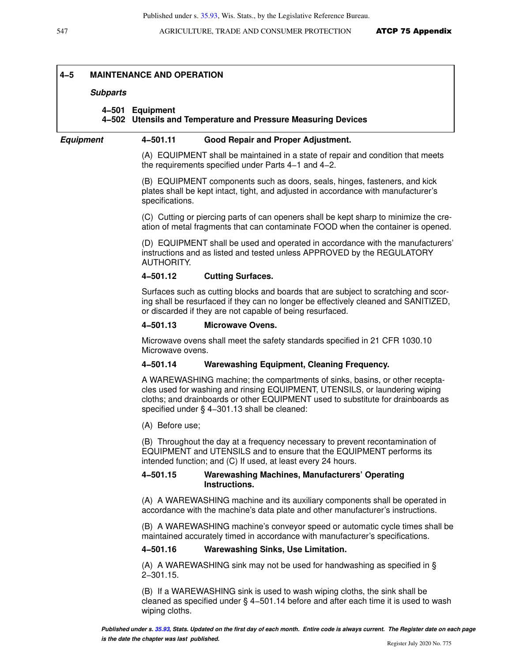#### **4−5 MAINTENANCE AND OPERATION**

#### **Subparts**

# **4−501 Equipment 4−502 Utensils and Temperature and Pressure Measuring Devices**

### **Equipment 4−501.11 Good Repair and Proper Adjustment.**

(A) EQUIPMENT shall be maintained in a state of repair and condition that meets the requirements specified under Parts 4−1 and 4−2.

(B) EQUIPMENT components such as doors, seals, hinges, fasteners, and kick plates shall be kept intact, tight, and adjusted in accordance with manufacturer's specifications.

(C) Cutting or piercing parts of can openers shall be kept sharp to minimize the creation of metal fragments that can contaminate FOOD when the container is opened.

(D) EQUIPMENT shall be used and operated in accordance with the manufacturers' instructions and as listed and tested unless APPROVED by the REGULATORY AUTHORITY.

#### **4−501.12 Cutting Surfaces.**

Surfaces such as cutting blocks and boards that are subject to scratching and scoring shall be resurfaced if they can no longer be effectively cleaned and SANITIZED, or discarded if they are not capable of being resurfaced.

#### **4−501.13 Microwave Ovens.**

Microwave ovens shall meet the safety standards specified in 21 CFR 1030.10 Microwave ovens.

#### **4−501.14 Warewashing Equipment, Cleaning Frequency.**

A WAREWASHING machine; the compartments of sinks, basins, or other receptacles used for washing and rinsing EQUIPMENT, UTENSILS, or laundering wiping cloths; and drainboards or other EQUIPMENT used to substitute for drainboards as specified under § 4−301.13 shall be cleaned:

(A) Before use;

(B) Throughout the day at a frequency necessary to prevent recontamination of EQUIPMENT and UTENSILS and to ensure that the EQUIPMENT performs its intended function; and (C) If used, at least every 24 hours.

#### **4−501.15 Warewashing Machines, Manufacturers' Operating Instructions.**

(A) A WAREWASHING machine and its auxiliary components shall be operated in accordance with the machine's data plate and other manufacturer's instructions.

(B) A WAREWASHING machine's conveyor speed or automatic cycle times shall be maintained accurately timed in accordance with manufacturer's specifications.

#### **4−501.16 Warewashing Sinks, Use Limitation.**

(A) A WAREWASHING sink may not be used for handwashing as specified in § 2−301.15.

(B) If a WAREWASHING sink is used to wash wiping cloths, the sink shall be cleaned as specified under § 4−501.14 before and after each time it is used to wash wiping cloths.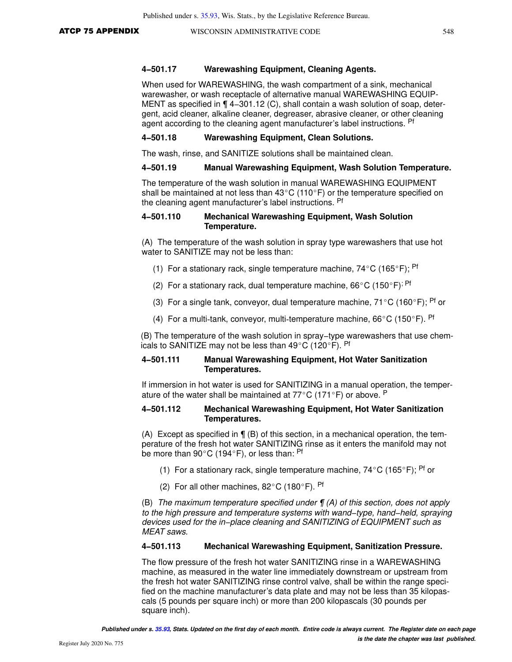#### **4−501.17 Warewashing Equipment, Cleaning Agents.**

When used for WAREWASHING, the wash compartment of a sink, mechanical warewasher, or wash receptacle of alternative manual WAREWASHING EQUIP-MENT as specified in ¶ 4−301.12 (C), shall contain a wash solution of soap, detergent, acid cleaner, alkaline cleaner, degreaser, abrasive cleaner, or other cleaning agent according to the cleaning agent manufacturer's label instructions. Pf

#### **4−501.18 Warewashing Equipment, Clean Solutions.**

The wash, rinse, and SANITIZE solutions shall be maintained clean.

#### **4−501.19 Manual Warewashing Equipment, Wash Solution Temperature.**

The temperature of the wash solution in manual WAREWASHING EQUIPMENT shall be maintained at not less than  $43^{\circ}$ C (110°F) or the temperature specified on the cleaning agent manufacturer's label instructions. Pf

#### **4−501.110 Mechanical Warewashing Equipment, Wash Solution Temperature.**

(A) The temperature of the wash solution in spray type warewashers that use hot water to SANITIZE may not be less than:

- (1) For a stationary rack, single temperature machine,  $74^{\circ}$ C (165 $^{\circ}$ F); Pf
- (2) For a stationary rack, dual temperature machine,  $66^{\circ}$ C (150 $^{\circ}$ F)<sup>; Pf</sup>
- (3) For a single tank, conveyor, dual temperature machine,  $71^{\circ}$ C (160 $^{\circ}$ F); <sup>Pf</sup> or
- (4) For a multi-tank, conveyor, multi-temperature machine,  $66^{\circ}$ C (150 $^{\circ}$ F). Pf

(B) The temperature of the wash solution in spray−type warewashers that use chemicals to SANITIZE may not be less than  $49^{\circ}$ C (120 $^{\circ}$ F). Pf

#### **4−501.111 Manual Warewashing Equipment, Hot Water Sanitization Temperatures.**

If immersion in hot water is used for SANITIZING in a manual operation, the temperature of the water shall be maintained at  $77^{\circ}$ C (171 $^{\circ}$ F) or above. P

#### **4−501.112 Mechanical Warewashing Equipment, Hot Water Sanitization Temperatures.**

(A) Except as specified in  $\P$  (B) of this section, in a mechanical operation, the temperature of the fresh hot water SANITIZING rinse as it enters the manifold may not be more than 90 $^{\circ}$ C (194 $^{\circ}$ F), or less than: <sup>Pf</sup>

- (1) For a stationary rack, single temperature machine,  $74^{\circ}$ C (165 $^{\circ}$ F); <sup>Pf</sup> or
- (2) For all other machines,  $82^{\circ}$ C (180 $^{\circ}$ F). Pf

(B) The maximum temperature specified under  $\P(A)$  of this section, does not apply to the high pressure and temperature systems with wand−type, hand−held, spraying devices used for the in−place cleaning and SANITIZING of EQUIPMENT such as MEAT saws.

#### **4−501.113 Mechanical Warewashing Equipment, Sanitization Pressure.**

The flow pressure of the fresh hot water SANITIZING rinse in a WAREWASHING machine, as measured in the water line immediately downstream or upstream from the fresh hot water SANITIZING rinse control valve, shall be within the range specified on the machine manufacturer's data plate and may not be less than 35 kilopascals (5 pounds per square inch) or more than 200 kilopascals (30 pounds per square inch).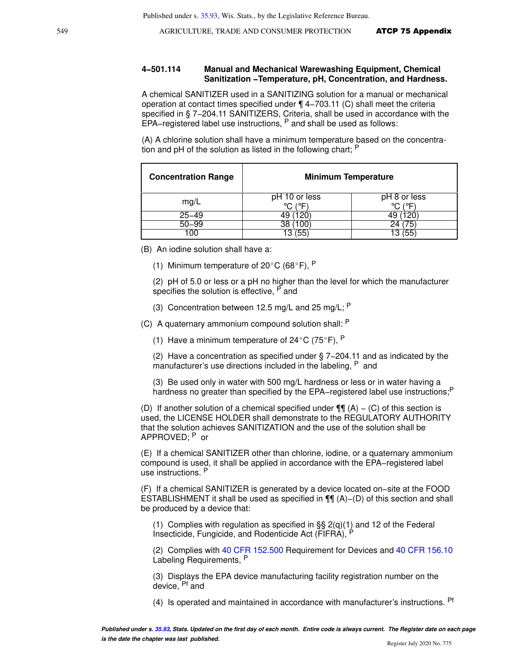#### **4−501.114 Manual and Mechanical Warewashing Equipment, Chemical Sanitization −Temperature, pH, Concentration, and Hardness.**

A chemical SANITIZER used in a SANITIZING solution for a manual or mechanical operation at contact times specified under ¶ 4−703.11 (C) shall meet the criteria specified in § 7-204.11 SANITIZERS, Criteria, shall be used in accordance with the EPA−registered label use instructions, P and shall be used as follows:

(A) A chlorine solution shall have a minimum temperature based on the concentration and pH of the solution as listed in the following chart; P

| <b>Concentration Range</b> | <b>Minimum Temperature</b>      |                         |  |
|----------------------------|---------------------------------|-------------------------|--|
| mg/L                       | pH 10 or less<br>7∘/<br>$\circ$ | pH 8 or less<br>$\circ$ |  |
| $25 - 49$                  | 120                             | '20                     |  |
| $50 - 99$                  | 100<br>38                       | 24                      |  |
| 100                        | 55                              | 13                      |  |

(B) An iodine solution shall have a:

(1) Minimum temperature of  $20^{\circ}$ C (68°F), P

(2) pH of 5.0 or less or a pH no higher than the level for which the manufacturer specifies the solution is effective, <sup>P</sup> and

(3) Concentration between 12.5 mg/L and 25 mg/L;  $P$ 

(C) A quaternary ammonium compound solution shall: <sup>P</sup>

(1) Have a minimum temperature of  $24^{\circ}$ C (75°F), P

(2) Have a concentration as specified under § 7−204.11 and as indicated by the manufacturer's use directions included in the labeling, <sup>P</sup> and

(3) Be used only in water with 500 mg/L hardness or less or in water having a hardness no greater than specified by the EPA-registered label use instructions;<sup>P</sup>

(D) If another solution of a chemical specified under  $\P\P$  (A) – (C) of this section is used, the LICENSE HOLDER shall demonstrate to the REGULATORY AUTHORITY that the solution achieves SANITIZATION and the use of the solution shall be APPROVED; P or

(E) If a chemical SANITIZER other than chlorine, iodine, or a quaternary ammonium compound is used, it shall be applied in accordance with the EPA−registered label use instructions. <sup>P</sup>

(F) If a chemical SANITIZER is generated by a device located on−site at the FOOD ESTABLISHMENT it shall be used as specified in ¶¶ (A)−(D) of this section and shall be produced by a device that:

(1) Complies with regulation as specified in  $\S$ § 2(q)(1) and 12 of the Federal Insecticide, Fungicide, and Rodenticide Act (FIFRA), <sup>P</sup>

(2) Complies with [40 CFR 152.500](https://docs.legis.wisconsin.gov/document/cfr/40%20CFR%20152.500) Requirement for Devices and [40 CFR 156.10](https://docs.legis.wisconsin.gov/document/cfr/40%20CFR%20156.10) Labeling Requirements, P

(3) Displays the EPA device manufacturing facility registration number on the device, Pf and

(4) Is operated and maintained in accordance with manufacturer's instructions. Pf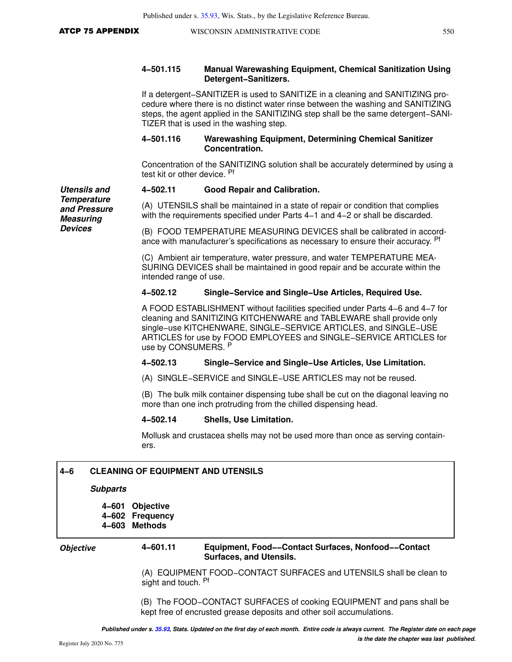**Utensils and Temperature and Pressure Measuring Devices**

#### **4−501.115 Manual Warewashing Equipment, Chemical Sanitization Using Detergent−Sanitizers.**

If a detergent−SANITIZER is used to SANITIZE in a cleaning and SANITIZING procedure where there is no distinct water rinse between the washing and SANITIZING steps, the agent applied in the SANITIZING step shall be the same detergent−SANI-TIZER that is used in the washing step.

#### **4−501.116 Warewashing Equipment, Determining Chemical Sanitizer Concentration.**

Concentration of the SANITIZING solution shall be accurately determined by using a test kit or other device. Pf

#### **4−502.11 Good Repair and Calibration.**

(A) UTENSILS shall be maintained in a state of repair or condition that complies with the requirements specified under Parts 4−1 and 4−2 or shall be discarded.

(B) FOOD TEMPERATURE MEASURING DEVICES shall be calibrated in accordance with manufacturer's specifications as necessary to ensure their accuracy. <sup>Pf</sup>

(C) Ambient air temperature, water pressure, and water TEMPERATURE MEA-SURING DEVICES shall be maintained in good repair and be accurate within the intended range of use.

#### **4−502.12 Single−Service and Single−Use Articles, Required Use.**

A FOOD ESTABLISHMENT without facilities specified under Parts 4−6 and 4−7 for cleaning and SANITIZING KITCHENWARE and TABLEWARE shall provide only single−use KITCHENWARE, SINGLE−SERVICE ARTICLES, and SINGLE−USE ARTICLES for use by FOOD EMPLOYEES and SINGLE−SERVICE ARTICLES for use by CONSUMERS. P

#### **4−502.13 Single−Service and Single−Use Articles, Use Limitation.**

(A) SINGLE−SERVICE and SINGLE−USE ARTICLES may not be reused.

(B) The bulk milk container dispensing tube shall be cut on the diagonal leaving no more than one inch protruding from the chilled dispensing head.

### **4−502.14 Shells, Use Limitation.**

Mollusk and crustacea shells may not be used more than once as serving containers.

#### **Subparts**

**4−601 Objective 4−602 Frequency 4−603 Methods**

#### *Objective* **4−601.11 Equipment, Food−−Contact Surfaces, Nonfood−−Contact Surfaces, and Utensils.**

(A) EQUIPMENT FOOD−CONTACT SURFACES and UTENSILS shall be clean to sight and touch. Pf

(B) The FOOD−CONTACT SURFACES of cooking EQUIPMENT and pans shall be kept free of encrusted grease deposits and other soil accumulations.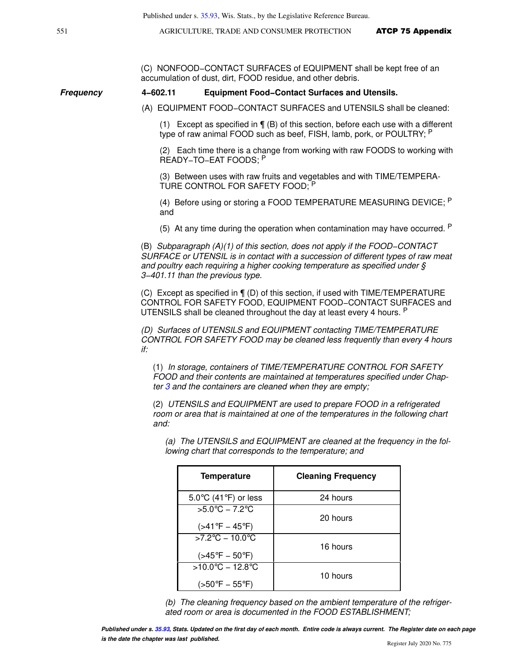(C) NONFOOD−CONTACT SURFACES of EQUIPMENT shall be kept free of an accumulation of dust, dirt, FOOD residue, and other debris.

#### **Frequency 4−602.11 Equipment Food−Contact Surfaces and Utensils.**

(A) EQUIPMENT FOOD−CONTACT SURFACES and UTENSILS shall be cleaned:

(1) Except as specified in ¶ (B) of this section, before each use with a different type of raw animal FOOD such as beef, FISH, lamb, pork, or POULTRY; P

(2) Each time there is a change from working with raw FOODS to working with READY−TO−EAT FOODS; <sup>P</sup>

(3) Between uses with raw fruits and vegetables and with TIME/TEMPERA-TURE CONTROL FOR SAFETY FOOD; <sup>P</sup>

(4) Before using or storing a FOOD TEMPERATURE MEASURING DEVICE; <sup>P</sup> and

(5) At any time during the operation when contamination may have occurred.  $P$ 

(B) Subparagraph (A)(1) of this section, does not apply if the FOOD−CONTACT SURFACE or UTENSIL is in contact with a succession of different types of raw meat and poultry each requiring a higher cooking temperature as specified under § 3−401.11 than the previous type.

(C) Except as specified in ¶ (D) of this section, if used with TIME/TEMPERATURE CONTROL FOR SAFETY FOOD, EQUIPMENT FOOD−CONTACT SURFACES and UTENSILS shall be cleaned throughout the day at least every 4 hours. <sup>P</sup>

(D) Surfaces of UTENSILS and EQUIPMENT contacting TIME/TEMPERATURE CONTROL FOR SAFETY FOOD may be cleaned less frequently than every 4 hours if:

(1) In storage, containers of TIME/TEMPERATURE CONTROL FOR SAFETY FOOD and their contents are maintained at temperatures specified under Chapter  $3$  and the containers are cleaned when they are empty;

(2) UTENSILS and EQUIPMENT are used to prepare FOOD in a refrigerated room or area that is maintained at one of the temperatures in the following chart and:

(a) The UTENSILS and EQUIPMENT are cleaned at the frequency in the following chart that corresponds to the temperature; and

| <b>Temperature</b>                                                      | <b>Cleaning Frequency</b> |
|-------------------------------------------------------------------------|---------------------------|
| 5.0 $\degree$ C (41 $\degree$ F) or less                                | 24 hours                  |
| $5.0^{\circ}C - 7.2^{\circ}C$<br>$( > 41$ °F – 45°F)                    | 20 hours                  |
| $>7.2^{\circ}$ C - 10.0 $^{\circ}$ C<br>$( >45^{\circ}F - 50^{\circ}F)$ | 16 hours                  |
| $>10.0^{\circ}$ C - 12.8 $^{\circ}$ C<br>(>50°F – 55°F)                 | 10 hours                  |

(b) The cleaning frequency based on the ambient temperature of the refrigerated room or area is documented in the FOOD ESTABLISHMENT;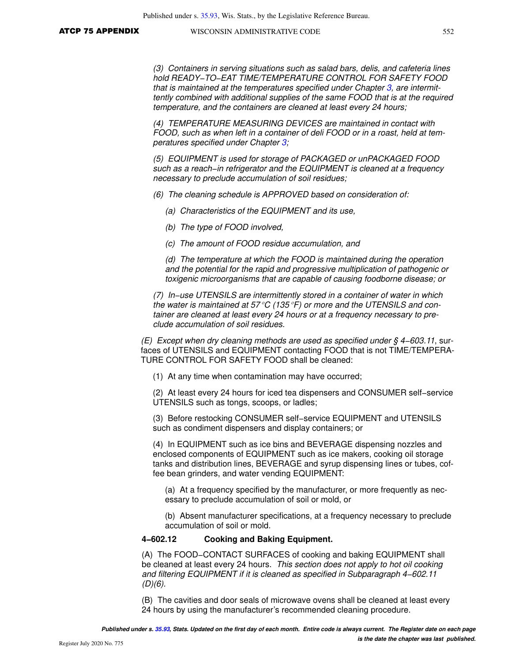(3) Containers in serving situations such as salad bars, delis, and cafeteria lines hold READY−TO−EAT TIME/TEMPERATURE CONTROL FOR SAFETY FOOD that is maintained at the temperatures specified under Chapter [3,](https://docs.legis.wisconsin.gov/document/statutes/ch.%203) are intermittently combined with additional supplies of the same FOOD that is at the required temperature, and the containers are cleaned at least every 24 hours;

(4) TEMPERATURE MEASURING DEVICES are maintained in contact with FOOD, such as when left in a container of deli FOOD or in a roast, held at temperatures specified under Chapter [3](https://docs.legis.wisconsin.gov/document/statutes/ch.%203);

(5) EQUIPMENT is used for storage of PACKAGED or unPACKAGED FOOD such as a reach−in refrigerator and the EQUIPMENT is cleaned at a frequency necessary to preclude accumulation of soil residues;

- (6) The cleaning schedule is APPROVED based on consideration of:
	- (a) Characteristics of the EQUIPMENT and its use,
	- (b) The type of FOOD involved,
	- (c) The amount of FOOD residue accumulation, and

(d) The temperature at which the FOOD is maintained during the operation and the potential for the rapid and progressive multiplication of pathogenic or toxigenic microorganisms that are capable of causing foodborne disease; or

(7) In−use UTENSILS are intermittently stored in a container of water in which the water is maintained at 57 $\mathrm{C}$  (135 $\mathrm{F}$ ) or more and the UTENSILS and container are cleaned at least every 24 hours or at a frequency necessary to preclude accumulation of soil residues.

(E) Except when dry cleaning methods are used as specified under § 4−603.11, surfaces of UTENSILS and EQUIPMENT contacting FOOD that is not TIME/TEMPERA-TURE CONTROL FOR SAFETY FOOD shall be cleaned:

(1) At any time when contamination may have occurred;

(2) At least every 24 hours for iced tea dispensers and CONSUMER self−service UTENSILS such as tongs, scoops, or ladles;

(3) Before restocking CONSUMER self−service EQUIPMENT and UTENSILS such as condiment dispensers and display containers; or

(4) In EQUIPMENT such as ice bins and BEVERAGE dispensing nozzles and enclosed components of EQUIPMENT such as ice makers, cooking oil storage tanks and distribution lines, BEVERAGE and syrup dispensing lines or tubes, coffee bean grinders, and water vending EQUIPMENT:

(a) At a frequency specified by the manufacturer, or more frequently as necessary to preclude accumulation of soil or mold, or

(b) Absent manufacturer specifications, at a frequency necessary to preclude accumulation of soil or mold.

#### **4−602.12 Cooking and Baking Equipment.**

(A) The FOOD−CONTACT SURFACES of cooking and baking EQUIPMENT shall be cleaned at least every 24 hours. This section does not apply to hot oil cooking and filtering EQUIPMENT if it is cleaned as specified in Subparagraph 4−602.11  $(D)(6)$ .

(B) The cavities and door seals of microwave ovens shall be cleaned at least every 24 hours by using the manufacturer's recommended cleaning procedure.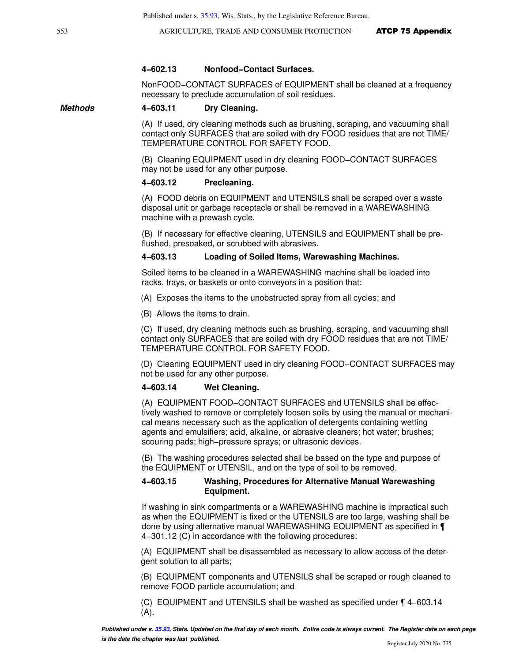#### **4−602.13 Nonfood−Contact Surfaces.**

NonFOOD−CONTACT SURFACES of EQUIPMENT shall be cleaned at a frequency necessary to preclude accumulation of soil residues.

#### **Methods 4−603.11 Dry Cleaning.**

(A) If used, dry cleaning methods such as brushing, scraping, and vacuuming shall contact only SURFACES that are soiled with dry FOOD residues that are not TIME/ TEMPERATURE CONTROL FOR SAFETY FOOD.

(B) Cleaning EQUIPMENT used in dry cleaning FOOD−CONTACT SURFACES may not be used for any other purpose.

#### **4−603.12 Precleaning.**

(A) FOOD debris on EQUIPMENT and UTENSILS shall be scraped over a waste disposal unit or garbage receptacle or shall be removed in a WAREWASHING machine with a prewash cycle.

(B) If necessary for effective cleaning, UTENSILS and EQUIPMENT shall be preflushed, presoaked, or scrubbed with abrasives.

#### **4−603.13 Loading of Soiled Items, Warewashing Machines.**

Soiled items to be cleaned in a WAREWASHING machine shall be loaded into racks, trays, or baskets or onto conveyors in a position that:

(A) Exposes the items to the unobstructed spray from all cycles; and

(B) Allows the items to drain.

(C) If used, dry cleaning methods such as brushing, scraping, and vacuuming shall contact only SURFACES that are soiled with dry FOOD residues that are not TIME/ TEMPERATURE CONTROL FOR SAFETY FOOD.

(D) Cleaning EQUIPMENT used in dry cleaning FOOD−CONTACT SURFACES may not be used for any other purpose.

#### **4−603.14 Wet Cleaning.**

(A) EQUIPMENT FOOD−CONTACT SURFACES and UTENSILS shall be effectively washed to remove or completely loosen soils by using the manual or mechanical means necessary such as the application of detergents containing wetting agents and emulsifiers; acid, alkaline, or abrasive cleaners; hot water; brushes; scouring pads; high−pressure sprays; or ultrasonic devices.

(B) The washing procedures selected shall be based on the type and purpose of the EQUIPMENT or UTENSIL, and on the type of soil to be removed.

#### **4−603.15 Washing, Procedures for Alternative Manual Warewashing Equipment.**

If washing in sink compartments or a WAREWASHING machine is impractical such as when the EQUIPMENT is fixed or the UTENSILS are too large, washing shall be done by using alternative manual WAREWASHING EQUIPMENT as specified in ¶ 4−301.12 (C) in accordance with the following procedures:

(A) EQUIPMENT shall be disassembled as necessary to allow access of the detergent solution to all parts;

(B) EQUIPMENT components and UTENSILS shall be scraped or rough cleaned to remove FOOD particle accumulation; and

(C) EQUIPMENT and UTENSILS shall be washed as specified under ¶ 4−603.14 (A).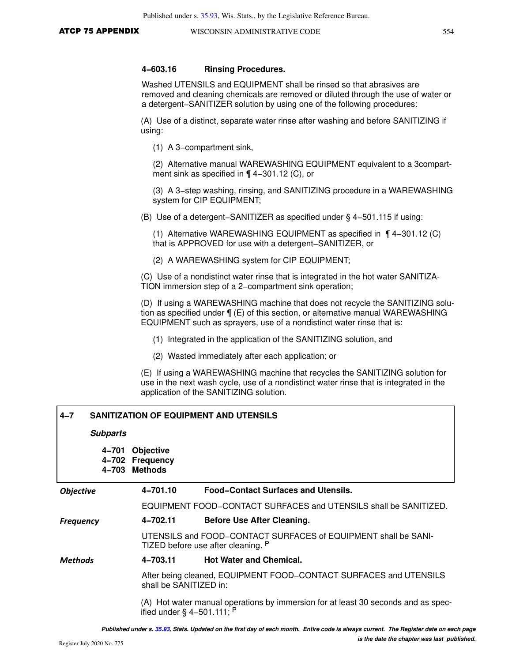#### **4−603.16 Rinsing Procedures.**

Washed UTENSILS and EQUIPMENT shall be rinsed so that abrasives are removed and cleaning chemicals are removed or diluted through the use of water or a detergent−SANITIZER solution by using one of the following procedures:

(A) Use of a distinct, separate water rinse after washing and before SANITIZING if using:

(1) A 3−compartment sink,

(2) Alternative manual WAREWASHING EQUIPMENT equivalent to a 3compartment sink as specified in ¶ 4−301.12 (C), or

(3) A 3−step washing, rinsing, and SANITIZING procedure in a WAREWASHING system for CIP EQUIPMENT;

(B) Use of a detergent−SANITIZER as specified under § 4−501.115 if using:

(1) Alternative WAREWASHING EQUIPMENT as specified in ¶ 4−301.12 (C) that is APPROVED for use with a detergent−SANITIZER, or

(2) A WAREWASHING system for CIP EQUIPMENT;

(C) Use of a nondistinct water rinse that is integrated in the hot water SANITIZA-TION immersion step of a 2−compartment sink operation;

(D) If using a WAREWASHING machine that does not recycle the SANITIZING solution as specified under ¶ (E) of this section, or alternative manual WAREWASHING EQUIPMENT such as sprayers, use of a nondistinct water rinse that is:

- (1) Integrated in the application of the SANITIZING solution, and
- (2) Wasted immediately after each application; or

(E) If using a WAREWASHING machine that recycles the SANITIZING solution for use in the next wash cycle, use of a nondistinct water rinse that is integrated in the application of the SANITIZING solution.

| $4 - 7$          | <b>SANITIZATION OF EQUIPMENT AND UTENSILS</b> |  |                                                        |                                                                                                                   |  |
|------------------|-----------------------------------------------|--|--------------------------------------------------------|-------------------------------------------------------------------------------------------------------------------|--|
|                  | <b>Subparts</b>                               |  |                                                        |                                                                                                                   |  |
|                  | 4–701<br>4–702<br>4–703                       |  | <b>Objective</b><br><b>Frequency</b><br><b>Methods</b> |                                                                                                                   |  |
| <b>Objective</b> |                                               |  | 4-701.10                                               | <b>Food-Contact Surfaces and Utensils.</b>                                                                        |  |
|                  |                                               |  |                                                        | EQUIPMENT FOOD-CONTACT SURFACES and UTENSILS shall be SANITIZED.                                                  |  |
| <b>Frequency</b> |                                               |  | 4–702.11                                               | <b>Before Use After Cleaning.</b>                                                                                 |  |
|                  |                                               |  |                                                        | UTENSILS and FOOD-CONTACT SURFACES of EQUIPMENT shall be SANI-<br>TIZED before use after cleaning. P              |  |
| <b>Methods</b>   |                                               |  | 4-703.11                                               | <b>Hot Water and Chemical.</b>                                                                                    |  |
|                  |                                               |  | shall be SANITIZED in:                                 | After being cleaned, EQUIPMENT FOOD–CONTACT SURFACES and UTENSILS                                                 |  |
|                  |                                               |  |                                                        | (A) Hot water manual operations by immersion for at least 30 seconds and as spec-<br>ified under § 4-501.111; $P$ |  |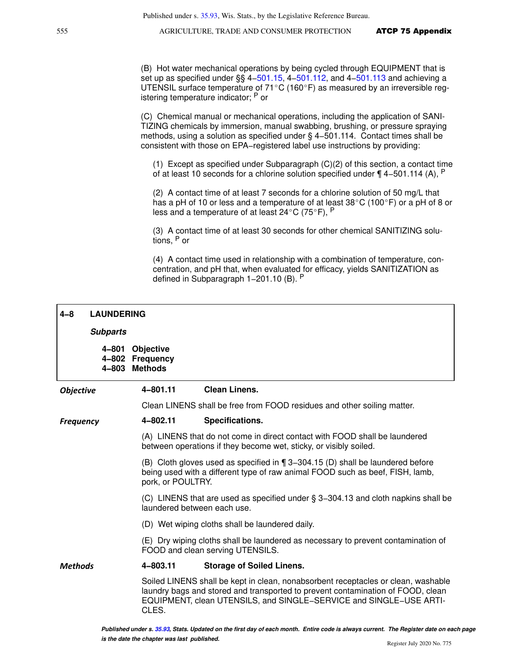(B) Hot water mechanical operations by being cycled through EQUIPMENT that is set up as specified under §§ 4[−501.15,](https://docs.legis.wisconsin.gov/document/statutes/501.15) 4−[501.112,](https://docs.legis.wisconsin.gov/document/statutes/501.112) and 4[−501.113](https://docs.legis.wisconsin.gov/document/statutes/501.113) and achieving a UTENSIL surface temperature of 71 $^{\circ}$ C (160 $^{\circ}$ F) as measured by an irreversible registering temperature indicator; <sup>P</sup> or

(C) Chemical manual or mechanical operations, including the application of SANI-TIZING chemicals by immersion, manual swabbing, brushing, or pressure spraying methods, using a solution as specified under § 4−501.114. Contact times shall be consistent with those on EPA−registered label use instructions by providing:

(1) Except as specified under Subparagraph (C)(2) of this section, a contact time of at least 10 seconds for a chlorine solution specified under ¶ 4–501.114 (A), <sup>P</sup>

(2) A contact time of at least 7 seconds for a chlorine solution of 50 mg/L that has a pH of 10 or less and a temperature of at least  $38^{\circ}$ C (100 $^{\circ}$ F) or a pH of 8 or less and a temperature of at least  $24^{\circ}$ C (75 $^{\circ}$ F), P

(3) A contact time of at least 30 seconds for other chemical SANITIZING solutions, P or

(4) A contact time used in relationship with a combination of temperature, concentration, and pH that, when evaluated for efficacy, yields SANITIZATION as defined in Subparagraph 1−201.10 (B). <sup>P</sup>

# **4−8 LAUNDERING**

#### **Subparts**

**4−801 Objective 4−802 Frequency 4−803 Methods**

#### *Objective* **4−801.11 Clean Linens.**

Clean LINENS shall be free from FOOD residues and other soiling matter.

#### *Frequency* **4−802.11 Specifications.**

(A) LINENS that do not come in direct contact with FOOD shall be laundered between operations if they become wet, sticky, or visibly soiled.

(B) Cloth gloves used as specified in ¶ 3−304.15 (D) shall be laundered before being used with a different type of raw animal FOOD such as beef, FISH, lamb, pork, or POULTRY.

(C) LINENS that are used as specified under § 3−304.13 and cloth napkins shall be laundered between each use.

(D) Wet wiping cloths shall be laundered daily.

(E) Dry wiping cloths shall be laundered as necessary to prevent contamination of FOOD and clean serving UTENSILS.

#### *Methods* **4−803.11 Storage of Soiled Linens.**

Soiled LINENS shall be kept in clean, nonabsorbent receptacles or clean, washable laundry bags and stored and transported to prevent contamination of FOOD, clean EQUIPMENT, clean UTENSILS, and SINGLE−SERVICE and SINGLE−USE ARTI-CLES.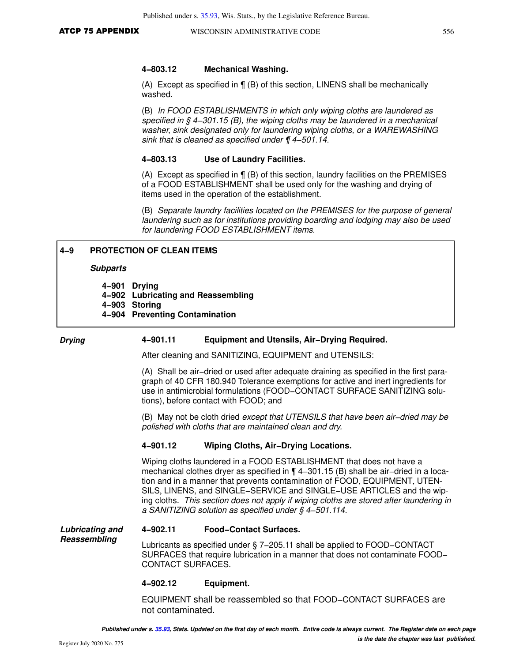#### **4−803.12 Mechanical Washing.**

(A) Except as specified in ¶ (B) of this section, LINENS shall be mechanically washed.

(B) In FOOD ESTABLISHMENTS in which only wiping cloths are laundered as specified in § 4–301.15 (B), the wiping cloths may be laundered in a mechanical washer, sink designated only for laundering wiping cloths, or a WAREWASHING sink that is cleaned as specified under ¶ 4−501.14.

#### **4−803.13 Use of Laundry Facilities.**

(A) Except as specified in ¶ (B) of this section, laundry facilities on the PREMISES of a FOOD ESTABLISHMENT shall be used only for the washing and drying of items used in the operation of the establishment.

(B) Separate laundry facilities located on the PREMISES for the purpose of general laundering such as for institutions providing boarding and lodging may also be used for laundering FOOD ESTABLISHMENT items.

#### **4−9 PROTECTION OF CLEAN ITEMS**

#### **Subparts**

**4−901 Drying 4−902 Lubricating and Reassembling 4−903 Storing 4−904 Preventing Contamination**

#### *Drying* **4−901.11 Equipment and Utensils, Air−Drying Required.**

After cleaning and SANITIZING, EQUIPMENT and UTENSILS:

(A) Shall be air−dried or used after adequate draining as specified in the first paragraph of 40 CFR 180.940 Tolerance exemptions for active and inert ingredients for use in antimicrobial formulations (FOOD−CONTACT SURFACE SANITIZING solutions), before contact with FOOD; and

(B) May not be cloth dried except that UTENSILS that have been air−dried may be polished with cloths that are maintained clean and dry.

#### **4−901.12 Wiping Cloths, Air−Drying Locations.**

Wiping cloths laundered in a FOOD ESTABLISHMENT that does not have a mechanical clothes dryer as specified in ¶ 4−301.15 (B) shall be air−dried in a location and in a manner that prevents contamination of FOOD, EQUIPMENT, UTEN-SILS, LINENS, and SINGLE−SERVICE and SINGLE−USE ARTICLES and the wiping cloths. This section does not apply if wiping cloths are stored after laundering in a SANITIZING solution as specified under § 4−501.114.

#### **Lubricating and 4−902.11 Food−Contact Surfaces.**

Lubricants as specified under § 7−205.11 shall be applied to FOOD−CONTACT SURFACES that require lubrication in a manner that does not contaminate FOOD− CONTACT SURFACES.

#### **4−902.12 Equipment.**

EQUIPMENT shall be reassembled so that FOOD−CONTACT SURFACES are not contaminated.

**Reassembling**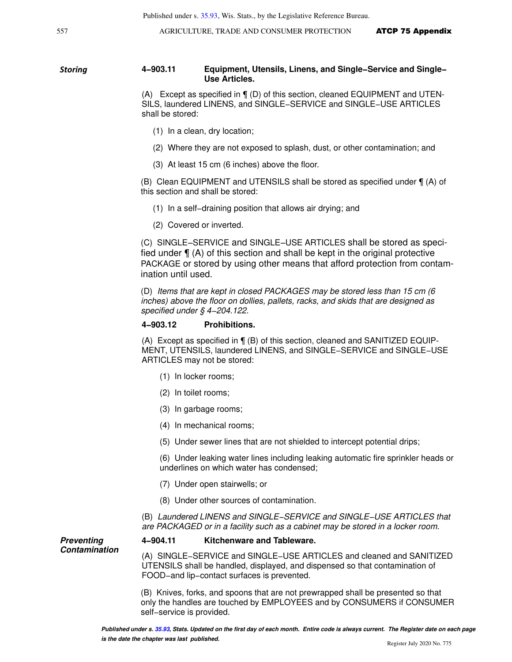#### *Storing* **4−903.11 Equipment, Utensils, Linens, and Single−Service and Single− Use Articles.**

(A) Except as specified in ¶ (D) of this section, cleaned EQUIPMENT and UTEN-SILS, laundered LINENS, and SINGLE−SERVICE and SINGLE−USE ARTICLES shall be stored:

- (1) In a clean, dry location;
- (2) Where they are not exposed to splash, dust, or other contamination; and
- (3) At least 15 cm (6 inches) above the floor.

(B) Clean EQUIPMENT and UTENSILS shall be stored as specified under ¶ (A) of this section and shall be stored:

- (1) In a self−draining position that allows air drying; and
- (2) Covered or inverted.

(C) SINGLE−SERVICE and SINGLE−USE ARTICLES shall be stored as specified under ¶ (A) of this section and shall be kept in the original protective PACKAGE or stored by using other means that afford protection from contamination until used.

(D) Items that are kept in closed PACKAGES may be stored less than 15 cm (6 inches) above the floor on dollies, pallets, racks, and skids that are designed as specified under § 4−204.122.

#### **4−903.12 Prohibitions.**

(A) Except as specified in ¶ (B) of this section, cleaned and SANITIZED EQUIP-MENT, UTENSILS, laundered LINENS, and SINGLE−SERVICE and SINGLE−USE ARTICLES may not be stored:

- (1) In locker rooms;
- (2) In toilet rooms;
- (3) In garbage rooms;
- (4) In mechanical rooms;
- (5) Under sewer lines that are not shielded to intercept potential drips;

(6) Under leaking water lines including leaking automatic fire sprinkler heads or underlines on which water has condensed;

- (7) Under open stairwells; or
- (8) Under other sources of contamination.

(B) Laundered LINENS and SINGLE−SERVICE and SINGLE−USE ARTICLES that are PACKAGED or in a facility such as a cabinet may be stored in a locker room.

**Preventing Contamination**

#### **4−904.11 Kitchenware and Tableware.**

(A) SINGLE−SERVICE and SINGLE−USE ARTICLES and cleaned and SANITIZED UTENSILS shall be handled, displayed, and dispensed so that contamination of FOOD−and lip−contact surfaces is prevented.

(B) Knives, forks, and spoons that are not prewrapped shall be presented so that only the handles are touched by EMPLOYEES and by CONSUMERS if CONSUMER self−service is provided.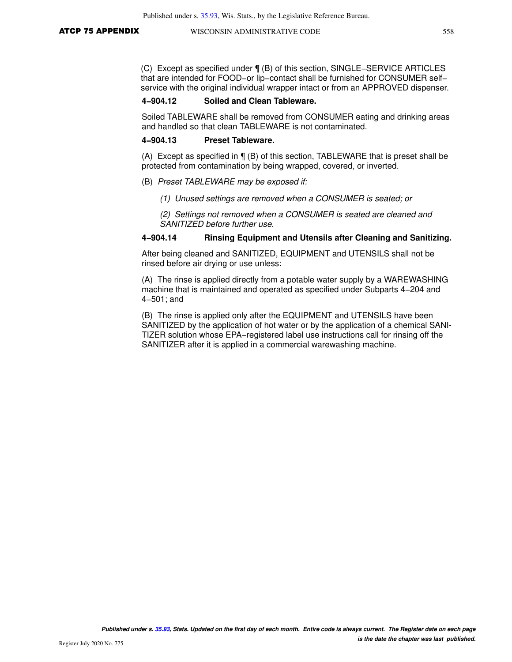(C) Except as specified under ¶ (B) of this section, SINGLE−SERVICE ARTICLES that are intended for FOOD−or lip−contact shall be furnished for CONSUMER self− service with the original individual wrapper intact or from an APPROVED dispenser.

### **4−904.12 Soiled and Clean Tableware.**

Soiled TABLEWARE shall be removed from CONSUMER eating and drinking areas and handled so that clean TABLEWARE is not contaminated.

#### **4−904.13 Preset Tableware.**

(A) Except as specified in ¶ (B) of this section, TABLEWARE that is preset shall be protected from contamination by being wrapped, covered, or inverted.

- (B) Preset TABLEWARE may be exposed if:
	- (1) Unused settings are removed when a CONSUMER is seated; or
	- (2) Settings not removed when a CONSUMER is seated are cleaned and SANITIZED before further use.

#### **4−904.14 Rinsing Equipment and Utensils after Cleaning and Sanitizing.**

After being cleaned and SANITIZED, EQUIPMENT and UTENSILS shall not be rinsed before air drying or use unless:

(A) The rinse is applied directly from a potable water supply by a WAREWASHING machine that is maintained and operated as specified under Subparts 4−204 and 4−501; and

(B) The rinse is applied only after the EQUIPMENT and UTENSILS have been SANITIZED by the application of hot water or by the application of a chemical SANI-TIZER solution whose EPA−registered label use instructions call for rinsing off the SANITIZER after it is applied in a commercial warewashing machine.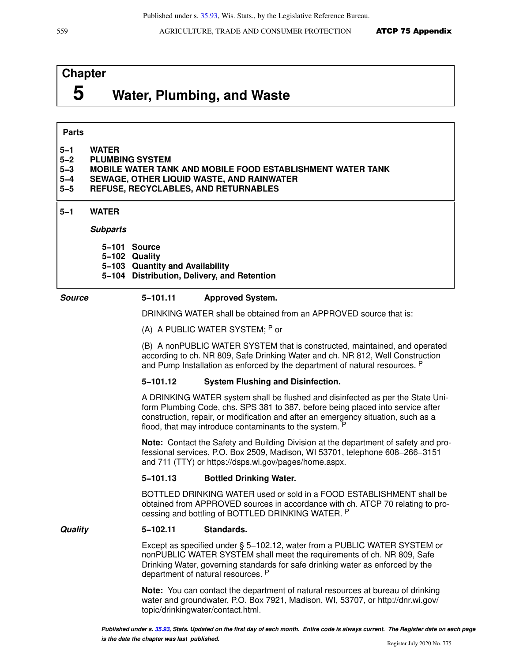#### Published under s. [35.93](https://docs.legis.wisconsin.gov/document/statutes/35.93), Wis. Stats., by the Legislative Reference Bureau.

559 **AGRICULTURE, TRADE AND CONSUMER PROTECTION ATCP 75 Appendix** 

# **Chapter 5 Water, Plumbing, and Waste**

### **Parts**

| $5 - 1$ | <b>WATER</b>    |
|---------|-----------------|
| E O     | DI HMDINA CVCTE |

- **5−2 PLUMBING SYSTEM**
- **5−3 MOBILE WATER TANK AND MOBILE FOOD ESTABLISHMENT WATER TANK**
- **5−4 SEWAGE, OTHER LIQUID WASTE, AND RAINWATER**
- **5−5 REFUSE, RECYCLABLES, AND RETURNABLES**

# **5−1 WATER**

**Subparts**

- **5−101 Source**
- **5−102 Quality**
- **5−103 Quantity and Availability**
- **5−104 Distribution, Delivery, and Retention**

## **Source 5−101.11 Approved System.**

DRINKING WATER shall be obtained from an APPROVED source that is:

(A) A PUBLIC WATER SYSTEM; P or

(B) A nonPUBLIC WATER SYSTEM that is constructed, maintained, and operated according to ch. NR 809, Safe Drinking Water and ch. NR 812, Well Construction and Pump Installation as enforced by the department of natural resources. P

## **5−101.12 System Flushing and Disinfection.**

A DRINKING WATER system shall be flushed and disinfected as per the State Uniform Plumbing Code, chs. SPS 381 to 387, before being placed into service after construction, repair, or modification and after an emergency situation, such as a flood, that may introduce contaminants to the system. <sup>P</sup>

**Note:** Contact the Safety and Building Division at the department of safety and professional services, P.O. Box 2509, Madison, WI 53701, telephone 608−266−3151 and 711 (TTY) or https://dsps.wi.gov/pages/home.aspx.

## **5−101.13 Bottled Drinking Water.**

BOTTLED DRINKING WATER used or sold in a FOOD ESTABLISHMENT shall be obtained from APPROVED sources in accordance with ch. ATCP 70 relating to processing and bottling of BOTTLED DRINKING WATER. P

#### **Quality 5−102.11 Standards.**

Except as specified under § 5−102.12, water from a PUBLIC WATER SYSTEM or nonPUBLIC WATER SYSTEM shall meet the requirements of ch. NR 809, Safe Drinking Water, governing standards for safe drinking water as enforced by the department of natural resources. P

**Note:** You can contact the department of natural resources at bureau of drinking water and groundwater, P.O. Box 7921, Madison, WI, 53707, or http://dnr.wi.gov/ topic/drinkingwater/contact.html.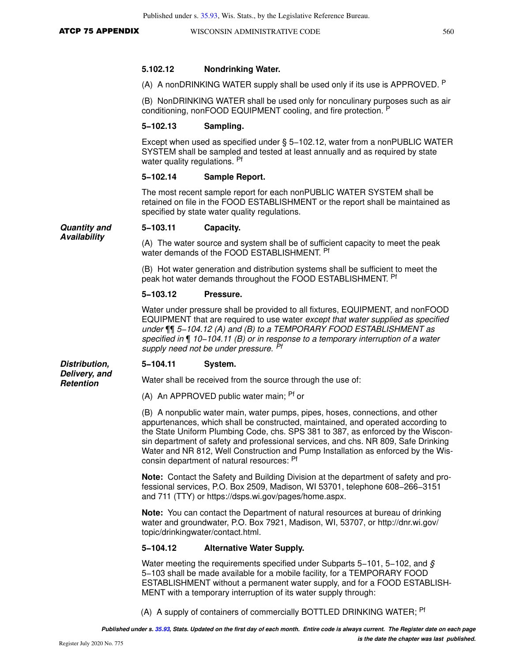#### **5.102.12 Nondrinking Water.**

(A) A nonDRINKING WATER supply shall be used only if its use is APPROVED.  $P$ 

(B) NonDRINKING WATER shall be used only for nonculinary purposes such as air conditioning, nonFOOD EQUIPMENT cooling, and fire protection. <sup>P</sup>

#### **5−102.13 Sampling.**

Except when used as specified under § 5−102.12, water from a nonPUBLIC WATER SYSTEM shall be sampled and tested at least annually and as required by state water quality regulations. Pf

#### **5−102.14 Sample Report.**

The most recent sample report for each nonPUBLIC WATER SYSTEM shall be retained on file in the FOOD ESTABLISHMENT or the report shall be maintained as specified by state water quality regulations.

#### **Quantity and Availability 5−103.11 Capacity.**

(A) The water source and system shall be of sufficient capacity to meet the peak water demands of the FOOD ESTABLISHMENT. Pf

(B) Hot water generation and distribution systems shall be sufficient to meet the peak hot water demands throughout the FOOD ESTABLISHMENT. <sup>Pf</sup>

#### **5−103.12 Pressure.**

Water under pressure shall be provided to all fixtures, EQUIPMENT, and nonFOOD EQUIPMENT that are required to use water except that water supplied as specified under ¶¶ 5−104.12 (A) and (B) to a TEMPORARY FOOD ESTABLISHMENT as specified in ¶ 10−104.11 (B) or in response to a temporary interruption of a water supply need not be under pressure. Pf

#### **Distribution, 5−104.11 System.**

**Delivery, and Retention**

Water shall be received from the source through the use of:

(A) An APPROVED public water main; Pf or

(B) A nonpublic water main, water pumps, pipes, hoses, connections, and other appurtenances, which shall be constructed, maintained, and operated according to the State Uniform Plumbing Code, chs. SPS 381 to 387, as enforced by the Wisconsin department of safety and professional services, and chs. NR 809, Safe Drinking Water and NR 812, Well Construction and Pump Installation as enforced by the Wisconsin department of natural resources: <sup>Pf</sup>

**Note:** Contact the Safety and Building Division at the department of safety and professional services, P.O. Box 2509, Madison, WI 53701, telephone 608−266−3151 and 711 (TTY) or https://dsps.wi.gov/pages/home.aspx.

**Note:** You can contact the Department of natural resources at bureau of drinking water and groundwater, P.O. Box 7921, Madison, WI, 53707, or http://dnr.wi.gov/ topic/drinkingwater/contact.html.

#### **5−104.12 Alternative Water Supply.**

Water meeting the requirements specified under Subparts 5–101, 5–102, and  $\hat{S}$ 5−103 shall be made available for a mobile facility, for a TEMPORARY FOOD ESTABLISHMENT without a permanent water supply, and for a FOOD ESTABLISH-MENT with a temporary interruption of its water supply through:

(A) A supply of containers of commercially BOTTLED DRINKING WATER; <sup>Pf</sup>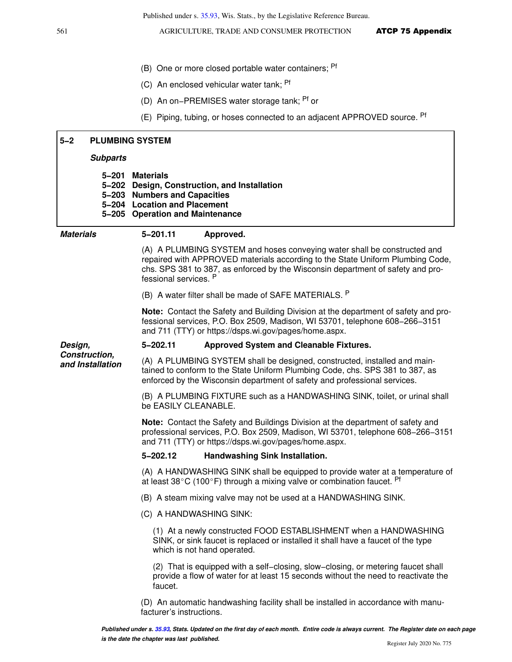- (B) One or more closed portable water containers; Pf
- (C) An enclosed vehicular water tank; Pf
- (D) An on−PREMISES water storage tank; Pf or
- (E) Piping, tubing, or hoses connected to an adjacent APPROVED source. Pf

| $5 - 2$          |                  | <b>PLUMBING SYSTEM</b>                                                                                                                                                                                                                                                 |  |  |
|------------------|------------------|------------------------------------------------------------------------------------------------------------------------------------------------------------------------------------------------------------------------------------------------------------------------|--|--|
|                  | <b>Subparts</b>  |                                                                                                                                                                                                                                                                        |  |  |
|                  | 5-201            | <b>Materials</b><br>5-202 Design, Construction, and Installation<br>5-203 Numbers and Capacities<br>5-204 Location and Placement<br>5-205 Operation and Maintenance                                                                                                    |  |  |
| <b>Materials</b> |                  | $5 - 201.11$<br>Approved.                                                                                                                                                                                                                                              |  |  |
|                  |                  | (A) A PLUMBING SYSTEM and hoses conveying water shall be constructed and<br>repaired with APPROVED materials according to the State Uniform Plumbing Code,<br>chs. SPS 381 to 387, as enforced by the Wisconsin department of safety and pro-<br>fessional services. P |  |  |
|                  |                  | (B) A water filter shall be made of SAFE MATERIALS. P                                                                                                                                                                                                                  |  |  |
|                  |                  | <b>Note:</b> Contact the Safety and Building Division at the department of safety and pro-<br>fessional services, P.O. Box 2509, Madison, WI 53701, telephone 608-266-3151<br>and 711 (TTY) or https://dsps.wi.gov/pages/home.aspx.                                    |  |  |
| Design,          |                  | $5 - 202.11$<br><b>Approved System and Cleanable Fixtures.</b>                                                                                                                                                                                                         |  |  |
| Construction,    | and Installation | (A) A PLUMBING SYSTEM shall be designed, constructed, installed and main-<br>tained to conform to the State Uniform Plumbing Code, chs. SPS 381 to 387, as<br>enforced by the Wisconsin department of safety and professional services.                                |  |  |
|                  |                  | (B) A PLUMBING FIXTURE such as a HANDWASHING SINK, toilet, or urinal shall<br>be EASILY CLEANABLE.                                                                                                                                                                     |  |  |
|                  |                  | Note: Contact the Safety and Buildings Division at the department of safety and<br>professional services, P.O. Box 2509, Madison, WI 53701, telephone 608-266-3151<br>and 711 (TTY) or https://dsps.wi.gov/pages/home.aspx.                                            |  |  |
|                  |                  | $5 - 202.12$<br>Handwashing Sink Installation.                                                                                                                                                                                                                         |  |  |
|                  |                  | (A) A HANDWASHING SINK shall be equipped to provide water at a temperature of<br>at least 38 $\mathrm{^{\circ}C}$ (100 $\mathrm{^{\circ}F}$ ) through a mixing valve or combination faucet. Pf                                                                         |  |  |
|                  |                  | (B) A steam mixing valve may not be used at a HANDWASHING SINK.                                                                                                                                                                                                        |  |  |
|                  |                  | (C) A HANDWASHING SINK:                                                                                                                                                                                                                                                |  |  |
|                  |                  | (1) At a newly constructed FOOD ESTABLISHMENT when a HANDWASHING<br>SINK, or sink faucet is replaced or installed it shall have a faucet of the type<br>which is not hand operated.                                                                                    |  |  |
|                  |                  | (2) That is equipped with a self-closing, slow-closing, or metering faucet shall<br>provide a flow of water for at least 15 seconds without the need to reactivate the<br>faucet.                                                                                      |  |  |
|                  |                  | (D) An automatic handwashing facility shall be installed in accordance with manu-                                                                                                                                                                                      |  |  |

facturer's instructions.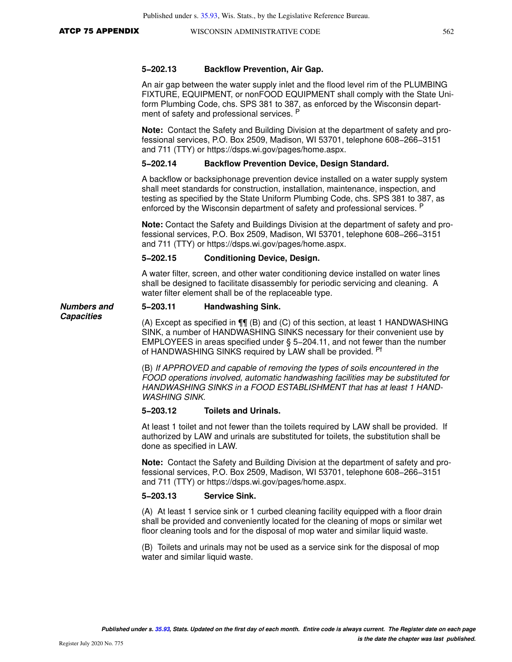**Capacities**

#### **5−202.13 Backflow Prevention, Air Gap.**

An air gap between the water supply inlet and the flood level rim of the PLUMBING FIXTURE, EQUIPMENT, or nonFOOD EQUIPMENT shall comply with the State Uniform Plumbing Code, chs. SPS 381 to 387, as enforced by the Wisconsin department of safety and professional services. P

**Note:** Contact the Safety and Building Division at the department of safety and professional services, P.O. Box 2509, Madison, WI 53701, telephone 608−266−3151 and 711 (TTY) or https://dsps.wi.gov/pages/home.aspx.

#### **5−202.14 Backflow Prevention Device, Design Standard.**

A backflow or backsiphonage prevention device installed on a water supply system shall meet standards for construction, installation, maintenance, inspection, and testing as specified by the State Uniform Plumbing Code, chs. SPS 381 to 387, as enforced by the Wisconsin department of safety and professional services. <sup>P</sup>

**Note:** Contact the Safety and Buildings Division at the department of safety and professional services, P.O. Box 2509, Madison, WI 53701, telephone 608−266−3151 and 711 (TTY) or https://dsps.wi.gov/pages/home.aspx.

#### **5−202.15 Conditioning Device, Design.**

A water filter, screen, and other water conditioning device installed on water lines shall be designed to facilitate disassembly for periodic servicing and cleaning. A water filter element shall be of the replaceable type.

#### **Numbers and 5−203.11 Handwashing Sink.**

(A) Except as specified in ¶¶ (B) and (C) of this section, at least 1 HANDWASHING SINK, a number of HANDWASHING SINKS necessary for their convenient use by EMPLOYEES in areas specified under § 5−204.11, and not fewer than the number of HANDWASHING SINKS required by LAW shall be provided. Pf

(B) If APPROVED and capable of removing the types of soils encountered in the FOOD operations involved, automatic handwashing facilities may be substituted for HANDWASHING SINKS in a FOOD ESTABLISHMENT that has at least 1 HAND-WASHING SINK.

#### **5−203.12 Toilets and Urinals.**

At least 1 toilet and not fewer than the toilets required by LAW shall be provided. If authorized by LAW and urinals are substituted for toilets, the substitution shall be done as specified in LAW.

**Note:** Contact the Safety and Building Division at the department of safety and professional services, P.O. Box 2509, Madison, WI 53701, telephone 608−266−3151 and 711 (TTY) or https://dsps.wi.gov/pages/home.aspx.

#### **5−203.13 Service Sink.**

(A) At least 1 service sink or 1 curbed cleaning facility equipped with a floor drain shall be provided and conveniently located for the cleaning of mops or similar wet floor cleaning tools and for the disposal of mop water and similar liquid waste.

(B) Toilets and urinals may not be used as a service sink for the disposal of mop water and similar liquid waste.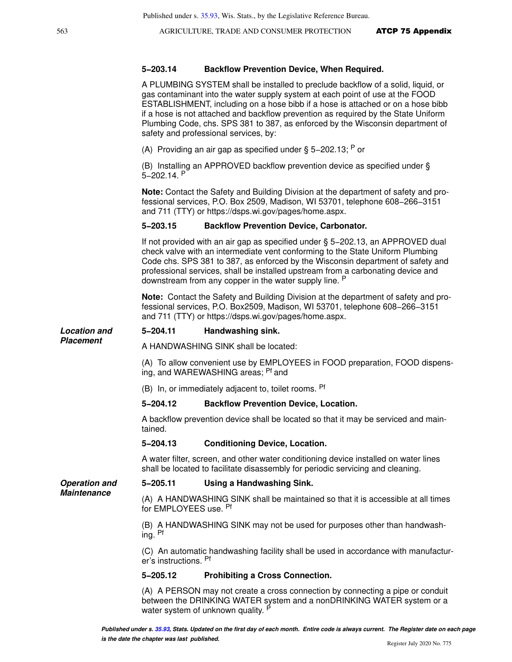#### **5−203.14 Backflow Prevention Device, When Required.**

A PLUMBING SYSTEM shall be installed to preclude backflow of a solid, liquid, or gas contaminant into the water supply system at each point of use at the FOOD ESTABLISHMENT, including on a hose bibb if a hose is attached or on a hose bibb if a hose is not attached and backflow prevention as required by the State Uniform Plumbing Code, chs. SPS 381 to 387, as enforced by the Wisconsin department of safety and professional services, by:

(A) Providing an air gap as specified under § 5–202.13; P or

(B) Installing an APPROVED backflow prevention device as specified under § 5−202.14. <sup>P</sup>

**Note:** Contact the Safety and Building Division at the department of safety and professional services, P.O. Box 2509, Madison, WI 53701, telephone 608−266−3151 and 711 (TTY) or https://dsps.wi.gov/pages/home.aspx.

#### **5−203.15 Backflow Prevention Device, Carbonator.**

If not provided with an air gap as specified under § 5−202.13, an APPROVED dual check valve with an intermediate vent conforming to the State Uniform Plumbing Code chs. SPS 381 to 387, as enforced by the Wisconsin department of safety and professional services, shall be installed upstream from a carbonating device and downstream from any copper in the water supply line. <sup>P</sup>

**Note:** Contact the Safety and Building Division at the department of safety and professional services, P.O. Box2509, Madison, WI 53701, telephone 608−266−3151 and 711 (TTY) or https://dsps.wi.gov/pages/home.aspx.

#### **Location and 5−204.11 Handwashing sink.**

A HANDWASHING SINK shall be located:

(A) To allow convenient use by EMPLOYEES in FOOD preparation, FOOD dispensing, and WAREWASHING areas; <sup>Pf</sup> and

(B) In, or immediately adjacent to, toilet rooms. Pf

#### **5−204.12 Backflow Prevention Device, Location.**

A backflow prevention device shall be located so that it may be serviced and maintained.

#### **5−204.13 Conditioning Device, Location.**

A water filter, screen, and other water conditioning device installed on water lines shall be located to facilitate disassembly for periodic servicing and cleaning.

**Operation and Maintenance**

**Placement**

#### **5−205.11 Using a Handwashing Sink.**

(A) A HANDWASHING SINK shall be maintained so that it is accessible at all times for EMPLOYEES use. Pf

(B) A HANDWASHING SINK may not be used for purposes other than handwashing. Pf

(C) An automatic handwashing facility shall be used in accordance with manufacturer's instructions. Pf

#### **5−205.12 Prohibiting a Cross Connection.**

(A) A PERSON may not create a cross connection by connecting a pipe or conduit between the DRINKING WATER system and a nonDRINKING WATER system or a water system of unknown quality. <sup>P</sup>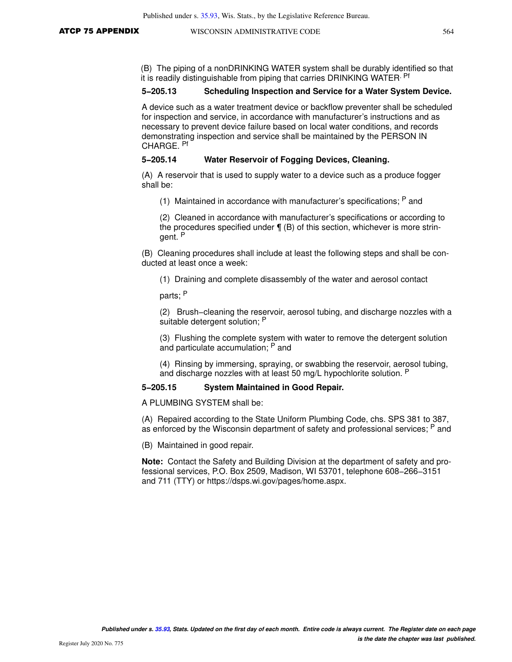(B) The piping of a nonDRINKING WATER system shall be durably identified so that it is readily distinguishable from piping that carries DRINKING WATER. Pf

#### **5−205.13 Scheduling Inspection and Service for a Water System Device.**

A device such as a water treatment device or backflow preventer shall be scheduled for inspection and service, in accordance with manufacturer's instructions and as necessary to prevent device failure based on local water conditions, and records demonstrating inspection and service shall be maintained by the PERSON IN CHARGE. Pf

#### **5−205.14 Water Reservoir of Fogging Devices, Cleaning.**

(A) A reservoir that is used to supply water to a device such as a produce fogger shall be:

(1) Maintained in accordance with manufacturer's specifications; P and

(2) Cleaned in accordance with manufacturer's specifications or according to the procedures specified under  $\P$  (B) of this section, whichever is more stringent. <sup>P</sup>

(B) Cleaning procedures shall include at least the following steps and shall be conducted at least once a week:

(1) Draining and complete disassembly of the water and aerosol contact

parts; <sup>P</sup>

(2) Brush−cleaning the reservoir, aerosol tubing, and discharge nozzles with a suitable detergent solution; P

(3) Flushing the complete system with water to remove the detergent solution and particulate accumulation; <sup>P</sup> and

(4) Rinsing by immersing, spraying, or swabbing the reservoir, aerosol tubing, and discharge nozzles with at least 50 mg/L hypochlorite solution. <sup>P</sup>

#### **5−205.15 System Maintained in Good Repair.**

A PLUMBING SYSTEM shall be:

(A) Repaired according to the State Uniform Plumbing Code, chs. SPS 381 to 387, as enforced by the Wisconsin department of safety and professional services; <sup>P</sup> and

(B) Maintained in good repair.

**Note:** Contact the Safety and Building Division at the department of safety and professional services, P.O. Box 2509, Madison, WI 53701, telephone 608−266−3151 and 711 (TTY) or https://dsps.wi.gov/pages/home.aspx.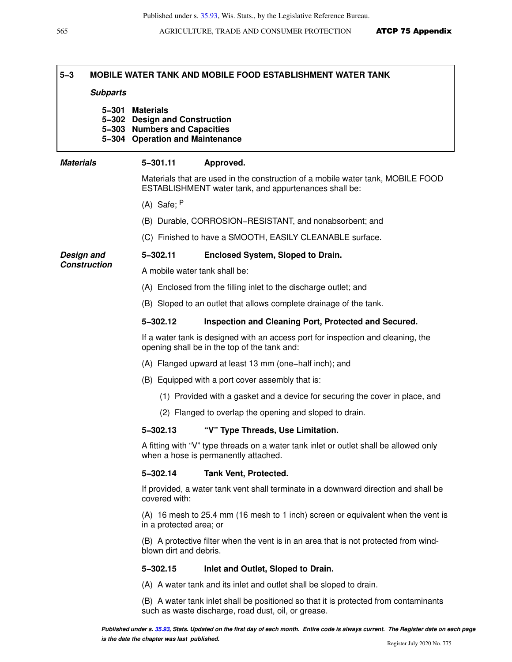## **5−3 MOBILE WATER TANK AND MOBILE FOOD ESTABLISHMENT WATER TANK**

### **Subparts**

**5−301 Materials 5−302 Design and Construction 5−303 Numbers and Capacities 5−304 Operation and Maintenance**

### **Materials 5−301.11 Approved.**

Materials that are used in the construction of a mobile water tank, MOBILE FOOD ESTABLISHMENT water tank, and appurtenances shall be:

- (A) Safe; <sup>P</sup>
- (B) Durable, CORROSION−RESISTANT, and nonabsorbent; and
- (C) Finished to have a SMOOTH, EASILY CLEANABLE surface.

### **Design and 5−302.11 Enclosed System, Sloped to Drain.**

**Construction** A mobile water tank shall be:

- (A) Enclosed from the filling inlet to the discharge outlet; and
- (B) Sloped to an outlet that allows complete drainage of the tank.

### **5−302.12 Inspection and Cleaning Port, Protected and Secured.**

If a water tank is designed with an access port for inspection and cleaning, the opening shall be in the top of the tank and:

- (A) Flanged upward at least 13 mm (one−half inch); and
- (B) Equipped with a port cover assembly that is:
	- (1) Provided with a gasket and a device for securing the cover in place, and
	- (2) Flanged to overlap the opening and sloped to drain.

### **5−302.13 "V" Type Threads, Use Limitation.**

A fitting with "V" type threads on a water tank inlet or outlet shall be allowed only when a hose is permanently attached.

### **5−302.14 Tank Vent, Protected.**

If provided, a water tank vent shall terminate in a downward direction and shall be covered with:

(A) 16 mesh to 25.4 mm (16 mesh to 1 inch) screen or equivalent when the vent is in a protected area; or

(B) A protective filter when the vent is in an area that is not protected from windblown dirt and debris.

### **5−302.15 Inlet and Outlet, Sloped to Drain.**

(A) A water tank and its inlet and outlet shall be sloped to drain.

(B) A water tank inlet shall be positioned so that it is protected from contaminants such as waste discharge, road dust, oil, or grease.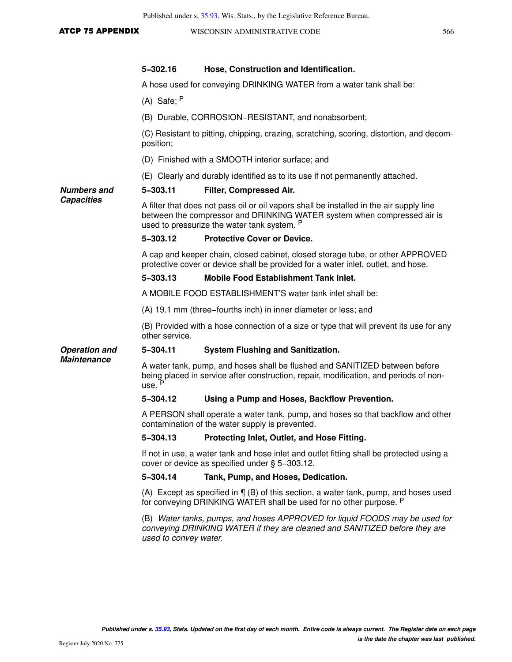| <b>ATCP 75 APPENDIX</b> |  |  |
|-------------------------|--|--|
|                         |  |  |

| <b>ATCP 75 APPENDIX</b> | WISCONSIN ADMINISTRATIVE CODE                                                                                                                                       |                                                                                                                                                                                                                   | 566 |  |
|-------------------------|---------------------------------------------------------------------------------------------------------------------------------------------------------------------|-------------------------------------------------------------------------------------------------------------------------------------------------------------------------------------------------------------------|-----|--|
|                         | 5-302.16                                                                                                                                                            | Hose, Construction and Identification.                                                                                                                                                                            |     |  |
|                         |                                                                                                                                                                     | A hose used for conveying DRINKING WATER from a water tank shall be:                                                                                                                                              |     |  |
|                         | $(A)$ Safe; $P$                                                                                                                                                     |                                                                                                                                                                                                                   |     |  |
|                         |                                                                                                                                                                     | (B) Durable, CORROSION-RESISTANT, and nonabsorbent;                                                                                                                                                               |     |  |
|                         | position;                                                                                                                                                           | (C) Resistant to pitting, chipping, crazing, scratching, scoring, distortion, and decom-                                                                                                                          |     |  |
|                         |                                                                                                                                                                     | (D) Finished with a SMOOTH interior surface; and                                                                                                                                                                  |     |  |
|                         |                                                                                                                                                                     | (E) Clearly and durably identified as to its use if not permanently attached.                                                                                                                                     |     |  |
| <b>Numbers and</b>      | 5-303.11                                                                                                                                                            | Filter, Compressed Air.                                                                                                                                                                                           |     |  |
| <b>Capacities</b>       |                                                                                                                                                                     | A filter that does not pass oil or oil vapors shall be installed in the air supply line<br>between the compressor and DRINKING WATER system when compressed air is<br>used to pressurize the water tank system. P |     |  |
|                         | 5-303.12                                                                                                                                                            | <b>Protective Cover or Device.</b>                                                                                                                                                                                |     |  |
|                         | A cap and keeper chain, closed cabinet, closed storage tube, or other APPROVED<br>protective cover or device shall be provided for a water inlet, outlet, and hose. |                                                                                                                                                                                                                   |     |  |
|                         | $5 - 303.13$                                                                                                                                                        | <b>Mobile Food Establishment Tank Inlet.</b>                                                                                                                                                                      |     |  |
|                         |                                                                                                                                                                     | A MOBILE FOOD ESTABLISHMENT'S water tank inlet shall be:                                                                                                                                                          |     |  |
|                         |                                                                                                                                                                     | (A) 19.1 mm (three–fourths inch) in inner diameter or less; and                                                                                                                                                   |     |  |
|                         | other service.                                                                                                                                                      | (B) Provided with a hose connection of a size or type that will prevent its use for any                                                                                                                           |     |  |
| <b>Operation and</b>    | 5-304.11                                                                                                                                                            | <b>System Flushing and Sanitization.</b>                                                                                                                                                                          |     |  |
| <b>Maintenance</b>      | use. P                                                                                                                                                              | A water tank, pump, and hoses shall be flushed and SANITIZED between before<br>being placed in service after construction, repair, modification, and periods of non-                                              |     |  |
|                         | 5-304.12                                                                                                                                                            | Using a Pump and Hoses, Backflow Prevention.                                                                                                                                                                      |     |  |
|                         |                                                                                                                                                                     | A PERSON shall operate a water tank, pump, and hoses so that backflow and other<br>contamination of the water supply is prevented.                                                                                |     |  |
|                         | $5 - 304.13$                                                                                                                                                        | Protecting Inlet, Outlet, and Hose Fitting.                                                                                                                                                                       |     |  |
|                         |                                                                                                                                                                     | If not in use, a water tank and hose inlet and outlet fitting shall be protected using a<br>cover or device as specified under § 5-303.12.                                                                        |     |  |
|                         | 5-304.14                                                                                                                                                            | Tank, Pump, and Hoses, Dedication.                                                                                                                                                                                |     |  |
|                         |                                                                                                                                                                     | (A) Except as specified in $\P$ (B) of this section, a water tank, pump, and hoses used<br>for conveying DRINKING WATER shall be used for no other purpose. P                                                     |     |  |
|                         |                                                                                                                                                                     | (B) Water tanks, pumps, and hoses APPROVED for liquid FOODS may be used for<br>conveying DRINKING WATER if they are cleaned and SANITIZED before they are                                                         |     |  |

used to convey water.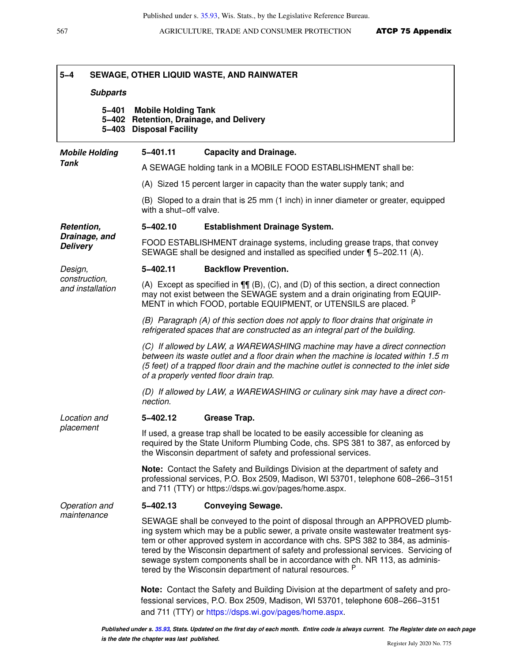| $5 - 4$                           |                 |                                                       | SEWAGE, OTHER LIQUID WASTE, AND RAINWATER                                                                                                                                                                                                                                                                                                                                                                                                                                                  |
|-----------------------------------|-----------------|-------------------------------------------------------|--------------------------------------------------------------------------------------------------------------------------------------------------------------------------------------------------------------------------------------------------------------------------------------------------------------------------------------------------------------------------------------------------------------------------------------------------------------------------------------------|
|                                   | <b>Subparts</b> |                                                       |                                                                                                                                                                                                                                                                                                                                                                                                                                                                                            |
|                                   | 5–401           | <b>Mobile Holding Tank</b><br>5-403 Disposal Facility | 5-402 Retention, Drainage, and Delivery                                                                                                                                                                                                                                                                                                                                                                                                                                                    |
| <b>Mobile Holding</b>             |                 | 5-401.11                                              | <b>Capacity and Drainage.</b>                                                                                                                                                                                                                                                                                                                                                                                                                                                              |
| Tank                              |                 |                                                       | A SEWAGE holding tank in a MOBILE FOOD ESTABLISHMENT shall be:                                                                                                                                                                                                                                                                                                                                                                                                                             |
|                                   |                 |                                                       | (A) Sized 15 percent larger in capacity than the water supply tank; and                                                                                                                                                                                                                                                                                                                                                                                                                    |
|                                   |                 | with a shut-off valve.                                | (B) Sloped to a drain that is 25 mm (1 inch) in inner diameter or greater, equipped                                                                                                                                                                                                                                                                                                                                                                                                        |
| Retention,                        |                 | 5-402.10                                              | <b>Establishment Drainage System.</b>                                                                                                                                                                                                                                                                                                                                                                                                                                                      |
| Drainage, and<br><b>Delivery</b>  |                 |                                                       | FOOD ESTABLISHMENT drainage systems, including grease traps, that convey<br>SEWAGE shall be designed and installed as specified under ¶ 5-202.11 (A).                                                                                                                                                                                                                                                                                                                                      |
| Design,                           |                 | 5-402.11                                              | <b>Backflow Prevention.</b>                                                                                                                                                                                                                                                                                                                                                                                                                                                                |
| construction.<br>and installation |                 |                                                       | (A) Except as specified in $\P\P$ (B), (C), and (D) of this section, a direct connection<br>may not exist between the SEWAGE system and a drain originating from EQUIP-<br>MENT in which FOOD, portable EQUIPMENT, or UTENSILS are placed. P                                                                                                                                                                                                                                               |
|                                   |                 |                                                       | (B) Paragraph (A) of this section does not apply to floor drains that originate in<br>refrigerated spaces that are constructed as an integral part of the building.                                                                                                                                                                                                                                                                                                                        |
|                                   |                 |                                                       | (C) If allowed by LAW, a WAREWASHING machine may have a direct connection<br>between its waste outlet and a floor drain when the machine is located within 1.5 m<br>(5 feet) of a trapped floor drain and the machine outlet is connected to the inlet side<br>of a properly vented floor drain trap.                                                                                                                                                                                      |
|                                   |                 | nection.                                              | (D) If allowed by LAW, a WAREWASHING or culinary sink may have a direct con-                                                                                                                                                                                                                                                                                                                                                                                                               |
| Location and                      |                 | 5-402.12                                              | Grease Trap.                                                                                                                                                                                                                                                                                                                                                                                                                                                                               |
| placement                         |                 |                                                       | If used, a grease trap shall be located to be easily accessible for cleaning as<br>required by the State Uniform Plumbing Code, chs. SPS 381 to 387, as enforced by<br>the Wisconsin department of safety and professional services.                                                                                                                                                                                                                                                       |
|                                   |                 |                                                       | Note: Contact the Safety and Buildings Division at the department of safety and<br>professional services, P.O. Box 2509, Madison, WI 53701, telephone 608-266-3151<br>and 711 (TTY) or https://dsps.wi.gov/pages/home.aspx.                                                                                                                                                                                                                                                                |
| Operation and                     |                 | 5-402.13                                              | <b>Conveying Sewage.</b>                                                                                                                                                                                                                                                                                                                                                                                                                                                                   |
| maintenance                       |                 |                                                       | SEWAGE shall be conveyed to the point of disposal through an APPROVED plumb-<br>ing system which may be a public sewer, a private onsite wastewater treatment sys-<br>tem or other approved system in accordance with chs. SPS 382 to 384, as adminis-<br>tered by the Wisconsin department of safety and professional services. Servicing of<br>sewage system components shall be in accordance with ch. NR 113, as adminis-<br>tered by the Wisconsin department of natural resources. P |
|                                   |                 |                                                       | Note: Contact the Safety and Building Division at the department of safety and pro-<br>fessional services, P.O. Box 2509, Madison, WI 53701, telephone 608-266-3151<br>and 711 (TTY) or https://dsps.wi.gov/pages/home.aspx.                                                                                                                                                                                                                                                               |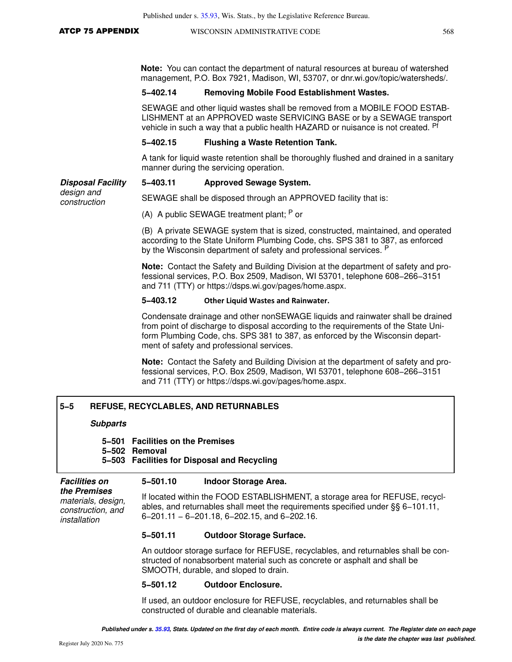**Note:** You can contact the department of natural resources at bureau of watershed management, P.O. Box 7921, Madison, WI, 53707, or dnr.wi.gov/topic/watersheds/.

### **5−402.14 Removing Mobile Food Establishment Wastes.**

SEWAGE and other liquid wastes shall be removed from a MOBILE FOOD ESTAB-LISHMENT at an APPROVED waste SERVICING BASE or by a SEWAGE transport vehicle in such a way that a public health HAZARD or nuisance is not created. Pf

### **5−402.15 Flushing a Waste Retention Tank.**

A tank for liquid waste retention shall be thoroughly flushed and drained in a sanitary manner during the servicing operation.

### **Disposal Facility 5−403.11 Approved Sewage System.**

design and construction

SEWAGE shall be disposed through an APPROVED facility that is:

(A) A public SEWAGE treatment plant;  $P$  or

(B) A private SEWAGE system that is sized, constructed, maintained, and operated according to the State Uniform Plumbing Code, chs. SPS 381 to 387, as enforced by the Wisconsin department of safety and professional services. <sup>P</sup>

**Note:** Contact the Safety and Building Division at the department of safety and professional services, P.O. Box 2509, Madison, WI 53701, telephone 608−266−3151 and 711 (TTY) or https://dsps.wi.gov/pages/home.aspx.

### **5−403.12 Other Liquid Wastes and Rainwater.**

Condensate drainage and other nonSEWAGE liquids and rainwater shall be drained from point of discharge to disposal according to the requirements of the State Uniform Plumbing Code, chs. SPS 381 to 387, as enforced by the Wisconsin department of safety and professional services.

**Note:** Contact the Safety and Building Division at the department of safety and professional services, P.O. Box 2509, Madison, WI 53701, telephone 608−266−3151 and 711 (TTY) or https://dsps.wi.gov/pages/home.aspx.

### **5−5 REFUSE, RECYCLABLES, AND RETURNABLES**

### **Subparts**

### **5−501 Facilities on the Premises 5−502 Removal 5−503 Facilities for Disposal and Recycling**

### **Facilities on 5−501.10 Indoor Storage Area.**

**the Premises** materials, design, construction, and installation If located within the FOOD ESTABLISHMENT, a storage area for REFUSE, recyclables, and returnables shall meet the requirements specified under §§ 6−101.11, 6−201.11 − 6−201.18, 6−202.15, and 6−202.16.

### **5−501.11 Outdoor Storage Surface.**

An outdoor storage surface for REFUSE, recyclables, and returnables shall be constructed of nonabsorbent material such as concrete or asphalt and shall be SMOOTH, durable, and sloped to drain.

### **5−501.12 Outdoor Enclosure.**

If used, an outdoor enclosure for REFUSE, recyclables, and returnables shall be constructed of durable and cleanable materials.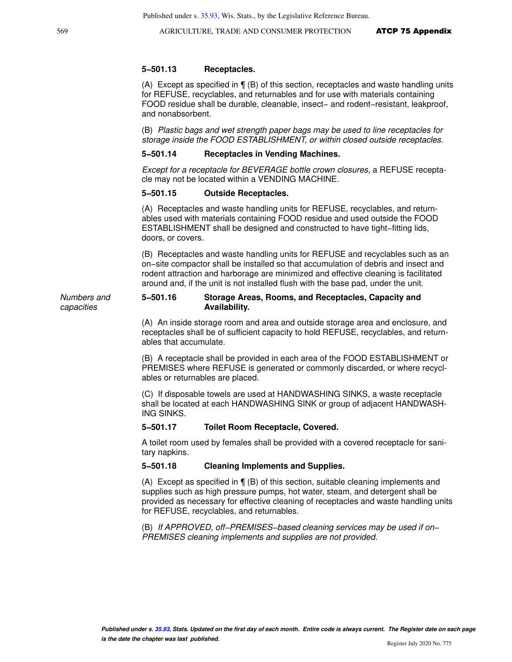### **5−501.13 Receptacles.**

(A) Except as specified in ¶ (B) of this section, receptacles and waste handling units for REFUSE, recyclables, and returnables and for use with materials containing FOOD residue shall be durable, cleanable, insect− and rodent−resistant, leakproof, and nonabsorbent.

(B) Plastic bags and wet strength paper bags may be used to line receptacles for storage inside the FOOD ESTABLISHMENT, or within closed outside receptacles.

### **5−501.14 Receptacles in Vending Machines.**

Except for a receptacle for BEVERAGE bottle crown closures, a REFUSE receptacle may not be located within a VENDING MACHINE.

### **5−501.15 Outside Receptacles.**

(A) Receptacles and waste handling units for REFUSE, recyclables, and returnables used with materials containing FOOD residue and used outside the FOOD ESTABLISHMENT shall be designed and constructed to have tight−fitting lids, doors, or covers.

(B) Receptacles and waste handling units for REFUSE and recyclables such as an on−site compactor shall be installed so that accumulation of debris and insect and rodent attraction and harborage are minimized and effective cleaning is facilitated around and, if the unit is not installed flush with the base pad, under the unit.

### Numbers and **5−501.16 Storage Areas, Rooms, and Receptacles, Capacity and Availability.**

(A) An inside storage room and area and outside storage area and enclosure, and receptacles shall be of sufficient capacity to hold REFUSE, recyclables, and returnables that accumulate.

(B) A receptacle shall be provided in each area of the FOOD ESTABLISHMENT or PREMISES where REFUSE is generated or commonly discarded, or where recyclables or returnables are placed.

(C) If disposable towels are used at HANDWASHING SINKS, a waste receptacle shall be located at each HANDWASHING SINK or group of adjacent HANDWASH-ING SINKS.

### **5−501.17 Toilet Room Receptacle, Covered.**

A toilet room used by females shall be provided with a covered receptacle for sanitary napkins.

### **5−501.18 Cleaning Implements and Supplies.**

(A) Except as specified in ¶ (B) of this section, suitable cleaning implements and supplies such as high pressure pumps, hot water, steam, and detergent shall be provided as necessary for effective cleaning of receptacles and waste handling units for REFUSE, recyclables, and returnables.

(B) If APPROVED, off−PREMISES−based cleaning services may be used if on− PREMISES cleaning implements and supplies are not provided.

capacities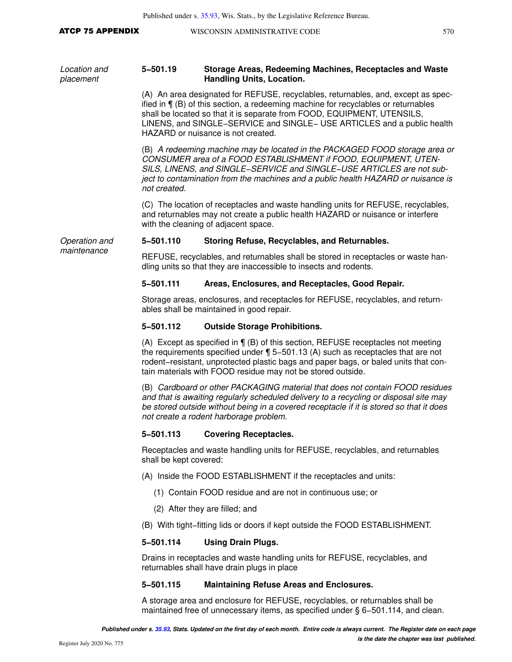### ATCP 75 APPENDIX WISCONSIN ADMINISTRATIVE CODE 570

Location and placement **5−501.19 Storage Areas, Redeeming Machines, Receptacles and Waste Handling Units, Location.** (A) An area designated for REFUSE, recyclables, returnables, and, except as specified in ¶ (B) of this section, a redeeming machine for recyclables or returnables shall be located so that it is separate from FOOD, EQUIPMENT, UTENSILS, LINENS, and SINGLE−SERVICE and SINGLE− USE ARTICLES and a public health HAZARD or nuisance is not created. (B) A redeeming machine may be located in the PACKAGED FOOD storage area or CONSUMER area of a FOOD ESTABLISHMENT if FOOD, EQUIPMENT, UTEN-SILS, LINENS, and SINGLE−SERVICE and SINGLE−USE ARTICLES are not subject to contamination from the machines and a public health HAZARD or nuisance is not created. (C) The location of receptacles and waste handling units for REFUSE, recyclables, and returnables may not create a public health HAZARD or nuisance or interfere with the cleaning of adjacent space. Operation and maintenance **5−501.110 Storing Refuse, Recyclables, and Returnables.** REFUSE, recyclables, and returnables shall be stored in receptacles or waste handling units so that they are inaccessible to insects and rodents. **5−501.111 Areas, Enclosures, and Receptacles, Good Repair.** Storage areas, enclosures, and receptacles for REFUSE, recyclables, and returnables shall be maintained in good repair. **5−501.112 Outside Storage Prohibitions.** (A) Except as specified in ¶ (B) of this section, REFUSE receptacles not meeting the requirements specified under ¶ 5−501.13 (A) such as receptacles that are not rodent−resistant, unprotected plastic bags and paper bags, or baled units that contain materials with FOOD residue may not be stored outside. (B) Cardboard or other PACKAGING material that does not contain FOOD residues and that is awaiting regularly scheduled delivery to a recycling or disposal site may be stored outside without being in a covered receptacle if it is stored so that it does not create a rodent harborage problem. **5−501.113 Covering Receptacles.** Receptacles and waste handling units for REFUSE, recyclables, and returnables shall be kept covered: (A) Inside the FOOD ESTABLISHMENT if the receptacles and units: (1) Contain FOOD residue and are not in continuous use; or (2) After they are filled; and (B) With tight−fitting lids or doors if kept outside the FOOD ESTABLISHMENT. **5−501.114 Using Drain Plugs.** Drains in receptacles and waste handling units for REFUSE, recyclables, and returnables shall have drain plugs in place

### **5−501.115 Maintaining Refuse Areas and Enclosures.**

A storage area and enclosure for REFUSE, recyclables, or returnables shall be maintained free of unnecessary items, as specified under § 6−501.114, and clean.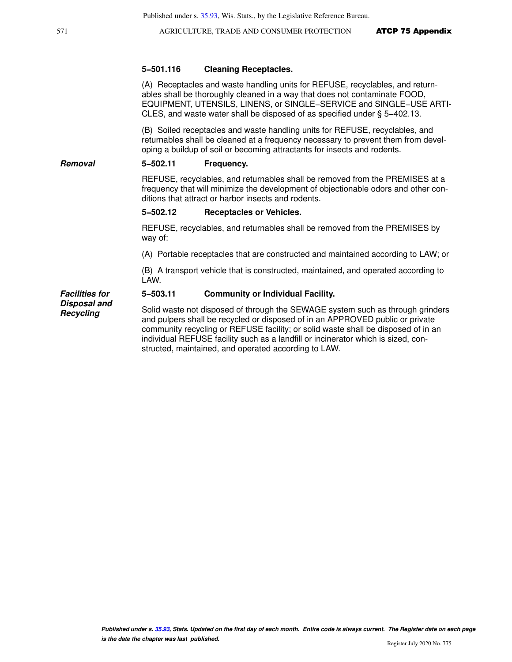### **5−501.116 Cleaning Receptacles.**

(A) Receptacles and waste handling units for REFUSE, recyclables, and returnables shall be thoroughly cleaned in a way that does not contaminate FOOD, EQUIPMENT, UTENSILS, LINENS, or SINGLE−SERVICE and SINGLE−USE ARTI-CLES, and waste water shall be disposed of as specified under § 5−402.13.

(B) Soiled receptacles and waste handling units for REFUSE, recyclables, and returnables shall be cleaned at a frequency necessary to prevent them from developing a buildup of soil or becoming attractants for insects and rodents.

### **Removal 5−502.11 Frequency.**

REFUSE, recyclables, and returnables shall be removed from the PREMISES at a frequency that will minimize the development of objectionable odors and other conditions that attract or harbor insects and rodents.

### **5−502.12 Receptacles or Vehicles.**

REFUSE, recyclables, and returnables shall be removed from the PREMISES by way of:

(A) Portable receptacles that are constructed and maintained according to LAW; or

(B) A transport vehicle that is constructed, maintained, and operated according to LAW.

### **5−503.11 Community or Individual Facility.**

**Facilities for Disposal and Recycling**

Solid waste not disposed of through the SEWAGE system such as through grinders and pulpers shall be recycled or disposed of in an APPROVED public or private community recycling or REFUSE facility; or solid waste shall be disposed of in an individual REFUSE facility such as a landfill or incinerator which is sized, constructed, maintained, and operated according to LAW.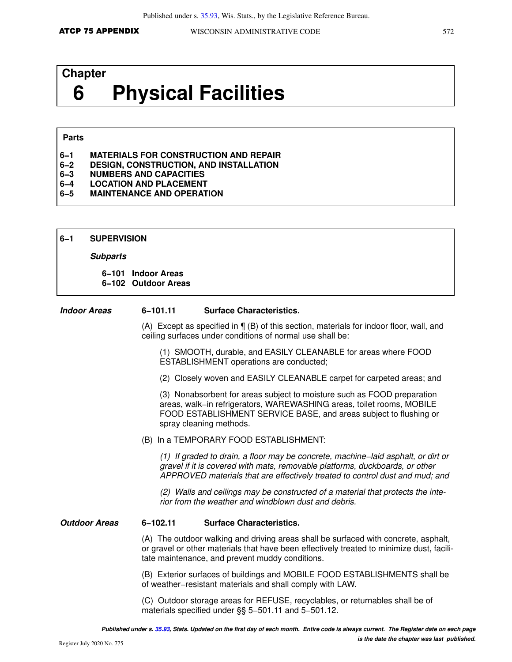# **Chapter 6 Physical Facilities**

### **Parts**

- **6−1 MATERIALS FOR CONSTRUCTION AND REPAIR**
- **6−2 DESIGN, CONSTRUCTION, AND INSTALLATION**
- **6−3 NUMBERS AND CAPACITIES**
- **6−4 LOCATION AND PLACEMENT**
- **6−5 MAINTENANCE AND OPERATION**
- **6−1 SUPERVISION**

### **Subparts**

**6−101 Indoor Areas 6−102 Outdoor Areas**

### **Indoor Areas 6−101.11 Surface Characteristics.**

(A) Except as specified in ¶ (B) of this section, materials for indoor floor, wall, and ceiling surfaces under conditions of normal use shall be:

(1) SMOOTH, durable, and EASILY CLEANABLE for areas where FOOD ESTABLISHMENT operations are conducted;

(2) Closely woven and EASILY CLEANABLE carpet for carpeted areas; and

(3) Nonabsorbent for areas subject to moisture such as FOOD preparation areas, walk−in refrigerators, WAREWASHING areas, toilet rooms, MOBILE FOOD ESTABLISHMENT SERVICE BASE, and areas subject to flushing or spray cleaning methods.

(B) In a TEMPORARY FOOD ESTABLISHMENT:

(1) If graded to drain, a floor may be concrete, machine−laid asphalt, or dirt or gravel if it is covered with mats, removable platforms, duckboards, or other APPROVED materials that are effectively treated to control dust and mud; and

(2) Walls and ceilings may be constructed of a material that protects the interior from the weather and windblown dust and debris.

### **Outdoor Areas 6−102.11 Surface Characteristics.**

(A) The outdoor walking and driving areas shall be surfaced with concrete, asphalt, or gravel or other materials that have been effectively treated to minimize dust, facilitate maintenance, and prevent muddy conditions.

(B) Exterior surfaces of buildings and MOBILE FOOD ESTABLISHMENTS shall be of weather−resistant materials and shall comply with LAW.

(C) Outdoor storage areas for REFUSE, recyclables, or returnables shall be of materials specified under §§ 5–501.11 and 5–501.12.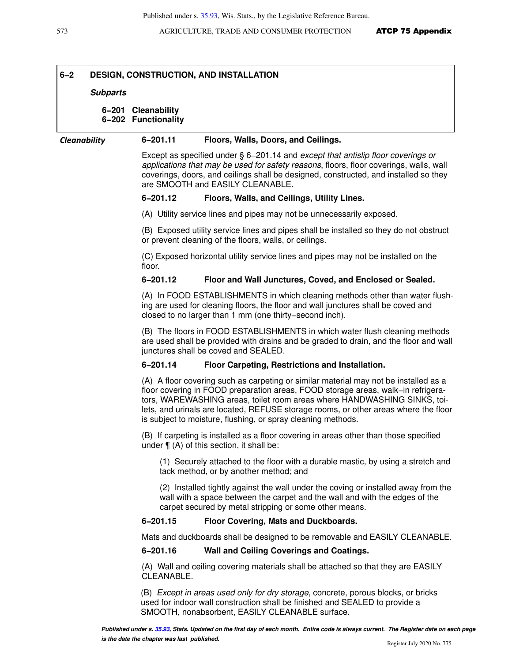### **6−2 DESIGN, CONSTRUCTION, AND INSTALLATION**

### **Subparts**

### **6−201 Cleanability**

**6−202 Functionality**

### *Cleanability* **6−201.11 Floors, Walls, Doors, and Ceilings.**

Except as specified under § 6−201.14 and except that antislip floor coverings or applications that may be used for safety reasons, floors, floor coverings, walls, wall coverings, doors, and ceilings shall be designed, constructed, and installed so they are SMOOTH and EASILY CLEANABLE.

### **6−201.12 Floors, Walls, and Ceilings, Utility Lines.**

(A) Utility service lines and pipes may not be unnecessarily exposed.

(B) Exposed utility service lines and pipes shall be installed so they do not obstruct or prevent cleaning of the floors, walls, or ceilings.

(C) Exposed horizontal utility service lines and pipes may not be installed on the floor.

### **6−201.12 Floor and Wall Junctures, Coved, and Enclosed or Sealed.**

(A) In FOOD ESTABLISHMENTS in which cleaning methods other than water flushing are used for cleaning floors, the floor and wall junctures shall be coved and closed to no larger than 1 mm (one thirty−second inch).

(B) The floors in FOOD ESTABLISHMENTS in which water flush cleaning methods are used shall be provided with drains and be graded to drain, and the floor and wall junctures shall be coved and SEALED.

### **6−201.14 Floor Carpeting, Restrictions and Installation.**

(A) A floor covering such as carpeting or similar material may not be installed as a floor covering in FOOD preparation areas, FOOD storage areas, walk−in refrigerators, WAREWASHING areas, toilet room areas where HANDWASHING SINKS, toilets, and urinals are located, REFUSE storage rooms, or other areas where the floor is subject to moisture, flushing, or spray cleaning methods.

(B) If carpeting is installed as a floor covering in areas other than those specified under  $\P$  (A) of this section, it shall be:

(1) Securely attached to the floor with a durable mastic, by using a stretch and tack method, or by another method; and

(2) Installed tightly against the wall under the coving or installed away from the wall with a space between the carpet and the wall and with the edges of the carpet secured by metal stripping or some other means.

### **6−201.15 Floor Covering, Mats and Duckboards.**

Mats and duckboards shall be designed to be removable and EASILY CLEANABLE.

### **6−201.16 Wall and Ceiling Coverings and Coatings.**

(A) Wall and ceiling covering materials shall be attached so that they are EASILY CLEANABLE.

(B) Except in areas used only for dry storage, concrete, porous blocks, or bricks used for indoor wall construction shall be finished and SEALED to provide a SMOOTH, nonabsorbent, EASILY CLEANABLE surface.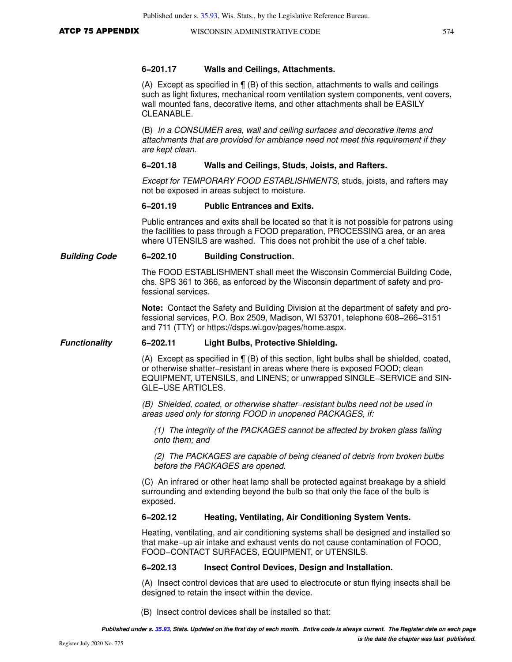### **6−201.17 Walls and Ceilings, Attachments.**

(A) Except as specified in  $\P$  (B) of this section, attachments to walls and ceilings such as light fixtures, mechanical room ventilation system components, vent covers, wall mounted fans, decorative items, and other attachments shall be EASILY CLEANABLE.

(B) In a CONSUMER area, wall and ceiling surfaces and decorative items and attachments that are provided for ambiance need not meet this requirement if they are kept clean.

### **6−201.18 Walls and Ceilings, Studs, Joists, and Rafters.**

Except for TEMPORARY FOOD ESTABLISHMENTS, studs, joists, and rafters may not be exposed in areas subject to moisture.

### **6−201.19 Public Entrances and Exits.**

Public entrances and exits shall be located so that it is not possible for patrons using the facilities to pass through a FOOD preparation, PROCESSING area, or an area where UTENSILS are washed. This does not prohibit the use of a chef table.

### **Building Code 6−202.10 Building Construction.**

The FOOD ESTABLISHMENT shall meet the Wisconsin Commercial Building Code, chs. SPS 361 to 366, as enforced by the Wisconsin department of safety and professional services.

**Note:** Contact the Safety and Building Division at the department of safety and professional services, P.O. Box 2509, Madison, WI 53701, telephone 608−266−3151 and 711 (TTY) or https://dsps.wi.gov/pages/home.aspx.

### **Functionality 6−202.11 Light Bulbs, Protective Shielding.**

(A) Except as specified in ¶ (B) of this section, light bulbs shall be shielded, coated, or otherwise shatter−resistant in areas where there is exposed FOOD; clean EQUIPMENT, UTENSILS, and LINENS; or unwrapped SINGLE−SERVICE and SIN-GLE−USE ARTICLES.

(B) Shielded, coated, or otherwise shatter−resistant bulbs need not be used in areas used only for storing FOOD in unopened PACKAGES, if:

(1) The integrity of the PACKAGES cannot be affected by broken glass falling onto them; and

(2) The PACKAGES are capable of being cleaned of debris from broken bulbs before the PACKAGES are opened.

(C) An infrared or other heat lamp shall be protected against breakage by a shield surrounding and extending beyond the bulb so that only the face of the bulb is exposed.

### **6−202.12 Heating, Ventilating, Air Conditioning System Vents.**

Heating, ventilating, and air conditioning systems shall be designed and installed so that make−up air intake and exhaust vents do not cause contamination of FOOD, FOOD−CONTACT SURFACES, EQUIPMENT, or UTENSILS.

### **6−202.13 Insect Control Devices, Design and Installation.**

(A) Insect control devices that are used to electrocute or stun flying insects shall be designed to retain the insect within the device.

(B) Insect control devices shall be installed so that: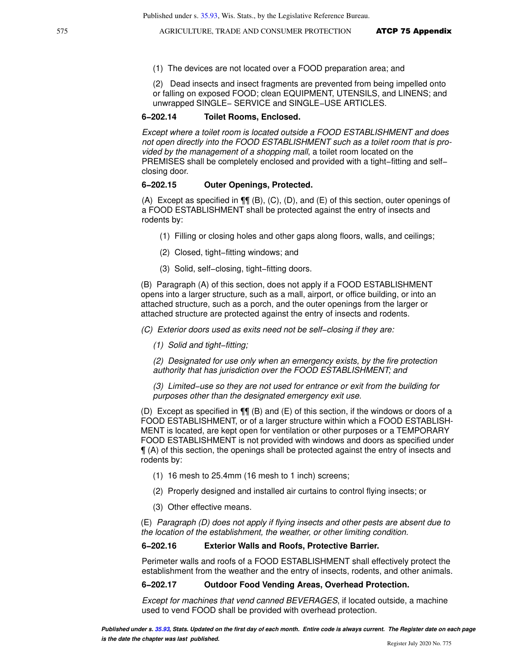(1) The devices are not located over a FOOD preparation area; and

(2) Dead insects and insect fragments are prevented from being impelled onto or falling on exposed FOOD; clean EQUIPMENT, UTENSILS, and LINENS; and unwrapped SINGLE− SERVICE and SINGLE−USE ARTICLES.

### **6−202.14 Toilet Rooms, Enclosed.**

Except where a toilet room is located outside a FOOD ESTABLISHMENT and does not open directly into the FOOD ESTABLISHMENT such as a toilet room that is provided by the management of a shopping mall, a toilet room located on the PREMISES shall be completely enclosed and provided with a tight–fitting and self– closing door.

### **6−202.15 Outer Openings, Protected.**

(A) Except as specified in  $\P\P$  (B), (C), (D), and (E) of this section, outer openings of a FOOD ESTABLISHMENT shall be protected against the entry of insects and rodents by:

- (1) Filling or closing holes and other gaps along floors, walls, and ceilings;
- (2) Closed, tight−fitting windows; and
- (3) Solid, self−closing, tight−fitting doors.

(B) Paragraph (A) of this section, does not apply if a FOOD ESTABLISHMENT opens into a larger structure, such as a mall, airport, or office building, or into an attached structure, such as a porch, and the outer openings from the larger or attached structure are protected against the entry of insects and rodents.

(C) Exterior doors used as exits need not be self−closing if they are:

(1) Solid and tight−fitting;

(2) Designated for use only when an emergency exists, by the fire protection authority that has jurisdiction over the FOOD ESTABLISHMENT; and

(3) Limited−use so they are not used for entrance or exit from the building for purposes other than the designated emergency exit use.

(D) Except as specified in  $\P\P$  (B) and (E) of this section, if the windows or doors of a FOOD ESTABLISHMENT, or of a larger structure within which a FOOD ESTABLISH-MENT is located, are kept open for ventilation or other purposes or a TEMPORARY FOOD ESTABLISHMENT is not provided with windows and doors as specified under ¶ (A) of this section, the openings shall be protected against the entry of insects and rodents by:

- (1) 16 mesh to 25.4mm (16 mesh to 1 inch) screens;
- (2) Properly designed and installed air curtains to control flying insects; or
- (3) Other effective means.

(E) Paragraph (D) does not apply if flying insects and other pests are absent due to the location of the establishment, the weather, or other limiting condition.

### **6−202.16 Exterior Walls and Roofs, Protective Barrier.**

Perimeter walls and roofs of a FOOD ESTABLISHMENT shall effectively protect the establishment from the weather and the entry of insects, rodents, and other animals.

### **6−202.17 Outdoor Food Vending Areas, Overhead Protection.**

Except for machines that vend canned BEVERAGES, if located outside, a machine used to vend FOOD shall be provided with overhead protection.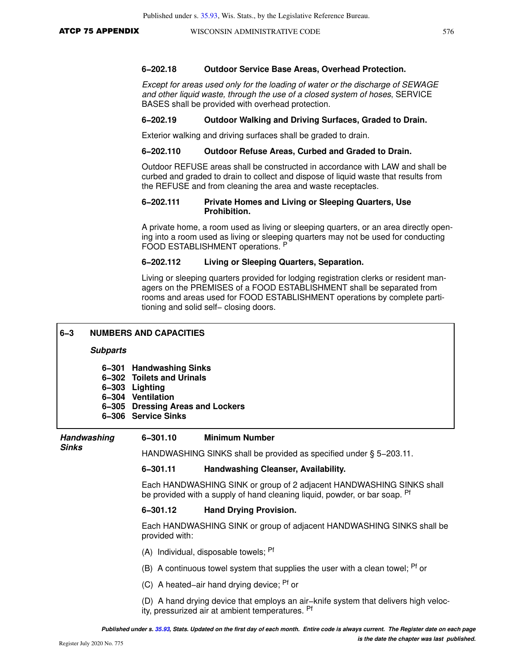### **6−202.18 Outdoor Service Base Areas, Overhead Protection.**

Except for areas used only for the loading of water or the discharge of SEWAGE and other liquid waste, through the use of a closed system of hoses, SERVICE BASES shall be provided with overhead protection.

### **6−202.19 Outdoor Walking and Driving Surfaces, Graded to Drain.**

Exterior walking and driving surfaces shall be graded to drain.

### **6−202.110 Outdoor Refuse Areas, Curbed and Graded to Drain.**

Outdoor REFUSE areas shall be constructed in accordance with LAW and shall be curbed and graded to drain to collect and dispose of liquid waste that results from the REFUSE and from cleaning the area and waste receptacles.

### **6−202.111 Private Homes and Living or Sleeping Quarters, Use Prohibition.**

A private home, a room used as living or sleeping quarters, or an area directly opening into a room used as living or sleeping quarters may not be used for conducting FOOD ESTABLISHMENT operations. <sup>P</sup>

### **6−202.112 Living or Sleeping Quarters, Separation.**

Living or sleeping quarters provided for lodging registration clerks or resident managers on the PREMISES of a FOOD ESTABLISHMENT shall be separated from rooms and areas used for FOOD ESTABLISHMENT operations by complete partitioning and solid self– closing doors.

| $6 - 3$                         | <b>NUMBERS AND CAPACITIES</b>                                                                                                                             |                                                                                                                                                    |  |
|---------------------------------|-----------------------------------------------------------------------------------------------------------------------------------------------------------|----------------------------------------------------------------------------------------------------------------------------------------------------|--|
| <b>Subparts</b>                 |                                                                                                                                                           |                                                                                                                                                    |  |
| 6-301<br>$6 - 302$<br>$6 - 303$ | <b>Handwashing Sinks</b><br><b>Toilets and Urinals</b><br><b>Lighting</b><br>6-304 Ventilation<br>6-305 Dressing Areas and Lockers<br>6-306 Service Sinks |                                                                                                                                                    |  |
| <b>Handwashing</b>              | 6-301.10                                                                                                                                                  | <b>Minimum Number</b>                                                                                                                              |  |
| <b>Sinks</b>                    |                                                                                                                                                           | HANDWASHING SINKS shall be provided as specified under § 5-203.11.                                                                                 |  |
|                                 | 6-301.11                                                                                                                                                  | Handwashing Cleanser, Availability.                                                                                                                |  |
|                                 |                                                                                                                                                           | Each HANDWASHING SINK or group of 2 adjacent HANDWASHING SINKS shall<br>be provided with a supply of hand cleaning liquid, powder, or bar soap. Pf |  |
|                                 | 6-301.12                                                                                                                                                  | <b>Hand Drying Provision.</b>                                                                                                                      |  |
|                                 | provided with:                                                                                                                                            | Each HANDWASHING SINK or group of adjacent HANDWASHING SINKS shall be                                                                              |  |
|                                 |                                                                                                                                                           | (A) Individual, disposable towels; Pf                                                                                                              |  |
|                                 |                                                                                                                                                           | (B) A continuous towel system that supplies the user with a clean towel; <sup>Pf</sup> or                                                          |  |
|                                 |                                                                                                                                                           | (C) A heated–air hand drying device; <sup>Pf</sup> or                                                                                              |  |
|                                 |                                                                                                                                                           | (D) A hand drying device that employs an air-knife system that delivers high veloc-<br>ity, pressurized air at ambient temperatures. Pf            |  |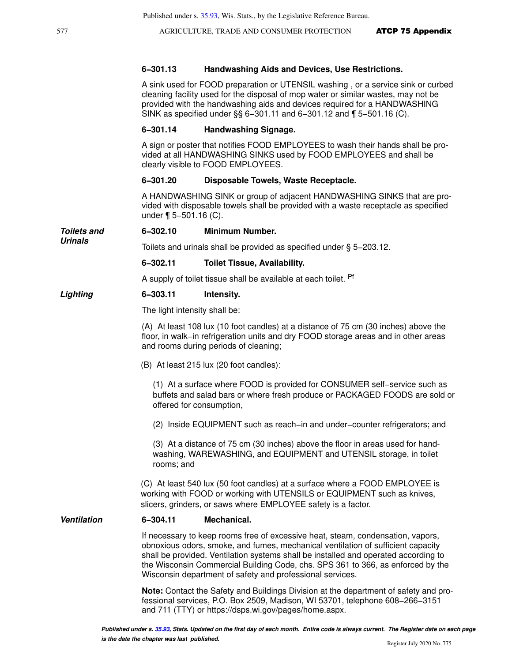577 **AGRICULTURE, TRADE AND CONSUMER PROTECTION ATCP 75 Appendix** 

### **6−301.13 Handwashing Aids and Devices, Use Restrictions.**

A sink used for FOOD preparation or UTENSIL washing , or a service sink or curbed cleaning facility used for the disposal of mop water or similar wastes, may not be provided with the handwashing aids and devices required for a HANDWASHING SINK as specified under §§ 6−301.11 and 6−301.12 and ¶ 5−501.16 (C).

### **6−301.14 Handwashing Signage.**

A sign or poster that notifies FOOD EMPLOYEES to wash their hands shall be provided at all HANDWASHING SINKS used by FOOD EMPLOYEES and shall be clearly visible to FOOD EMPLOYEES.

### **6−301.20 Disposable Towels, Waste Receptacle.**

A HANDWASHING SINK or group of adjacent HANDWASHING SINKS that are provided with disposable towels shall be provided with a waste receptacle as specified under ¶ 5−501.16 (C).

**Toilets and 6−302.10 Minimum Number.**

Toilets and urinals shall be provided as specified under § 5−203.12.

### **6−302.11 Toilet Tissue, Availability.**

A supply of toilet tissue shall be available at each toilet. <sup>Pf</sup>

### **Lighting 6−303.11 Intensity.**

The light intensity shall be:

(A) At least 108 lux (10 foot candles) at a distance of 75 cm (30 inches) above the floor, in walk−in refrigeration units and dry FOOD storage areas and in other areas and rooms during periods of cleaning;

(B) At least 215 lux (20 foot candles):

(1) At a surface where FOOD is provided for CONSUMER self−service such as buffets and salad bars or where fresh produce or PACKAGED FOODS are sold or offered for consumption,

(2) Inside EQUIPMENT such as reach−in and under−counter refrigerators; and

(3) At a distance of 75 cm (30 inches) above the floor in areas used for handwashing, WAREWASHING, and EQUIPMENT and UTENSIL storage, in toilet rooms; and

(C) At least 540 lux (50 foot candles) at a surface where a FOOD EMPLOYEE is working with FOOD or working with UTENSILS or EQUIPMENT such as knives, slicers, grinders, or saws where EMPLOYEE safety is a factor.

### **Ventilation 6−304.11 Mechanical.**

If necessary to keep rooms free of excessive heat, steam, condensation, vapors, obnoxious odors, smoke, and fumes, mechanical ventilation of sufficient capacity shall be provided. Ventilation systems shall be installed and operated according to the Wisconsin Commercial Building Code, chs. SPS 361 to 366, as enforced by the Wisconsin department of safety and professional services.

**Note:** Contact the Safety and Buildings Division at the department of safety and professional services, P.O. Box 2509, Madison, WI 53701, telephone 608−266−3151 and 711 (TTY) or https://dsps.wi.gov/pages/home.aspx.

**Urinals**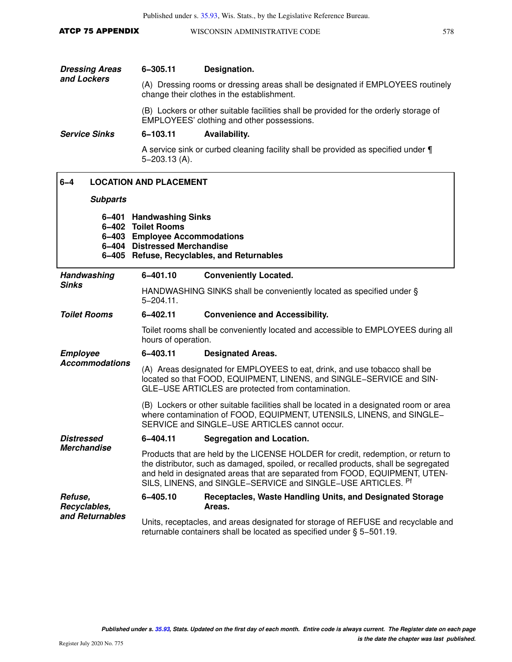Published under s. [35.93](https://docs.legis.wisconsin.gov/document/statutes/35.93), Wis. Stats., by the Legislative Reference Bureau.

| ATCP 75 APPENDIX | WISCONSIN ADMINISTRATIVE CODE |  |
|------------------|-------------------------------|--|
|                  |                               |  |

| <b>Dressing Areas</b> | 6-305.11 | Designation.                                                                                                                        |
|-----------------------|----------|-------------------------------------------------------------------------------------------------------------------------------------|
| and Lockers           |          | (A) Dressing rooms or dressing areas shall be designated if EMPLOYEES routinely<br>change their clothes in the establishment.       |
|                       |          | (B) Lockers or other suitable facilities shall be provided for the orderly storage of<br>EMPLOYEES' clothing and other possessions. |

**Service Sinks 6−103.11 Availability.**

A service sink or curbed cleaning facility shall be provided as specified under ¶ 5−203.13 (A).

| $6 - 4$                 |                 | <b>LOCATION AND PLACEMENT</b>                                                                                                                                                                            |                                                                                                                                                                                                                                                                                                                          |
|-------------------------|-----------------|----------------------------------------------------------------------------------------------------------------------------------------------------------------------------------------------------------|--------------------------------------------------------------------------------------------------------------------------------------------------------------------------------------------------------------------------------------------------------------------------------------------------------------------------|
|                         | <b>Subparts</b> |                                                                                                                                                                                                          |                                                                                                                                                                                                                                                                                                                          |
|                         | 6-404           | 6-401 Handwashing Sinks<br>6-402 Toilet Rooms<br>6-403 Employee Accommodations<br><b>Distressed Merchandise</b>                                                                                          | 6-405 Refuse, Recyclables, and Returnables                                                                                                                                                                                                                                                                               |
|                         | Handwashing     | 6-401.10                                                                                                                                                                                                 | <b>Conveniently Located.</b>                                                                                                                                                                                                                                                                                             |
| <b>Sinks</b>            |                 | $5 - 204.11$ .                                                                                                                                                                                           | HANDWASHING SINKS shall be conveniently located as specified under §                                                                                                                                                                                                                                                     |
| <b>Toilet Rooms</b>     |                 | 6-402.11                                                                                                                                                                                                 | <b>Convenience and Accessibility.</b>                                                                                                                                                                                                                                                                                    |
|                         |                 | hours of operation.                                                                                                                                                                                      | Toilet rooms shall be conveniently located and accessible to EMPLOYEES during all                                                                                                                                                                                                                                        |
| <b>Employee</b>         |                 | 6-403.11                                                                                                                                                                                                 | <b>Designated Areas.</b>                                                                                                                                                                                                                                                                                                 |
| <b>Accommodations</b>   |                 | (A) Areas designated for EMPLOYEES to eat, drink, and use tobacco shall be<br>located so that FOOD, EQUIPMENT, LINENS, and SINGLE-SERVICE and SIN-<br>GLE-USE ARTICLES are protected from contamination. |                                                                                                                                                                                                                                                                                                                          |
|                         |                 |                                                                                                                                                                                                          | (B) Lockers or other suitable facilities shall be located in a designated room or area<br>where contamination of FOOD, EQUIPMENT, UTENSILS, LINENS, and SINGLE-<br>SERVICE and SINGLE-USE ARTICLES cannot occur.                                                                                                         |
| <b>Distressed</b>       |                 | 6-404.11                                                                                                                                                                                                 | <b>Segregation and Location.</b>                                                                                                                                                                                                                                                                                         |
| <b>Merchandise</b>      |                 |                                                                                                                                                                                                          | Products that are held by the LICENSE HOLDER for credit, redemption, or return to<br>the distributor, such as damaged, spoiled, or recalled products, shall be segregated<br>and held in designated areas that are separated from FOOD, EQUIPMENT, UTEN-<br>SILS, LINENS, and SINGLE-SERVICE and SINGLE-USE ARTICLES. Pf |
| Refuse,<br>Recyclables, |                 | 6-405.10                                                                                                                                                                                                 | Receptacles, Waste Handling Units, and Designated Storage<br>Areas.                                                                                                                                                                                                                                                      |
| and Returnables         |                 |                                                                                                                                                                                                          | Units, receptacles, and areas designated for storage of REFUSE and recyclable and<br>returnable containers shall be located as specified under § 5-501.19.                                                                                                                                                               |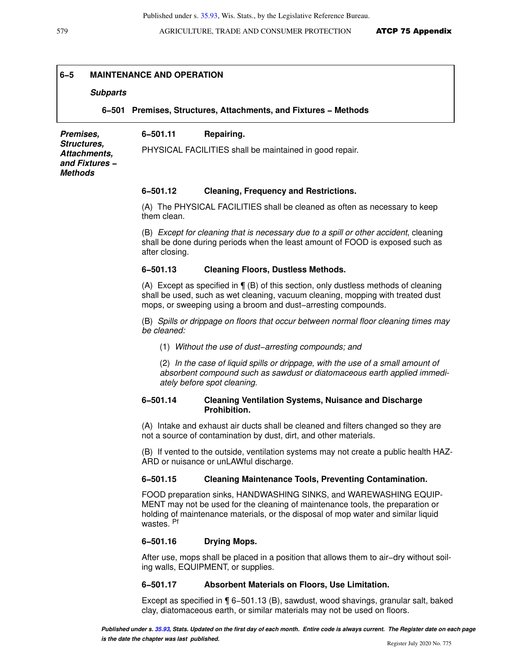### **6−5 MAINTENANCE AND OPERATION**

### **Subparts**

**6−501 Premises, Structures, Attachments, and Fixtures − Methods**

**Premises, Structures, Attachments, and Fixtures − Methods 6−501.11 Repairing.** PHYSICAL FACILITIES shall be maintained in good repair.

### **6−501.12 Cleaning, Frequency and Restrictions.**

(A) The PHYSICAL FACILITIES shall be cleaned as often as necessary to keep them clean.

(B) Except for cleaning that is necessary due to a spill or other accident, cleaning shall be done during periods when the least amount of FOOD is exposed such as after closing.

### **6−501.13 Cleaning Floors, Dustless Methods.**

(A) Except as specified in ¶ (B) of this section, only dustless methods of cleaning shall be used, such as wet cleaning, vacuum cleaning, mopping with treated dust mops, or sweeping using a broom and dust−arresting compounds.

(B) Spills or drippage on floors that occur between normal floor cleaning times may be cleaned:

(1) Without the use of dust−arresting compounds; and

(2) In the case of liquid spills or drippage, with the use of a small amount of absorbent compound such as sawdust or diatomaceous earth applied immediately before spot cleaning.

### **6−501.14 Cleaning Ventilation Systems, Nuisance and Discharge Prohibition.**

(A) Intake and exhaust air ducts shall be cleaned and filters changed so they are not a source of contamination by dust, dirt, and other materials.

(B) If vented to the outside, ventilation systems may not create a public health HAZ-ARD or nuisance or unLAWful discharge.

### **6−501.15 Cleaning Maintenance Tools, Preventing Contamination.**

FOOD preparation sinks, HANDWASHING SINKS, and WAREWASHING EQUIP-MENT may not be used for the cleaning of maintenance tools, the preparation or holding of maintenance materials, or the disposal of mop water and similar liquid wastes. <sup>Pf</sup>

### **6−501.16 Drying Mops.**

After use, mops shall be placed in a position that allows them to air−dry without soiling walls, EQUIPMENT, or supplies.

### **6−501.17 Absorbent Materials on Floors, Use Limitation.**

Except as specified in ¶ 6−501.13 (B), sawdust, wood shavings, granular salt, baked clay, diatomaceous earth, or similar materials may not be used on floors.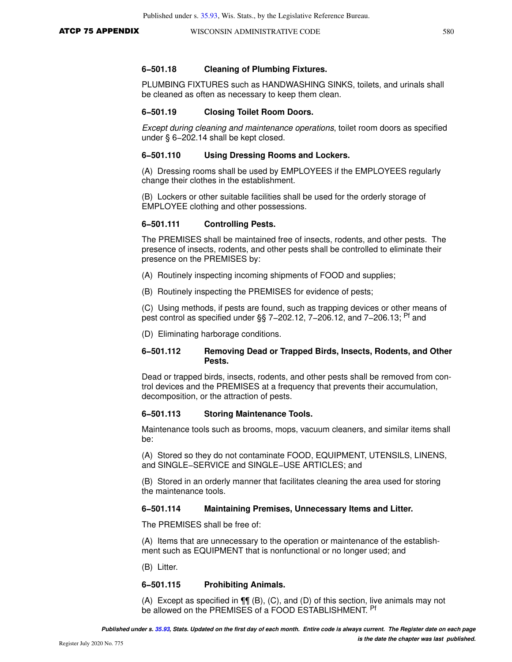PLUMBING FIXTURES such as HANDWASHING SINKS, toilets, and urinals shall be cleaned as often as necessary to keep them clean.

### **6−501.19 Closing Toilet Room Doors.**

Except during cleaning and maintenance operations, toilet room doors as specified under § 6−202.14 shall be kept closed.

### **6−501.110 Using Dressing Rooms and Lockers.**

(A) Dressing rooms shall be used by EMPLOYEES if the EMPLOYEES regularly change their clothes in the establishment.

(B) Lockers or other suitable facilities shall be used for the orderly storage of EMPLOYEE clothing and other possessions.

### **6−501.111 Controlling Pests.**

The PREMISES shall be maintained free of insects, rodents, and other pests. The presence of insects, rodents, and other pests shall be controlled to eliminate their presence on the PREMISES by:

- (A) Routinely inspecting incoming shipments of FOOD and supplies;
- (B) Routinely inspecting the PREMISES for evidence of pests;

(C) Using methods, if pests are found, such as trapping devices or other means of pest control as specified under §§ 7–202.12, 7–206.12, and 7–206.13; <sup>Pf</sup> and

(D) Eliminating harborage conditions.

### **6−501.112 Removing Dead or Trapped Birds, Insects, Rodents, and Other Pests.**

Dead or trapped birds, insects, rodents, and other pests shall be removed from control devices and the PREMISES at a frequency that prevents their accumulation, decomposition, or the attraction of pests.

### **6−501.113 Storing Maintenance Tools.**

Maintenance tools such as brooms, mops, vacuum cleaners, and similar items shall be:

(A) Stored so they do not contaminate FOOD, EQUIPMENT, UTENSILS, LINENS, and SINGLE−SERVICE and SINGLE−USE ARTICLES; and

(B) Stored in an orderly manner that facilitates cleaning the area used for storing the maintenance tools.

### **6−501.114 Maintaining Premises, Unnecessary Items and Litter.**

The PREMISES shall be free of:

(A) Items that are unnecessary to the operation or maintenance of the establishment such as EQUIPMENT that is nonfunctional or no longer used; and

(B) Litter.

### **6−501.115 Prohibiting Animals.**

(A) Except as specified in ¶¶ (B), (C), and (D) of this section, live animals may not be allowed on the PREMISES of a FOOD ESTABLISHMENT. Pf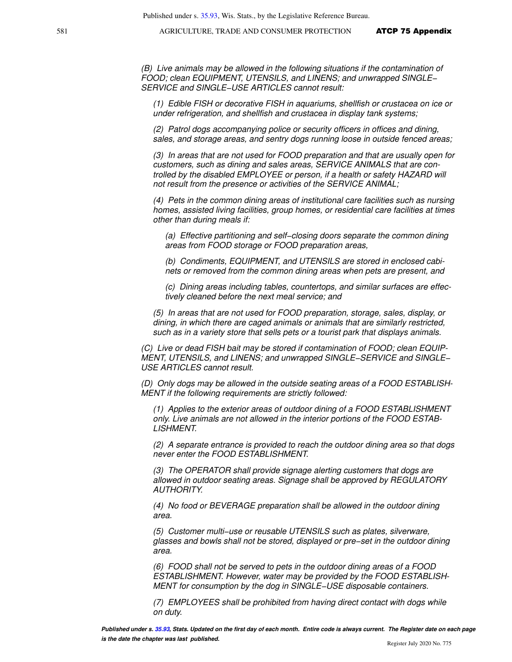581 **AGRICULTURE, TRADE AND CONSUMER PROTECTION ATCP 75 Appendix** 

(B) Live animals may be allowed in the following situations if the contamination of FOOD; clean EQUIPMENT, UTENSILS, and LINENS; and unwrapped SINGLE− SERVICE and SINGLE−USE ARTICLES cannot result:

(1) Edible FISH or decorative FISH in aquariums, shellfish or crustacea on ice or under refrigeration, and shellfish and crustacea in display tank systems;

(2) Patrol dogs accompanying police or security officers in offices and dining, sales, and storage areas, and sentry dogs running loose in outside fenced areas;

(3) In areas that are not used for FOOD preparation and that are usually open for customers, such as dining and sales areas, SERVICE ANIMALS that are controlled by the disabled EMPLOYEE or person, if a health or safety HAZARD will not result from the presence or activities of the SERVICE ANIMAL;

(4) Pets in the common dining areas of institutional care facilities such as nursing homes, assisted living facilities, group homes, or residential care facilities at times other than during meals if:

(a) Effective partitioning and self−closing doors separate the common dining areas from FOOD storage or FOOD preparation areas,

(b) Condiments, EQUIPMENT, and UTENSILS are stored in enclosed cabinets or removed from the common dining areas when pets are present, and

(c) Dining areas including tables, countertops, and similar surfaces are effectively cleaned before the next meal service; and

(5) In areas that are not used for FOOD preparation, storage, sales, display, or dining, in which there are caged animals or animals that are similarly restricted, such as in a variety store that sells pets or a tourist park that displays animals.

(C) Live or dead FISH bait may be stored if contamination of FOOD; clean EQUIP-MENT, UTENSILS, and LINENS; and unwrapped SINGLE−SERVICE and SINGLE− USE ARTICLES cannot result.

(D) Only dogs may be allowed in the outside seating areas of a FOOD ESTABLISH-MENT if the following requirements are strictly followed:

(1) Applies to the exterior areas of outdoor dining of a FOOD ESTABLISHMENT only. Live animals are not allowed in the interior portions of the FOOD ESTAB-LISHMENT.

(2) A separate entrance is provided to reach the outdoor dining area so that dogs never enter the FOOD ESTABLISHMENT.

(3) The OPERATOR shall provide signage alerting customers that dogs are allowed in outdoor seating areas. Signage shall be approved by REGULATORY AUTHORITY.

(4) No food or BEVERAGE preparation shall be allowed in the outdoor dining area.

(5) Customer multi−use or reusable UTENSILS such as plates, silverware, glasses and bowls shall not be stored, displayed or pre−set in the outdoor dining area.

(6) FOOD shall not be served to pets in the outdoor dining areas of a FOOD ESTABLISHMENT. However, water may be provided by the FOOD ESTABLISH-MENT for consumption by the dog in SINGLE−USE disposable containers.

(7) EMPLOYEES shall be prohibited from having direct contact with dogs while on duty.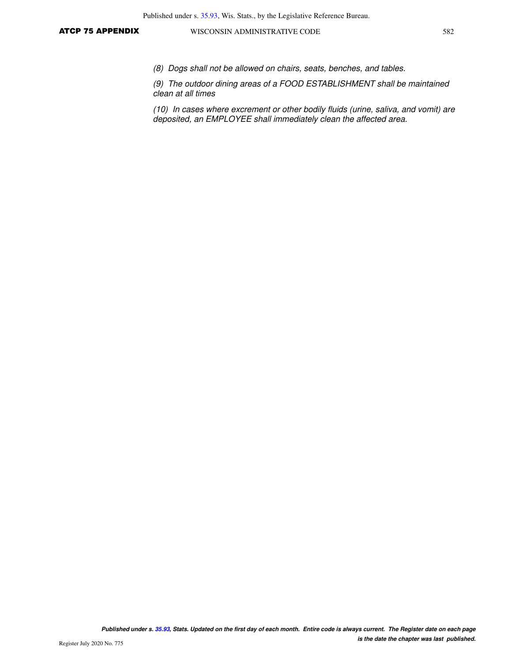(8) Dogs shall not be allowed on chairs, seats, benches, and tables.

(9) The outdoor dining areas of a FOOD ESTABLISHMENT shall be maintained clean at all times

(10) In cases where excrement or other bodily fluids (urine, saliva, and vomit) are deposited, an EMPLOYEE shall immediately clean the affected area.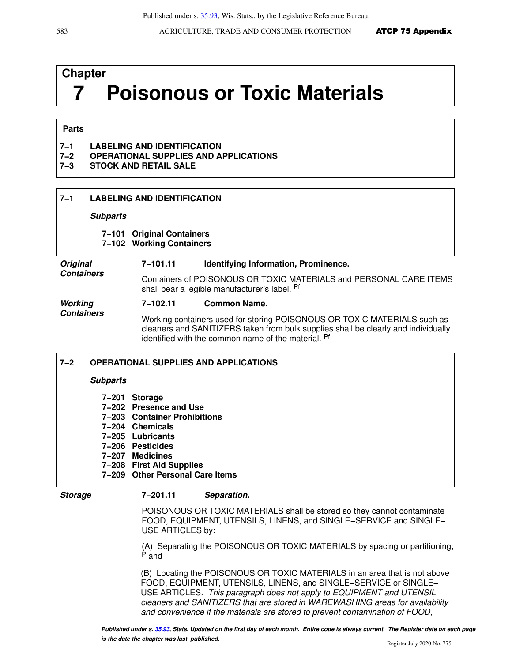# **Chapter 7 Poisonous or Toxic Materials**

### **Parts**

| <b>LABELING AND IDENTIFICATION</b><br>$7 - 1$ |
|-----------------------------------------------|
|-----------------------------------------------|

- **7−2 OPERATIONAL SUPPLIES AND APPLICATIONS**
- **7−3 STOCK AND RETAIL SALE**

## **7−1 LABELING AND IDENTIFICATION**

### **Subparts**

## **7−101 Original Containers**

**7−102 Working Containers**

### **Original Containers 7−101.11 Identifying Information, Prominence.** Containers of POISONOUS OR TOXIC MATERIALS and PERSONAL CARE ITEMS shall bear a legible manufacturer's label. Pf

### **Working Containers 7−102.11 Common Name.**

**7−208 First Aid Supplies**

**7−209 Other Personal Care Items**

Working containers used for storing POISONOUS OR TOXIC MATERIALS such as cleaners and SANITIZERS taken from bulk supplies shall be clearly and individually identified with the common name of the material. Pf

## **7−2 OPERATIONAL SUPPLIES AND APPLICATIONS Subparts 7−201 Storage 7−202 Presence and Use 7−203 Container Prohibitions 7−204 Chemicals 7−205 Lubricants 7−206 Pesticides 7−207 Medicines**

### **Storage 7−201.11 Separation.**

POISONOUS OR TOXIC MATERIALS shall be stored so they cannot contaminate FOOD, EQUIPMENT, UTENSILS, LINENS, and SINGLE−SERVICE and SINGLE− USE ARTICLES by:

(A) Separating the POISONOUS OR TOXIC MATERIALS by spacing or partitioning; <sup>P</sup> and

(B) Locating the POISONOUS OR TOXIC MATERIALS in an area that is not above FOOD, EQUIPMENT, UTENSILS, LINENS, and SINGLE−SERVICE or SINGLE− USE ARTICLES. This paragraph does not apply to EQUIPMENT and UTENSIL cleaners and SANITIZERS that are stored in WAREWASHING areas for availability and convenience if the materials are stored to prevent contamination of FOOD,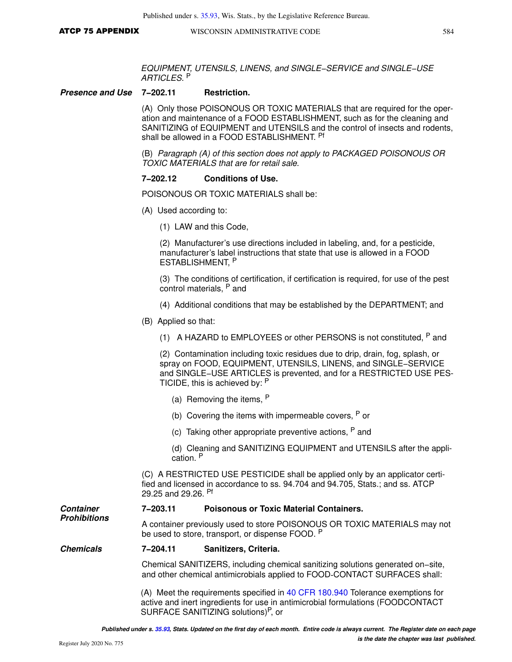EQUIPMENT, UTENSILS, LINENS, and SINGLE−SERVICE and SINGLE−USE ARTICLES. <sup>P</sup>

**Presence and Use 7−202.11 Restriction.**

(A) Only those POISONOUS OR TOXIC MATERIALS that are required for the operation and maintenance of a FOOD ESTABLISHMENT, such as for the cleaning and SANITIZING of EQUIPMENT and UTENSILS and the control of insects and rodents, shall be allowed in a FOOD ESTABLISHMENT. <sup>Pf</sup>

(B) Paragraph (A) of this section does not apply to PACKAGED POISONOUS OR TOXIC MATERIALS that are for retail sale.

### **7−202.12 Conditions of Use.**

POISONOUS OR TOXIC MATERIALS shall be:

- (A) Used according to:
	- (1) LAW and this Code,

(2) Manufacturer's use directions included in labeling, and, for a pesticide, manufacturer's label instructions that state that use is allowed in a FOOD ESTABLISHMENT, P

(3) The conditions of certification, if certification is required, for use of the pest control materials, P and

- (4) Additional conditions that may be established by the DEPARTMENT; and
- (B) Applied so that:
	- (1) A HAZARD to EMPLOYEES or other PERSONS is not constituted,  $P$  and

(2) Contamination including toxic residues due to drip, drain, fog, splash, or spray on FOOD, EQUIPMENT, UTENSILS, LINENS, and SINGLE−SERVICE and SINGLE−USE ARTICLES is prevented, and for a RESTRICTED USE PES-TICIDE, this is achieved by: <sup>P</sup>

- (a) Removing the items,  $P$
- (b) Covering the items with impermeable covers,  $P$  or
- (c) Taking other appropriate preventive actions,  $P$  and
- (d) Cleaning and SANITIZING EQUIPMENT and UTENSILS after the application. <sup>P</sup>

(C) A RESTRICTED USE PESTICIDE shall be applied only by an applicator certified and licensed in accordance to ss. 94.704 and 94.705, Stats.; and ss. ATCP 29.25 and 29.26. Pf

### **Container 7−203.11 Poisonous or Toxic Material Containers.**

A container previously used to store POISONOUS OR TOXIC MATERIALS may not be used to store, transport, or dispense FOOD. P

### **Chemicals 7−204.11 Sanitizers, Criteria.**

Chemical SANITIZERS, including chemical sanitizing solutions generated on−site, and other chemical antimicrobials applied to FOOD-CONTACT SURFACES shall:

(A) Meet the requirements specified in [40 CFR 180.940](https://docs.legis.wisconsin.gov/document/cfr/40%20CFR%20180.940) Tolerance exemptions for active and inert ingredients for use in antimicrobial formulations (FOODCONTACT SURFACE SANITIZING solutions)<sup>P</sup>, or

**Prohibitions**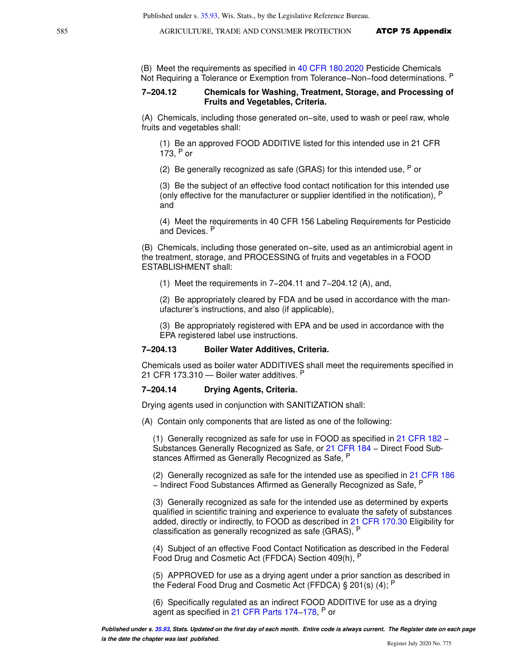(B) Meet the requirements as specified in [40 CFR 180.2020](https://docs.legis.wisconsin.gov/document/cfr/40%20CFR%20180.2020) Pesticide Chemicals Not Requiring a Tolerance or Exemption from Tolerance–Non–food determinations. <sup>P</sup>

### **7−204.12 Chemicals for Washing, Treatment, Storage, and Processing of Fruits and Vegetables, Criteria.**

(A) Chemicals, including those generated on−site, used to wash or peel raw, whole fruits and vegetables shall:

(1) Be an approved FOOD ADDITIVE listed for this intended use in 21 CFR 173, P or

(2) Be generally recognized as safe (GRAS) for this intended use,  $P$  or

(3) Be the subject of an effective food contact notification for this intended use (only effective for the manufacturer or supplier identified in the notification), <sup>P</sup> and

(4) Meet the requirements in 40 CFR 156 Labeling Requirements for Pesticide and Devices. <sup>P</sup>

(B) Chemicals, including those generated on−site, used as an antimicrobial agent in the treatment, storage, and PROCESSING of fruits and vegetables in a FOOD ESTABLISHMENT shall:

(1) Meet the requirements in 7−204.11 and 7−204.12 (A), and,

(2) Be appropriately cleared by FDA and be used in accordance with the manufacturer's instructions, and also (if applicable),

(3) Be appropriately registered with EPA and be used in accordance with the EPA registered label use instructions.

### **7−204.13 Boiler Water Additives, Criteria.**

Chemicals used as boiler water ADDITIVES shall meet the requirements specified in 21 CFR 173.310 - Boiler water additives. P

### **7−204.14 Drying Agents, Criteria.**

Drying agents used in conjunction with SANITIZATION shall:

(A) Contain only components that are listed as one of the following:

(1) Generally recognized as safe for use in FOOD as specified in [21 CFR 182](https://docs.legis.wisconsin.gov/document/cfr/21%20CFR%20182) − Substances Generally Recognized as Safe, or [21 CFR 184](https://docs.legis.wisconsin.gov/document/cfr/21%20CFR%20184) − Direct Food Substances Affirmed as Generally Recognized as Safe, P

(2) Generally recognized as safe for the intended use as specified in [21 CFR 186](https://docs.legis.wisconsin.gov/document/cfr/21%20CFR%20186) − Indirect Food Substances Affirmed as Generally Recognized as Safe, <sup>P</sup>

(3) Generally recognized as safe for the intended use as determined by experts qualified in scientific training and experience to evaluate the safety of substances added, directly or indirectly, to FOOD as described in [21 CFR 170.30](https://docs.legis.wisconsin.gov/document/cfr/21%20CFR%20170.30) Eligibility for classification as generally recognized as safe (GRAS), <sup>P</sup>

(4) Subject of an effective Food Contact Notification as described in the Federal Food Drug and Cosmetic Act (FFDCA) Section 409(h), <sup>P</sup>

(5) APPROVED for use as a drying agent under a prior sanction as described in the Federal Food Drug and Cosmetic Act (FFDCA) § 201(s) (4); P

(6) Specifically regulated as an indirect FOOD ADDITIVE for use as a drying agent as specified in [21 CFR Parts 174](https://docs.legis.wisconsin.gov/document/cfr/21%20CFR%20174)–178, <sup>P</sup> or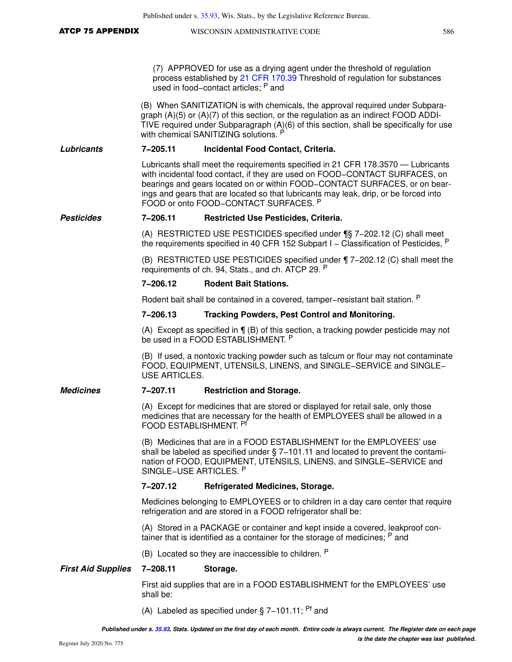|                           |                        | Published under s. 35.93, Wis. Stats., by the Legislative Reference Bureau.                                                                                                                                                                                                                                                                                                    |     |
|---------------------------|------------------------|--------------------------------------------------------------------------------------------------------------------------------------------------------------------------------------------------------------------------------------------------------------------------------------------------------------------------------------------------------------------------------|-----|
| <b>ATCP 75 APPENDIX</b>   |                        | WISCONSIN ADMINISTRATIVE CODE                                                                                                                                                                                                                                                                                                                                                  | 586 |
|                           |                        |                                                                                                                                                                                                                                                                                                                                                                                |     |
|                           |                        | (7) APPROVED for use as a drying agent under the threshold of regulation<br>process established by 21 CFR 170.39 Threshold of regulation for substances<br>used in food-contact articles; P and                                                                                                                                                                                |     |
|                           |                        | (B) When SANITIZATION is with chemicals, the approval required under Subpara-<br>graph $(A)(5)$ or $(A)(7)$ of this section, or the regulation as an indirect FOOD ADDI-<br>TIVE required under Subparagraph (A)(6) of this section, shall be specifically for use<br>with chemical SANITIZING solutions. P                                                                    |     |
| Lubricants                | 7-205.11               | Incidental Food Contact, Criteria.                                                                                                                                                                                                                                                                                                                                             |     |
|                           |                        | Lubricants shall meet the requirements specified in 21 CFR 178.3570 — Lubricants<br>with incidental food contact, if they are used on FOOD-CONTACT SURFACES, on<br>bearings and gears located on or within FOOD-CONTACT SURFACES, or on bear-<br>ings and gears that are located so that lubricants may leak, drip, or be forced into<br>FOOD or onto FOOD-CONTACT SURFACES. P |     |
| <b>Pesticides</b>         | 7-206.11               | <b>Restricted Use Pesticides, Criteria.</b>                                                                                                                                                                                                                                                                                                                                    |     |
|                           |                        | (A) RESTRICTED USE PESTICIDES specified under ¶§ 7-202.12 (C) shall meet<br>the requirements specified in 40 CFR 152 Subpart $I -$ Classification of Pesticides, $P$                                                                                                                                                                                                           |     |
|                           |                        | (B) RESTRICTED USE PESTICIDES specified under 17-202.12 (C) shall meet the<br>requirements of ch. 94, Stats., and ch. ATCP 29. P                                                                                                                                                                                                                                               |     |
|                           | 7-206.12               | <b>Rodent Bait Stations.</b>                                                                                                                                                                                                                                                                                                                                                   |     |
|                           |                        | Rodent bait shall be contained in a covered, tamper–resistant bait station. P                                                                                                                                                                                                                                                                                                  |     |
|                           | 7-206.13               | <b>Tracking Powders, Pest Control and Monitoring.</b>                                                                                                                                                                                                                                                                                                                          |     |
|                           |                        | (A) Except as specified in $\P$ (B) of this section, a tracking powder pesticide may not<br>be used in a FOOD ESTABLISHMENT. P                                                                                                                                                                                                                                                 |     |
|                           | <b>USE ARTICLES.</b>   | (B) If used, a nontoxic tracking powder such as talcum or flour may not contaminate<br>FOOD, EQUIPMENT, UTENSILS, LINENS, and SINGLE-SERVICE and SINGLE-                                                                                                                                                                                                                       |     |
| <b>Medicines</b>          | 7-207.11               | <b>Restriction and Storage.</b>                                                                                                                                                                                                                                                                                                                                                |     |
|                           | FOOD ESTABLISHMENT. Pf | (A) Except for medicines that are stored or displayed for retail sale, only those<br>medicines that are necessary for the health of EMPLOYEES shall be allowed in a                                                                                                                                                                                                            |     |
|                           | SINGLE-USE ARTICLES. P | (B) Medicines that are in a FOOD ESTABLISHMENT for the EMPLOYEES' use<br>shall be labeled as specified under $\S$ 7-101.11 and located to prevent the contami-<br>nation of FOOD, EQUIPMENT, UTENSILS, LINENS, and SINGLE-SERVICE and                                                                                                                                          |     |
|                           | 7-207.12               | <b>Refrigerated Medicines, Storage.</b>                                                                                                                                                                                                                                                                                                                                        |     |
|                           |                        | Medicines belonging to EMPLOYEES or to children in a day care center that require<br>refrigeration and are stored in a FOOD refrigerator shall be:                                                                                                                                                                                                                             |     |
|                           |                        | (A) Stored in a PACKAGE or container and kept inside a covered, leakproof con-<br>tainer that is identified as a container for the storage of medicines; <sup>P</sup> and                                                                                                                                                                                                      |     |
|                           |                        | (B) Located so they are inaccessible to children. P                                                                                                                                                                                                                                                                                                                            |     |
| <b>First Aid Supplies</b> | 7-208.11               | Storage.                                                                                                                                                                                                                                                                                                                                                                       |     |
|                           | shall be:              | First aid supplies that are in a FOOD ESTABLISHMENT for the EMPLOYEES' use                                                                                                                                                                                                                                                                                                     |     |
|                           |                        | (A) Labeled as specified under $\S$ 7-101.11; <sup>Pf</sup> and                                                                                                                                                                                                                                                                                                                |     |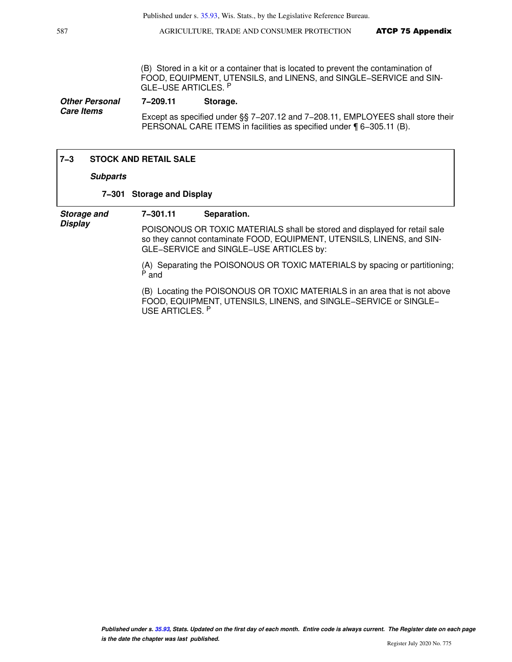587 **AGRICULTURE, TRADE AND CONSUMER PROTECTION ATCP 75 Appendix** 

(B) Stored in a kit or a container that is located to prevent the contamination of FOOD, EQUIPMENT, UTENSILS, and LINENS, and SINGLE−SERVICE and SIN-GLE−USE ARTICLES. <sup>P</sup>

**Other Personal Care Items 7−209.11 Storage.** Except as specified under §§ 7−207.12 and 7−208.11, EMPLOYEES shall store their PERSONAL CARE ITEMS in facilities as specified under ¶ 6−305.11 (B).

### **7−3 STOCK AND RETAIL SALE**

### **Subparts**

### **7−301 Storage and Display**

**Storage and Display**

## **7−301.11 Separation.**

POISONOUS OR TOXIC MATERIALS shall be stored and displayed for retail sale so they cannot contaminate FOOD, EQUIPMENT, UTENSILS, LINENS, and SIN-GLE−SERVICE and SINGLE−USE ARTICLES by:

(A) Separating the POISONOUS OR TOXIC MATERIALS by spacing or partitioning; <sup>P</sup> and

(B) Locating the POISONOUS OR TOXIC MATERIALS in an area that is not above FOOD, EQUIPMENT, UTENSILS, LINENS, and SINGLE−SERVICE or SINGLE− USE ARTICLES. <sup>P</sup>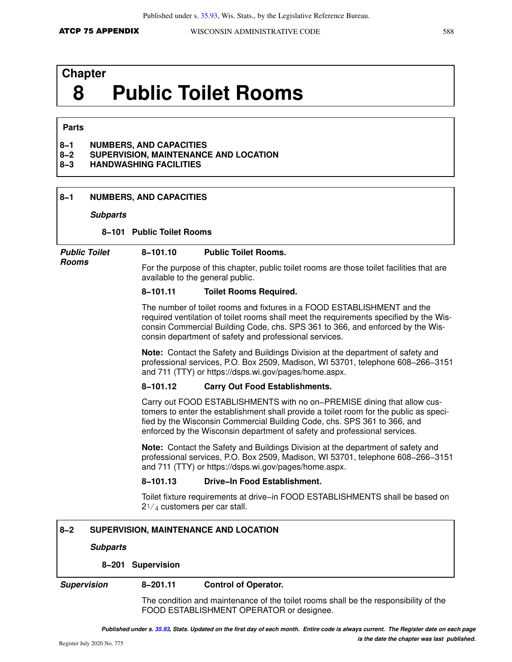# **Chapter 8 Public Toilet Rooms**

### **Parts**

### **8−1 NUMBERS, AND CAPACITIES**

- **8−2 SUPERVISION, MAINTENANCE AND LOCATION**
- **8−3 HANDWASHING FACILITIES**

### **8−1 NUMBERS, AND CAPACITIES**

### **Subparts**

### **8−101 Public Toilet Rooms**

**Public Toilet Rooms**

For the purpose of this chapter, public toilet rooms are those toilet facilities that are available to the general public.

### **8−101.11 Toilet Rooms Required.**

**8−101.10 Public Toilet Rooms.**

The number of toilet rooms and fixtures in a FOOD ESTABLISHMENT and the required ventilation of toilet rooms shall meet the requirements specified by the Wisconsin Commercial Building Code, chs. SPS 361 to 366, and enforced by the Wisconsin department of safety and professional services.

**Note:** Contact the Safety and Buildings Division at the department of safety and professional services, P.O. Box 2509, Madison, WI 53701, telephone 608−266−3151 and 711 (TTY) or https://dsps.wi.gov/pages/home.aspx.

### **8−101.12 Carry Out Food Establishments.**

Carry out FOOD ESTABLISHMENTS with no on−PREMISE dining that allow customers to enter the establishment shall provide a toilet room for the public as specified by the Wisconsin Commercial Building Code, chs. SPS 361 to 366, and enforced by the Wisconsin department of safety and professional services.

**Note:** Contact the Safety and Buildings Division at the department of safety and professional services, P.O. Box 2509, Madison, WI 53701, telephone 608−266−3151 and 711 (TTY) or https://dsps.wi.gov/pages/home.aspx.

### **8−101.13 Drive−In Food Establishment.**

Toilet fixture requirements at drive−in FOOD ESTABLISHMENTS shall be based on  $2^{1/4}$  customers per car stall.

### **8−2 SUPERVISION, MAINTENANCE AND LOCATION**

### **Subparts**

### **8−201 Supervision**

### **Supervision 8−201.11 Control of Operator.**

The condition and maintenance of the toilet rooms shall be the responsibility of the FOOD ESTABLISHMENT OPERATOR or designee.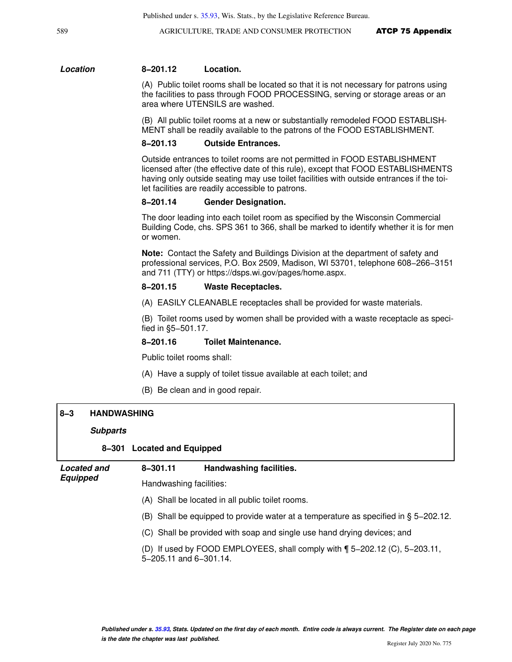589 **AGRICULTURE, TRADE AND CONSUMER PROTECTION ATCP 75 Appendix** 

### **Location 8−201.12 Location.**

(A) Public toilet rooms shall be located so that it is not necessary for patrons using the facilities to pass through FOOD PROCESSING, serving or storage areas or an area where UTENSILS are washed.

(B) All public toilet rooms at a new or substantially remodeled FOOD ESTABLISH-MENT shall be readily available to the patrons of the FOOD ESTABLISHMENT.

### **8−201.13 Outside Entrances.**

Outside entrances to toilet rooms are not permitted in FOOD ESTABLISHMENT licensed after (the effective date of this rule), except that FOOD ESTABLISHMENTS having only outside seating may use toilet facilities with outside entrances if the toilet facilities are readily accessible to patrons.

### **8−201.14 Gender Designation.**

The door leading into each toilet room as specified by the Wisconsin Commercial Building Code, chs. SPS 361 to 366, shall be marked to identify whether it is for men or women.

**Note:** Contact the Safety and Buildings Division at the department of safety and professional services, P.O. Box 2509, Madison, WI 53701, telephone 608−266−3151 and 711 (TTY) or https://dsps.wi.gov/pages/home.aspx.

### **8−201.15 Waste Receptacles.**

(A) EASILY CLEANABLE receptacles shall be provided for waste materials.

(B) Toilet rooms used by women shall be provided with a waste receptacle as specified in §5−501.17.

### **8−201.16 Toilet Maintenance.**

Public toilet rooms shall:

- (A) Have a supply of toilet tissue available at each toilet; and
- (B) Be clean and in good repair.

### **8−3 HANDWASHING**

### **Subparts**

### **8−301 Located and Equipped**

| <b>Located and</b>                                                                                       | $8 - 301.11$                                                                           | Handwashing facilities.                                                   |
|----------------------------------------------------------------------------------------------------------|----------------------------------------------------------------------------------------|---------------------------------------------------------------------------|
| <b>Equipped</b>                                                                                          | Handwashing facilities:                                                                |                                                                           |
| (A) Shall be located in all public toilet rooms.                                                         |                                                                                        |                                                                           |
|                                                                                                          | (B) Shall be equipped to provide water at a temperature as specified in $\S$ 5–202.12. |                                                                           |
| (C) Shall be provided with soap and single use hand drying devices; and<br>(D)<br>5-205.11 and 6-301.14. |                                                                                        |                                                                           |
|                                                                                                          |                                                                                        | If used by FOOD EMPLOYEES, shall comply with $\P$ 5-202.12 (C), 5-203.11, |
|                                                                                                          |                                                                                        |                                                                           |
|                                                                                                          |                                                                                        |                                                                           |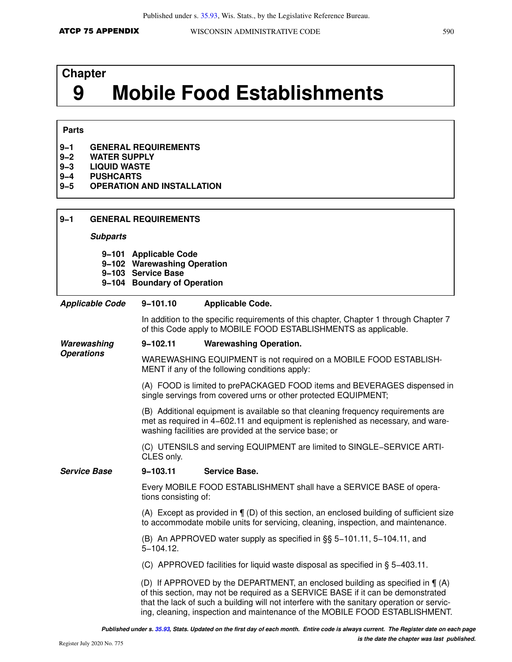# **Chapter 9 Mobile Food Establishments**

## **Parts**

| $9 - 1$<br>$9 - 2$<br>$9 - 3$<br>$9 - 4$<br>$9 - 5$ | <b>PUSHCARTS</b>       | <b>GENERAL REQUIREMENTS</b><br><b>WATER SUPPLY</b><br><b>LIQUID WASTE</b><br><b>OPERATION AND INSTALLATION</b> |                                                                                                                                                                                                                                                                                                                                                  |  |
|-----------------------------------------------------|------------------------|----------------------------------------------------------------------------------------------------------------|--------------------------------------------------------------------------------------------------------------------------------------------------------------------------------------------------------------------------------------------------------------------------------------------------------------------------------------------------|--|
| $9 - 1$                                             |                        | <b>GENERAL REQUIREMENTS</b>                                                                                    |                                                                                                                                                                                                                                                                                                                                                  |  |
|                                                     | <b>Subparts</b>        |                                                                                                                |                                                                                                                                                                                                                                                                                                                                                  |  |
|                                                     |                        | 9-101 Applicable Code<br>9-102 Warewashing Operation<br>9-103 Service Base<br>9-104 Boundary of Operation      |                                                                                                                                                                                                                                                                                                                                                  |  |
|                                                     | <b>Applicable Code</b> | $9 - 101.10$                                                                                                   | <b>Applicable Code.</b>                                                                                                                                                                                                                                                                                                                          |  |
|                                                     |                        |                                                                                                                | In addition to the specific requirements of this chapter, Chapter 1 through Chapter 7<br>of this Code apply to MOBILE FOOD ESTABLISHMENTS as applicable.                                                                                                                                                                                         |  |
| Warewashing                                         |                        | $9 - 102.11$                                                                                                   | <b>Warewashing Operation.</b>                                                                                                                                                                                                                                                                                                                    |  |
| <b>Operations</b>                                   |                        |                                                                                                                | WAREWASHING EQUIPMENT is not required on a MOBILE FOOD ESTABLISH-<br>MENT if any of the following conditions apply:                                                                                                                                                                                                                              |  |
|                                                     |                        |                                                                                                                | (A) FOOD is limited to prePACKAGED FOOD items and BEVERAGES dispensed in<br>single servings from covered urns or other protected EQUIPMENT;                                                                                                                                                                                                      |  |
|                                                     |                        |                                                                                                                | (B) Additional equipment is available so that cleaning frequency requirements are<br>met as required in 4-602.11 and equipment is replenished as necessary, and ware-<br>washing facilities are provided at the service base; or                                                                                                                 |  |
|                                                     |                        | CLES only.                                                                                                     | (C) UTENSILS and serving EQUIPMENT are limited to SINGLE-SERVICE ARTI-                                                                                                                                                                                                                                                                           |  |
| <b>Service Base</b>                                 |                        | $9 - 103.11$                                                                                                   | <b>Service Base.</b>                                                                                                                                                                                                                                                                                                                             |  |
|                                                     |                        | tions consisting of:                                                                                           | Every MOBILE FOOD ESTABLISHMENT shall have a SERVICE BASE of opera-                                                                                                                                                                                                                                                                              |  |
|                                                     |                        |                                                                                                                | (A) Except as provided in $\P$ (D) of this section, an enclosed building of sufficient size<br>to accommodate mobile units for servicing, cleaning, inspection, and maintenance.                                                                                                                                                                 |  |
|                                                     |                        | $5 - 104.12$ .                                                                                                 | (B) An APPROVED water supply as specified in §§ 5-101.11, 5-104.11, and                                                                                                                                                                                                                                                                          |  |
|                                                     |                        |                                                                                                                | (C) APPROVED facilities for liquid waste disposal as specified in § 5-403.11.                                                                                                                                                                                                                                                                    |  |
|                                                     |                        |                                                                                                                | (D) If APPROVED by the DEPARTMENT, an enclosed building as specified in $\P(A)$<br>of this section, may not be required as a SERVICE BASE if it can be demonstrated<br>that the lack of such a building will not interfere with the sanitary operation or servic-<br>ing, cleaning, inspection and maintenance of the MOBILE FOOD ESTABLISHMENT. |  |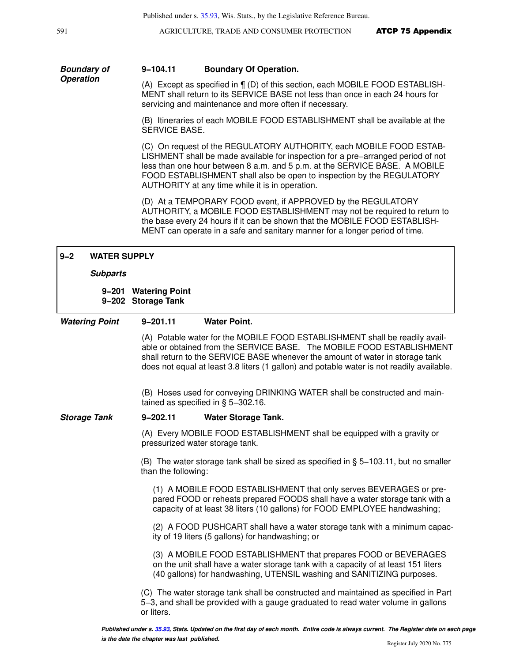591 **AGRICULTURE, TRADE AND CONSUMER PROTECTION ATCP 75 Appendix** 

### **9−104.11 Boundary Of Operation.**

**Boundary of Operation**

(A) Except as specified in ¶ (D) of this section, each MOBILE FOOD ESTABLISH-MENT shall return to its SERVICE BASE not less than once in each 24 hours for servicing and maintenance and more often if necessary.

(B) Itineraries of each MOBILE FOOD ESTABLISHMENT shall be available at the SERVICE BASE.

(C) On request of the REGULATORY AUTHORITY, each MOBILE FOOD ESTAB-LISHMENT shall be made available for inspection for a pre−arranged period of not less than one hour between 8 a.m. and 5 p.m. at the SERVICE BASE. A MOBILE FOOD ESTABLISHMENT shall also be open to inspection by the REGULATORY AUTHORITY at any time while it is in operation.

(D) At a TEMPORARY FOOD event, if APPROVED by the REGULATORY AUTHORITY, a MOBILE FOOD ESTABLISHMENT may not be required to return to the base every 24 hours if it can be shown that the MOBILE FOOD ESTABLISH-MENT can operate in a safe and sanitary manner for a longer period of time.

| $9 - 2$             | <b>WATER SUPPLY</b>   |                                            |                                                                                                                                                                                                                                                                                                                                    |
|---------------------|-----------------------|--------------------------------------------|------------------------------------------------------------------------------------------------------------------------------------------------------------------------------------------------------------------------------------------------------------------------------------------------------------------------------------|
|                     | <b>Subparts</b>       |                                            |                                                                                                                                                                                                                                                                                                                                    |
|                     |                       | 9-201 Watering Point<br>9-202 Storage Tank |                                                                                                                                                                                                                                                                                                                                    |
|                     | <b>Watering Point</b> | $9 - 201.11$                               | <b>Water Point.</b>                                                                                                                                                                                                                                                                                                                |
|                     |                       |                                            | (A) Potable water for the MOBILE FOOD ESTABLISHMENT shall be readily avail-<br>able or obtained from the SERVICE BASE. The MOBILE FOOD ESTABLISHMENT<br>shall return to the SERVICE BASE whenever the amount of water in storage tank<br>does not equal at least 3.8 liters (1 gallon) and potable water is not readily available. |
|                     |                       |                                            | (B) Hoses used for conveying DRINKING WATER shall be constructed and main-<br>tained as specified in $\S$ 5-302.16.                                                                                                                                                                                                                |
| <b>Storage Tank</b> |                       | $9 - 202.11$                               | <b>Water Storage Tank.</b>                                                                                                                                                                                                                                                                                                         |
|                     |                       |                                            | (A) Every MOBILE FOOD ESTABLISHMENT shall be equipped with a gravity or<br>pressurized water storage tank.                                                                                                                                                                                                                         |
|                     |                       | than the following:                        | (B) The water storage tank shall be sized as specified in $\S$ 5-103.11, but no smaller                                                                                                                                                                                                                                            |
|                     |                       |                                            | (1) A MOBILE FOOD ESTABLISHMENT that only serves BEVERAGES or pre-<br>pared FOOD or reheats prepared FOODS shall have a water storage tank with a<br>capacity of at least 38 liters (10 gallons) for FOOD EMPLOYEE handwashing;                                                                                                    |
|                     |                       |                                            | (2) A FOOD PUSHCART shall have a water storage tank with a minimum capac-<br>ity of 19 liters (5 gallons) for handwashing; or                                                                                                                                                                                                      |
|                     |                       |                                            | (3) A MOBILE FOOD ESTABLISHMENT that prepares FOOD or BEVERAGES<br>on the unit shall have a water storage tank with a capacity of at least 151 liters<br>(40 gallons) for handwashing, UTENSIL washing and SANITIZING purposes.                                                                                                    |
|                     |                       | or liters.                                 | (C) The water storage tank shall be constructed and maintained as specified in Part<br>5-3, and shall be provided with a gauge graduated to read water volume in gallons                                                                                                                                                           |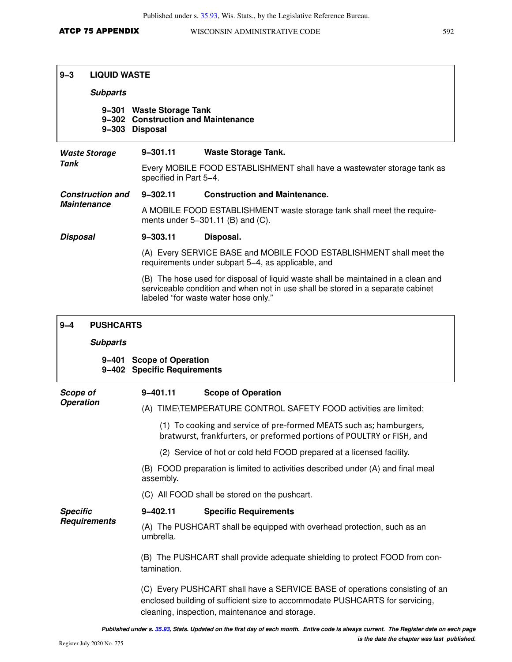## **9−3 LIQUID WASTE**

### **Subparts**

### **9−301 Waste Storage Tank 9−302 Construction and Maintenance 9−303 Disposal**

| <b>Waste Storage</b><br>Tank |                         | $9 - 301.11$<br><b>Waste Storage Tank.</b><br>Every MOBILE FOOD ESTABLISHMENT shall have a wastewater storage tank as<br>specified in Part 5-4.                                                              |                                      |  |
|------------------------------|-------------------------|--------------------------------------------------------------------------------------------------------------------------------------------------------------------------------------------------------------|--------------------------------------|--|
|                              | <b>Construction and</b> | $9 - 302.11$                                                                                                                                                                                                 | <b>Construction and Maintenance.</b> |  |
| <b>Maintenance</b>           |                         | A MOBILE FOOD ESTABLISHMENT waste storage tank shall meet the require-<br>ments under $5-301.11$ (B) and (C).                                                                                                |                                      |  |
| <b>Disposal</b>              |                         | 9-303.11                                                                                                                                                                                                     | Disposal.                            |  |
|                              |                         | (A) Every SERVICE BASE and MOBILE FOOD ESTABLISHMENT shall meet the<br>requirements under subpart 5–4, as applicable, and                                                                                    |                                      |  |
|                              |                         | (B) The hose used for disposal of liquid waste shall be maintained in a clean and<br>serviceable condition and when not in use shall be stored in a separate cabinet<br>labeled "for waste water hose only." |                                      |  |
| $9 - 4$                      | <b>PUSHCARTS</b>        |                                                                                                                                                                                                              |                                      |  |
|                              | <b>Subparts</b>         |                                                                                                                                                                                                              |                                      |  |

### **9−401 Scope of Operation 9−402 Specific Requirements**

| Scope of            | $9 - 401.11$                                                                                                                                                                                                  | <b>Scope of Operation</b>                                                                                                                     |  |
|---------------------|---------------------------------------------------------------------------------------------------------------------------------------------------------------------------------------------------------------|-----------------------------------------------------------------------------------------------------------------------------------------------|--|
| <b>Operation</b>    |                                                                                                                                                                                                               | (A) TIME\TEMPERATURE CONTROL SAFETY FOOD activities are limited:                                                                              |  |
|                     |                                                                                                                                                                                                               | (1) To cooking and service of pre-formed MEATS such as; hamburgers,<br>bratwurst, frankfurters, or preformed portions of POULTRY or FISH, and |  |
|                     |                                                                                                                                                                                                               | (2) Service of hot or cold held FOOD prepared at a licensed facility.                                                                         |  |
|                     | assembly.                                                                                                                                                                                                     | (B) FOOD preparation is limited to activities described under (A) and final meal                                                              |  |
|                     |                                                                                                                                                                                                               | (C) All FOOD shall be stored on the pushcart.                                                                                                 |  |
| <b>Specific</b>     | 9-402.11                                                                                                                                                                                                      | <b>Specific Requirements</b>                                                                                                                  |  |
| <b>Requirements</b> | umbrella.                                                                                                                                                                                                     | (A) The PUSHCART shall be equipped with overhead protection, such as an                                                                       |  |
|                     | (B) The PUSHCART shall provide adequate shielding to protect FOOD from con-<br>tamination.                                                                                                                    |                                                                                                                                               |  |
|                     | (C) Every PUSHCART shall have a SERVICE BASE of operations consisting of an<br>enclosed building of sufficient size to accommodate PUSHCARTS for servicing,<br>cleaning, inspection, maintenance and storage. |                                                                                                                                               |  |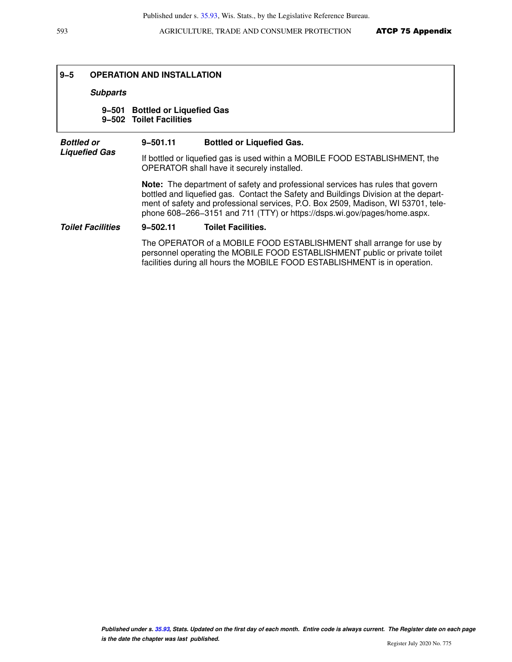## **9−5 OPERATION AND INSTALLATION**

### **Subparts**

### **9−501 Bottled or Liquefied Gas 9−502 Toilet Facilities**

| <b>Bottled or</b>        | $9 - 501.11$                                                                                                                                                                                                                                                                                                                                  | <b>Bottled or Liquefied Gas.</b>                                                                                                                                                                                                 |  |  |
|--------------------------|-----------------------------------------------------------------------------------------------------------------------------------------------------------------------------------------------------------------------------------------------------------------------------------------------------------------------------------------------|----------------------------------------------------------------------------------------------------------------------------------------------------------------------------------------------------------------------------------|--|--|
| <b>Liquefied Gas</b>     |                                                                                                                                                                                                                                                                                                                                               | If bottled or liquefied gas is used within a MOBILE FOOD ESTABLISHMENT, the<br>OPERATOR shall have it securely installed.                                                                                                        |  |  |
|                          | <b>Note:</b> The department of safety and professional services has rules that govern<br>bottled and liquefied gas. Contact the Safety and Buildings Division at the depart-<br>ment of safety and professional services, P.O. Box 2509, Madison, WI 53701, tele-<br>phone 608-266-3151 and 711 (TTY) or https://dsps.wi.gov/pages/home.aspx. |                                                                                                                                                                                                                                  |  |  |
| <b>Toilet Facilities</b> | $9 - 502.11$                                                                                                                                                                                                                                                                                                                                  | <b>Toilet Facilities.</b>                                                                                                                                                                                                        |  |  |
|                          |                                                                                                                                                                                                                                                                                                                                               | The OPERATOR of a MOBILE FOOD ESTABLISHMENT shall arrange for use by<br>personnel operating the MOBILE FOOD ESTABLISHMENT public or private toilet<br>facilities during all hours the MOBILE FOOD ESTABLISHMENT is in operation. |  |  |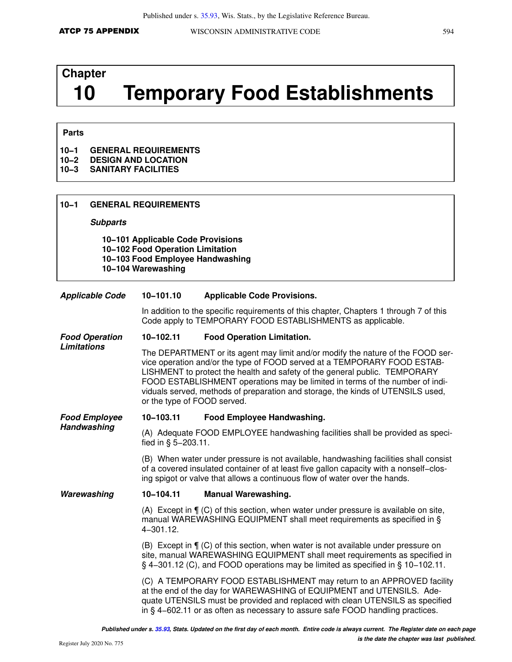# **Chapter 10 Temporary Food Establishments**

### **Parts**

### **10−1 GENERAL REQUIREMENTS**

- **10−2 DESIGN AND LOCATION**
- **10−3 SANITARY FACILITIES**

| $10 - 1$                                                                                                                        | <b>GENERAL REQUIREMENTS</b>                                                                                                                                                                                                                                                                                                                                                                                                                 |                                                                                                                                                                                                                                                              |  |  |  |  |  |  |
|---------------------------------------------------------------------------------------------------------------------------------|---------------------------------------------------------------------------------------------------------------------------------------------------------------------------------------------------------------------------------------------------------------------------------------------------------------------------------------------------------------------------------------------------------------------------------------------|--------------------------------------------------------------------------------------------------------------------------------------------------------------------------------------------------------------------------------------------------------------|--|--|--|--|--|--|
| <b>Subparts</b>                                                                                                                 |                                                                                                                                                                                                                                                                                                                                                                                                                                             |                                                                                                                                                                                                                                                              |  |  |  |  |  |  |
| 10-101 Applicable Code Provisions<br>10-102 Food Operation Limitation<br>10-103 Food Employee Handwashing<br>10-104 Warewashing |                                                                                                                                                                                                                                                                                                                                                                                                                                             |                                                                                                                                                                                                                                                              |  |  |  |  |  |  |
| <b>Applicable Code</b>                                                                                                          | 10-101.10                                                                                                                                                                                                                                                                                                                                                                                                                                   | <b>Applicable Code Provisions.</b>                                                                                                                                                                                                                           |  |  |  |  |  |  |
|                                                                                                                                 |                                                                                                                                                                                                                                                                                                                                                                                                                                             | In addition to the specific requirements of this chapter, Chapters 1 through 7 of this<br>Code apply to TEMPORARY FOOD ESTABLISHMENTS as applicable.                                                                                                         |  |  |  |  |  |  |
| <b>Food Operation</b>                                                                                                           | 10-102.11                                                                                                                                                                                                                                                                                                                                                                                                                                   | <b>Food Operation Limitation.</b>                                                                                                                                                                                                                            |  |  |  |  |  |  |
| Limitations                                                                                                                     | The DEPARTMENT or its agent may limit and/or modify the nature of the FOOD ser-<br>vice operation and/or the type of FOOD served at a TEMPORARY FOOD ESTAB-<br>LISHMENT to protect the health and safety of the general public. TEMPORARY<br>FOOD ESTABLISHMENT operations may be limited in terms of the number of indi-<br>viduals served, methods of preparation and storage, the kinds of UTENSILS used,<br>or the type of FOOD served. |                                                                                                                                                                                                                                                              |  |  |  |  |  |  |
| <b>Food Employee</b>                                                                                                            | 10-103.11                                                                                                                                                                                                                                                                                                                                                                                                                                   | Food Employee Handwashing.                                                                                                                                                                                                                                   |  |  |  |  |  |  |
| Handwashing                                                                                                                     | fied in § 5-203.11.                                                                                                                                                                                                                                                                                                                                                                                                                         | (A) Adequate FOOD EMPLOYEE handwashing facilities shall be provided as speci-                                                                                                                                                                                |  |  |  |  |  |  |
|                                                                                                                                 | (B) When water under pressure is not available, handwashing facilities shall consist<br>of a covered insulated container of at least five gallon capacity with a nonself-clos-<br>ing spigot or valve that allows a continuous flow of water over the hands.                                                                                                                                                                                |                                                                                                                                                                                                                                                              |  |  |  |  |  |  |
| Warewashing                                                                                                                     | 10-104.11                                                                                                                                                                                                                                                                                                                                                                                                                                   | <b>Manual Warewashing.</b>                                                                                                                                                                                                                                   |  |  |  |  |  |  |
|                                                                                                                                 | 4-301.12.                                                                                                                                                                                                                                                                                                                                                                                                                                   | (A) Except in $\P$ (C) of this section, when water under pressure is available on site,<br>manual WAREWASHING EQUIPMENT shall meet requirements as specified in §                                                                                            |  |  |  |  |  |  |
|                                                                                                                                 |                                                                                                                                                                                                                                                                                                                                                                                                                                             | (B) Except in $\P$ (C) of this section, when water is not available under pressure on<br>site, manual WAREWASHING EQUIPMENT shall meet requirements as specified in<br>$\S$ 4–301.12 (C), and FOOD operations may be limited as specified in $\S$ 10–102.11. |  |  |  |  |  |  |

(C) A TEMPORARY FOOD ESTABLISHMENT may return to an APPROVED facility at the end of the day for WAREWASHING of EQUIPMENT and UTENSILS. Adequate UTENSILS must be provided and replaced with clean UTENSILS as specified in § 4−602.11 or as often as necessary to assure safe FOOD handling practices.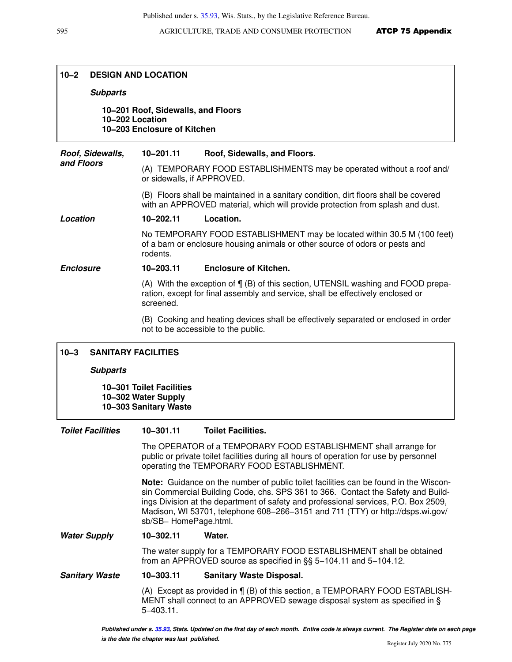### **10−2 DESIGN AND LOCATION**

### **Subparts**

**10−201 Roof, Sidewalls, and Floors 10−202 Location 10−203 Enclosure of Kitchen**

**Roof, Sidewalls, and Floors 10−201.11 Roof, Sidewalls, and Floors.** (A) TEMPORARY FOOD ESTABLISHMENTS may be operated without a roof and/ or sidewalls, if APPROVED. (B) Floors shall be maintained in a sanitary condition, dirt floors shall be covered with an APPROVED material, which will provide protection from splash and dust. **Location 10−202.11 Location.** No TEMPORARY FOOD ESTABLISHMENT may be located within 30.5 M (100 feet) of a barn or enclosure housing animals or other source of odors or pests and rodents. **Enclosure 10−203.11 Enclosure of Kitchen.** (A) With the exception of ¶ (B) of this section, UTENSIL washing and FOOD preparation, except for final assembly and service, shall be effectively enclosed or screened. (B) Cooking and heating devices shall be effectively separated or enclosed in order not to be accessible to the public.

### **10−3 SANITARY FACILITIES**

### **Subparts**

**10−301 Toilet Facilities 10−302 Water Supply 10−303 Sanitary Waste**

### **Toilet Facilities 10−301.11 Toilet Facilities.**

The OPERATOR of a TEMPORARY FOOD ESTABLISHMENT shall arrange for public or private toilet facilities during all hours of operation for use by personnel operating the TEMPORARY FOOD ESTABLISHMENT.

**Note:** Guidance on the number of public toilet facilities can be found in the Wisconsin Commercial Building Code, chs. SPS 361 to 366. Contact the Safety and Buildings Division at the department of safety and professional services, P.O. Box 2509, Madison, WI 53701, telephone 608−266−3151 and 711 (TTY) or http://dsps.wi.gov/ sb/SB− HomePage.html.

**Water Supply 10−302.11 Water.**

The water supply for a TEMPORARY FOOD ESTABLISHMENT shall be obtained from an APPROVED source as specified in §§ 5−104.11 and 5−104.12.

### **Sanitary Waste 10−303.11 Sanitary Waste Disposal.**

(A) Except as provided in ¶ (B) of this section, a TEMPORARY FOOD ESTABLISH-MENT shall connect to an APPROVED sewage disposal system as specified in § 5−403.11.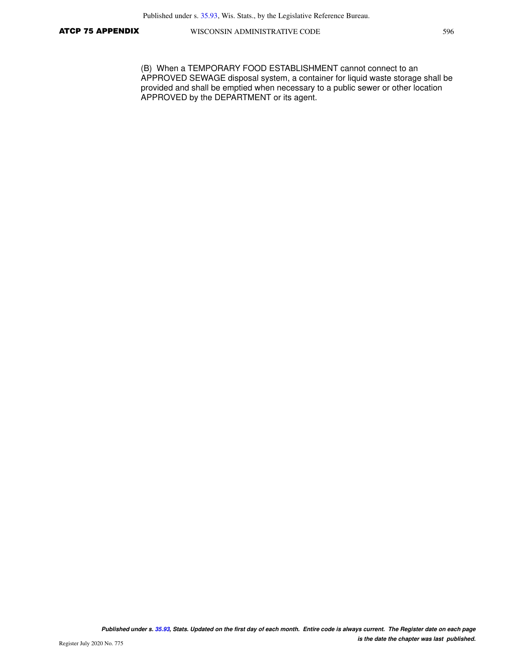(B) When a TEMPORARY FOOD ESTABLISHMENT cannot connect to an APPROVED SEWAGE disposal system, a container for liquid waste storage shall be provided and shall be emptied when necessary to a public sewer or other location APPROVED by the DEPARTMENT or its agent.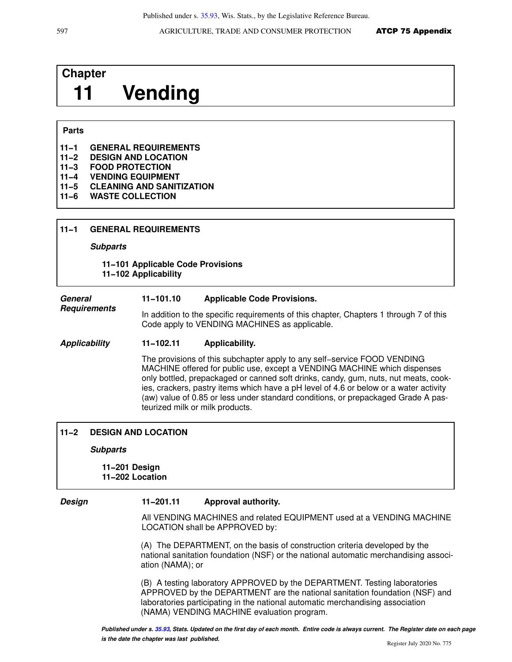# **Chapter 11 Vending**

### **Parts**

| $11 - 1$ | <b>GENERAL REQUIREMENTS</b> |
|----------|-----------------------------|
|----------|-----------------------------|

- **11−2 DESIGN AND LOCATION**
- **11−3 FOOD PROTECTION**
- **11−4 VENDING EQUIPMENT**
- **11−5 CLEANING AND SANITIZATION**
- **11−6 WASTE COLLECTION**

**Subparts**

**11−101 Applicable Code Provisions 11−102 Applicability**

### **General 11−101.10 Applicable Code Provisions.**

**Requirements** In addition to the specific requirements of this chapter, Chapters 1 through 7 of this Code apply to VENDING MACHINES as applicable.

### **Applicability 11−102.11 Applicability.**

The provisions of this subchapter apply to any self−service FOOD VENDING MACHINE offered for public use, except a VENDING MACHINE which dispenses only bottled, prepackaged or canned soft drinks, candy, gum, nuts, nut meats, cookies, crackers, pastry items which have a pH level of 4.6 or below or a water activity (aw) value of 0.85 or less under standard conditions, or prepackaged Grade A pasteurized milk or milk products.

### **11−2 DESIGN AND LOCATION**

### **Subparts**

**11−201 Design 11−202 Location**

### **Design 11−201.11 Approval authority.**

All VENDING MACHINES and related EQUIPMENT used at a VENDING MACHINE LOCATION shall be APPROVED by:

(A) The DEPARTMENT, on the basis of construction criteria developed by the national sanitation foundation (NSF) or the national automatic merchandising association (NAMA); or

(B) A testing laboratory APPROVED by the DEPARTMENT. Testing laboratories APPROVED by the DEPARTMENT are the national sanitation foundation (NSF) and laboratories participating in the national automatic merchandising association (NAMA) VENDING MACHINE evaluation program.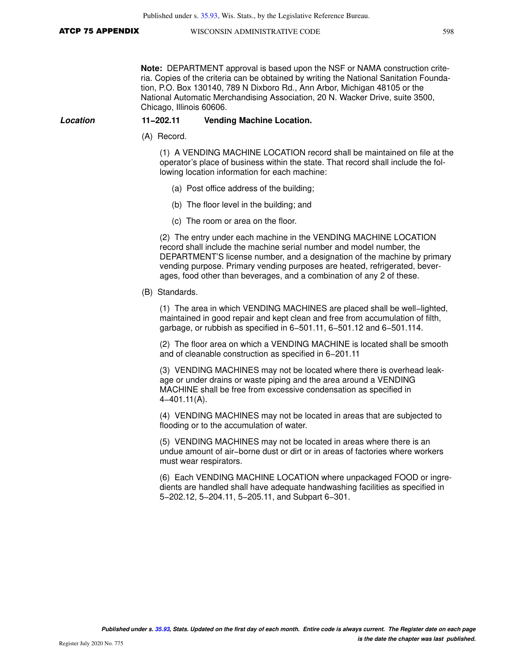**Note:** DEPARTMENT approval is based upon the NSF or NAMA construction criteria. Copies of the criteria can be obtained by writing the National Sanitation Foundation, P.O. Box 130140, 789 N Dixboro Rd., Ann Arbor, Michigan 48105 or the National Automatic Merchandising Association, 20 N. Wacker Drive, suite 3500, Chicago, Illinois 60606.

### **Location 11−202.11 Vending Machine Location.**

(A) Record.

(1) A VENDING MACHINE LOCATION record shall be maintained on file at the operator's place of business within the state. That record shall include the following location information for each machine:

- (a) Post office address of the building;
- (b) The floor level in the building; and
- (c) The room or area on the floor.

(2) The entry under each machine in the VENDING MACHINE LOCATION record shall include the machine serial number and model number, the DEPARTMENT'S license number, and a designation of the machine by primary vending purpose. Primary vending purposes are heated, refrigerated, beverages, food other than beverages, and a combination of any 2 of these.

(B) Standards.

(1) The area in which VENDING MACHINES are placed shall be well−lighted, maintained in good repair and kept clean and free from accumulation of filth, garbage, or rubbish as specified in 6−501.11, 6−501.12 and 6−501.114.

(2) The floor area on which a VENDING MACHINE is located shall be smooth and of cleanable construction as specified in 6−201.11

(3) VENDING MACHINES may not be located where there is overhead leakage or under drains or waste piping and the area around a VENDING MACHINE shall be free from excessive condensation as specified in 4−401.11(A).

(4) VENDING MACHINES may not be located in areas that are subjected to flooding or to the accumulation of water.

(5) VENDING MACHINES may not be located in areas where there is an undue amount of air−borne dust or dirt or in areas of factories where workers must wear respirators.

(6) Each VENDING MACHINE LOCATION where unpackaged FOOD or ingredients are handled shall have adequate handwashing facilities as specified in 5−202.12, 5−204.11, 5−205.11, and Subpart 6−301.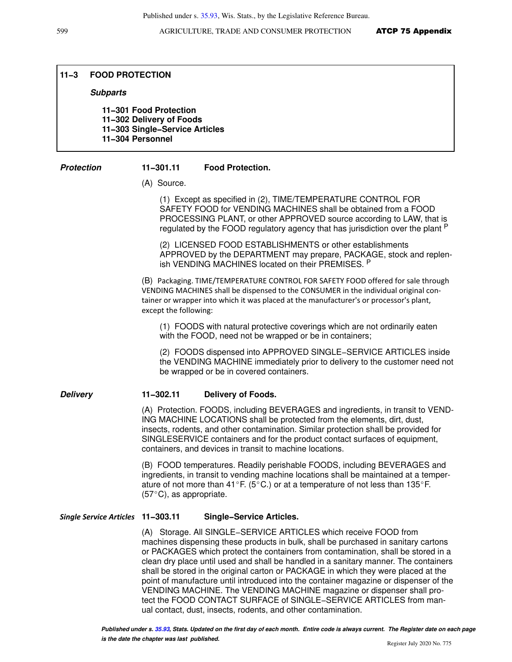Published under s. [35.93](https://docs.legis.wisconsin.gov/document/statutes/35.93), Wis. Stats., by the Legislative Reference Bureau.

### **11−3 FOOD PROTECTION**

### **Subparts**

**11−301 Food Protection 11−302 Delivery of Foods 11−303 Single−Service Articles 11−304 Personnel**

### **Protection 11−301.11 Food Protection.**

(A) Source.

(1) Except as specified in (2), TIME/TEMPERATURE CONTROL FOR SAFETY FOOD for VENDING MACHINES shall be obtained from a FOOD PROCESSING PLANT, or other APPROVED source according to LAW, that is regulated by the FOOD regulatory agency that has jurisdiction over the plant P

(2) LICENSED FOOD ESTABLISHMENTS or other establishments APPROVED by the DEPARTMENT may prepare, PACKAGE, stock and replenish VENDING MACHINES located on their PREMISES. <sup>P</sup>

(B) Packaging. TIME/TEMPERATURE CONTROL FOR SAFETY FOOD offered for sale through VENDING MACHINES shall be dispensed to the CONSUMER in the individual original container or wrapper into which it was placed at the manufacturer's or processor's plant, except the following:

(1) FOODS with natural protective coverings which are not ordinarily eaten with the FOOD, need not be wrapped or be in containers;

(2) FOODS dispensed into APPROVED SINGLE−SERVICE ARTICLES inside the VENDING MACHINE immediately prior to delivery to the customer need not be wrapped or be in covered containers.

### **Delivery 11−302.11 Delivery of Foods.**

(A) Protection. FOODS, including BEVERAGES and ingredients, in transit to VEND-ING MACHINE LOCATIONS shall be protected from the elements, dirt, dust, insects, rodents, and other contamination. Similar protection shall be provided for SINGLESERVICE containers and for the product contact surfaces of equipment, containers, and devices in transit to machine locations.

(B) FOOD temperatures. Readily perishable FOODS, including BEVERAGES and ingredients, in transit to vending machine locations shall be maintained at a temperature of not more than 41°F. (5°C.) or at a temperature of not less than 135°F.  $(57^{\circ}C)$ , as appropriate.

### *Single Service Articles* **11−303.11 Single−Service Articles.**

(A) Storage. All SINGLE−SERVICE ARTICLES which receive FOOD from machines dispensing these products in bulk, shall be purchased in sanitary cartons or PACKAGES which protect the containers from contamination, shall be stored in a clean dry place until used and shall be handled in a sanitary manner. The containers shall be stored in the original carton or PACKAGE in which they were placed at the point of manufacture until introduced into the container magazine or dispenser of the VENDING MACHINE. The VENDING MACHINE magazine or dispenser shall protect the FOOD CONTACT SURFACE of SINGLE−SERVICE ARTICLES from manual contact, dust, insects, rodents, and other contamination.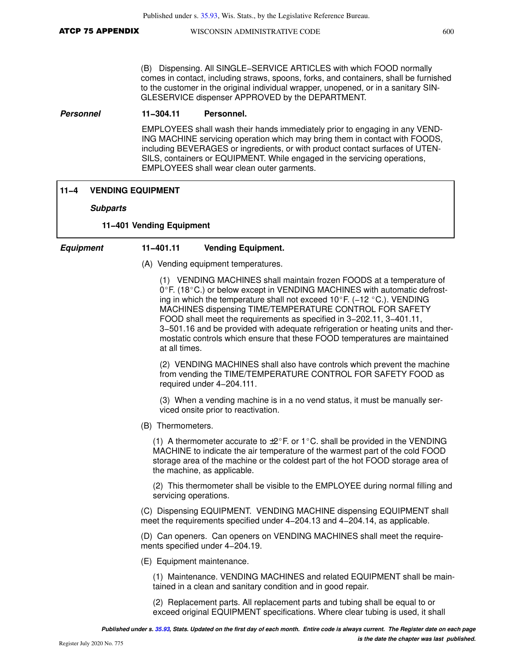(B) Dispensing. All SINGLE−SERVICE ARTICLES with which FOOD normally comes in contact, including straws, spoons, forks, and containers, shall be furnished to the customer in the original individual wrapper, unopened, or in a sanitary SIN-GLESERVICE dispenser APPROVED by the DEPARTMENT.

### **Personnel 11−304.11 Personnel.**

EMPLOYEES shall wash their hands immediately prior to engaging in any VEND-ING MACHINE servicing operation which may bring them in contact with FOODS, including BEVERAGES or ingredients, or with product contact surfaces of UTEN-SILS, containers or EQUIPMENT. While engaged in the servicing operations, EMPLOYEES shall wear clean outer garments.

### **11−4 VENDING EQUIPMENT**

**Subparts**

### **11−401 Vending Equipment**

### **Equipment 11−401.11 Vending Equipment.**

(A) Vending equipment temperatures.

(1) VENDING MACHINES shall maintain frozen FOODS at a temperature of  $0^{\circ}$  F. (18 $^{\circ}$ C.) or below except in VENDING MACHINES with automatic defrosting in which the temperature shall not exceed 10°F. (−12 °C.). VENDING MACHINES dispensing TIME/TEMPERATURE CONTROL FOR SAFETY FOOD shall meet the requirements as specified in 3−202.11, 3−401.11, 3−501.16 and be provided with adequate refrigeration or heating units and thermostatic controls which ensure that these FOOD temperatures are maintained at all times.

(2) VENDING MACHINES shall also have controls which prevent the machine from vending the TIME/TEMPERATURE CONTROL FOR SAFETY FOOD as required under 4−204.111.

(3) When a vending machine is in a no vend status, it must be manually serviced onsite prior to reactivation.

(B) Thermometers.

(1) A thermometer accurate to  $\pm 2^{\circ}$  F. or 1°C. shall be provided in the VENDING MACHINE to indicate the air temperature of the warmest part of the cold FOOD storage area of the machine or the coldest part of the hot FOOD storage area of the machine, as applicable.

(2) This thermometer shall be visible to the EMPLOYEE during normal filling and servicing operations.

(C) Dispensing EQUIPMENT. VENDING MACHINE dispensing EQUIPMENT shall meet the requirements specified under 4−204.13 and 4−204.14, as applicable.

(D) Can openers. Can openers on VENDING MACHINES shall meet the requirements specified under 4−204.19.

(E) Equipment maintenance.

(1) Maintenance. VENDING MACHINES and related EQUIPMENT shall be maintained in a clean and sanitary condition and in good repair.

(2) Replacement parts. All replacement parts and tubing shall be equal to or exceed original EQUIPMENT specifications. Where clear tubing is used, it shall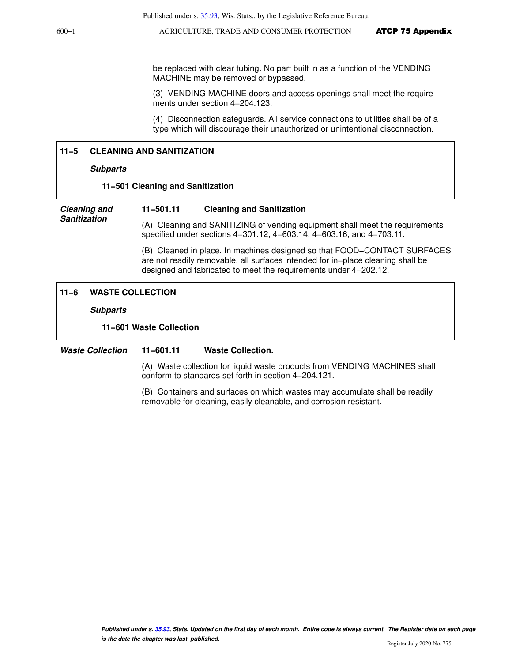600−1 AGRICULTURE, TRADE AND CONSUMER PROTECTION ATCP 75 Appendix

be replaced with clear tubing. No part built in as a function of the VENDING MACHINE may be removed or bypassed.

(3) VENDING MACHINE doors and access openings shall meet the requirements under section 4−204.123.

(4) Disconnection safeguards. All service connections to utilities shall be of a type which will discourage their unauthorized or unintentional disconnection.

## **11−5 CLEANING AND SANITIZATION**

#### **Subparts**

#### **11−501 Cleaning and Sanitization**

**Cleaning and Sanitization**

#### **11−501.11 Cleaning and Sanitization**

(A) Cleaning and SANITIZING of vending equipment shall meet the requirements specified under sections 4−301.12, 4−603.14, 4−603.16, and 4−703.11.

(B) Cleaned in place. In machines designed so that FOOD−CONTACT SURFACES are not readily removable, all surfaces intended for in−place cleaning shall be designed and fabricated to meet the requirements under 4−202.12.

# **11−6 WASTE COLLECTION**

**Subparts**

#### **11−601 Waste Collection**

**Waste Collection 11−601.11 Waste Collection.**

(A) Waste collection for liquid waste products from VENDING MACHINES shall conform to standards set forth in section 4−204.121.

(B) Containers and surfaces on which wastes may accumulate shall be readily removable for cleaning, easily cleanable, and corrosion resistant.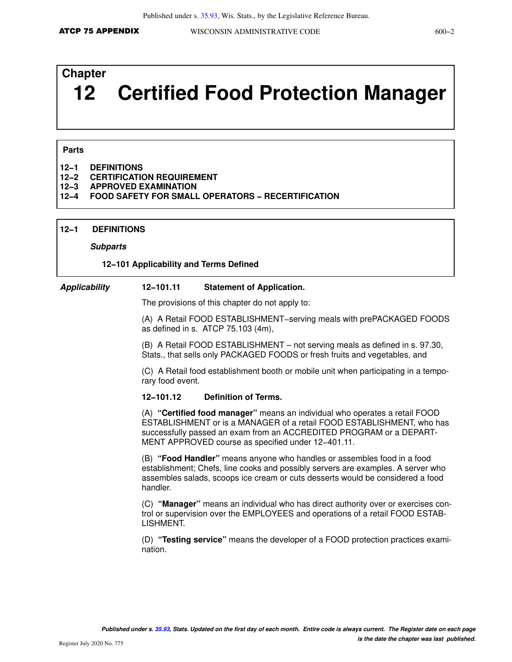# **Chapter 12 Certified Food Protection Manager**

#### **Parts**

- **12−1 DEFINITIONS**
- **12−2 CERTIFICATION REQUIREMENT**
- **12−3 APPROVED EXAMINATION**

### **12−4 FOOD SAFETY FOR SMALL OPERATORS − RECERTIFICATION**

#### **12−1 DEFINITIONS**

#### **Subparts**

#### **12−101 Applicability and Terms Defined**

#### **Applicability 12−101.11 Statement of Application.**

The provisions of this chapter do not apply to:

(A) A Retail FOOD ESTABLISHMENT−serving meals with prePACKAGED FOODS as defined in s. ATCP 75.103 (4m),

(B) A Retail FOOD ESTABLISHMENT – not serving meals as defined in s. 97.30, Stats., that sells only PACKAGED FOODS or fresh fruits and vegetables, and

(C) A Retail food establishment booth or mobile unit when participating in a temporary food event.

#### **12−101.12 Definition of Terms.**

(A) **"Certified food manager"** means an individual who operates a retail FOOD ESTABLISHMENT or is a MANAGER of a retail FOOD ESTABLISHMENT, who has successfully passed an exam from an ACCREDITED PROGRAM or a DEPART-MENT APPROVED course as specified under 12−401.11.

(B) **"Food Handler"** means anyone who handles or assembles food in a food establishment; Chefs, line cooks and possibly servers are examples. A server who assembles salads, scoops ice cream or cuts desserts would be considered a food handler.

(C) **"Manager"** means an individual who has direct authority over or exercises control or supervision over the EMPLOYEES and operations of a retail FOOD ESTAB-LISHMENT.

(D) **"Testing service"** means the developer of a FOOD protection practices examination.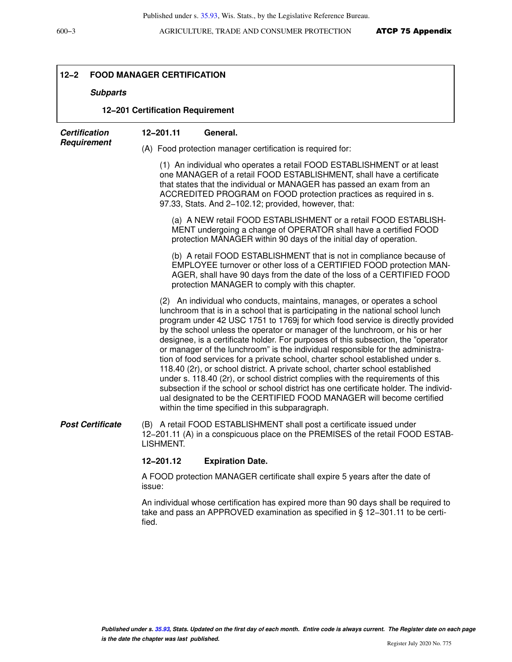Ī

| $12 - 2$<br><b>FOOD MANAGER CERTIFICATION</b> |                                                                                                                                                                                                                                                                                                                                                                                                                                                                                                                                                                                                                                                                                                                                                                                                                                                                                                                                                                                  |  |
|-----------------------------------------------|----------------------------------------------------------------------------------------------------------------------------------------------------------------------------------------------------------------------------------------------------------------------------------------------------------------------------------------------------------------------------------------------------------------------------------------------------------------------------------------------------------------------------------------------------------------------------------------------------------------------------------------------------------------------------------------------------------------------------------------------------------------------------------------------------------------------------------------------------------------------------------------------------------------------------------------------------------------------------------|--|
| <b>Subparts</b>                               |                                                                                                                                                                                                                                                                                                                                                                                                                                                                                                                                                                                                                                                                                                                                                                                                                                                                                                                                                                                  |  |
| 12-201 Certification Requirement              |                                                                                                                                                                                                                                                                                                                                                                                                                                                                                                                                                                                                                                                                                                                                                                                                                                                                                                                                                                                  |  |
| <b>Certification</b><br>Requirement           | 12-201.11<br>General.                                                                                                                                                                                                                                                                                                                                                                                                                                                                                                                                                                                                                                                                                                                                                                                                                                                                                                                                                            |  |
|                                               | (A) Food protection manager certification is required for:                                                                                                                                                                                                                                                                                                                                                                                                                                                                                                                                                                                                                                                                                                                                                                                                                                                                                                                       |  |
|                                               | (1) An individual who operates a retail FOOD ESTABLISHMENT or at least<br>one MANAGER of a retail FOOD ESTABLISHMENT, shall have a certificate<br>that states that the individual or MANAGER has passed an exam from an<br>ACCREDITED PROGRAM on FOOD protection practices as required in s.<br>97.33, Stats. And 2-102.12; provided, however, that:                                                                                                                                                                                                                                                                                                                                                                                                                                                                                                                                                                                                                             |  |
|                                               | (a) A NEW retail FOOD ESTABLISHMENT or a retail FOOD ESTABLISH-<br>MENT undergoing a change of OPERATOR shall have a certified FOOD<br>protection MANAGER within 90 days of the initial day of operation.                                                                                                                                                                                                                                                                                                                                                                                                                                                                                                                                                                                                                                                                                                                                                                        |  |
|                                               | (b) A retail FOOD ESTABLISHMENT that is not in compliance because of<br>EMPLOYEE turnover or other loss of a CERTIFIED FOOD protection MAN-<br>AGER, shall have 90 days from the date of the loss of a CERTIFIED FOOD<br>protection MANAGER to comply with this chapter.                                                                                                                                                                                                                                                                                                                                                                                                                                                                                                                                                                                                                                                                                                         |  |
|                                               | (2) An individual who conducts, maintains, manages, or operates a school<br>lunchroom that is in a school that is participating in the national school lunch<br>program under 42 USC 1751 to 1769j for which food service is directly provided<br>by the school unless the operator or manager of the lunchroom, or his or her<br>designee, is a certificate holder. For purposes of this subsection, the "operator<br>or manager of the lunchroom" is the individual responsible for the administra-<br>tion of food services for a private school, charter school established under s.<br>118.40 (2r), or school district. A private school, charter school established<br>under s. 118.40 (2r), or school district complies with the requirements of this<br>subsection if the school or school district has one certificate holder. The individ-<br>ual designated to be the CERTIFIED FOOD MANAGER will become certified<br>within the time specified in this subparagraph. |  |
| <b>Post Certificate</b>                       | (B) A retail FOOD ESTABLISHMENT shall post a certificate issued under<br>12-201.11 (A) in a conspicuous place on the PREMISES of the retail FOOD ESTAB-<br>LISHMENT.                                                                                                                                                                                                                                                                                                                                                                                                                                                                                                                                                                                                                                                                                                                                                                                                             |  |
|                                               | 12-201.12<br><b>Expiration Date.</b>                                                                                                                                                                                                                                                                                                                                                                                                                                                                                                                                                                                                                                                                                                                                                                                                                                                                                                                                             |  |
|                                               | A FOOD protection MANAGER certificate shall expire 5 years after the date of<br>issue:                                                                                                                                                                                                                                                                                                                                                                                                                                                                                                                                                                                                                                                                                                                                                                                                                                                                                           |  |
|                                               | An individual whose certification has expired more than 90 days shall be required to<br>take and pass an APPROVED examination as specified in $\S$ 12-301.11 to be certi-<br>fied.                                                                                                                                                                                                                                                                                                                                                                                                                                                                                                                                                                                                                                                                                                                                                                                               |  |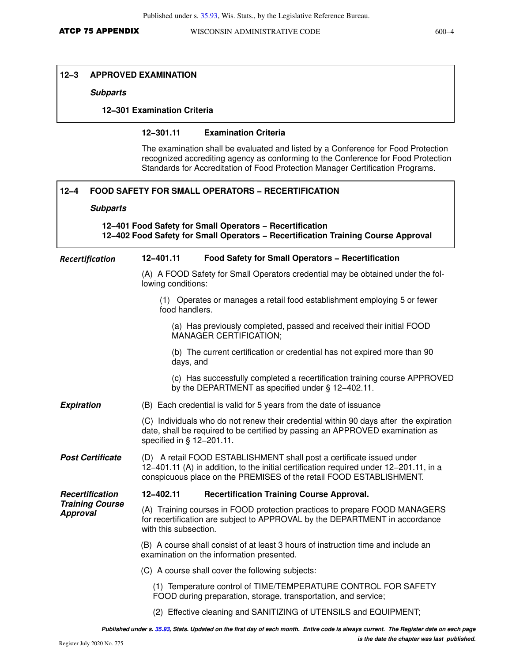# **12−3 APPROVED EXAMINATION**

#### **Subparts**

# **12−301 Examination Criteria**

## **12−301.11 Examination Criteria**

The examination shall be evaluated and listed by a Conference for Food Protection recognized accrediting agency as conforming to the Conference for Food Protection Standards for Accreditation of Food Protection Manager Certification Programs.

| $12 - 4$<br><b>FOOD SAFETY FOR SMALL OPERATORS - RECERTIFICATION</b>                                                                          |                                                                                                                                                                                                                                        |  |
|-----------------------------------------------------------------------------------------------------------------------------------------------|----------------------------------------------------------------------------------------------------------------------------------------------------------------------------------------------------------------------------------------|--|
| <b>Subparts</b>                                                                                                                               |                                                                                                                                                                                                                                        |  |
| 12-401 Food Safety for Small Operators - Recertification<br>12-402 Food Safety for Small Operators - Recertification Training Course Approval |                                                                                                                                                                                                                                        |  |
| Recertification                                                                                                                               | 12-401.11<br><b>Food Safety for Small Operators - Recertification</b>                                                                                                                                                                  |  |
|                                                                                                                                               | (A) A FOOD Safety for Small Operators credential may be obtained under the fol-<br>lowing conditions:                                                                                                                                  |  |
|                                                                                                                                               | (1) Operates or manages a retail food establishment employing 5 or fewer<br>food handlers.                                                                                                                                             |  |
|                                                                                                                                               | (a) Has previously completed, passed and received their initial FOOD<br><b>MANAGER CERTIFICATION:</b>                                                                                                                                  |  |
|                                                                                                                                               | (b) The current certification or credential has not expired more than 90<br>days, and                                                                                                                                                  |  |
|                                                                                                                                               | (c) Has successfully completed a recertification training course APPROVED<br>by the DEPARTMENT as specified under § 12-402.11.                                                                                                         |  |
| <b>Expiration</b>                                                                                                                             | (B) Each credential is valid for 5 years from the date of issuance                                                                                                                                                                     |  |
|                                                                                                                                               | (C) Individuals who do not renew their credential within 90 days after the expiration<br>date, shall be required to be certified by passing an APPROVED examination as<br>specified in $§$ 12-201.11.                                  |  |
| <b>Post Certificate</b>                                                                                                                       | (D) A retail FOOD ESTABLISHMENT shall post a certificate issued under<br>12-401.11 (A) in addition, to the initial certification required under 12-201.11, in a<br>conspicuous place on the PREMISES of the retail FOOD ESTABLISHMENT. |  |
| Recertification<br><b>Training Course</b><br><b>Approval</b>                                                                                  | 12-402.11<br><b>Recertification Training Course Approval.</b>                                                                                                                                                                          |  |
|                                                                                                                                               | (A) Training courses in FOOD protection practices to prepare FOOD MANAGERS<br>for recertification are subject to APPROVAL by the DEPARTMENT in accordance<br>with this subsection.                                                     |  |
|                                                                                                                                               | (B) A course shall consist of at least 3 hours of instruction time and include an<br>examination on the information presented.                                                                                                         |  |
|                                                                                                                                               | (C) A course shall cover the following subjects:                                                                                                                                                                                       |  |
|                                                                                                                                               | (1) Temperature control of TIME/TEMPERATURE CONTROL FOR SAFETY<br>FOOD during preparation, storage, transportation, and service;                                                                                                       |  |
|                                                                                                                                               | (2) Effective cleaning and SANITIZING of UTENSILS and EQUIPMENT;                                                                                                                                                                       |  |

**Published under s. [35.93,](https://docs.legis.wisconsin.gov/document/statutes/35.93) Stats. Updated on the first day of each month. Entire code is always current. The Register date on each page is the date the chapter was last published.**